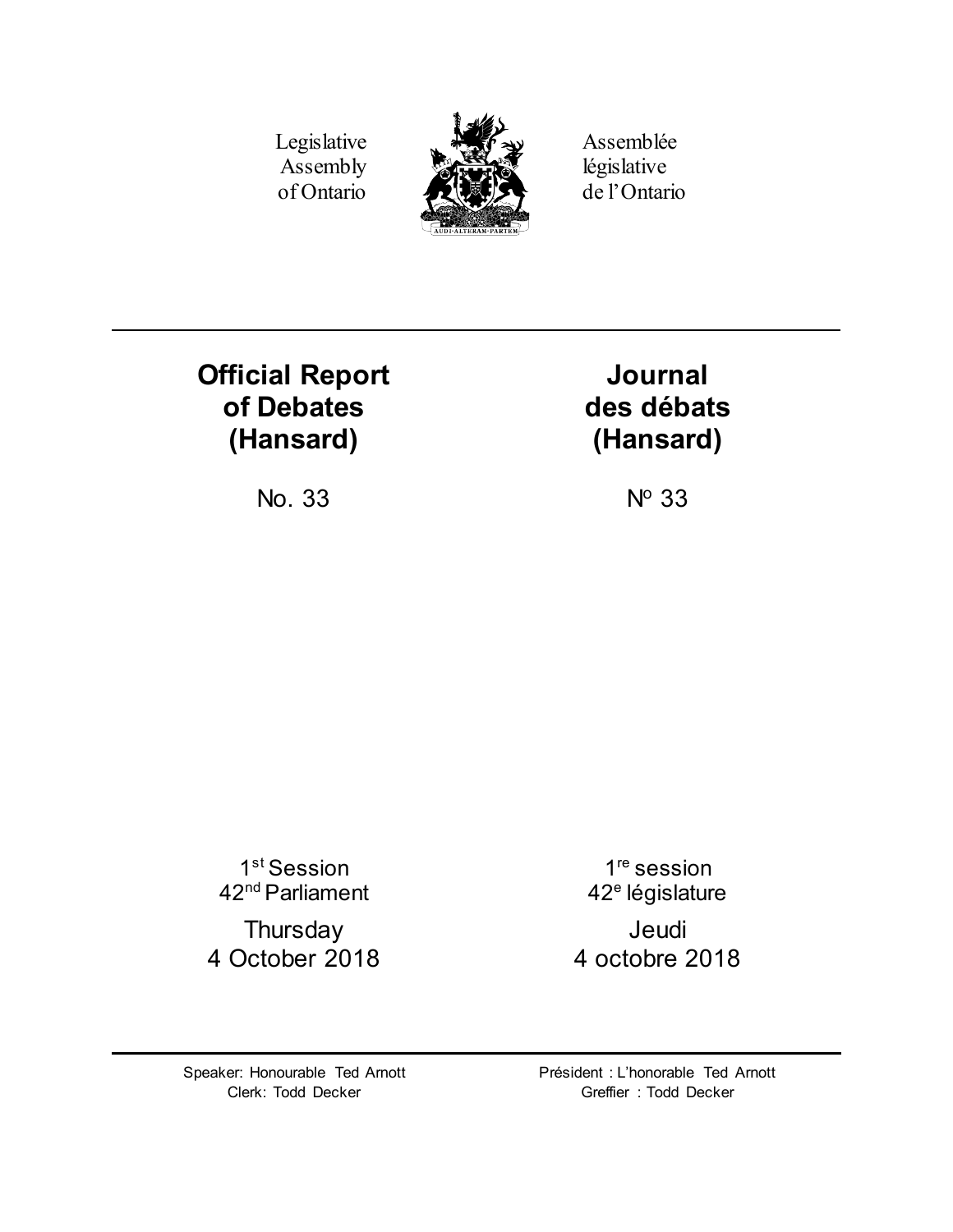Legislative Assembly of Ontario



Assemblée législative de l'Ontario

# **Official Report of Debates (Hansard)**

**Journal des débats (Hansard)**

No.  $33$  No  $33$ 

1<sup>st</sup> Session 42nd Parliament

**Thursday** 4 October 2018

1<sup>re</sup> session 42<sup>e</sup> législature Jeudi 4 octobre 2018

Speaker: Honourable Ted Arnott Clerk: Todd Decker

Président : L'honorable Ted Arnott Greffier : Todd Decker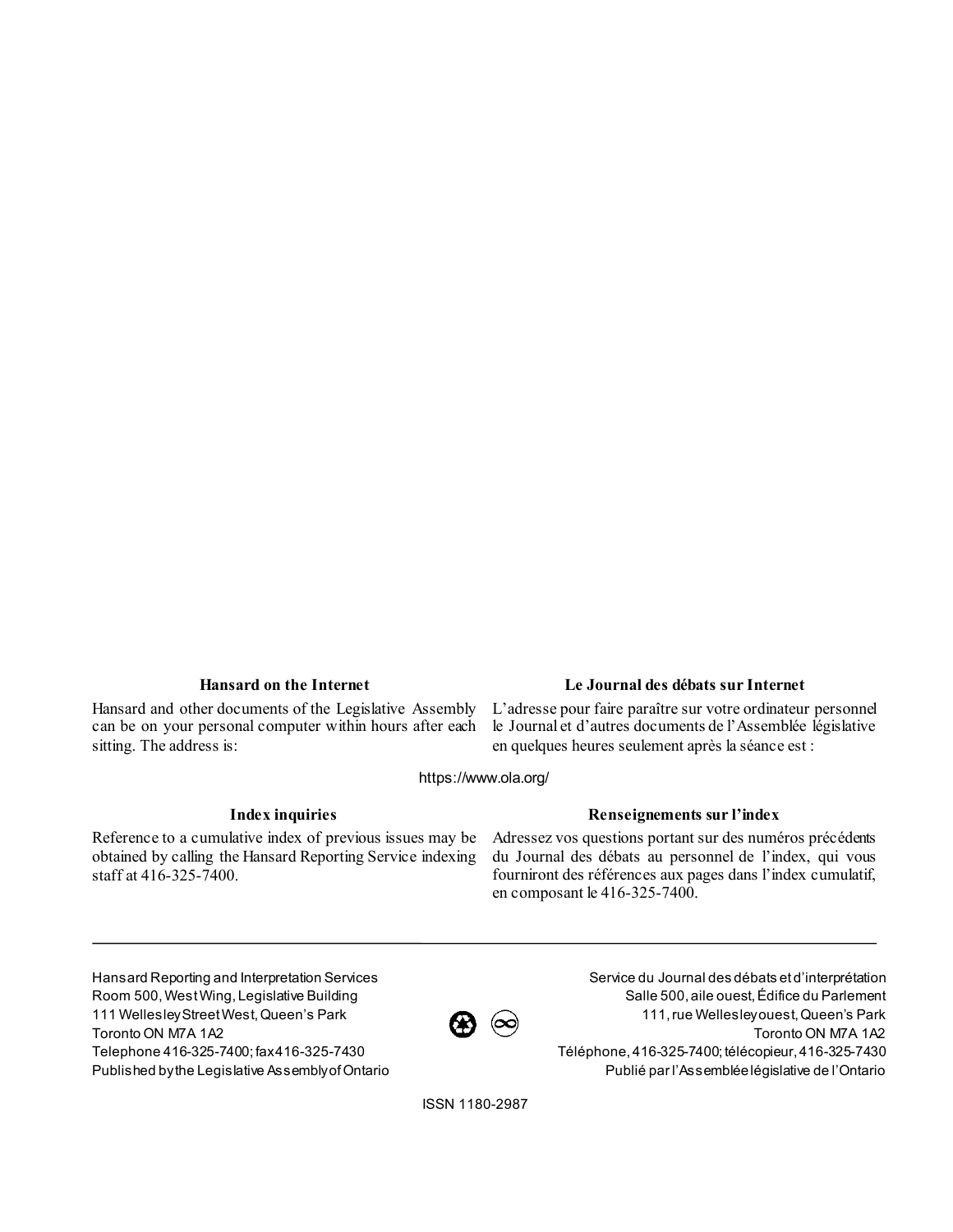Hansard and other documents of the Legislative Assembly can be on your personal computer within hours after each sitting. The address is:

### **Hansard on the Internet Le Journal des débats sur Internet**

L'adresse pour faire paraître sur votre ordinateur personnel le Journal et d'autres documents de l'Assemblée législative en quelques heures seulement après la séance est :

https://www.ola.org/

Reference to a cumulative index of previous issues may be obtained by calling the Hansard Reporting Service indexing staff at 416-325-7400.

### **Index inquiries Renseignements sur l'index**

Adressez vos questions portant sur des numéros précédents du Journal des débats au personnel de l'index, qui vous fourniront des références aux pages dans l'index cumulatif, en composant le 416-325-7400.

Hansard Reporting and Interpretation Services Room 500, West Wing, Legislative Building 111 Wellesley Street West, Queen's Park Toronto ON M7A 1A2 Telephone 416-325-7400; fax 416-325-7430 Published by the Legislative Assembly of Ontario



Service du Journal des débats et d'interprétation Salle 500, aile ouest, Édifice du Parlement 111, rue Wellesley ouest, Queen's Park Toronto ON M7A 1A2 Téléphone, 416-325-7400; télécopieur, 416-325-7430 Publié par l'Assemblée législative de l'Ontario

ISSN 1180-2987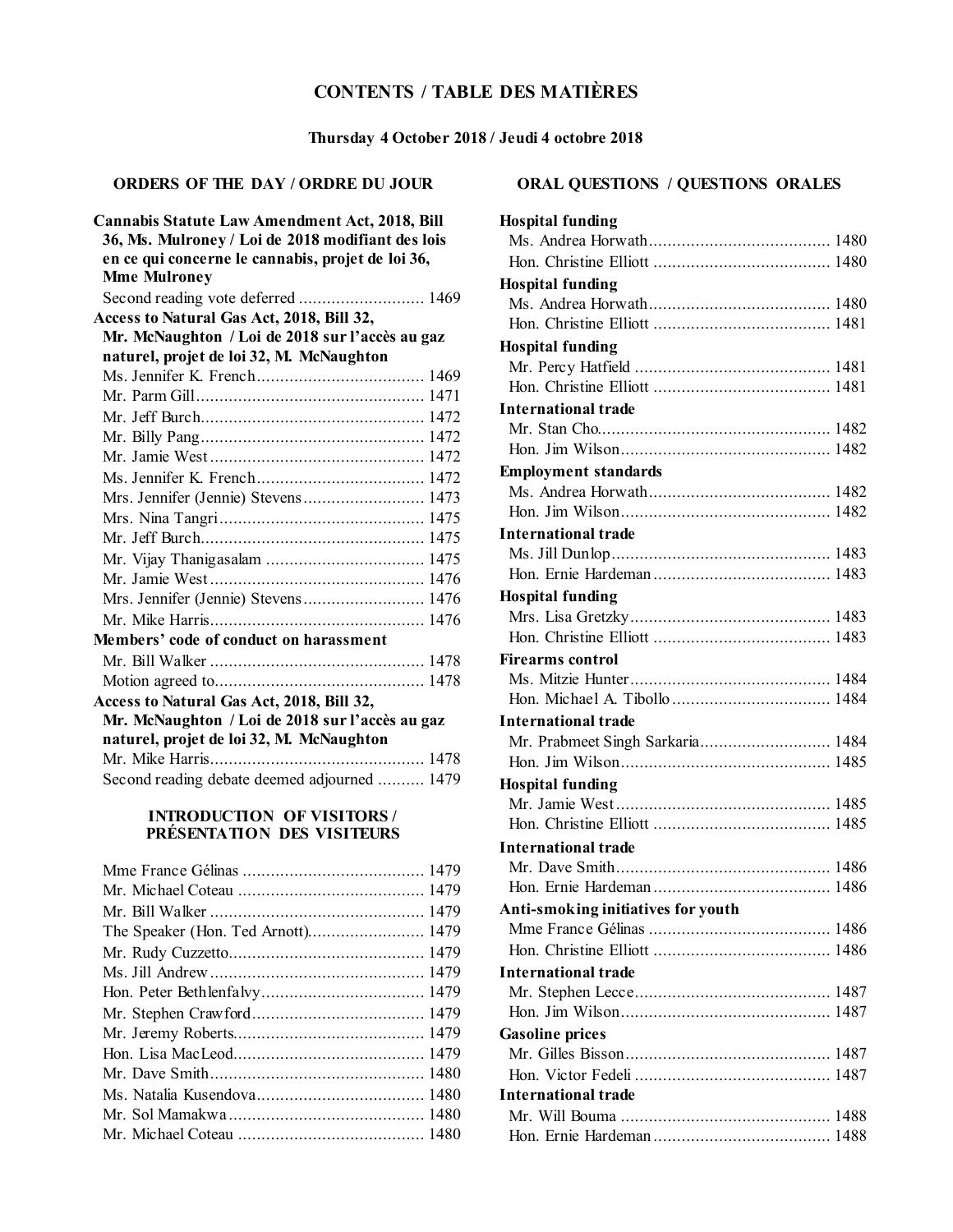# **CONTENTS / TABLE DES MATIÈRES**

### **Thursday 4 October 2018 / Jeudi 4 octobre 2018**

### **ORDERS OF THE DAY / ORDRE DU JOUR**

| <b>Cannabis Statute Law Amendment Act, 2018, Bill</b><br>36, Ms. Mulroney / Loi de 2018 modifiant des lois<br>en ce qui concerne le cannabis, projet de loi 36,<br><b>Mme Mulroney</b> |  |
|----------------------------------------------------------------------------------------------------------------------------------------------------------------------------------------|--|
| Second reading vote deferred  1469                                                                                                                                                     |  |
| Access to Natural Gas Act, 2018, Bill 32,                                                                                                                                              |  |
| Mr. McNaughton / Loi de 2018 sur l'accès au gaz                                                                                                                                        |  |
| naturel, projet de loi 32, M. McNaughton                                                                                                                                               |  |
|                                                                                                                                                                                        |  |
|                                                                                                                                                                                        |  |
|                                                                                                                                                                                        |  |
|                                                                                                                                                                                        |  |
|                                                                                                                                                                                        |  |
|                                                                                                                                                                                        |  |
| Mrs. Jennifer (Jennie) Stevens 1473                                                                                                                                                    |  |
|                                                                                                                                                                                        |  |
|                                                                                                                                                                                        |  |
|                                                                                                                                                                                        |  |
|                                                                                                                                                                                        |  |
| Mrs. Jennifer (Jennie) Stevens 1476                                                                                                                                                    |  |
|                                                                                                                                                                                        |  |
| Members' code of conduct on harassment                                                                                                                                                 |  |
|                                                                                                                                                                                        |  |
|                                                                                                                                                                                        |  |
| Access to Natural Gas Act, 2018, Bill 32,                                                                                                                                              |  |
| Mr. McNaughton / Loi de 2018 sur l'accès au gaz                                                                                                                                        |  |
| naturel, projet de loi 32, M. McNaughton                                                                                                                                               |  |
|                                                                                                                                                                                        |  |
| Second reading debate deemed adjourned  1479                                                                                                                                           |  |

### **INTRODUCTION OF VISITORS / PRÉSENTATION DES VISITEURS**

## **ORAL QUESTIONS / QUESTIONS ORALES**

| <b>Hospital funding</b>            |  |
|------------------------------------|--|
|                                    |  |
|                                    |  |
| <b>Hospital funding</b>            |  |
|                                    |  |
|                                    |  |
| <b>Hospital funding</b>            |  |
|                                    |  |
|                                    |  |
| <b>International trade</b>         |  |
|                                    |  |
|                                    |  |
| <b>Employment standards</b>        |  |
|                                    |  |
|                                    |  |
| <b>International trade</b>         |  |
|                                    |  |
|                                    |  |
| <b>Hospital funding</b>            |  |
|                                    |  |
|                                    |  |
| <b>Firearms control</b>            |  |
|                                    |  |
|                                    |  |
| <b>International trade</b>         |  |
| Mr. Prabmeet Singh Sarkaria 1484   |  |
|                                    |  |
| <b>Hospital funding</b>            |  |
|                                    |  |
|                                    |  |
| International trade                |  |
|                                    |  |
|                                    |  |
| Anti-smoking initiatives for youth |  |
|                                    |  |
|                                    |  |
| <b>International trade</b>         |  |
|                                    |  |
|                                    |  |
| <b>Gasoline prices</b>             |  |
|                                    |  |
|                                    |  |
| <b>International trade</b>         |  |
|                                    |  |
|                                    |  |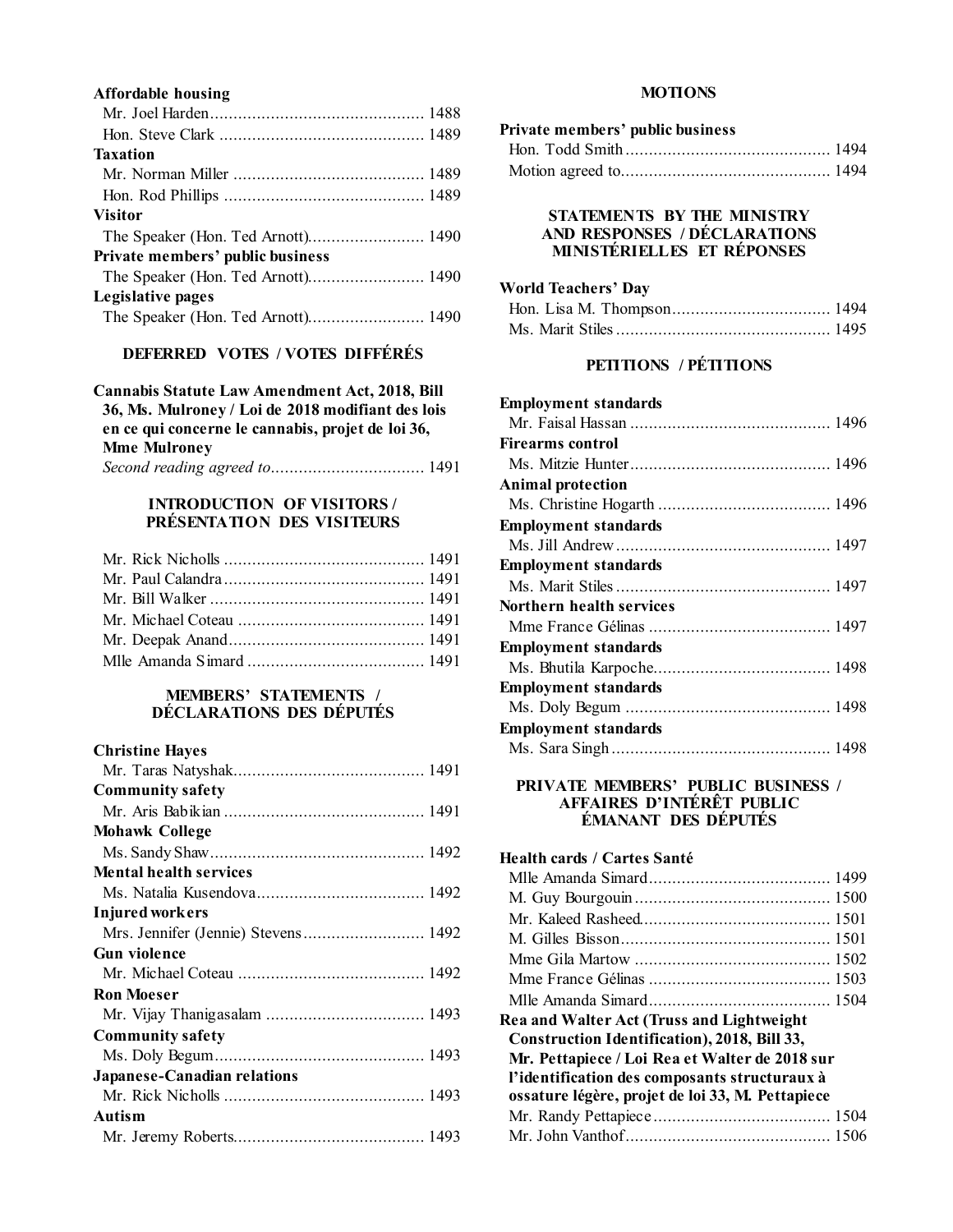### **Affordable housing**

| The Speaker (Hon. Ted Arnott) 1490 |
|------------------------------------|
|                                    |

### **DEFERRED VOTES / VOTES DIFFÉRÉS**

**Cannabis Statute Law Amendment Act, 2018, Bill 36, Ms. Mulroney / Loi de 2018 modifiant des lois en ce qui concerne le cannabis, projet de loi 36, Mme Mulroney** *Second reading agreed to*................................. 1491

### **INTRODUCTION OF VISITORS / PRÉSENTATION DES VISITEURS**

### **MEMBERS' STATEMENTS / DÉCLARATIONS DES DÉPUTÉS**

### **Christine Hayes**

| <b>Community safety</b>             |
|-------------------------------------|
|                                     |
| <b>Mohawk College</b>               |
|                                     |
| <b>Mental health services</b>       |
|                                     |
| <b>Injured workers</b>              |
| Mrs. Jennifer (Jennie) Stevens 1492 |
| <b>Gun violence</b>                 |
|                                     |
| <b>Ron Moeser</b>                   |
|                                     |
| <b>Community safety</b>             |
|                                     |
| Japanese-Canadian relations         |
|                                     |
| Autism                              |
|                                     |
|                                     |

### **MOTIONS**

| Private members' public business |  |
|----------------------------------|--|
|                                  |  |
|                                  |  |

### **STATEMENTS BY THE MINISTRY AND RESPONSES / DÉCLARATIONS MINISTÉRIELLES ET RÉPONSES**

#### **World Teachers' Day**

### **PETITIONS / PÉTITIONS**

| <b>Employment standards</b> |  |
|-----------------------------|--|
|                             |  |
| Firearms control            |  |
|                             |  |
| <b>Animal protection</b>    |  |
|                             |  |
| <b>Employment standards</b> |  |
|                             |  |
| <b>Employment standards</b> |  |
|                             |  |
| Northern health services    |  |
|                             |  |
| <b>Employment standards</b> |  |
|                             |  |
| <b>Employment standards</b> |  |
|                             |  |
| <b>Employment standards</b> |  |
|                             |  |
|                             |  |

### **PRIVATE MEMBERS' PUBLIC BUSINESS / AFFAIRES D'INTÉRÊT PUBLIC ÉMANANT DES DÉPUTÉS**

| Health cards / Cartes Santé                         |  |
|-----------------------------------------------------|--|
|                                                     |  |
|                                                     |  |
|                                                     |  |
|                                                     |  |
|                                                     |  |
|                                                     |  |
|                                                     |  |
| Rea and Walter Act (Truss and Lightweight           |  |
| <b>Construction Identification), 2018, Bill 33,</b> |  |
| Mr. Pettapiece / Loi Rea et Walter de 2018 sur      |  |
| l'identification des composants structuraux à       |  |
| ossature légère, projet de loi 33, M. Pettapiece    |  |
|                                                     |  |
|                                                     |  |
|                                                     |  |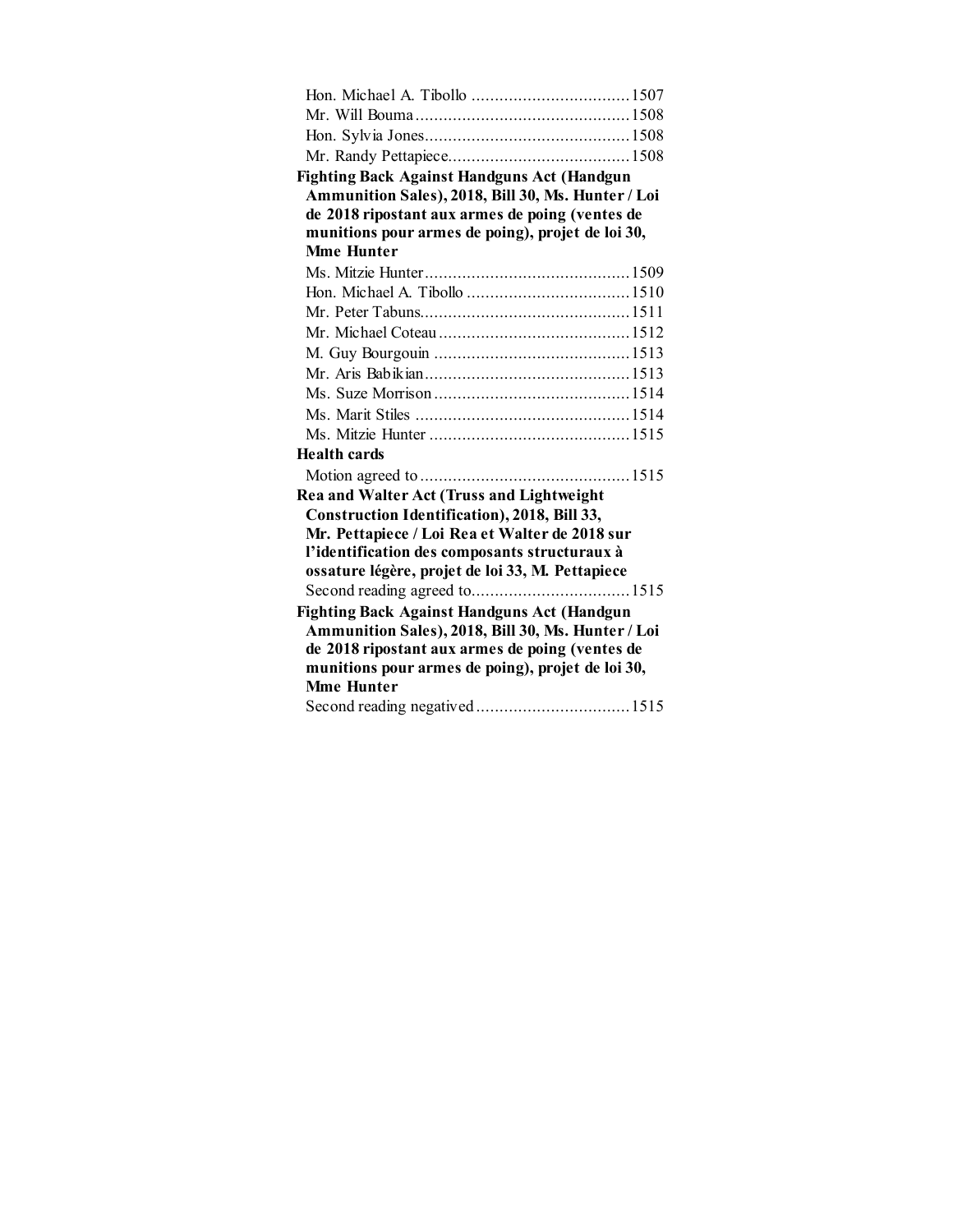| <b>Fighting Back Against Handguns Act (Handgun</b> |  |
|----------------------------------------------------|--|
| Ammunition Sales), 2018, Bill 30, Ms. Hunter / Loi |  |
| de 2018 ripostant aux armes de poing (ventes de    |  |
| munitions pour armes de poing), projet de loi 30,  |  |
| <b>Mme Hunter</b>                                  |  |
|                                                    |  |
|                                                    |  |
|                                                    |  |
|                                                    |  |
|                                                    |  |
|                                                    |  |
|                                                    |  |
|                                                    |  |
|                                                    |  |
| Health cards                                       |  |
|                                                    |  |
| Rea and Walter Act (Truss and Lightweight          |  |
| Construction Identification), 2018, Bill 33,       |  |
| Mr. Pettapiece / Loi Rea et Walter de 2018 sur     |  |
| l'identification des composants structuraux à      |  |
| ossature légère, projet de loi 33, M. Pettapiece   |  |
|                                                    |  |
| <b>Fighting Back Against Handguns Act (Handgun</b> |  |
| Ammunition Sales), 2018, Bill 30, Ms. Hunter / Loi |  |
| de 2018 ripostant aux armes de poing (ventes de    |  |
| munitions pour armes de poing), projet de loi 30,  |  |
| <b>Mme Hunter</b>                                  |  |
|                                                    |  |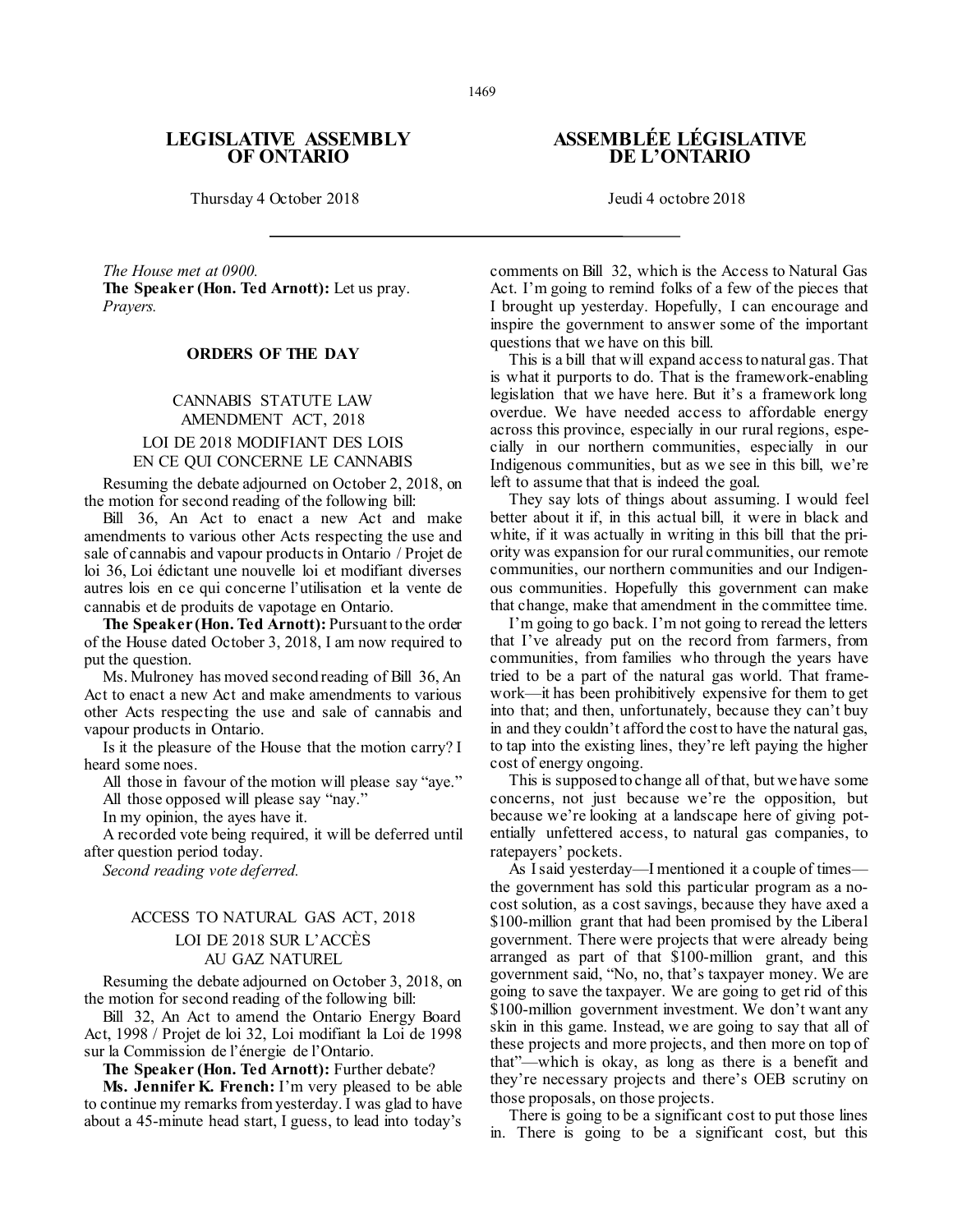### **LEGISLATIVE ASSEMBLY OF ONTARIO**

Thursday 4 October 2018 Jeudi 4 octobre 2018

*The House met at 0900.* **The Speaker (Hon. Ted Arnott):** Let us pray. *Prayers.*

#### **ORDERS OF THE DAY**

### CANNABIS STATUTE LAW AMENDMENT ACT, 2018 LOI DE 2018 MODIFIANT DES LOIS EN CE QUI CONCERNE LE CANNABIS

Resuming the debate adjourned on October 2, 2018, on the motion for second reading of the following bill:

Bill 36, An Act to enact a new Act and make amendments to various other Acts respecting the use and sale of cannabis and vapour products in Ontario / Projet de loi 36, Loi édictant une nouvelle loi et modifiant diverses autres lois en ce qui concerne l'utilisation et la vente de cannabis et de produits de vapotage en Ontario.

**The Speaker (Hon. Ted Arnott):** Pursuant to the order of the House dated October 3, 2018, I am now required to put the question.

Ms. Mulroney has moved second reading of Bill 36, An Act to enact a new Act and make amendments to various other Acts respecting the use and sale of cannabis and vapour products in Ontario.

Is it the pleasure of the House that the motion carry? I heard some noes.

All those in favour of the motion will please say "aye." All those opposed will please say "nay."

In my opinion, the ayes have it.

A recorded vote being required, it will be deferred until after question period today.

*Second reading vote deferred.*

### ACCESS TO NATURAL GAS ACT, 2018 LOI DE 2018 SUR L'ACCÈS AU GAZ NATUREL

Resuming the debate adjourned on October 3, 2018, on the motion for second reading of the following bill:

Bill 32, An Act to amend the Ontario Energy Board Act, 1998 / Projet de loi 32, Loi modifiant la Loi de 1998 sur la Commission de l'énergie de l'Ontario.

**The Speaker (Hon. Ted Arnott):** Further debate?

**Ms. Jennifer K. French:** I'm very pleased to be able to continue my remarks from yesterday. I was glad to have about a 45-minute head start, I guess, to lead into today's

### **ASSEMBLÉE LÉGISLATIVE DE L'ONTARIO**

comments on Bill 32, which is the Access to Natural Gas Act. I'm going to remind folks of a few of the pieces that I brought up yesterday. Hopefully, I can encourage and inspire the government to answer some of the important questions that we have on this bill.

This is a bill that will expand access to natural gas. That is what it purports to do. That is the framework-enabling legislation that we have here. But it's a framework long overdue. We have needed access to affordable energy across this province, especially in our rural regions, especially in our northern communities, especially in our Indigenous communities, but as we see in this bill, we're left to assume that that is indeed the goal.

They say lots of things about assuming. I would feel better about it if, in this actual bill, it were in black and white, if it was actually in writing in this bill that the priority was expansion for our rural communities, our remote communities, our northern communities and our Indigenous communities. Hopefully this government can make that change, make that amendment in the committee time.

I'm going to go back. I'm not going to reread the letters that I've already put on the record from farmers, from communities, from families who through the years have tried to be a part of the natural gas world. That framework—it has been prohibitively expensive for them to get into that; and then, unfortunately, because they can't buy in and they couldn't afford the cost to have the natural gas, to tap into the existing lines, they're left paying the higher cost of energy ongoing.

This is supposed to change all of that, but we have some concerns, not just because we're the opposition, but because we're looking at a landscape here of giving potentially unfettered access, to natural gas companies, to ratepayers' pockets.

As I said yesterday—I mentioned it a couple of times the government has sold this particular program as a nocost solution, as a cost savings, because they have axed a \$100-million grant that had been promised by the Liberal government. There were projects that were already being arranged as part of that \$100-million grant, and this government said, "No, no, that's taxpayer money. We are going to save the taxpayer. We are going to get rid of this \$100-million government investment. We don't want any skin in this game. Instead, we are going to say that all of these projects and more projects, and then more on top of that"—which is okay, as long as there is a benefit and they're necessary projects and there's OEB scrutiny on those proposals, on those projects.

There is going to be a significant cost to put those lines in. There is going to be a significant cost, but this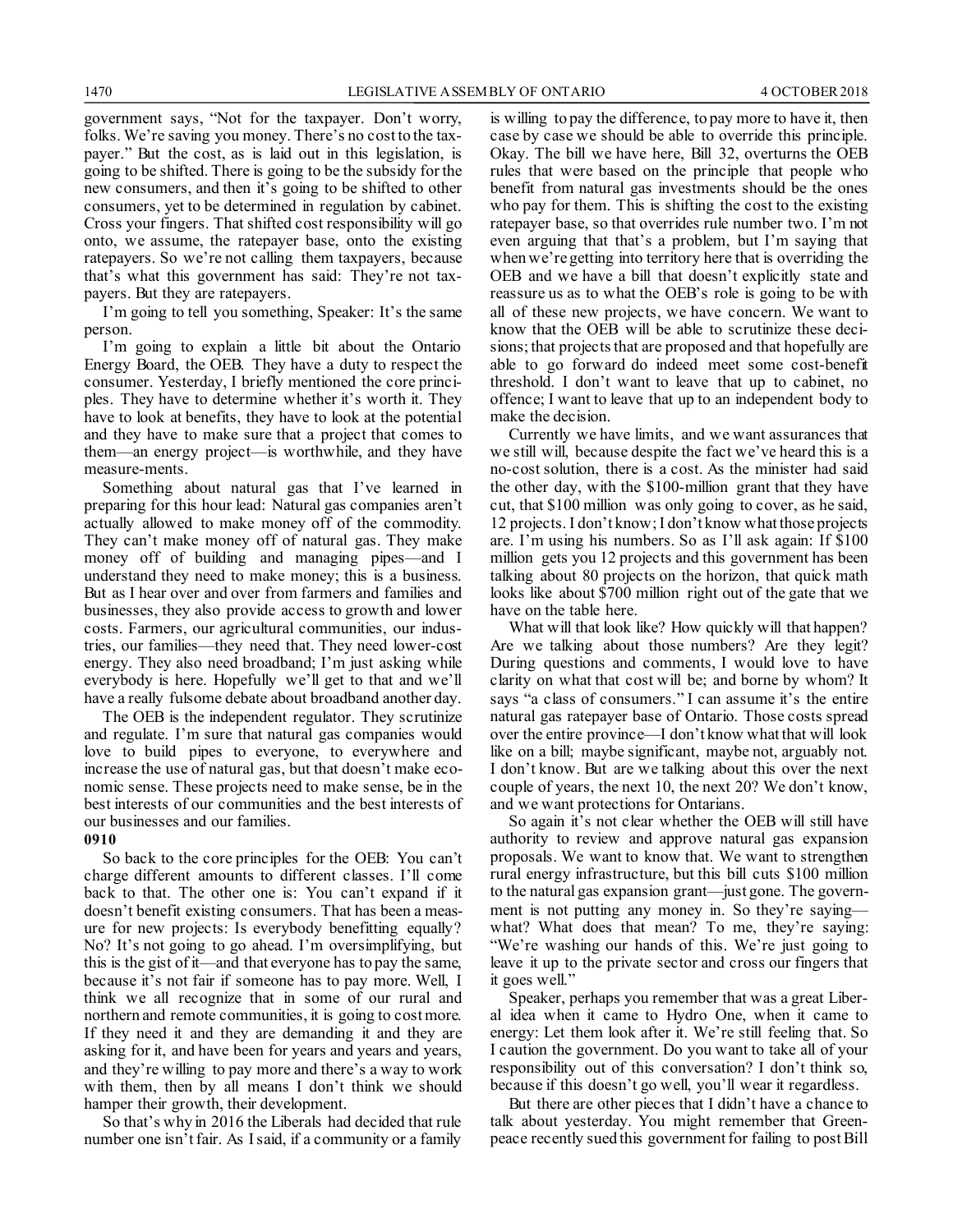government says, "Not for the taxpayer. Don't worry, folks. We're saving you money. There's no cost to the taxpayer." But the cost, as is laid out in this legislation, is going to be shifted. There is going to be the subsidy for the new consumers, and then it's going to be shifted to other consumers, yet to be determined in regulation by cabinet. Cross your fingers. That shifted cost responsibility will go onto, we assume, the ratepayer base, onto the existing ratepayers. So we're not calling them taxpayers, because that's what this government has said: They're not taxpayers. But they are ratepayers.

I'm going to tell you something, Speaker: It's the same person.

I'm going to explain a little bit about the Ontario Energy Board, the OEB. They have a duty to respect the consumer. Yesterday, I briefly mentioned the core principles. They have to determine whether it's worth it. They have to look at benefits, they have to look at the potential and they have to make sure that a project that comes to them—an energy project—is worthwhile, and they have measure-ments.

Something about natural gas that I've learned in preparing for this hour lead: Natural gas companies aren't actually allowed to make money off of the commodity. They can't make money off of natural gas. They make money off of building and managing pipes—and I understand they need to make money; this is a business. But as I hear over and over from farmers and families and businesses, they also provide access to growth and lower costs. Farmers, our agricultural communities, our industries, our families—they need that. They need lower-cost energy. They also need broadband; I'm just asking while everybody is here. Hopefully we'll get to that and we'll have a really fulsome debate about broadband another day.

The OEB is the independent regulator. They scrutinize and regulate. I'm sure that natural gas companies would love to build pipes to everyone, to everywhere and increase the use of natural gas, but that doesn't make economic sense. These projects need to make sense, be in the best interests of our communities and the best interests of our businesses and our families.

#### **0910**

So back to the core principles for the OEB: You can't charge different amounts to different classes. I'll come back to that. The other one is: You can't expand if it doesn't benefit existing consumers. That has been a measure for new projects: Is everybody benefitting equally? No? It's not going to go ahead. I'm oversimplifying, but this is the gist of it—and that everyone has to pay the same, because it's not fair if someone has to pay more. Well, I think we all recognize that in some of our rural and northern and remote communities, it is going to cost more. If they need it and they are demanding it and they are asking for it, and have been for years and years and years, and they're willing to pay more and there's a way to work with them, then by all means I don't think we should hamper their growth, their development.

So that's why in 2016 the Liberals had decided that rule number one isn't fair. As I said, if a community or a family is willing to pay the difference, to pay more to have it, then case by case we should be able to override this principle. Okay. The bill we have here, Bill 32, overturns the OEB rules that were based on the principle that people who benefit from natural gas investments should be the ones who pay for them. This is shifting the cost to the existing ratepayer base, so that overrides rule number two. I'm not even arguing that that's a problem, but I'm saying that when we're getting into territory here that is overriding the OEB and we have a bill that doesn't explicitly state and reassure us as to what the OEB's role is going to be with all of these new projects, we have concern. We want to know that the OEB will be able to scrutinize these decisions; that projects that are proposed and that hopefully are able to go forward do indeed meet some cost-benefit threshold. I don't want to leave that up to cabinet, no offence; I want to leave that up to an independent body to make the decision.

Currently we have limits, and we want assurances that we still will, because despite the fact we've heard this is a no-cost solution, there is a cost. As the minister had said the other day, with the \$100-million grant that they have cut, that \$100 million was only going to cover, as he said, 12 projects. I don't know; I don't know what those projects are. I'm using his numbers. So as I'll ask again: If \$100 million gets you 12 projects and this government has been talking about 80 projects on the horizon, that quick math looks like about \$700 million right out of the gate that we have on the table here.

What will that look like? How quickly will that happen? Are we talking about those numbers? Are they legit? During questions and comments, I would love to have clarity on what that cost will be; and borne by whom? It says "a class of consumers." I can assume it's the entire natural gas ratepayer base of Ontario. Those costs spread over the entire province—I don't know what that will look like on a bill; maybe significant, maybe not, arguably not. I don't know. But are we talking about this over the next couple of years, the next 10, the next 20? We don't know, and we want protections for Ontarians.

So again it's not clear whether the OEB will still have authority to review and approve natural gas expansion proposals. We want to know that. We want to strengthen rural energy infrastructure, but this bill cuts \$100 million to the natural gas expansion grant—just gone. The government is not putting any money in. So they're saying what? What does that mean? To me, they're saying: "We're washing our hands of this. We're just going to leave it up to the private sector and cross our fingers that it goes well."

Speaker, perhaps you remember that was a great Liberal idea when it came to Hydro One, when it came to energy: Let them look after it. We're still feeling that. So I caution the government. Do you want to take all of your responsibility out of this conversation? I don't think so, because if this doesn't go well, you'll wear it regardless.

But there are other pieces that I didn't have a chance to talk about yesterday. You might remember that Greenpeace recently sued this government for failing to post Bill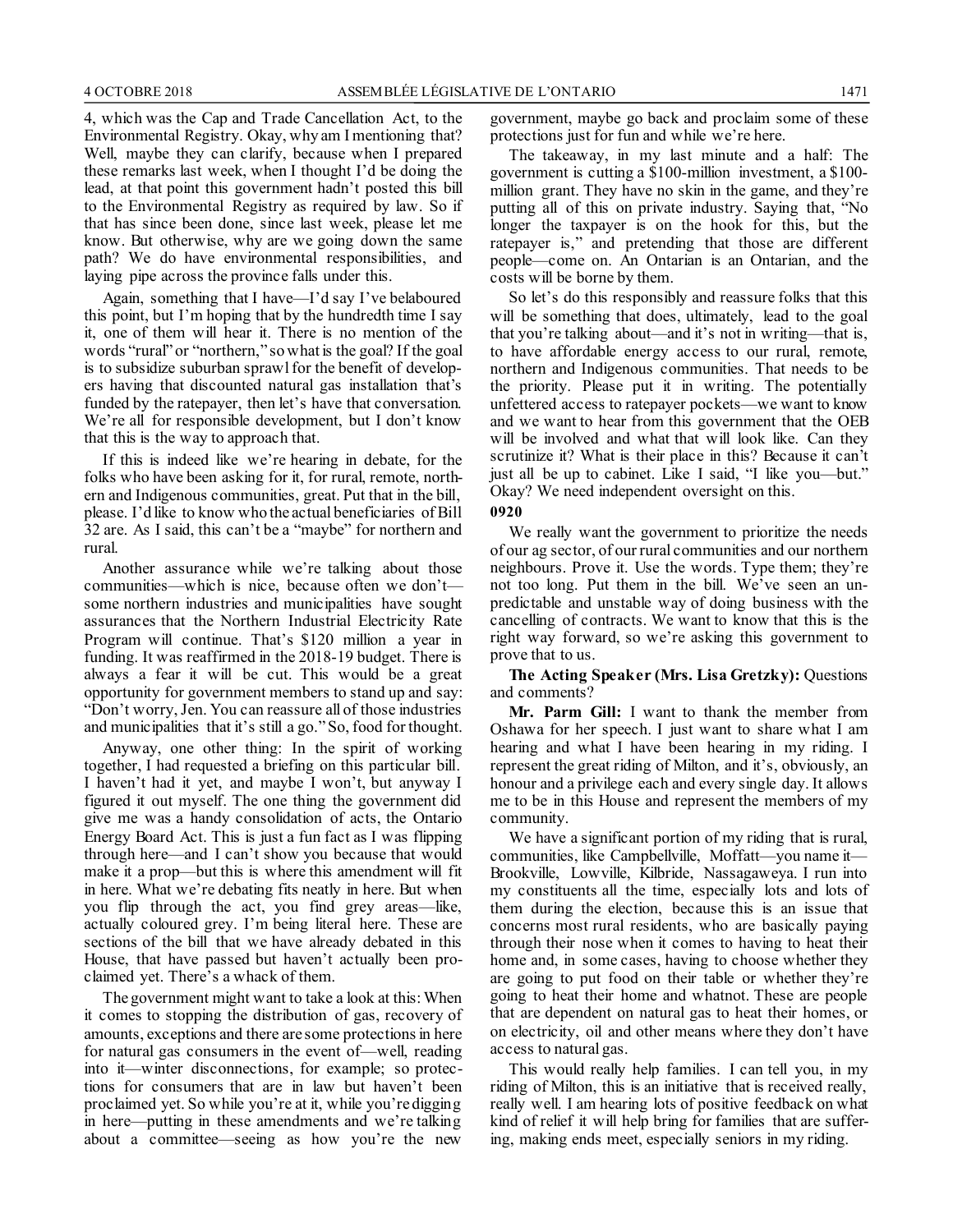4, which was the Cap and Trade Cancellation Act, to the Environmental Registry. Okay, why am I mentioning that? Well, maybe they can clarify, because when I prepared these remarks last week, when I thought I'd be doing the lead, at that point this government hadn't posted this bill to the Environmental Registry as required by law. So if that has since been done, since last week, please let me know. But otherwise, why are we going down the same path? We do have environmental responsibilities, and laying pipe across the province falls under this.

Again, something that I have—I'd say I've belaboured this point, but I'm hoping that by the hundredth time I say it, one of them will hear it. There is no mention of the words "rural" or "northern," so what is the goal? If the goal is to subsidize suburban sprawl for the benefit of developers having that discounted natural gas installation that's funded by the ratepayer, then let's have that conversation. We're all for responsible development, but I don't know that this is the way to approach that.

If this is indeed like we're hearing in debate, for the folks who have been asking for it, for rural, remote, northern and Indigenous communities, great. Put that in the bill, please. I'd like to know who the actual beneficiaries of Bill 32 are. As I said, this can't be a "maybe" for northern and rural.

Another assurance while we're talking about those communities—which is nice, because often we don't some northern industries and municipalities have sought assurances that the Northern Industrial Electricity Rate Program will continue. That's \$120 million a year in funding. It was reaffirmed in the 2018-19 budget. There is always a fear it will be cut. This would be a great opportunity for government members to stand up and say: "Don't worry, Jen. You can reassure all of those industries and municipalities that it's still a go." So, food for thought.

Anyway, one other thing: In the spirit of working together, I had requested a briefing on this particular bill. I haven't had it yet, and maybe I won't, but anyway I figured it out myself. The one thing the government did give me was a handy consolidation of acts, the Ontario Energy Board Act. This is just a fun fact as I was flipping through here—and I can't show you because that would make it a prop—but this is where this amendment will fit in here. What we're debating fits neatly in here. But when you flip through the act, you find grey areas—like, actually coloured grey. I'm being literal here. These are sections of the bill that we have already debated in this House, that have passed but haven't actually been proclaimed yet. There's a whack of them.

The government might want to take a look at this: When it comes to stopping the distribution of gas, recovery of amounts, exceptions and there are some protections in here for natural gas consumers in the event of—well, reading into it—winter disconnections, for example; so protections for consumers that are in law but haven't been proclaimed yet. So while you're at it, while you're digging in here—putting in these amendments and we're talking about a committee—seeing as how you're the new

government, maybe go back and proclaim some of these protections just for fun and while we're here.

The takeaway, in my last minute and a half: The government is cutting a \$100-million investment, a \$100 million grant. They have no skin in the game, and they're putting all of this on private industry. Saying that, "No longer the taxpayer is on the hook for this, but the ratepayer is," and pretending that those are different people—come on. An Ontarian is an Ontarian, and the costs will be borne by them.

So let's do this responsibly and reassure folks that this will be something that does, ultimately, lead to the goal that you're talking about—and it's not in writing—that is, to have affordable energy access to our rural, remote, northern and Indigenous communities. That needs to be the priority. Please put it in writing. The potentially unfettered access to ratepayer pockets—we want to know and we want to hear from this government that the OEB will be involved and what that will look like. Can they scrutinize it? What is their place in this? Because it can't just all be up to cabinet. Like I said, "I like you—but." Okay? We need independent oversight on this. **0920**

We really want the government to prioritize the needs of our ag sector, of our rural communities and our northern neighbours. Prove it. Use the words. Type them; they're not too long. Put them in the bill. We've seen an unpredictable and unstable way of doing business with the cancelling of contracts. We want to know that this is the right way forward, so we're asking this government to prove that to us.

**The Acting Speaker (Mrs. Lisa Gretzky):** Questions and comments?

**Mr. Parm Gill:** I want to thank the member from Oshawa for her speech. I just want to share what I am hearing and what I have been hearing in my riding. I represent the great riding of Milton, and it's, obviously, an honour and a privilege each and every single day. It allows me to be in this House and represent the members of my community.

We have a significant portion of my riding that is rural, communities, like Campbellville, Moffatt—you name it— Brookville, Lowville, Kilbride, Nassagaweya. I run into my constituents all the time, especially lots and lots of them during the election, because this is an issue that concerns most rural residents, who are basically paying through their nose when it comes to having to heat their home and, in some cases, having to choose whether they are going to put food on their table or whether they're going to heat their home and whatnot. These are people that are dependent on natural gas to heat their homes, or on electricity, oil and other means where they don't have access to natural gas.

This would really help families. I can tell you, in my riding of Milton, this is an initiative that is received really, really well. I am hearing lots of positive feedback on what kind of relief it will help bring for families that are suffering, making ends meet, especially seniors in my riding.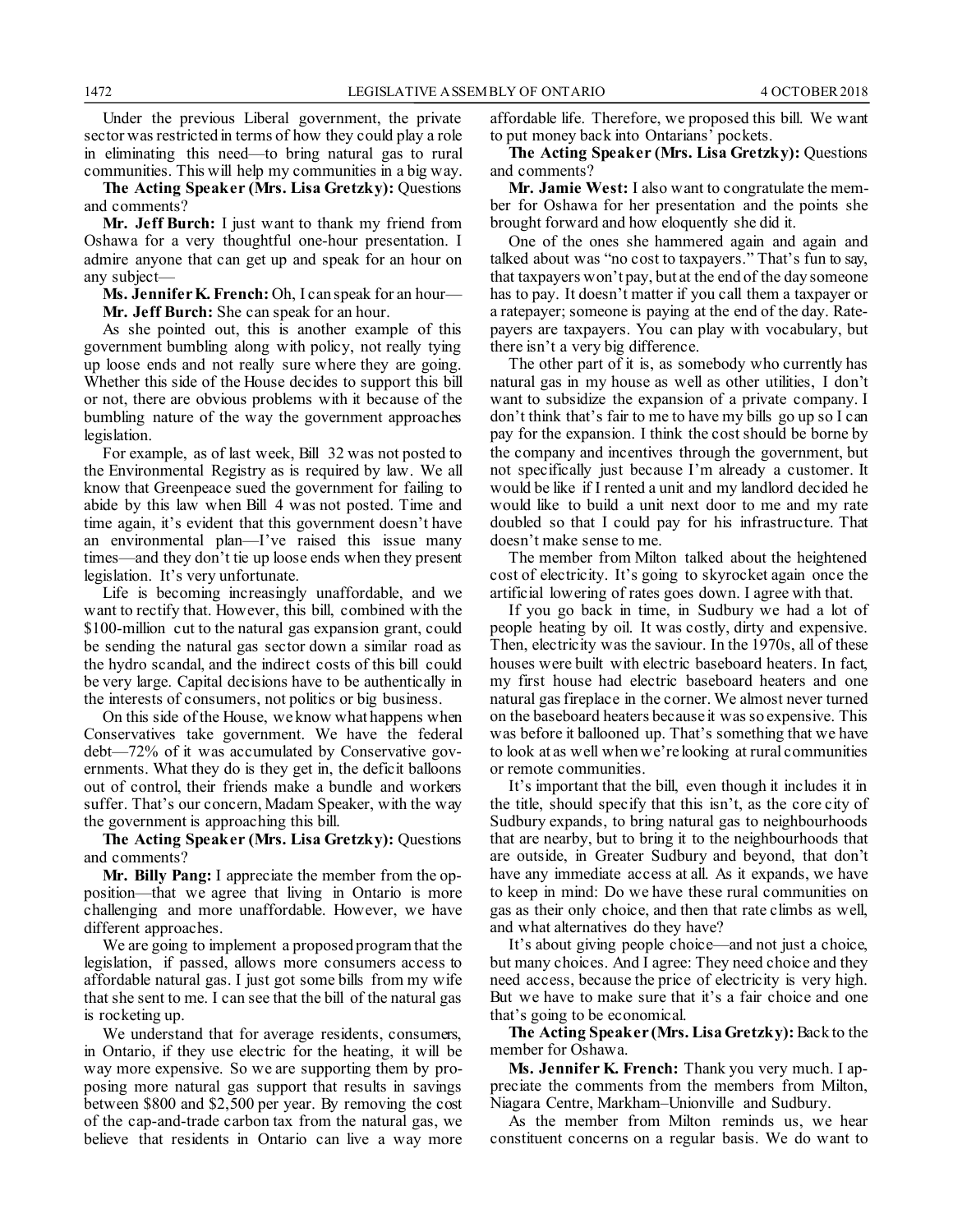Under the previous Liberal government, the private sector was restricted in terms of how they could play a role in eliminating this need—to bring natural gas to rural communities. This will help my communities in a big way.

**The Acting Speaker (Mrs. Lisa Gretzky):** Questions and comments?

**Mr. Jeff Burch:** I just want to thank my friend from Oshawa for a very thoughtful one-hour presentation. I admire anyone that can get up and speak for an hour on any subject—

**Ms. Jennifer K. French:** Oh, I can speak for an hour— **Mr. Jeff Burch:** She can speak for an hour.

As she pointed out, this is another example of this government bumbling along with policy, not really tying up loose ends and not really sure where they are going. Whether this side of the House decides to support this bill or not, there are obvious problems with it because of the bumbling nature of the way the government approaches legislation.

For example, as of last week, Bill 32 was not posted to the Environmental Registry as is required by law. We all know that Greenpeace sued the government for failing to abide by this law when Bill 4 was not posted. Time and time again, it's evident that this government doesn't have an environmental plan—I've raised this issue many times—and they don't tie up loose ends when they present legislation. It's very unfortunate.

Life is becoming increasingly unaffordable, and we want to rectify that. However, this bill, combined with the \$100-million cut to the natural gas expansion grant, could be sending the natural gas sector down a similar road as the hydro scandal, and the indirect costs of this bill could be very large. Capital decisions have to be authentically in the interests of consumers, not politics or big business.

On this side of the House, we know what happens when Conservatives take government. We have the federal debt—72% of it was accumulated by Conservative governments. What they do is they get in, the deficit balloons out of control, their friends make a bundle and workers suffer. That's our concern, Madam Speaker, with the way the government is approaching this bill.

**The Acting Speaker (Mrs. Lisa Gretzky):** Questions and comments?

**Mr. Billy Pang:** I appreciate the member from the opposition—that we agree that living in Ontario is more challenging and more unaffordable. However, we have different approaches.

We are going to implement a proposed program that the legislation, if passed, allows more consumers access to affordable natural gas. I just got some bills from my wife that she sent to me. I can see that the bill of the natural gas is rocketing up.

We understand that for average residents, consumers, in Ontario, if they use electric for the heating, it will be way more expensive. So we are supporting them by proposing more natural gas support that results in savings between \$800 and \$2,500 per year. By removing the cost of the cap-and-trade carbon tax from the natural gas, we believe that residents in Ontario can live a way more affordable life. Therefore, we proposed this bill. We want to put money back into Ontarians' pockets.

**The Acting Speaker (Mrs. Lisa Gretzky):** Questions and comments?

**Mr. Jamie West:** I also want to congratulate the member for Oshawa for her presentation and the points she brought forward and how eloquently she did it.

One of the ones she hammered again and again and talked about was "no cost to taxpayers." That's fun to say, that taxpayers won't pay, but at the end of the day someone has to pay. It doesn't matter if you call them a taxpayer or a ratepayer; someone is paying at the end of the day. Ratepayers are taxpayers. You can play with vocabulary, but there isn't a very big difference.

The other part of it is, as somebody who currently has natural gas in my house as well as other utilities, I don't want to subsidize the expansion of a private company. I don't think that's fair to me to have my bills go up so I can pay for the expansion. I think the cost should be borne by the company and incentives through the government, but not specifically just because I'm already a customer. It would be like if I rented a unit and my landlord decided he would like to build a unit next door to me and my rate doubled so that I could pay for his infrastructure. That doesn't make sense to me.

The member from Milton talked about the heightened cost of electricity. It's going to skyrocket again once the artificial lowering of rates goes down. I agree with that.

If you go back in time, in Sudbury we had a lot of people heating by oil. It was costly, dirty and expensive. Then, electricity was the saviour. In the 1970s, all of these houses were built with electric baseboard heaters. In fact, my first house had electric baseboard heaters and one natural gas fireplace in the corner. We almost never turned on the baseboard heaters because it was so expensive. This was before it ballooned up. That's something that we have to look at as well when we're looking at rural communities or remote communities.

It's important that the bill, even though it includes it in the title, should specify that this isn't, as the core city of Sudbury expands, to bring natural gas to neighbourhoods that are nearby, but to bring it to the neighbourhoods that are outside, in Greater Sudbury and beyond, that don't have any immediate access at all. As it expands, we have to keep in mind: Do we have these rural communities on gas as their only choice, and then that rate climbs as well, and what alternatives do they have?

It's about giving people choice—and not just a choice, but many choices. And I agree: They need choice and they need access, because the price of electricity is very high. But we have to make sure that it's a fair choice and one that's going to be economical.

**The Acting Speaker (Mrs. Lisa Gretzky):**Back to the member for Oshawa.

**Ms. Jennifer K. French:** Thank you very much. I appreciate the comments from the members from Milton, Niagara Centre, Markham–Unionville and Sudbury.

As the member from Milton reminds us, we hear constituent concerns on a regular basis. We do want to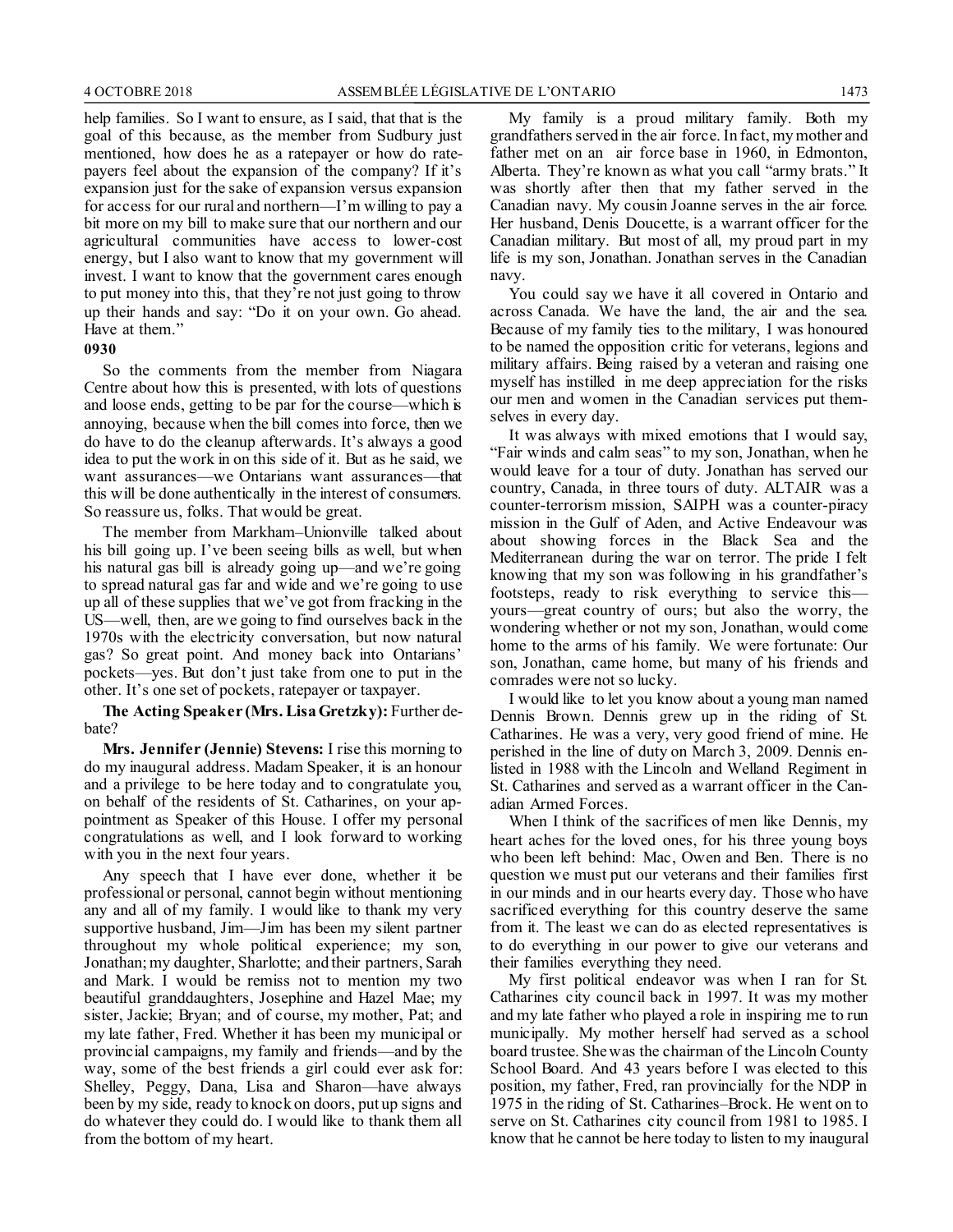help families. So I want to ensure, as I said, that that is the goal of this because, as the member from Sudbury just mentioned, how does he as a ratepayer or how do ratepayers feel about the expansion of the company? If it's expansion just for the sake of expansion versus expansion for access for our rural and northern—I'm willing to pay a bit more on my bill to make sure that our northern and our agricultural communities have access to lower-cost energy, but I also want to know that my government will invest. I want to know that the government cares enough to put money into this, that they're not just going to throw up their hands and say: "Do it on your own. Go ahead. Have at them."

### **0930**

So the comments from the member from Niagara Centre about how this is presented, with lots of questions and loose ends, getting to be par for the course—which is annoying, because when the bill comes into force, then we do have to do the cleanup afterwards. It's always a good idea to put the work in on this side of it. But as he said, we want assurances—we Ontarians want assurances—that this will be done authentically in the interest of consumers. So reassure us, folks. That would be great.

The member from Markham–Unionville talked about his bill going up. I've been seeing bills as well, but when his natural gas bill is already going up—and we're going to spread natural gas far and wide and we're going to use up all of these supplies that we've got from fracking in the US—well, then, are we going to find ourselves back in the 1970s with the electricity conversation, but now natural gas? So great point. And money back into Ontarians' pockets—yes. But don't just take from one to put in the other. It's one set of pockets, ratepayer or taxpayer.

**The Acting Speaker (Mrs. Lisa Gretzky):** Further debate?

**Mrs. Jennifer (Jennie) Stevens:** I rise this morning to do my inaugural address. Madam Speaker, it is an honour and a privilege to be here today and to congratulate you, on behalf of the residents of St. Catharines, on your appointment as Speaker of this House. I offer my personal congratulations as well, and I look forward to working with you in the next four years.

Any speech that I have ever done, whether it be professional or personal, cannot begin without mentioning any and all of my family. I would like to thank my very supportive husband, Jim—Jim has been my silent partner throughout my whole political experience; my son, Jonathan; my daughter, Sharlotte; and their partners, Sarah and Mark. I would be remiss not to mention my two beautiful granddaughters, Josephine and Hazel Mae; my sister, Jackie; Bryan; and of course, my mother, Pat; and my late father, Fred. Whether it has been my municipal or provincial campaigns, my family and friends—and by the way, some of the best friends a girl could ever ask for: Shelley, Peggy, Dana, Lisa and Sharon—have always been by my side, ready to knock on doors, put up signs and do whatever they could do. I would like to thank them all from the bottom of my heart.

My family is a proud military family. Both my grandfathers served in the air force. In fact, my mother and father met on an air force base in 1960, in Edmonton, Alberta. They're known as what you call "army brats." It was shortly after then that my father served in the Canadian navy. My cousin Joanne serves in the air force. Her husband, Denis Doucette, is a warrant officer for the Canadian military. But most of all, my proud part in my life is my son, Jonathan. Jonathan serves in the Canadian navy.

You could say we have it all covered in Ontario and across Canada. We have the land, the air and the sea. Because of my family ties to the military, I was honoured to be named the opposition critic for veterans, legions and military affairs. Being raised by a veteran and raising one myself has instilled in me deep appreciation for the risks our men and women in the Canadian services put themselves in every day.

It was always with mixed emotions that I would say, "Fair winds and calm seas" to my son, Jonathan, when he would leave for a tour of duty. Jonathan has served our country, Canada, in three tours of duty. ALTAIR was a counter-terrorism mission, SAIPH was a counter-piracy mission in the Gulf of Aden, and Active Endeavour was about showing forces in the Black Sea and the Mediterranean during the war on terror. The pride I felt knowing that my son was following in his grandfather's footsteps, ready to risk everything to service this yours—great country of ours; but also the worry, the wondering whether or not my son, Jonathan, would come home to the arms of his family. We were fortunate: Our son, Jonathan, came home, but many of his friends and comrades were not so lucky.

I would like to let you know about a young man named Dennis Brown. Dennis grew up in the riding of St. Catharines. He was a very, very good friend of mine. He perished in the line of duty on March 3, 2009. Dennis enlisted in 1988 with the Lincoln and Welland Regiment in St. Catharines and served as a warrant officer in the Canadian Armed Forces.

When I think of the sacrifices of men like Dennis, my heart aches for the loved ones, for his three young boys who been left behind: Mac, Owen and Ben. There is no question we must put our veterans and their families first in our minds and in our hearts every day. Those who have sacrificed everything for this country deserve the same from it. The least we can do as elected representatives is to do everything in our power to give our veterans and their families everything they need.

My first political endeavor was when I ran for St. Catharines city council back in 1997. It was my mother and my late father who played a role in inspiring me to run municipally. My mother herself had served as a school board trustee. She was the chairman of the Lincoln County School Board. And 43 years before I was elected to this position, my father, Fred, ran provincially for the NDP in 1975 in the riding of St. Catharines–Brock. He went on to serve on St. Catharines city council from 1981 to 1985. I know that he cannot be here today to listen to my inaugural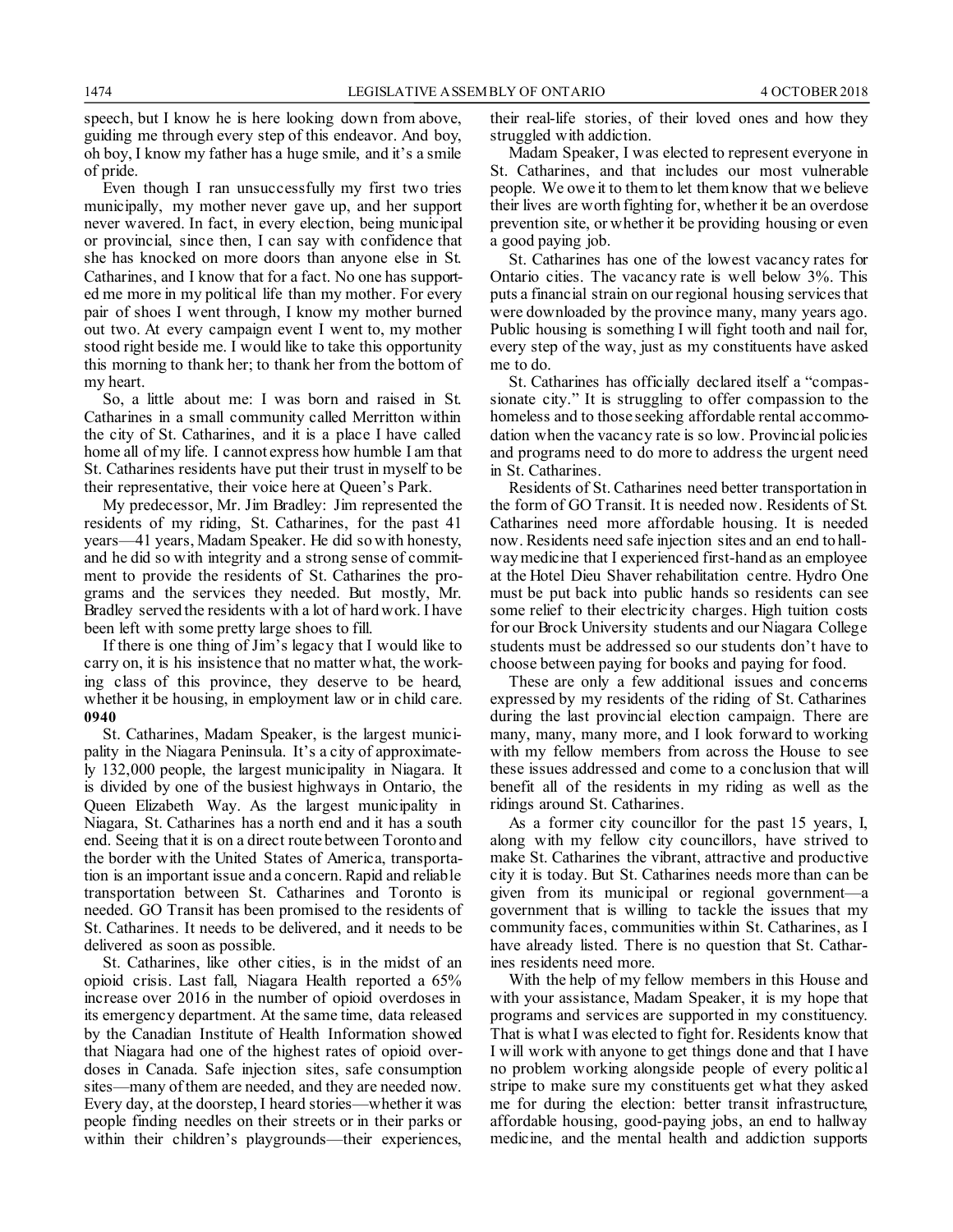speech, but I know he is here looking down from above, guiding me through every step of this endeavor. And boy, oh boy, I know my father has a huge smile, and it's a smile of pride.

Even though I ran unsuccessfully my first two tries municipally, my mother never gave up, and her support never wavered. In fact, in every election, being municipal or provincial, since then, I can say with confidence that she has knocked on more doors than anyone else in St. Catharines, and I know that for a fact. No one has supported me more in my political life than my mother. For every pair of shoes I went through, I know my mother burned out two. At every campaign event I went to, my mother stood right beside me. I would like to take this opportunity this morning to thank her; to thank her from the bottom of my heart.

So, a little about me: I was born and raised in St. Catharines in a small community called Merritton within the city of St. Catharines, and it is a place I have called home all of my life. I cannot express how humble I am that St. Catharines residents have put their trust in myself to be their representative, their voice here at Queen's Park.

My predecessor, Mr. Jim Bradley: Jim represented the residents of my riding, St. Catharines, for the past 41 years—41 years, Madam Speaker. He did so with honesty, and he did so with integrity and a strong sense of commitment to provide the residents of St. Catharines the programs and the services they needed. But mostly, Mr. Bradley served the residents with a lot of hard work. I have been left with some pretty large shoes to fill.

If there is one thing of Jim's legacy that I would like to carry on, it is his insistence that no matter what, the working class of this province, they deserve to be heard, whether it be housing, in employment law or in child care. **0940**

St. Catharines, Madam Speaker, is the largest municipality in the Niagara Peninsula. It's a city of approximately 132,000 people, the largest municipality in Niagara. It is divided by one of the busiest highways in Ontario, the Queen Elizabeth Way. As the largest municipality in Niagara, St. Catharines has a north end and it has a south end. Seeing that it is on a direct route between Toronto and the border with the United States of America, transportation is an important issue and a concern. Rapid and reliable transportation between St. Catharines and Toronto is needed. GO Transit has been promised to the residents of St. Catharines. It needs to be delivered, and it needs to be delivered as soon as possible.

St. Catharines, like other cities, is in the midst of an opioid crisis. Last fall, Niagara Health reported a 65% increase over 2016 in the number of opioid overdoses in its emergency department. At the same time, data released by the Canadian Institute of Health Information showed that Niagara had one of the highest rates of opioid overdoses in Canada. Safe injection sites, safe consumption sites—many of them are needed, and they are needed now. Every day, at the doorstep, I heard stories—whether it was people finding needles on their streets or in their parks or within their children's playgrounds—their experiences, their real-life stories, of their loved ones and how they struggled with addiction.

Madam Speaker, I was elected to represent everyone in St. Catharines, and that includes our most vulnerable people. We owe it to them to let them know that we believe their lives are worth fighting for, whether it be an overdose prevention site, or whether it be providing housing or even a good paying job.

St. Catharines has one of the lowest vacancy rates for Ontario cities. The vacancy rate is well below 3%. This puts a financial strain on our regional housing services that were downloaded by the province many, many years ago. Public housing is something I will fight tooth and nail for, every step of the way, just as my constituents have asked me to do.

St. Catharines has officially declared itself a "compassionate city." It is struggling to offer compassion to the homeless and to those seeking affordable rental accommodation when the vacancy rate is so low. Provincial policies and programs need to do more to address the urgent need in St. Catharines.

Residents of St. Catharines need better transportation in the form of GO Transit. It is needed now. Residents of St. Catharines need more affordable housing. It is needed now. Residents need safe injection sites and an end to hallway medicine that I experienced first-hand as an employee at the Hotel Dieu Shaver rehabilitation centre. Hydro One must be put back into public hands so residents can see some relief to their electricity charges. High tuition costs for our Brock University students and our Niagara College students must be addressed so our students don't have to choose between paying for books and paying for food.

These are only a few additional issues and concerns expressed by my residents of the riding of St. Catharines during the last provincial election campaign. There are many, many, many more, and I look forward to working with my fellow members from across the House to see these issues addressed and come to a conclusion that will benefit all of the residents in my riding as well as the ridings around St. Catharines.

As a former city councillor for the past 15 years, I, along with my fellow city councillors, have strived to make St. Catharines the vibrant, attractive and productive city it is today. But St. Catharines needs more than can be given from its municipal or regional government—a government that is willing to tackle the issues that my community faces, communities within St. Catharines, as I have already listed. There is no question that St. Catharines residents need more.

With the help of my fellow members in this House and with your assistance, Madam Speaker, it is my hope that programs and services are supported in my constituency. That is what I was elected to fight for. Residents know that I will work with anyone to get things done and that I have no problem working alongside people of every politic al stripe to make sure my constituents get what they asked me for during the election: better transit infrastructure, affordable housing, good-paying jobs, an end to hallway medicine, and the mental health and addiction supports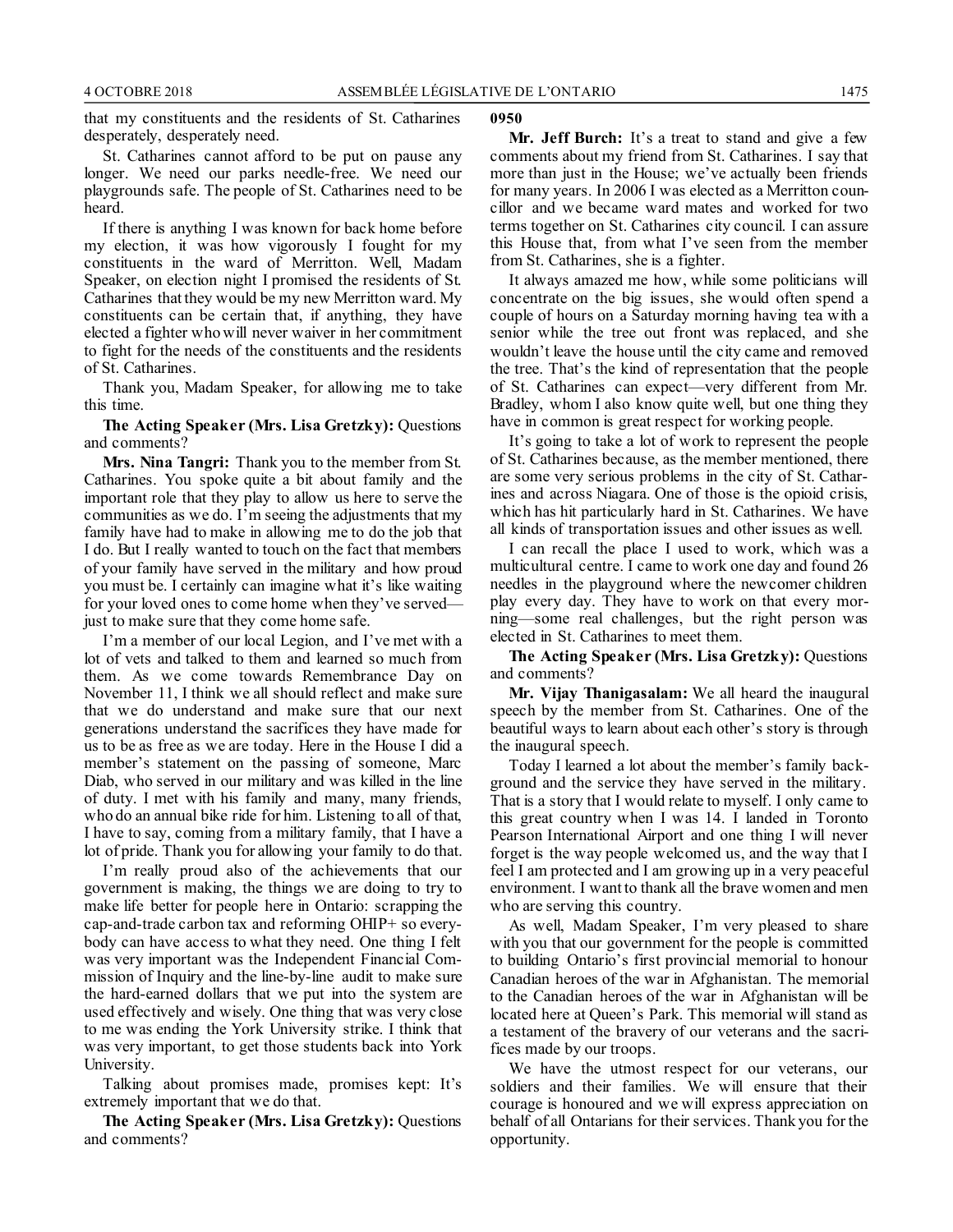that my constituents and the residents of St. Catharines desperately, desperately need.

St. Catharines cannot afford to be put on pause any longer. We need our parks needle-free. We need our playgrounds safe. The people of St. Catharines need to be heard.

If there is anything I was known for back home before my election, it was how vigorously I fought for my constituents in the ward of Merritton. Well, Madam Speaker, on election night I promised the residents of St. Catharines that they would be my new Merritton ward. My constituents can be certain that, if anything, they have elected a fighter who will never waiver in her commitment to fight for the needs of the constituents and the residents of St. Catharines.

Thank you, Madam Speaker, for allowing me to take this time.

**The Acting Speaker (Mrs. Lisa Gretzky):** Questions and comments?

**Mrs. Nina Tangri:** Thank you to the member from St. Catharines. You spoke quite a bit about family and the important role that they play to allow us here to serve the communities as we do. I'm seeing the adjustments that my family have had to make in allowing me to do the job that I do. But I really wanted to touch on the fact that members of your family have served in the military and how proud you must be. I certainly can imagine what it's like waiting for your loved ones to come home when they've served just to make sure that they come home safe.

I'm a member of our local Legion, and I've met with a lot of vets and talked to them and learned so much from them. As we come towards Remembrance Day on November 11, I think we all should reflect and make sure that we do understand and make sure that our next generations understand the sacrifices they have made for us to be as free as we are today. Here in the House I did a member's statement on the passing of someone, Marc Diab, who served in our military and was killed in the line of duty. I met with his family and many, many friends, who do an annual bike ride for him. Listening to all of that, I have to say, coming from a military family, that I have a lot of pride. Thank you for allowing your family to do that.

I'm really proud also of the achievements that our government is making, the things we are doing to try to make life better for people here in Ontario: scrapping the cap-and-trade carbon tax and reforming OHIP+ so everybody can have access to what they need. One thing I felt was very important was the Independent Financial Commission of Inquiry and the line-by-line audit to make sure the hard-earned dollars that we put into the system are used effectively and wisely. One thing that was very close to me was ending the York University strike. I think that was very important, to get those students back into York University.

Talking about promises made, promises kept: It's extremely important that we do that.

**The Acting Speaker (Mrs. Lisa Gretzky):** Questions and comments?

#### **0950**

**Mr. Jeff Burch:** It's a treat to stand and give a few comments about my friend from St. Catharines. I say that more than just in the House; we've actually been friends for many years. In 2006 I was elected as a Merritton councillor and we became ward mates and worked for two terms together on St. Catharines city council. I can assure this House that, from what I've seen from the member from St. Catharines, she is a fighter.

It always amazed me how, while some politicians will concentrate on the big issues, she would often spend a couple of hours on a Saturday morning having tea with a senior while the tree out front was replaced, and she wouldn't leave the house until the city came and removed the tree. That's the kind of representation that the people of St. Catharines can expect—very different from Mr. Bradley, whom I also know quite well, but one thing they have in common is great respect for working people.

It's going to take a lot of work to represent the people of St. Catharines because, as the member mentioned, there are some very serious problems in the city of St. Catharines and across Niagara. One of those is the opioid crisis, which has hit particularly hard in St. Catharines. We have all kinds of transportation issues and other issues as well.

I can recall the place I used to work, which was a multicultural centre. I came to work one day and found 26 needles in the playground where the newcomer children play every day. They have to work on that every morning—some real challenges, but the right person was elected in St. Catharines to meet them.

**The Acting Speaker (Mrs. Lisa Gretzky):** Questions and comments?

**Mr. Vijay Thanigasalam:** We all heard the inaugural speech by the member from St. Catharines. One of the beautiful ways to learn about each other's story is through the inaugural speech.

Today I learned a lot about the member's family background and the service they have served in the military. That is a story that I would relate to myself. I only came to this great country when I was 14. I landed in Toronto Pearson International Airport and one thing I will never forget is the way people welcomed us, and the way that I feel I am protected and I am growing up in a very peaceful environment. I want to thank all the brave women and men who are serving this country.

As well, Madam Speaker, I'm very pleased to share with you that our government for the people is committed to building Ontario's first provincial memorial to honour Canadian heroes of the war in Afghanistan. The memorial to the Canadian heroes of the war in Afghanistan will be located here at Queen's Park. This memorial will stand as a testament of the bravery of our veterans and the sacrifices made by our troops.

We have the utmost respect for our veterans, our soldiers and their families. We will ensure that their courage is honoured and we will express appreciation on behalf of all Ontarians for their services. Thank you for the opportunity.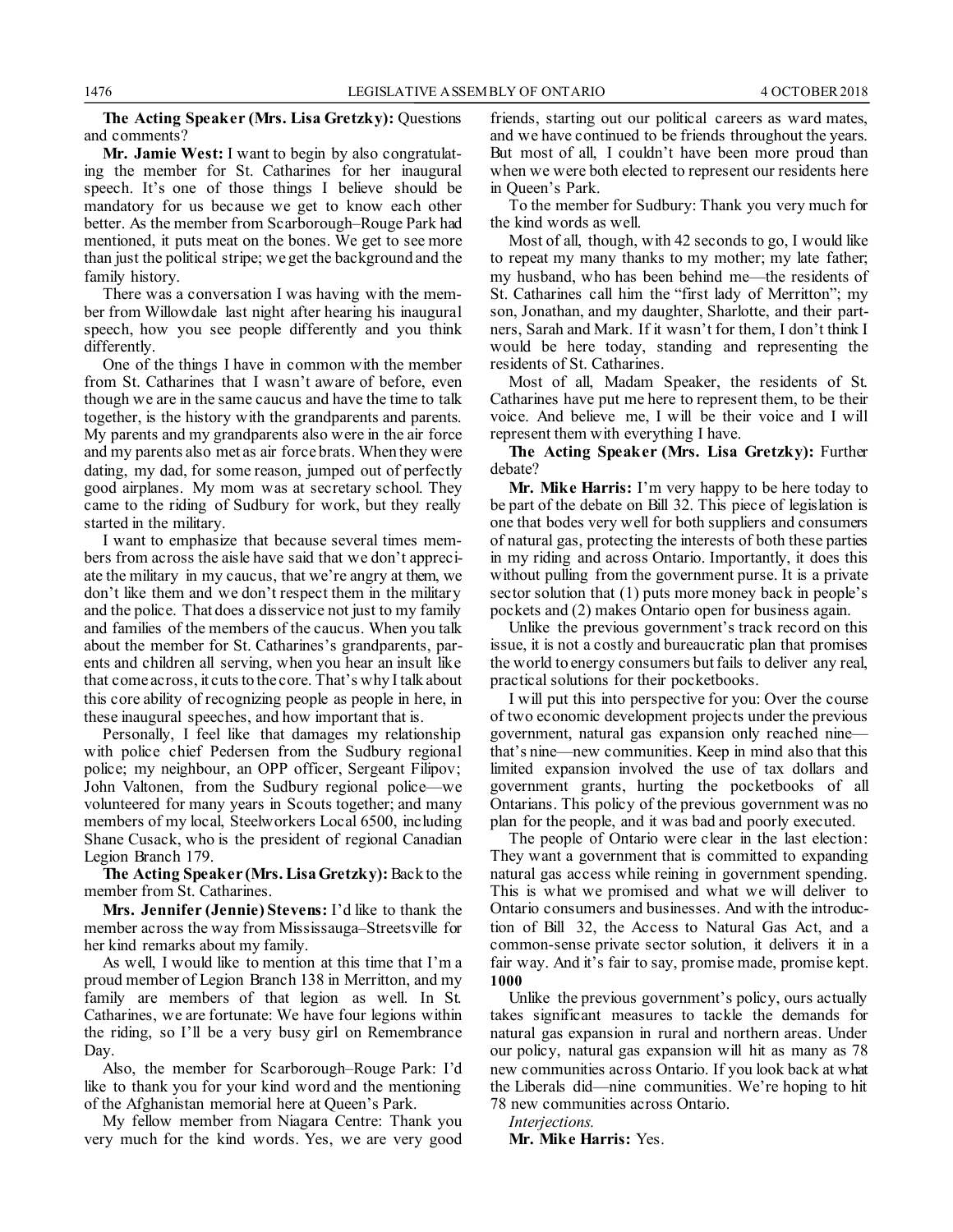**The Acting Speaker (Mrs. Lisa Gretzky):** Questions and comments?

**Mr. Jamie West:** I want to begin by also congratulating the member for St. Catharines for her inaugural speech. It's one of those things I believe should be mandatory for us because we get to know each other better. As the member from Scarborough–Rouge Park had mentioned, it puts meat on the bones. We get to see more than just the political stripe; we get the background and the family history.

There was a conversation I was having with the member from Willowdale last night after hearing his inaugural speech, how you see people differently and you think differently.

One of the things I have in common with the member from St. Catharines that I wasn't aware of before, even though we are in the same caucus and have the time to talk together, is the history with the grandparents and parents. My parents and my grandparents also were in the air force and my parents also met as air force brats. When they were dating, my dad, for some reason, jumped out of perfectly good airplanes. My mom was at secretary school. They came to the riding of Sudbury for work, but they really started in the military.

I want to emphasize that because several times members from across the aisle have said that we don't appreciate the military in my caucus, that we're angry at them, we don't like them and we don't respect them in the military and the police. That does a disservice not just to my family and families of the members of the caucus. When you talk about the member for St. Catharines's grandparents, parents and children all serving, when you hear an insult like that come across, it cuts to the core. That's why I talk about this core ability of recognizing people as people in here, in these inaugural speeches, and how important that is.

Personally, I feel like that damages my relationship with police chief Pedersen from the Sudbury regional police; my neighbour, an OPP officer, Sergeant Filipov; John Valtonen, from the Sudbury regional police—we volunteered for many years in Scouts together; and many members of my local, Steelworkers Local 6500, including Shane Cusack, who is the president of regional Canadian Legion Branch 179.

**The Acting Speaker (Mrs. Lisa Gretzky):**Back to the member from St. Catharines.

**Mrs. Jennifer (Jennie) Stevens:** I'd like to thank the member across the way from Mississauga–Streetsville for her kind remarks about my family.

As well, I would like to mention at this time that I'm a proud member of Legion Branch 138 in Merritton, and my family are members of that legion as well. In St. Catharines, we are fortunate: We have four legions within the riding, so I'll be a very busy girl on Remembrance Day.

Also, the member for Scarborough–Rouge Park: I'd like to thank you for your kind word and the mentioning of the Afghanistan memorial here at Queen's Park.

My fellow member from Niagara Centre: Thank you very much for the kind words. Yes, we are very good friends, starting out our political careers as ward mates, and we have continued to be friends throughout the years. But most of all, I couldn't have been more proud than when we were both elected to represent our residents here in Queen's Park.

To the member for Sudbury: Thank you very much for the kind words as well.

Most of all, though, with 42 seconds to go, I would like to repeat my many thanks to my mother; my late father; my husband, who has been behind me—the residents of St. Catharines call him the "first lady of Merritton"; my son, Jonathan, and my daughter, Sharlotte, and their partners, Sarah and Mark. If it wasn't for them, I don't think I would be here today, standing and representing the residents of St. Catharines.

Most of all, Madam Speaker, the residents of St. Catharines have put me here to represent them, to be their voice. And believe me, I will be their voice and I will represent them with everything I have.

**The Acting Speaker (Mrs. Lisa Gretzky):** Further debate?

**Mr. Mike Harris:** I'm very happy to be here today to be part of the debate on Bill 32. This piece of legislation is one that bodes very well for both suppliers and consumers of natural gas, protecting the interests of both these parties in my riding and across Ontario. Importantly, it does this without pulling from the government purse. It is a private sector solution that (1) puts more money back in people's pockets and (2) makes Ontario open for business again.

Unlike the previous government's track record on this issue, it is not a costly and bureaucratic plan that promises the world to energy consumers but fails to deliver any real, practical solutions for their pocketbooks.

I will put this into perspective for you: Over the course of two economic development projects under the previous government, natural gas expansion only reached nine that's nine—new communities. Keep in mind also that this limited expansion involved the use of tax dollars and government grants, hurting the pocketbooks of all Ontarians. This policy of the previous government was no plan for the people, and it was bad and poorly executed.

The people of Ontario were clear in the last election: They want a government that is committed to expanding natural gas access while reining in government spending. This is what we promised and what we will deliver to Ontario consumers and businesses. And with the introduction of Bill 32, the Access to Natural Gas Act, and a common-sense private sector solution, it delivers it in a fair way. And it's fair to say, promise made, promise kept. **1000**

Unlike the previous government's policy, ours actually takes significant measures to tackle the demands for natural gas expansion in rural and northern areas. Under our policy, natural gas expansion will hit as many as 78 new communities across Ontario. If you look back at what the Liberals did—nine communities. We're hoping to hit 78 new communities across Ontario.

*Interjections.*

**Mr. Mike Harris:** Yes.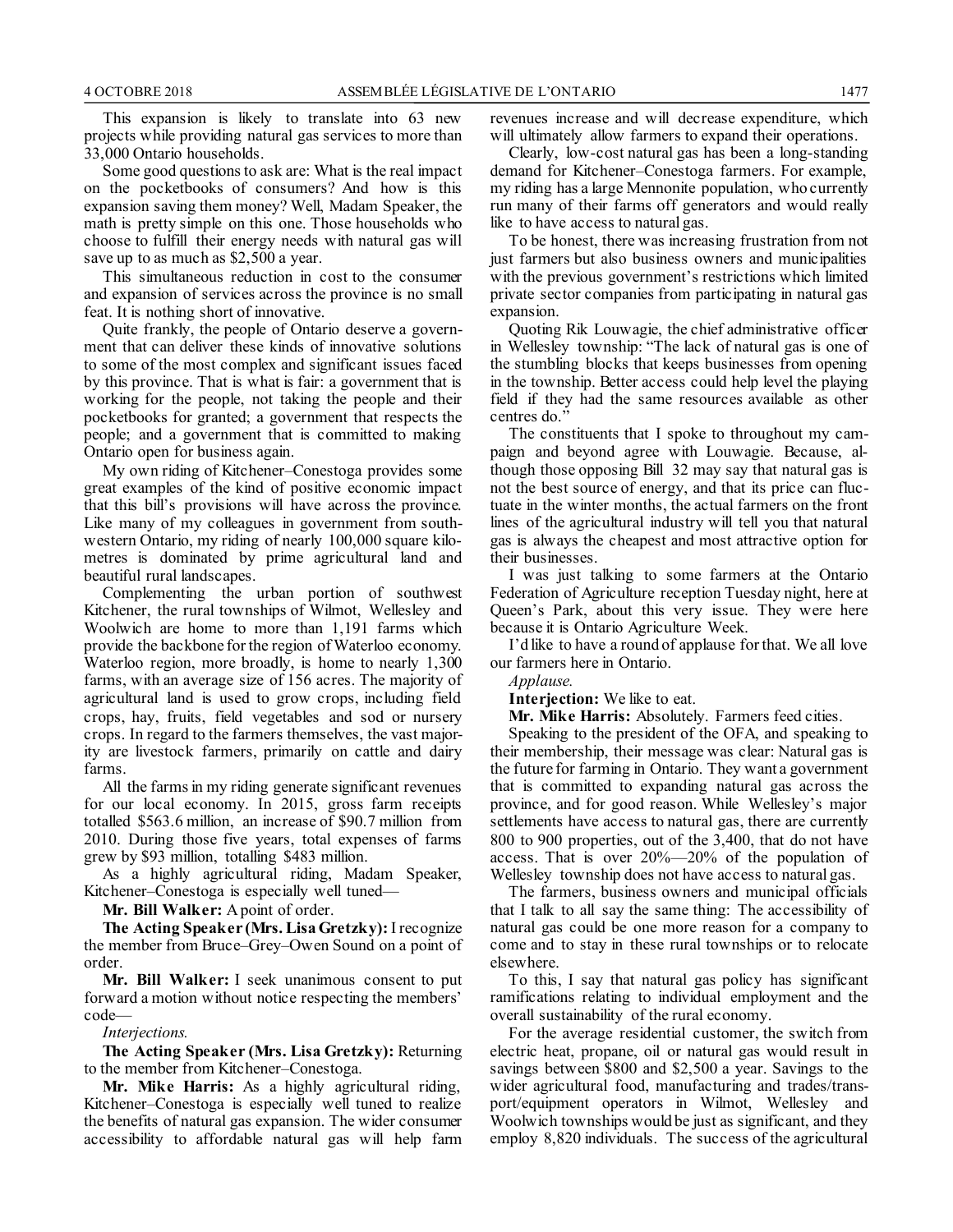This expansion is likely to translate into 63 new projects while providing natural gas services to more than 33,000 Ontario households.

Some good questions to ask are: What is the real impact on the pocketbooks of consumers? And how is this expansion saving them money? Well, Madam Speaker, the math is pretty simple on this one. Those households who choose to fulfill their energy needs with natural gas will save up to as much as \$2,500 a year.

This simultaneous reduction in cost to the consumer and expansion of services across the province is no small feat. It is nothing short of innovative.

Quite frankly, the people of Ontario deserve a government that can deliver these kinds of innovative solutions to some of the most complex and significant issues faced by this province. That is what is fair: a government that is working for the people, not taking the people and their pocketbooks for granted; a government that respects the people; and a government that is committed to making Ontario open for business again.

My own riding of Kitchener–Conestoga provides some great examples of the kind of positive economic impact that this bill's provisions will have across the province. Like many of my colleagues in government from southwestern Ontario, my riding of nearly 100,000 square kilometres is dominated by prime agricultural land and beautiful rural landscapes.

Complementing the urban portion of southwest Kitchener, the rural townships of Wilmot, Wellesley and Woolwich are home to more than 1,191 farms which provide the backbone for the region of Waterloo economy. Waterloo region, more broadly, is home to nearly 1,300 farms, with an average size of 156 acres. The majority of agricultural land is used to grow crops, including field crops, hay, fruits, field vegetables and sod or nursery crops. In regard to the farmers themselves, the vast majority are livestock farmers, primarily on cattle and dairy farms.

All the farms in my riding generate significant revenues for our local economy. In 2015, gross farm receipts totalled \$563.6 million, an increase of \$90.7 million from 2010. During those five years, total expenses of farms grew by \$93 million, totalling \$483 million.

As a highly agricultural riding, Madam Speaker, Kitchener–Conestoga is especially well tuned—

**Mr. Bill Walker:** A point of order.

**The Acting Speaker (Mrs. Lisa Gretzky):**I recognize the member from Bruce–Grey–Owen Sound on a point of order.

**Mr. Bill Walker:** I seek unanimous consent to put forward a motion without notice respecting the members' code—

*Interjections.*

**The Acting Speaker (Mrs. Lisa Gretzky):** Returning to the member from Kitchener–Conestoga.

**Mr. Mike Harris:** As a highly agricultural riding, Kitchener–Conestoga is especially well tuned to realize the benefits of natural gas expansion. The wider consumer accessibility to affordable natural gas will help farm revenues increase and will decrease expenditure, which will ultimately allow farmers to expand their operations.

Clearly, low-cost natural gas has been a long-standing demand for Kitchener–Conestoga farmers. For example, my riding has a large Mennonite population, who currently run many of their farms off generators and would really like to have access to natural gas.

To be honest, there was increasing frustration from not just farmers but also business owners and municipalities with the previous government's restrictions which limited private sector companies from participating in natural gas expansion.

Quoting Rik Louwagie, the chief administrative officer in Wellesley township: "The lack of natural gas is one of the stumbling blocks that keeps businesses from opening in the township. Better access could help level the playing field if they had the same resources available as other centres do."

The constituents that I spoke to throughout my campaign and beyond agree with Louwagie. Because, although those opposing Bill 32 may say that natural gas is not the best source of energy, and that its price can fluctuate in the winter months, the actual farmers on the front lines of the agricultural industry will tell you that natural gas is always the cheapest and most attractive option for their businesses.

I was just talking to some farmers at the Ontario Federation of Agriculture reception Tuesday night, here at Queen's Park, about this very issue. They were here because it is Ontario Agriculture Week.

I'd like to have a round of applause for that. We all love our farmers here in Ontario.

*Applause.*

**Interjection:** We like to eat.

**Mr. Mike Harris:** Absolutely. Farmers feed cities.

Speaking to the president of the OFA, and speaking to their membership, their message was clear: Natural gas is the future for farming in Ontario. They want a government that is committed to expanding natural gas across the province, and for good reason. While Wellesley's major settlements have access to natural gas, there are currently 800 to 900 properties, out of the 3,400, that do not have access. That is over 20%—20% of the population of Wellesley township does not have access to natural gas.

The farmers, business owners and municipal officials that I talk to all say the same thing: The accessibility of natural gas could be one more reason for a company to come and to stay in these rural townships or to relocate elsewhere.

To this, I say that natural gas policy has significant ramifications relating to individual employment and the overall sustainability of the rural economy.

For the average residential customer, the switch from electric heat, propane, oil or natural gas would result in savings between \$800 and \$2,500 a year. Savings to the wider agricultural food, manufacturing and trades/transport/equipment operators in Wilmot, Wellesley and Woolwich townships would be just as significant, and they employ 8,820 individuals. The success of the agricultural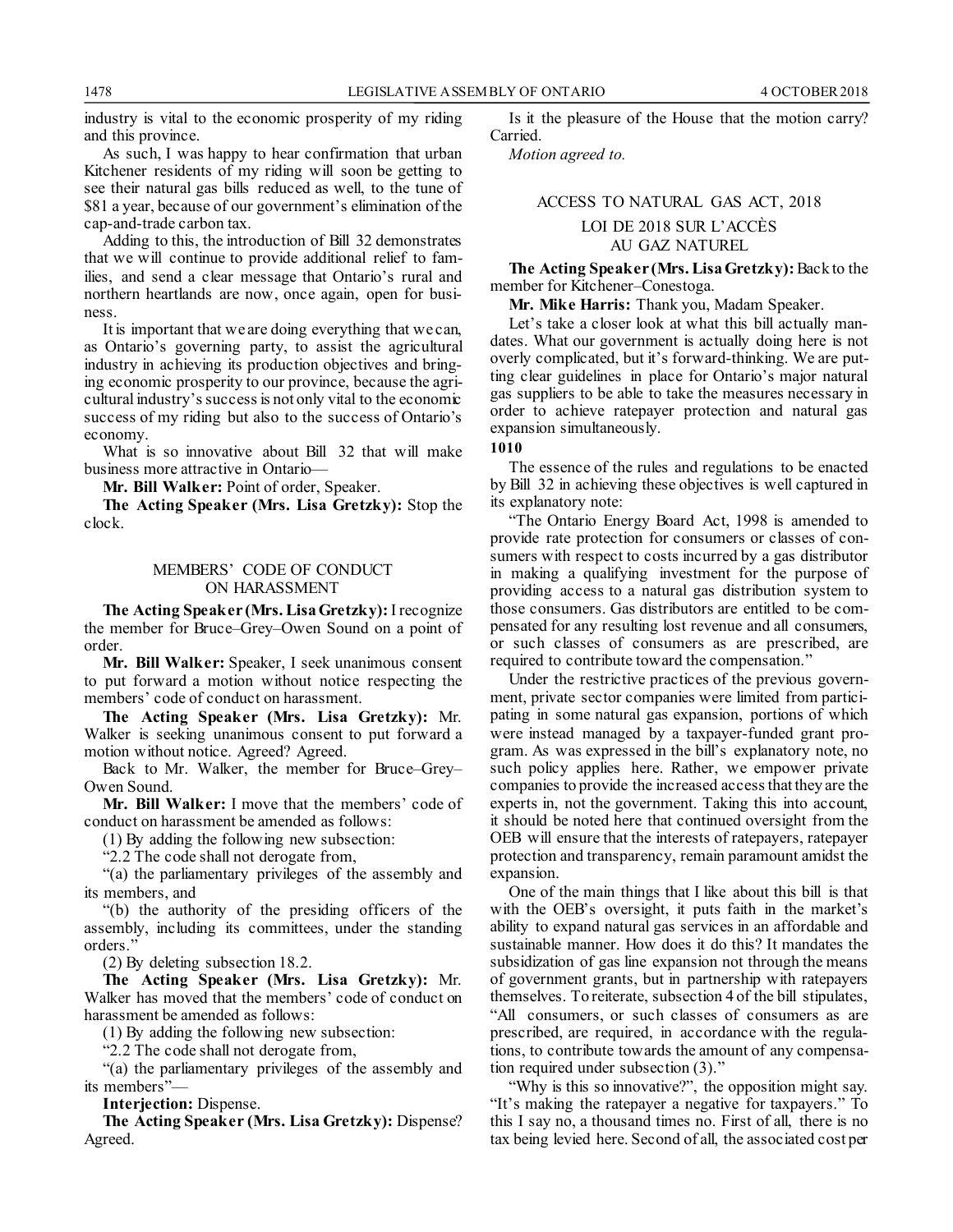industry is vital to the economic prosperity of my riding and this province.

As such, I was happy to hear confirmation that urban Kitchener residents of my riding will soon be getting to see their natural gas bills reduced as well, to the tune of \$81 a year, because of our government's elimination of the cap-and-trade carbon tax.

Adding to this, the introduction of Bill 32 demonstrates that we will continue to provide additional relief to families, and send a clear message that Ontario's rural and northern heartlands are now, once again, open for business.

It is important that we are doing everything that we can, as Ontario's governing party, to assist the agricultural industry in achieving its production objectives and bringing economic prosperity to our province, because the agricultural industry's success is not only vital to the economic success of my riding but also to the success of Ontario's economy.

What is so innovative about Bill 32 that will make business more attractive in Ontario—

**Mr. Bill Walker:** Point of order, Speaker.

**The Acting Speaker (Mrs. Lisa Gretzky):** Stop the clock.

### MEMBERS' CODE OF CONDUCT ON HARASSMENT

**The Acting Speaker (Mrs. Lisa Gretzky):**I recognize the member for Bruce–Grey–Owen Sound on a point of order.

**Mr. Bill Walker:** Speaker, I seek unanimous consent to put forward a motion without notice respecting the members' code of conduct on harassment.

**The Acting Speaker (Mrs. Lisa Gretzky):** Mr. Walker is seeking unanimous consent to put forward a motion without notice. Agreed? Agreed.

Back to Mr. Walker, the member for Bruce–Grey– Owen Sound.

**Mr. Bill Walker:** I move that the members' code of conduct on harassment be amended as follows:

(1) By adding the following new subsection:

"2.2 The code shall not derogate from,

"(a) the parliamentary privileges of the assembly and its members, and

"(b) the authority of the presiding officers of the assembly, including its committees, under the standing orders."

(2) By deleting subsection 18.2.

**The Acting Speaker (Mrs. Lisa Gretzky):** Mr. Walker has moved that the members' code of conduct on harassment be amended as follows:

(1) By adding the following new subsection:

"2.2 The code shall not derogate from,

"(a) the parliamentary privileges of the assembly and its members"—

**Interjection:** Dispense.

**The Acting Speaker (Mrs. Lisa Gretzky):** Dispense? Agreed.

Is it the pleasure of the House that the motion carry? Carried.

*Motion agreed to.*

## ACCESS TO NATURAL GAS ACT, 2018 LOI DE 2018 SUR L'ACCÈS AU GAZ NATUREL

**The Acting Speaker (Mrs. Lisa Gretzky):**Back to the member for Kitchener–Conestoga.

**Mr. Mike Harris:** Thank you, Madam Speaker.

Let's take a closer look at what this bill actually mandates. What our government is actually doing here is not overly complicated, but it's forward-thinking. We are putting clear guidelines in place for Ontario's major natural gas suppliers to be able to take the measures necessary in order to achieve ratepayer protection and natural gas expansion simultaneously.

#### **1010**

The essence of the rules and regulations to be enacted by Bill 32 in achieving these objectives is well captured in its explanatory note:

"The Ontario Energy Board Act, 1998 is amended to provide rate protection for consumers or classes of consumers with respect to costs incurred by a gas distributor in making a qualifying investment for the purpose of providing access to a natural gas distribution system to those consumers. Gas distributors are entitled to be compensated for any resulting lost revenue and all consumers, or such classes of consumers as are prescribed, are required to contribute toward the compensation."

Under the restrictive practices of the previous government, private sector companies were limited from participating in some natural gas expansion, portions of which were instead managed by a taxpayer-funded grant program. As was expressed in the bill's explanatory note, no such policy applies here. Rather, we empower private companies to provide the increased access that they are the experts in, not the government. Taking this into account, it should be noted here that continued oversight from the OEB will ensure that the interests of ratepayers, ratepayer protection and transparency, remain paramount amidst the expansion.

One of the main things that I like about this bill is that with the OEB's oversight, it puts faith in the market's ability to expand natural gas services in an affordable and sustainable manner. How does it do this? It mandates the subsidization of gas line expansion not through the means of government grants, but in partnership with ratepayers themselves. To reiterate, subsection 4 of the bill stipulates, "All consumers, or such classes of consumers as are prescribed, are required, in accordance with the regulations, to contribute towards the amount of any compensation required under subsection (3)."

"Why is this so innovative?", the opposition might say. "It's making the ratepayer a negative for taxpayers." To this I say no, a thousand times no. First of all, there is no tax being levied here. Second of all, the associated cost per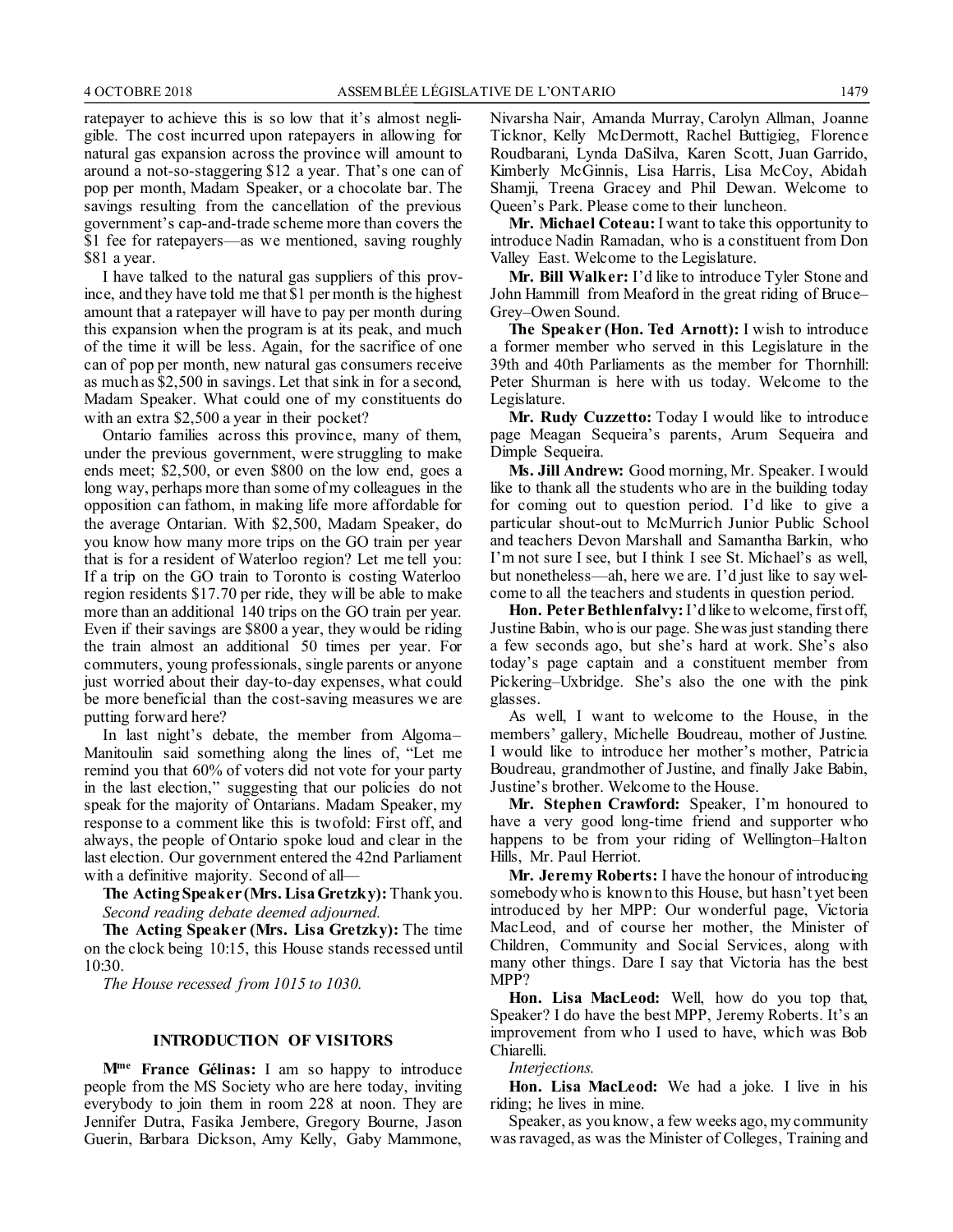ratepayer to achieve this is so low that it's almost negligible. The cost incurred upon ratepayers in allowing for natural gas expansion across the province will amount to around a not-so-staggering \$12 a year. That's one can of pop per month, Madam Speaker, or a chocolate bar. The savings resulting from the cancellation of the previous government's cap-and-trade scheme more than covers the \$1 fee for ratepayers—as we mentioned, saving roughly \$81 a year.

I have talked to the natural gas suppliers of this province, and they have told me that \$1 per month is the highest amount that a ratepayer will have to pay per month during this expansion when the program is at its peak, and much of the time it will be less. Again, for the sacrifice of one can of pop per month, new natural gas consumers receive as much as \$2,500 in savings. Let that sink in for a second, Madam Speaker. What could one of my constituents do with an extra \$2,500 a year in their pocket?

Ontario families across this province, many of them, under the previous government, were struggling to make ends meet; \$2,500, or even \$800 on the low end, goes a long way, perhaps more than some of my colleagues in the opposition can fathom, in making life more affordable for the average Ontarian. With \$2,500, Madam Speaker, do you know how many more trips on the GO train per year that is for a resident of Waterloo region? Let me tell you: If a trip on the GO train to Toronto is costing Waterloo region residents \$17.70 per ride, they will be able to make more than an additional 140 trips on the GO train per year. Even if their savings are \$800 a year, they would be riding the train almost an additional 50 times per year. For commuters, young professionals, single parents or anyone just worried about their day-to-day expenses, what could be more beneficial than the cost-saving measures we are putting forward here?

In last night's debate, the member from Algoma– Manitoulin said something along the lines of, "Let me remind you that 60% of voters did not vote for your party in the last election," suggesting that our policies do not speak for the majority of Ontarians. Madam Speaker, my response to a comment like this is twofold: First off, and always, the people of Ontario spoke loud and clear in the last election. Our government entered the 42nd Parliament with a definitive majority. Second of all—

**The Acting Speaker (Mrs. Lisa Gretzky):** Thank you. *Second reading debate deemed adjourned.*

**The Acting Speaker (Mrs. Lisa Gretzky):** The time on the clock being 10:15, this House stands recessed until 10:30.

*The House recessed from 1015 to 1030.*

#### **INTRODUCTION OF VISITORS**

**Mme France Gélinas:** I am so happy to introduce people from the MS Society who are here today, inviting everybody to join them in room 228 at noon. They are Jennifer Dutra, Fasika Jembere, Gregory Bourne, Jason Guerin, Barbara Dickson, Amy Kelly, Gaby Mammone, Nivarsha Nair, Amanda Murray, Carolyn Allman, Joanne Ticknor, Kelly McDermott, Rachel Buttigieg, Florence Roudbarani, Lynda DaSilva, Karen Scott, Juan Garrido, Kimberly McGinnis, Lisa Harris, Lisa McCoy, Abidah Shamji, Treena Gracey and Phil Dewan. Welcome to Queen's Park. Please come to their luncheon.

**Mr. Michael Coteau:** I want to take this opportunity to introduce Nadin Ramadan, who is a constituent from Don Valley East. Welcome to the Legislature.

**Mr. Bill Walker:** I'd like to introduce Tyler Stone and John Hammill from Meaford in the great riding of Bruce– Grey–Owen Sound.

**The Speaker (Hon. Ted Arnott):** I wish to introduce a former member who served in this Legislature in the 39th and 40th Parliaments as the member for Thornhill: Peter Shurman is here with us today. Welcome to the Legislature.

**Mr. Rudy Cuzzetto:** Today I would like to introduce page Meagan Sequeira's parents, Arum Sequeira and Dimple Sequeira.

**Ms. Jill Andrew:** Good morning, Mr. Speaker. I would like to thank all the students who are in the building today for coming out to question period. I'd like to give a particular shout-out to McMurrich Junior Public School and teachers Devon Marshall and Samantha Barkin, who I'm not sure I see, but I think I see St. Michael's as well, but nonetheless—ah, here we are. I'd just like to say welcome to all the teachers and students in question period.

**Hon. Peter Bethlenfalvy:** I'd like to welcome, first off, Justine Babin, who is our page. She was just standing there a few seconds ago, but she's hard at work. She's also today's page captain and a constituent member from Pickering–Uxbridge. She's also the one with the pink glasses.

As well, I want to welcome to the House, in the members' gallery, Michelle Boudreau, mother of Justine. I would like to introduce her mother's mother, Patricia Boudreau, grandmother of Justine, and finally Jake Babin, Justine's brother. Welcome to the House.

**Mr. Stephen Crawford:** Speaker, I'm honoured to have a very good long-time friend and supporter who happens to be from your riding of Wellington–Halton Hills, Mr. Paul Herriot.

**Mr. Jeremy Roberts:** I have the honour of introducing somebody who is known to this House, but hasn't yet been introduced by her MPP: Our wonderful page, Victoria MacLeod, and of course her mother, the Minister of Children, Community and Social Services, along with many other things. Dare I say that Victoria has the best MPP?

**Hon. Lisa MacLeod:** Well, how do you top that, Speaker? I do have the best MPP, Jeremy Roberts. It's an improvement from who I used to have, which was Bob Chiarelli.

#### *Interjections.*

**Hon. Lisa MacLeod:** We had a joke. I live in his riding; he lives in mine.

Speaker, as you know, a few weeks ago, my community was ravaged, as was the Minister of Colleges, Training and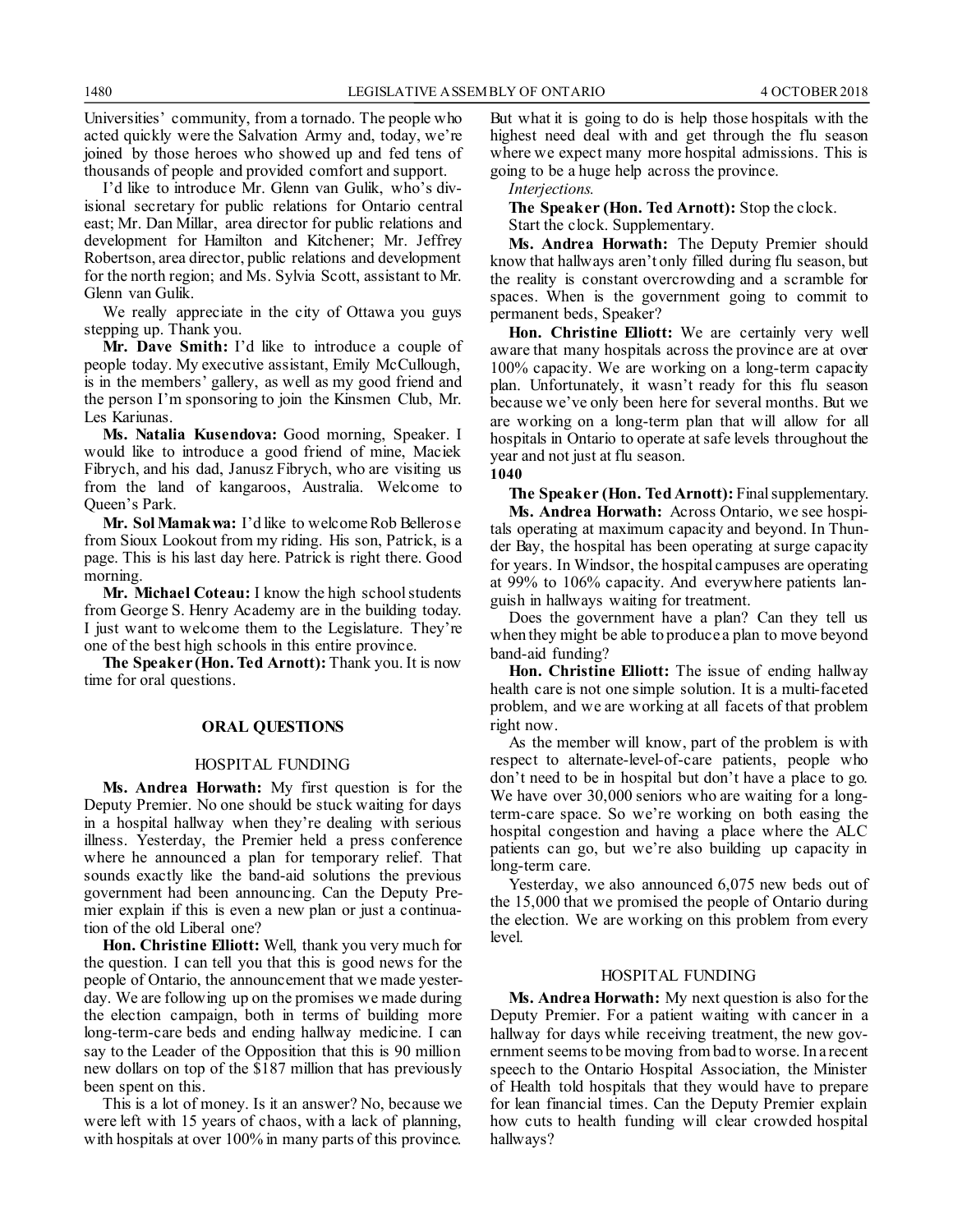Universities' community, from a tornado. The people who acted quickly were the Salvation Army and, today, we're joined by those heroes who showed up and fed tens of thousands of people and provided comfort and support.

I'd like to introduce Mr. Glenn van Gulik, who's divisional secretary for public relations for Ontario central east; Mr. Dan Millar, area director for public relations and development for Hamilton and Kitchener; Mr. Jeffrey Robertson, area director, public relations and development for the north region; and Ms. Sylvia Scott, assistant to Mr. Glenn van Gulik.

We really appreciate in the city of Ottawa you guys stepping up. Thank you.

**Mr. Dave Smith:** I'd like to introduce a couple of people today. My executive assistant, Emily McCullough, is in the members' gallery, as well as my good friend and the person I'm sponsoring to join the Kinsmen Club, Mr. Les Kariunas.

**Ms. Natalia Kusendova:** Good morning, Speaker. I would like to introduce a good friend of mine, Maciek Fibrych, and his dad, Janusz Fibrych, who are visiting us from the land of kangaroos, Australia. Welcome to Queen's Park.

**Mr. Sol Mamakwa:** I'd like to welcome Rob Bellerose from Sioux Lookout from my riding. His son, Patrick, is a page. This is his last day here. Patrick is right there. Good morning.

**Mr. Michael Coteau:** I know the high school students from George S. Henry Academy are in the building today. I just want to welcome them to the Legislature. They're one of the best high schools in this entire province.

**The Speaker (Hon. Ted Arnott):** Thank you. It is now time for oral questions.

### **ORAL QUESTIONS**

#### HOSPITAL FUNDING

**Ms. Andrea Horwath:** My first question is for the Deputy Premier. No one should be stuck waiting for days in a hospital hallway when they're dealing with serious illness. Yesterday, the Premier held a press conference where he announced a plan for temporary relief. That sounds exactly like the band-aid solutions the previous government had been announcing. Can the Deputy Premier explain if this is even a new plan or just a continuation of the old Liberal one?

**Hon. Christine Elliott:** Well, thank you very much for the question. I can tell you that this is good news for the people of Ontario, the announcement that we made yesterday. We are following up on the promises we made during the election campaign, both in terms of building more long-term-care beds and ending hallway medicine. I can say to the Leader of the Opposition that this is 90 million new dollars on top of the \$187 million that has previously been spent on this.

This is a lot of money. Is it an answer? No, because we were left with 15 years of chaos, with a lack of planning, with hospitals at over 100% in many parts of this province. But what it is going to do is help those hospitals with the highest need deal with and get through the flu season where we expect many more hospital admissions. This is going to be a huge help across the province.

*Interjections.*

**The Speaker (Hon. Ted Arnott):** Stop the clock. Start the clock. Supplementary.

**Ms. Andrea Horwath:** The Deputy Premier should know that hallways aren't only filled during flu season, but the reality is constant overcrowding and a scramble for spaces. When is the government going to commit to permanent beds, Speaker?

**Hon. Christine Elliott:** We are certainly very well aware that many hospitals across the province are at over 100% capacity. We are working on a long-term capacity plan. Unfortunately, it wasn't ready for this flu season because we've only been here for several months. But we are working on a long-term plan that will allow for all hospitals in Ontario to operate at safe levels throughout the year and not just at flu season.

**1040**

**The Speaker (Hon. Ted Arnott):** Final supplementary. **Ms. Andrea Horwath:** Across Ontario, we see hospitals operating at maximum capacity and beyond. In Thunder Bay, the hospital has been operating at surge capacity for years. In Windsor, the hospital campuses are operating at 99% to 106% capacity. And everywhere patients languish in hallways waiting for treatment.

Does the government have a plan? Can they tell us when they might be able to produce a plan to move beyond band-aid funding?

**Hon. Christine Elliott:** The issue of ending hallway health care is not one simple solution. It is a multi-faceted problem, and we are working at all facets of that problem right now.

As the member will know, part of the problem is with respect to alternate-level-of-care patients, people who don't need to be in hospital but don't have a place to go. We have over 30,000 seniors who are waiting for a longterm-care space. So we're working on both easing the hospital congestion and having a place where the ALC patients can go, but we're also building up capacity in long-term care.

Yesterday, we also announced 6,075 new beds out of the 15,000 that we promised the people of Ontario during the election. We are working on this problem from every level.

### HOSPITAL FUNDING

**Ms. Andrea Horwath:** My next question is also for the Deputy Premier. For a patient waiting with cancer in a hallway for days while receiving treatment, the new government seems to be moving from bad to worse. In a recent speech to the Ontario Hospital Association, the Minister of Health told hospitals that they would have to prepare for lean financial times. Can the Deputy Premier explain how cuts to health funding will clear crowded hospital hallways?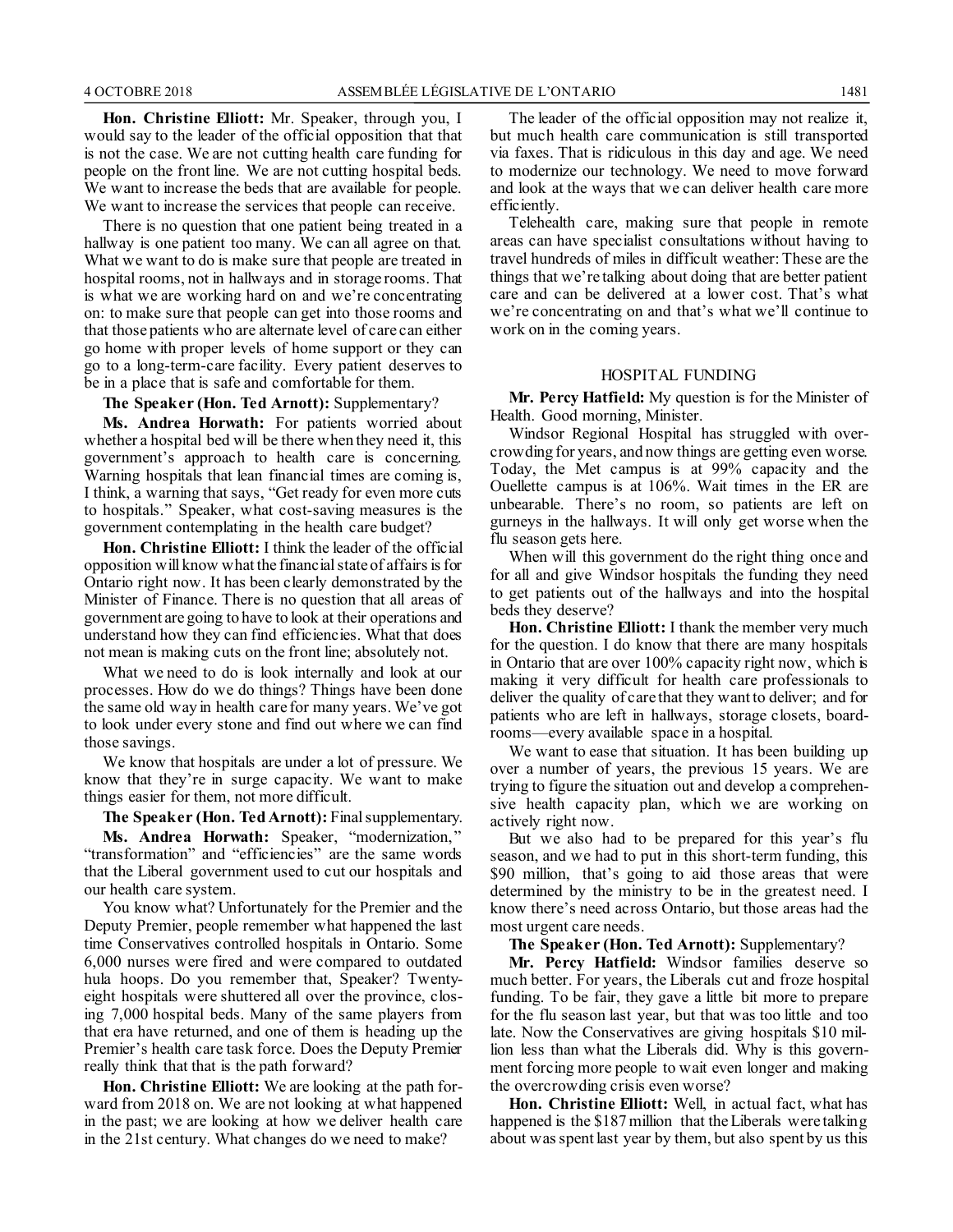**Hon. Christine Elliott:** Mr. Speaker, through you, I would say to the leader of the official opposition that that is not the case. We are not cutting health care funding for people on the front line. We are not cutting hospital beds. We want to increase the beds that are available for people. We want to increase the services that people can receive.

There is no question that one patient being treated in a hallway is one patient too many. We can all agree on that. What we want to do is make sure that people are treated in hospital rooms, not in hallways and in storage rooms. That is what we are working hard on and we're concentrating on: to make sure that people can get into those rooms and that those patients who are alternate level of care can either go home with proper levels of home support or they can go to a long-term-care facility. Every patient deserves to be in a place that is safe and comfortable for them.

**The Speaker (Hon. Ted Arnott):** Supplementary?

**Ms. Andrea Horwath:** For patients worried about whether a hospital bed will be there when they need it, this government's approach to health care is concerning. Warning hospitals that lean financial times are coming is, I think, a warning that says, "Get ready for even more cuts to hospitals." Speaker, what cost-saving measures is the government contemplating in the health care budget?

**Hon. Christine Elliott:** I think the leader of the official opposition will know what the financial state of affairs is for Ontario right now. It has been clearly demonstrated by the Minister of Finance. There is no question that all areas of government are going to have to look at their operations and understand how they can find efficiencies. What that does not mean is making cuts on the front line; absolutely not.

What we need to do is look internally and look at our processes. How do we do things? Things have been done the same old way in health care for many years. We've got to look under every stone and find out where we can find those savings.

We know that hospitals are under a lot of pressure. We know that they're in surge capacity. We want to make things easier for them, not more difficult.

**The Speaker (Hon. Ted Arnott):** Final supplementary.

**Ms. Andrea Horwath:** Speaker, "modernization," "transformation" and "efficiencies" are the same words that the Liberal government used to cut our hospitals and our health care system.

You know what? Unfortunately for the Premier and the Deputy Premier, people remember what happened the last time Conservatives controlled hospitals in Ontario. Some 6,000 nurses were fired and were compared to outdated hula hoops. Do you remember that, Speaker? Twentyeight hospitals were shuttered all over the province, closing 7,000 hospital beds. Many of the same players from that era have returned, and one of them is heading up the Premier's health care task force. Does the Deputy Premier really think that that is the path forward?

**Hon. Christine Elliott:** We are looking at the path forward from 2018 on. We are not looking at what happened in the past; we are looking at how we deliver health care in the 21st century. What changes do we need to make?

The leader of the official opposition may not realize it, but much health care communication is still transported via faxes. That is ridiculous in this day and age. We need to modernize our technology. We need to move forward and look at the ways that we can deliver health care more efficiently.

Telehealth care, making sure that people in remote areas can have specialist consultations without having to travel hundreds of miles in difficult weather: These are the things that we're talking about doing that are better patient care and can be delivered at a lower cost. That's what we're concentrating on and that's what we'll continue to work on in the coming years.

#### HOSPITAL FUNDING

**Mr. Percy Hatfield:** My question is for the Minister of Health. Good morning, Minister.

Windsor Regional Hospital has struggled with overcrowding for years, and now things are getting even worse. Today, the Met campus is at 99% capacity and the Ouellette campus is at 106%. Wait times in the ER are unbearable. There's no room, so patients are left on gurneys in the hallways. It will only get worse when the flu season gets here.

When will this government do the right thing once and for all and give Windsor hospitals the funding they need to get patients out of the hallways and into the hospital beds they deserve?

**Hon. Christine Elliott:** I thank the member very much for the question. I do know that there are many hospitals in Ontario that are over 100% capacity right now, which is making it very difficult for health care professionals to deliver the quality of care that they want to deliver; and for patients who are left in hallways, storage closets, boardrooms—every available space in a hospital.

We want to ease that situation. It has been building up over a number of years, the previous 15 years. We are trying to figure the situation out and develop a comprehensive health capacity plan, which we are working on actively right now.

But we also had to be prepared for this year's flu season, and we had to put in this short-term funding, this \$90 million, that's going to aid those areas that were determined by the ministry to be in the greatest need. I know there's need across Ontario, but those areas had the most urgent care needs.

**The Speaker (Hon. Ted Arnott):** Supplementary?

**Mr. Percy Hatfield:** Windsor families deserve so much better. For years, the Liberals cut and froze hospital funding. To be fair, they gave a little bit more to prepare for the flu season last year, but that was too little and too late. Now the Conservatives are giving hospitals \$10 million less than what the Liberals did. Why is this government forcing more people to wait even longer and making the overcrowding crisis even worse?

**Hon. Christine Elliott:** Well, in actual fact, what has happened is the \$187 million that the Liberals were talking about was spent last year by them, but also spent by us this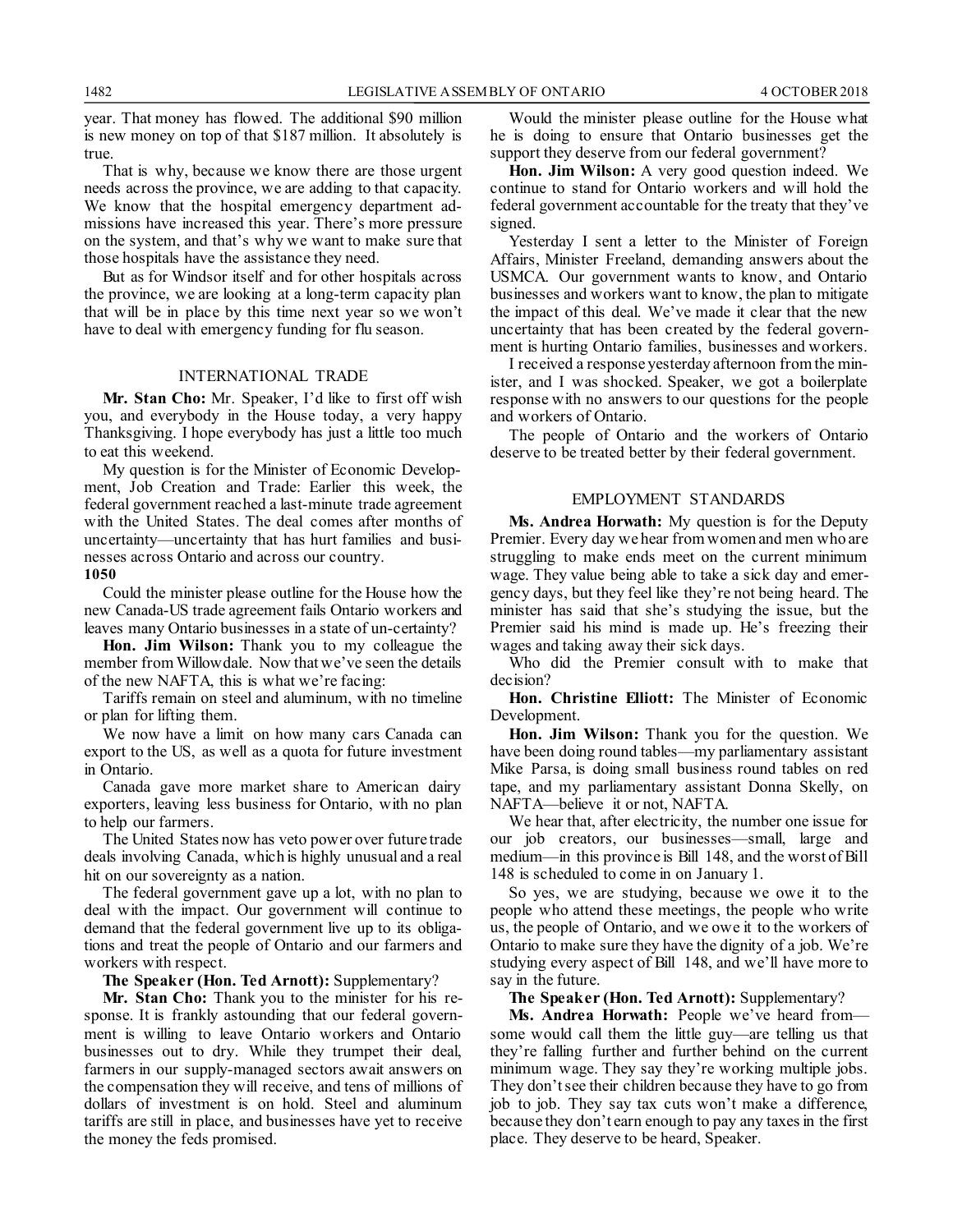year. That money has flowed. The additional \$90 million is new money on top of that \$187 million. It absolutely is true.

That is why, because we know there are those urgent needs across the province, we are adding to that capacity. We know that the hospital emergency department admissions have increased this year. There's more pressure on the system, and that's why we want to make sure that those hospitals have the assistance they need.

But as for Windsor itself and for other hospitals across the province, we are looking at a long-term capacity plan that will be in place by this time next year so we won't have to deal with emergency funding for flu season.

### INTERNATIONAL TRADE

**Mr. Stan Cho:** Mr. Speaker, I'd like to first off wish you, and everybody in the House today, a very happy Thanksgiving. I hope everybody has just a little too much to eat this weekend.

My question is for the Minister of Economic Development, Job Creation and Trade: Earlier this week, the federal government reached a last-minute trade agreement with the United States. The deal comes after months of uncertainty—uncertainty that has hurt families and businesses across Ontario and across our country.

**1050**

Could the minister please outline for the House how the new Canada-US trade agreement fails Ontario workers and leaves many Ontario businesses in a state of un-certainty?

**Hon. Jim Wilson:** Thank you to my colleague the member from Willowdale. Now that we've seen the details of the new NAFTA, this is what we're facing:

Tariffs remain on steel and aluminum, with no timeline or plan for lifting them.

We now have a limit on how many cars Canada can export to the US, as well as a quota for future investment in Ontario.

Canada gave more market share to American dairy exporters, leaving less business for Ontario, with no plan to help our farmers.

The United States now has veto power over future trade deals involving Canada, which is highly unusual and a real hit on our sovereignty as a nation.

The federal government gave up a lot, with no plan to deal with the impact. Our government will continue to demand that the federal government live up to its obligations and treat the people of Ontario and our farmers and workers with respect.

**The Speaker (Hon. Ted Arnott):** Supplementary?

**Mr. Stan Cho:** Thank you to the minister for his response. It is frankly astounding that our federal government is willing to leave Ontario workers and Ontario businesses out to dry. While they trumpet their deal, farmers in our supply-managed sectors await answers on the compensation they will receive, and tens of millions of dollars of investment is on hold. Steel and aluminum tariffs are still in place, and businesses have yet to receive the money the feds promised.

Would the minister please outline for the House what he is doing to ensure that Ontario businesses get the support they deserve from our federal government?

**Hon. Jim Wilson:** A very good question indeed. We continue to stand for Ontario workers and will hold the federal government accountable for the treaty that they've signed.

Yesterday I sent a letter to the Minister of Foreign Affairs, Minister Freeland, demanding answers about the USMCA. Our government wants to know, and Ontario businesses and workers want to know, the plan to mitigate the impact of this deal. We've made it clear that the new uncertainty that has been created by the federal government is hurting Ontario families, businesses and workers.

I received a response yesterday afternoon from the minister, and I was shocked. Speaker, we got a boilerplate response with no answers to our questions for the people and workers of Ontario.

The people of Ontario and the workers of Ontario deserve to be treated better by their federal government.

#### EMPLOYMENT STANDARDS

**Ms. Andrea Horwath:** My question is for the Deputy Premier. Every day we hear from women and men who are struggling to make ends meet on the current minimum wage. They value being able to take a sick day and emergency days, but they feel like they're not being heard. The minister has said that she's studying the issue, but the Premier said his mind is made up. He's freezing their wages and taking away their sick days.

Who did the Premier consult with to make that decision?

**Hon. Christine Elliott:** The Minister of Economic Development.

**Hon. Jim Wilson:** Thank you for the question. We have been doing round tables—my parliamentary assistant Mike Parsa, is doing small business round tables on red tape, and my parliamentary assistant Donna Skelly, on NAFTA—believe it or not, NAFTA.

We hear that, after electricity, the number one issue for our job creators, our businesses—small, large and medium—in this province is Bill 148, and the worst of Bill 148 is scheduled to come in on January 1.

So yes, we are studying, because we owe it to the people who attend these meetings, the people who write us, the people of Ontario, and we owe it to the workers of Ontario to make sure they have the dignity of a job. We're studying every aspect of Bill 148, and we'll have more to say in the future.

**The Speaker (Hon. Ted Arnott):** Supplementary?

**Ms. Andrea Horwath:** People we've heard from some would call them the little guy—are telling us that they're falling further and further behind on the current minimum wage. They say they're working multiple jobs. They don't see their children because they have to go from job to job. They say tax cuts won't make a difference, because they don't earn enough to pay any taxes in the first place. They deserve to be heard, Speaker.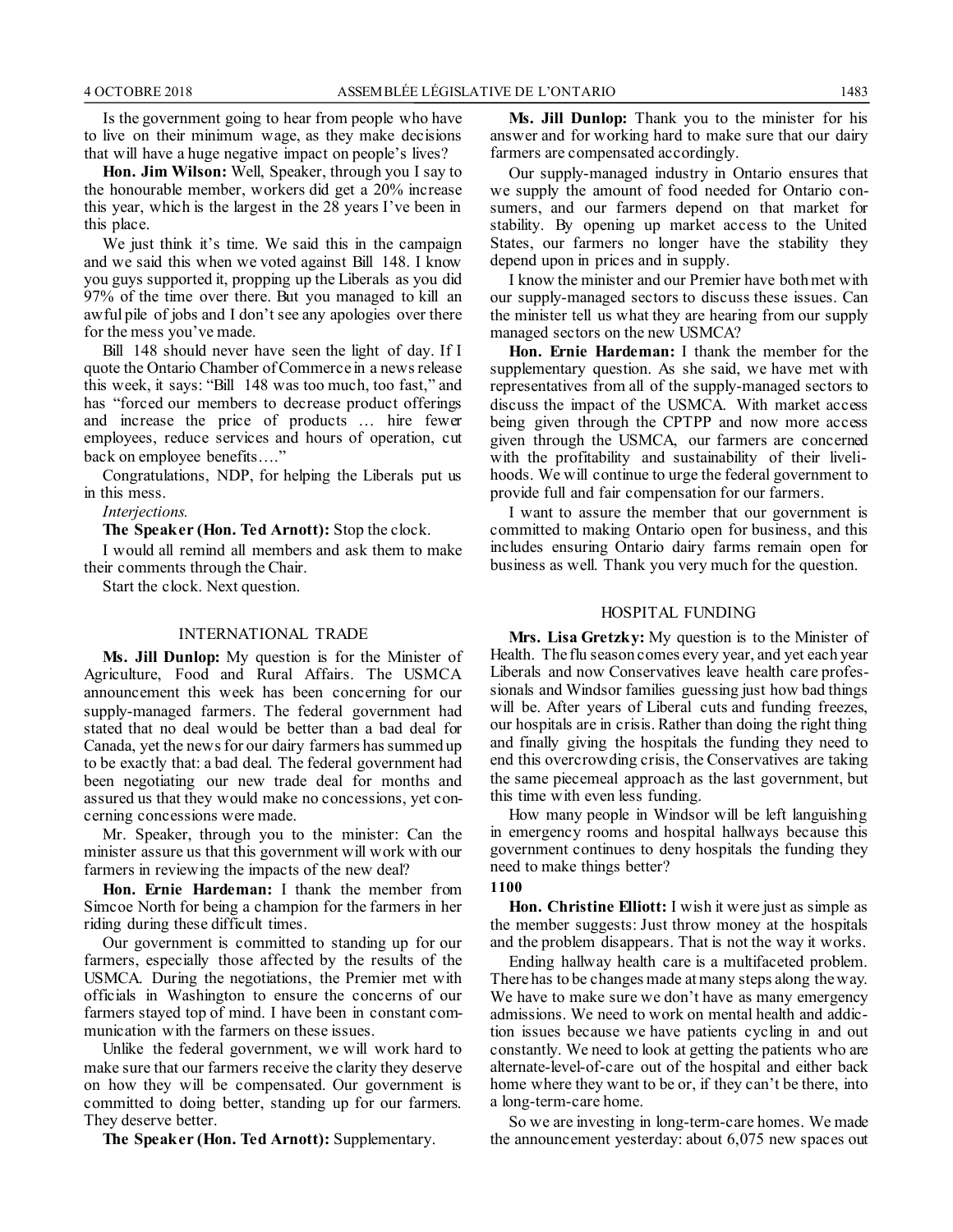Is the government going to hear from people who have to live on their minimum wage, as they make decisions that will have a huge negative impact on people's lives?

**Hon. Jim Wilson:** Well, Speaker, through you I say to the honourable member, workers did get a 20% increase this year, which is the largest in the 28 years I've been in this place.

We just think it's time. We said this in the campaign and we said this when we voted against Bill 148. I know you guys supported it, propping up the Liberals as you did 97% of the time over there. But you managed to kill an awful pile of jobs and I don't see any apologies over there for the mess you've made.

Bill 148 should never have seen the light of day. If I quote the Ontario Chamber of Commerce in a news release this week, it says: "Bill 148 was too much, too fast," and has "forced our members to decrease product offerings and increase the price of products … hire fewer employees, reduce services and hours of operation, cut back on employee benefits…."

Congratulations, NDP, for helping the Liberals put us in this mess.

*Interjections.*

**The Speaker (Hon. Ted Arnott):** Stop the clock.

I would all remind all members and ask them to make their comments through the Chair.

Start the clock. Next question.

### INTERNATIONAL TRADE

**Ms. Jill Dunlop:** My question is for the Minister of Agriculture, Food and Rural Affairs. The USMCA announcement this week has been concerning for our supply-managed farmers. The federal government had stated that no deal would be better than a bad deal for Canada, yet the news for our dairy farmers has summed up to be exactly that: a bad deal. The federal government had been negotiating our new trade deal for months and assured us that they would make no concessions, yet concerning concessions were made.

Mr. Speaker, through you to the minister: Can the minister assure us that this government will work with our farmers in reviewing the impacts of the new deal?

**Hon. Ernie Hardeman:** I thank the member from Simcoe North for being a champion for the farmers in her riding during these difficult times.

Our government is committed to standing up for our farmers, especially those affected by the results of the USMCA. During the negotiations, the Premier met with officials in Washington to ensure the concerns of our farmers stayed top of mind. I have been in constant communication with the farmers on these issues.

Unlike the federal government, we will work hard to make sure that our farmers receive the clarity they deserve on how they will be compensated. Our government is committed to doing better, standing up for our farmers. They deserve better.

**The Speaker (Hon. Ted Arnott):** Supplementary.

**Ms. Jill Dunlop:** Thank you to the minister for his answer and for working hard to make sure that our dairy farmers are compensated accordingly.

Our supply-managed industry in Ontario ensures that we supply the amount of food needed for Ontario consumers, and our farmers depend on that market for stability. By opening up market access to the United States, our farmers no longer have the stability they depend upon in prices and in supply.

I know the minister and our Premier have both met with our supply-managed sectors to discuss these issues. Can the minister tell us what they are hearing from our supply managed sectors on the new USMCA?

**Hon. Ernie Hardeman:** I thank the member for the supplementary question. As she said, we have met with representatives from all of the supply-managed sectors to discuss the impact of the USMCA. With market access being given through the CPTPP and now more access given through the USMCA, our farmers are concerned with the profitability and sustainability of their livelihoods. We will continue to urge the federal government to provide full and fair compensation for our farmers.

I want to assure the member that our government is committed to making Ontario open for business, and this includes ensuring Ontario dairy farms remain open for business as well. Thank you very much for the question.

### HOSPITAL FUNDING

**Mrs. Lisa Gretzky:** My question is to the Minister of Health. The flu season comes every year, and yet each year Liberals and now Conservatives leave health care professionals and Windsor families guessing just how bad things will be. After years of Liberal cuts and funding freezes, our hospitals are in crisis. Rather than doing the right thing and finally giving the hospitals the funding they need to end this overcrowding crisis, the Conservatives are taking the same piecemeal approach as the last government, but this time with even less funding.

How many people in Windsor will be left languishing in emergency rooms and hospital hallways because this government continues to deny hospitals the funding they need to make things better?

#### **1100**

**Hon. Christine Elliott:** I wish it were just as simple as the member suggests: Just throw money at the hospitals and the problem disappears. That is not the way it works.

Ending hallway health care is a multifaceted problem. There has to be changes made at many steps along the way. We have to make sure we don't have as many emergency admissions. We need to work on mental health and addiction issues because we have patients cycling in and out constantly. We need to look at getting the patients who are alternate-level-of-care out of the hospital and either back home where they want to be or, if they can't be there, into a long-term-care home.

So we are investing in long-term-care homes. We made the announcement yesterday: about 6,075 new spaces out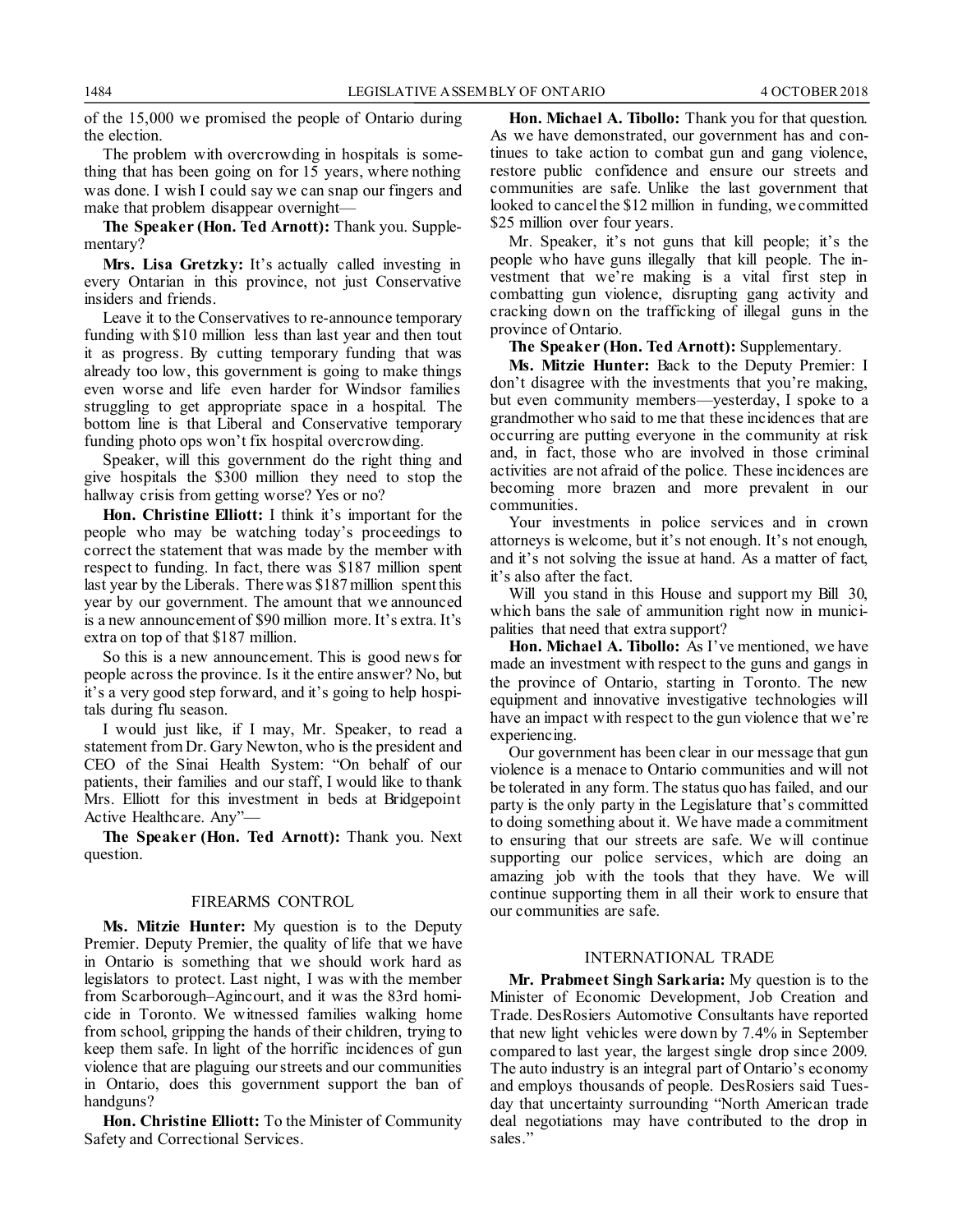of the 15,000 we promised the people of Ontario during the election.

The problem with overcrowding in hospitals is something that has been going on for 15 years, where nothing was done. I wish I could say we can snap our fingers and make that problem disappear overnight—

**The Speaker (Hon. Ted Arnott):** Thank you. Supplementary?

**Mrs. Lisa Gretzky:** It's actually called investing in every Ontarian in this province, not just Conservative insiders and friends.

Leave it to the Conservatives to re-announce temporary funding with \$10 million less than last year and then tout it as progress. By cutting temporary funding that was already too low, this government is going to make things even worse and life even harder for Windsor families struggling to get appropriate space in a hospital. The bottom line is that Liberal and Conservative temporary funding photo ops won't fix hospital overcrowding.

Speaker, will this government do the right thing and give hospitals the \$300 million they need to stop the hallway crisis from getting worse? Yes or no?

**Hon. Christine Elliott:** I think it's important for the people who may be watching today's proceedings to correct the statement that was made by the member with respect to funding. In fact, there was \$187 million spent last year by the Liberals. There was \$187 million spent this year by our government. The amount that we announced is a new announcement of \$90 million more. It's extra. It's extra on top of that \$187 million.

So this is a new announcement. This is good news for people across the province. Is it the entire answer? No, but it's a very good step forward, and it's going to help hospitals during flu season.

I would just like, if I may, Mr. Speaker, to read a statement from Dr. Gary Newton, who is the president and CEO of the Sinai Health System: "On behalf of our patients, their families and our staff, I would like to thank Mrs. Elliott for this investment in beds at Bridgepoint Active Healthcare. Any"—

**The Speaker (Hon. Ted Arnott):** Thank you. Next question.

#### FIREARMS CONTROL

**Ms. Mitzie Hunter:** My question is to the Deputy Premier. Deputy Premier, the quality of life that we have in Ontario is something that we should work hard as legislators to protect. Last night, I was with the member from Scarborough–Agincourt, and it was the 83rd homicide in Toronto. We witnessed families walking home from school, gripping the hands of their children, trying to keep them safe. In light of the horrific incidences of gun violence that are plaguing our streets and our communities in Ontario, does this government support the ban of handguns?

**Hon. Christine Elliott:** To the Minister of Community Safety and Correctional Services.

**Hon. Michael A. Tibollo:** Thank you for that question. As we have demonstrated, our government has and continues to take action to combat gun and gang violence, restore public confidence and ensure our streets and communities are safe. Unlike the last government that looked to cancel the \$12 million in funding, we committed \$25 million over four years.

Mr. Speaker, it's not guns that kill people; it's the people who have guns illegally that kill people. The investment that we're making is a vital first step in combatting gun violence, disrupting gang activity and cracking down on the trafficking of illegal guns in the province of Ontario.

**The Speaker (Hon. Ted Arnott):** Supplementary.

**Ms. Mitzie Hunter:** Back to the Deputy Premier: I don't disagree with the investments that you're making, but even community members—yesterday, I spoke to a grandmother who said to me that these incidences that are occurring are putting everyone in the community at risk and, in fact, those who are involved in those criminal activities are not afraid of the police. These incidences are becoming more brazen and more prevalent in our communities.

Your investments in police services and in crown attorneys is welcome, but it's not enough. It's not enough, and it's not solving the issue at hand. As a matter of fact, it's also after the fact.

Will you stand in this House and support my Bill 30, which bans the sale of ammunition right now in municipalities that need that extra support?

**Hon. Michael A. Tibollo:** As I've mentioned, we have made an investment with respect to the guns and gangs in the province of Ontario, starting in Toronto. The new equipment and innovative investigative technologies will have an impact with respect to the gun violence that we're experiencing.

Our government has been clear in our message that gun violence is a menace to Ontario communities and will not be tolerated in any form. The status quo has failed, and our party is the only party in the Legislature that's committed to doing something about it. We have made a commitment to ensuring that our streets are safe. We will continue supporting our police services, which are doing an amazing job with the tools that they have. We will continue supporting them in all their work to ensure that our communities are safe.

### INTERNATIONAL TRADE

**Mr. Prabmeet Singh Sarkaria:** My question is to the Minister of Economic Development, Job Creation and Trade. DesRosiers Automotive Consultants have reported that new light vehicles were down by 7.4% in September compared to last year, the largest single drop since 2009. The auto industry is an integral part of Ontario's economy and employs thousands of people. DesRosiers said Tuesday that uncertainty surrounding "North American trade deal negotiations may have contributed to the drop in sales."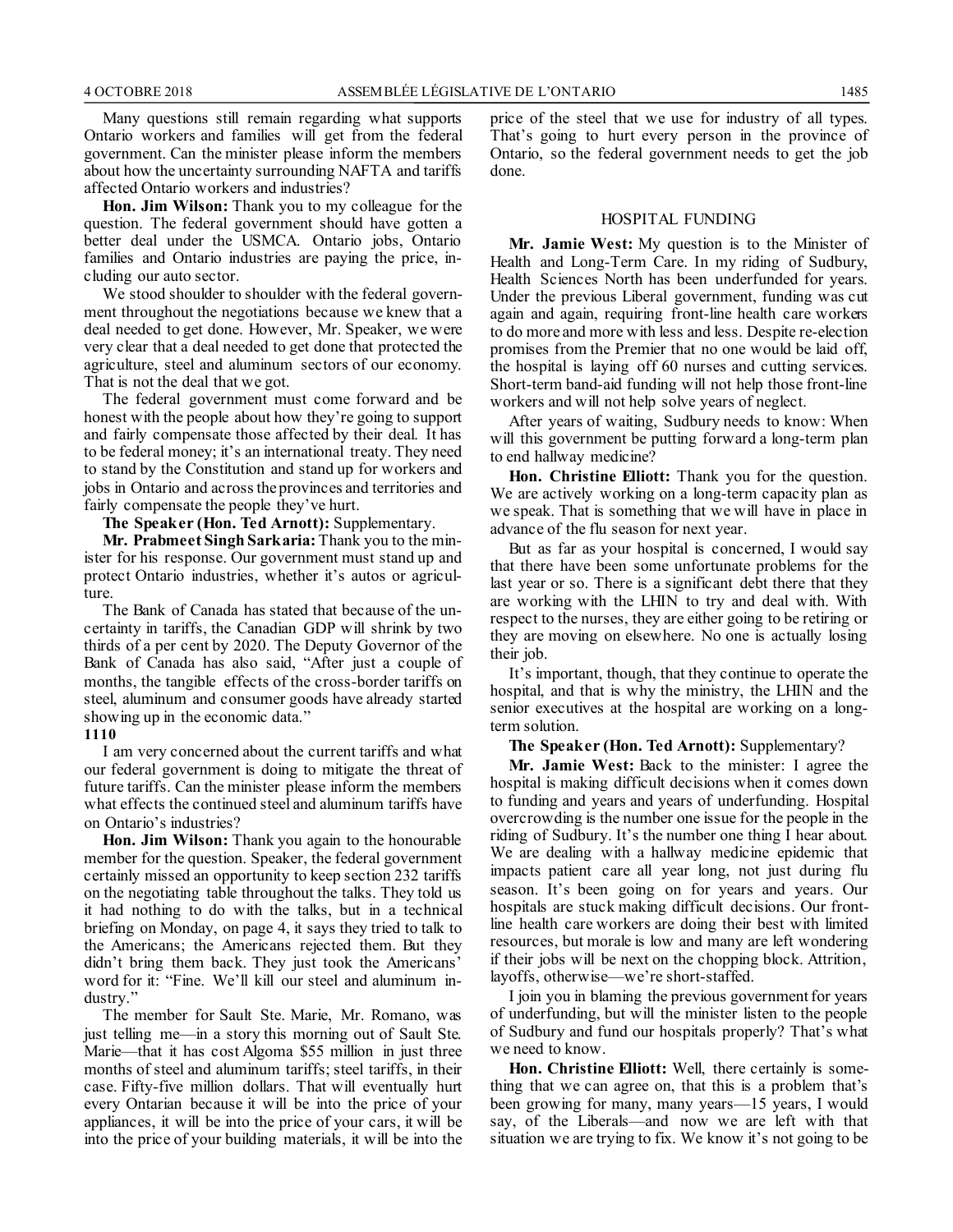Many questions still remain regarding what supports Ontario workers and families will get from the federal government. Can the minister please inform the members about how the uncertainty surrounding NAFTA and tariffs affected Ontario workers and industries?

**Hon. Jim Wilson:** Thank you to my colleague for the question. The federal government should have gotten a better deal under the USMCA. Ontario jobs, Ontario families and Ontario industries are paying the price, including our auto sector.

We stood shoulder to shoulder with the federal government throughout the negotiations because we knew that a deal needed to get done. However, Mr. Speaker, we were very clear that a deal needed to get done that protected the agriculture, steel and aluminum sectors of our economy. That is not the deal that we got.

The federal government must come forward and be honest with the people about how they're going to support and fairly compensate those affected by their deal. It has to be federal money; it's an international treaty. They need to stand by the Constitution and stand up for workers and jobs in Ontario and across the provinces and territories and fairly compensate the people they've hurt.

#### **The Speaker (Hon. Ted Arnott):** Supplementary.

**Mr. Prabmeet Singh Sarkaria:** Thank you to the minister for his response. Our government must stand up and protect Ontario industries, whether it's autos or agriculture.

The Bank of Canada has stated that because of the uncertainty in tariffs, the Canadian GDP will shrink by two thirds of a per cent by 2020. The Deputy Governor of the Bank of Canada has also said, "After just a couple of months, the tangible effects of the cross-border tariffs on steel, aluminum and consumer goods have already started showing up in the economic data."

#### **1110**

I am very concerned about the current tariffs and what our federal government is doing to mitigate the threat of future tariffs. Can the minister please inform the members what effects the continued steel and aluminum tariffs have on Ontario's industries?

**Hon. Jim Wilson:** Thank you again to the honourable member for the question. Speaker, the federal government certainly missed an opportunity to keep section 232 tariffs on the negotiating table throughout the talks. They told us it had nothing to do with the talks, but in a technical briefing on Monday, on page 4, it says they tried to talk to the Americans; the Americans rejected them. But they didn't bring them back. They just took the Americans' word for it: "Fine. We'll kill our steel and aluminum industry."

The member for Sault Ste. Marie, Mr. Romano, was just telling me—in a story this morning out of Sault Ste. Marie—that it has cost Algoma \$55 million in just three months of steel and aluminum tariffs; steel tariffs, in their case. Fifty-five million dollars. That will eventually hurt every Ontarian because it will be into the price of your appliances, it will be into the price of your cars, it will be into the price of your building materials, it will be into the price of the steel that we use for industry of all types. That's going to hurt every person in the province of Ontario, so the federal government needs to get the job done.

#### HOSPITAL FUNDING

**Mr. Jamie West:** My question is to the Minister of Health and Long-Term Care. In my riding of Sudbury, Health Sciences North has been underfunded for years. Under the previous Liberal government, funding was cut again and again, requiring front-line health care workers to do more and more with less and less. Despite re-election promises from the Premier that no one would be laid off, the hospital is laying off 60 nurses and cutting services. Short-term band-aid funding will not help those front-line workers and will not help solve years of neglect.

After years of waiting, Sudbury needs to know: When will this government be putting forward a long-term plan to end hallway medicine?

**Hon. Christine Elliott:** Thank you for the question. We are actively working on a long-term capacity plan as we speak. That is something that we will have in place in advance of the flu season for next year.

But as far as your hospital is concerned, I would say that there have been some unfortunate problems for the last year or so. There is a significant debt there that they are working with the LHIN to try and deal with. With respect to the nurses, they are either going to be retiring or they are moving on elsewhere. No one is actually losing their job.

It's important, though, that they continue to operate the hospital, and that is why the ministry, the LHIN and the senior executives at the hospital are working on a longterm solution.

**The Speaker (Hon. Ted Arnott):** Supplementary?

**Mr. Jamie West:** Back to the minister: I agree the hospital is making difficult decisions when it comes down to funding and years and years of underfunding. Hospital overcrowding is the number one issue for the people in the riding of Sudbury. It's the number one thing I hear about. We are dealing with a hallway medicine epidemic that impacts patient care all year long, not just during flu season. It's been going on for years and years. Our hospitals are stuck making difficult decisions. Our frontline health care workers are doing their best with limited resources, but morale is low and many are left wondering if their jobs will be next on the chopping block. Attrition, layoffs, otherwise—we're short-staffed.

I join you in blaming the previous government for years of underfunding, but will the minister listen to the people of Sudbury and fund our hospitals properly? That's what we need to know.

**Hon. Christine Elliott:** Well, there certainly is something that we can agree on, that this is a problem that's been growing for many, many years—15 years, I would say, of the Liberals—and now we are left with that situation we are trying to fix. We know it's not going to be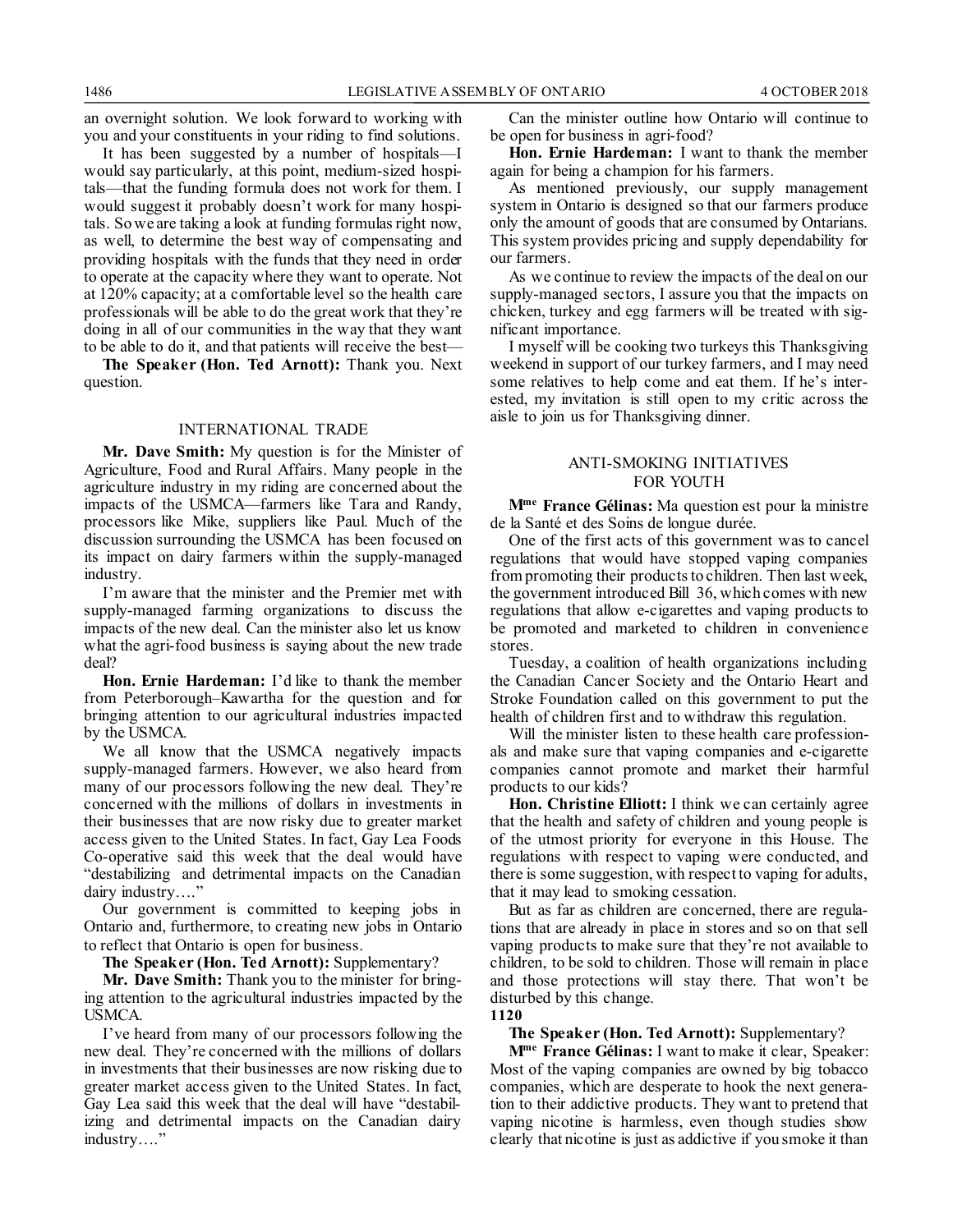an overnight solution. We look forward to working with you and your constituents in your riding to find solutions.

It has been suggested by a number of hospitals—I would say particularly, at this point, medium-sized hospitals—that the funding formula does not work for them. I would suggest it probably doesn't work for many hospitals. So we are taking a look at funding formulas right now, as well, to determine the best way of compensating and providing hospitals with the funds that they need in order to operate at the capacity where they want to operate. Not at 120% capacity; at a comfortable level so the health care professionals will be able to do the great work that they're doing in all of our communities in the way that they want to be able to do it, and that patients will receive the best—

**The Speaker (Hon. Ted Arnott):** Thank you. Next question.

#### INTERNATIONAL TRADE

**Mr. Dave Smith:** My question is for the Minister of Agriculture, Food and Rural Affairs. Many people in the agriculture industry in my riding are concerned about the impacts of the USMCA—farmers like Tara and Randy, processors like Mike, suppliers like Paul. Much of the discussion surrounding the USMCA has been focused on its impact on dairy farmers within the supply-managed industry.

I'm aware that the minister and the Premier met with supply-managed farming organizations to discuss the impacts of the new deal. Can the minister also let us know what the agri-food business is saying about the new trade deal?

**Hon. Ernie Hardeman:** I'd like to thank the member from Peterborough–Kawartha for the question and for bringing attention to our agricultural industries impacted by the USMCA.

We all know that the USMCA negatively impacts supply-managed farmers. However, we also heard from many of our processors following the new deal. They're concerned with the millions of dollars in investments in their businesses that are now risky due to greater market access given to the United States. In fact, Gay Lea Foods Co-operative said this week that the deal would have "destabilizing and detrimental impacts on the Canadian dairy industry…."

Our government is committed to keeping jobs in Ontario and, furthermore, to creating new jobs in Ontario to reflect that Ontario is open for business.

**The Speaker (Hon. Ted Arnott):** Supplementary?

**Mr. Dave Smith:** Thank you to the minister for bringing attention to the agricultural industries impacted by the USMCA.

I've heard from many of our processors following the new deal. They're concerned with the millions of dollars in investments that their businesses are now risking due to greater market access given to the United States. In fact, Gay Lea said this week that the deal will have "destabilizing and detrimental impacts on the Canadian dairy industry…."

Can the minister outline how Ontario will continue to be open for business in agri-food?

**Hon. Ernie Hardeman:** I want to thank the member again for being a champion for his farmers.

As mentioned previously, our supply management system in Ontario is designed so that our farmers produce only the amount of goods that are consumed by Ontarians. This system provides pricing and supply dependability for our farmers.

As we continue to review the impacts of the deal on our supply-managed sectors, I assure you that the impacts on chicken, turkey and egg farmers will be treated with significant importance.

I myself will be cooking two turkeys this Thanksgiving weekend in support of our turkey farmers, and I may need some relatives to help come and eat them. If he's interested, my invitation is still open to my critic across the aisle to join us for Thanksgiving dinner.

#### ANTI-SMOKING INITIATIVES FOR YOUTH

**Mme France Gélinas:** Ma question est pour la ministre de la Santé et des Soins de longue durée.

One of the first acts of this government was to cancel regulations that would have stopped vaping companies from promoting their products to children. Then last week, the government introduced Bill 36, which comes with new regulations that allow e-cigarettes and vaping products to be promoted and marketed to children in convenience stores.

Tuesday, a coalition of health organizations including the Canadian Cancer Society and the Ontario Heart and Stroke Foundation called on this government to put the health of children first and to withdraw this regulation.

Will the minister listen to these health care professionals and make sure that vaping companies and e-cigarette companies cannot promote and market their harmful products to our kids?

**Hon. Christine Elliott:** I think we can certainly agree that the health and safety of children and young people is of the utmost priority for everyone in this House. The regulations with respect to vaping were conducted, and there is some suggestion, with respect to vaping for adults, that it may lead to smoking cessation.

But as far as children are concerned, there are regulations that are already in place in stores and so on that sell vaping products to make sure that they're not available to children, to be sold to children. Those will remain in place and those protections will stay there. That won't be disturbed by this change.

#### **1120**

#### **The Speaker (Hon. Ted Arnott):** Supplementary?

**Mme France Gélinas:** I want to make it clear, Speaker: Most of the vaping companies are owned by big tobacco companies, which are desperate to hook the next generation to their addictive products. They want to pretend that vaping nicotine is harmless, even though studies show clearly that nicotine is just as addictive if you smoke it than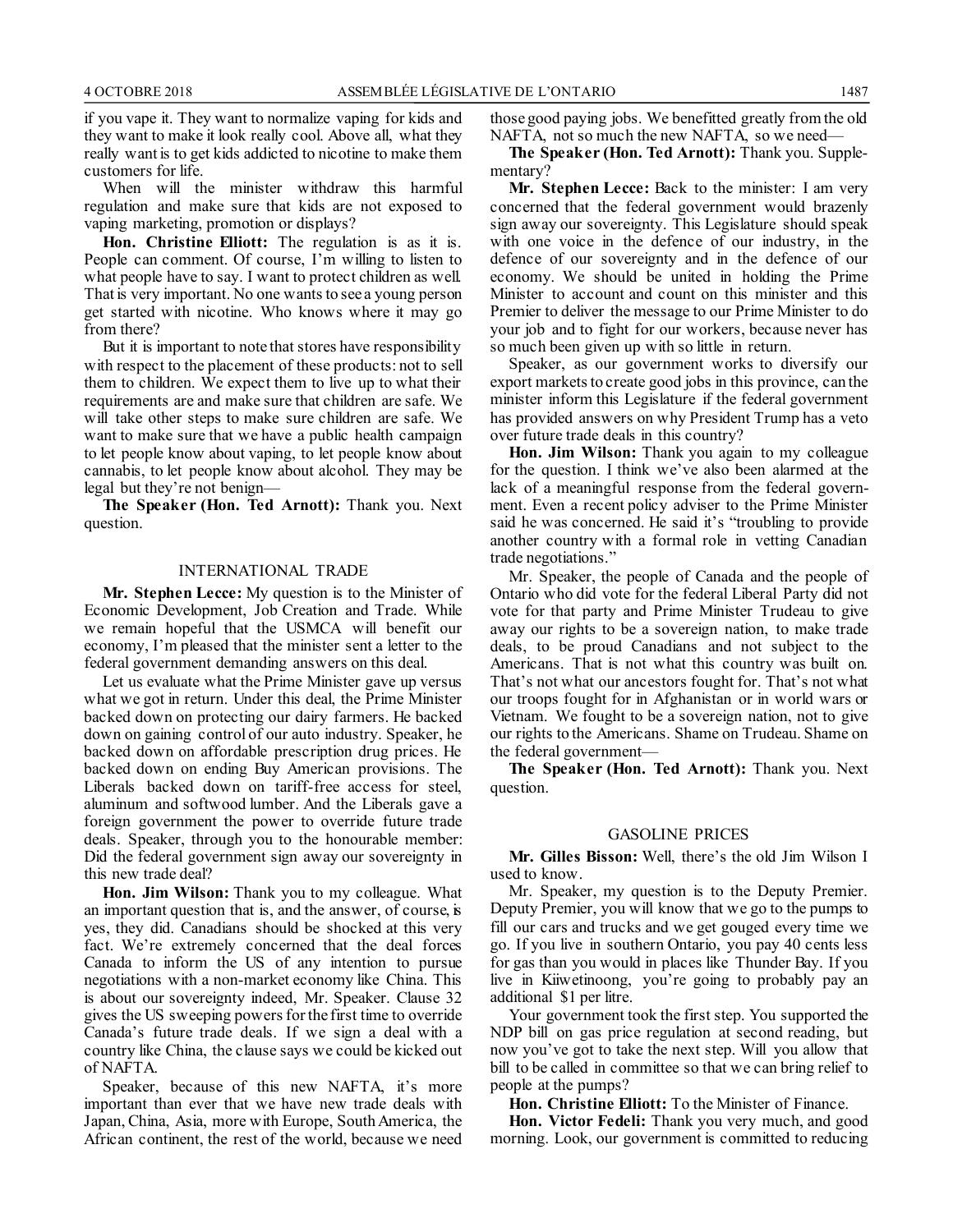if you vape it. They want to normalize vaping for kids and they want to make it look really cool. Above all, what they really want is to get kids addicted to nicotine to make them customers for life.

When will the minister withdraw this harmful regulation and make sure that kids are not exposed to vaping marketing, promotion or displays?

**Hon. Christine Elliott:** The regulation is as it is. People can comment. Of course, I'm willing to listen to what people have to say. I want to protect children as well. That is very important. No one wants to see a young person get started with nicotine. Who knows where it may go from there?

But it is important to note that stores have responsibility with respect to the placement of these products: not to sell them to children. We expect them to live up to what their requirements are and make sure that children are safe. We will take other steps to make sure children are safe. We want to make sure that we have a public health campaign to let people know about vaping, to let people know about cannabis, to let people know about alcohol. They may be legal but they're not benign—

**The Speaker (Hon. Ted Arnott):** Thank you. Next question.

#### INTERNATIONAL TRADE

**Mr. Stephen Lecce:** My question is to the Minister of Economic Development, Job Creation and Trade. While we remain hopeful that the USMCA will benefit our economy, I'm pleased that the minister sent a letter to the federal government demanding answers on this deal.

Let us evaluate what the Prime Minister gave up versus what we got in return. Under this deal, the Prime Minister backed down on protecting our dairy farmers. He backed down on gaining control of our auto industry. Speaker, he backed down on affordable prescription drug prices. He backed down on ending Buy American provisions. The Liberals backed down on tariff-free access for steel, aluminum and softwood lumber. And the Liberals gave a foreign government the power to override future trade deals. Speaker, through you to the honourable member: Did the federal government sign away our sovereignty in this new trade deal?

**Hon. Jim Wilson:** Thank you to my colleague. What an important question that is, and the answer, of course, is yes, they did. Canadians should be shocked at this very fact. We're extremely concerned that the deal forces Canada to inform the US of any intention to pursue negotiations with a non-market economy like China. This is about our sovereignty indeed, Mr. Speaker. Clause 32 gives the US sweeping powers for the first time to override Canada's future trade deals. If we sign a deal with a country like China, the clause says we could be kicked out of NAFTA.

Speaker, because of this new NAFTA, it's more important than ever that we have new trade deals with Japan, China, Asia, more with Europe, South America, the African continent, the rest of the world, because we need those good paying jobs. We benefitted greatly from the old NAFTA, not so much the new NAFTA, so we need—

**The Speaker (Hon. Ted Arnott):** Thank you. Supplementary?

**Mr. Stephen Lecce:** Back to the minister: I am very concerned that the federal government would brazenly sign away our sovereignty. This Legislature should speak with one voice in the defence of our industry, in the defence of our sovereignty and in the defence of our economy. We should be united in holding the Prime Minister to account and count on this minister and this Premier to deliver the message to our Prime Minister to do your job and to fight for our workers, because never has so much been given up with so little in return.

Speaker, as our government works to diversify our export markets to create good jobs in this province, can the minister inform this Legislature if the federal government has provided answers on why President Trump has a veto over future trade deals in this country?

**Hon. Jim Wilson:** Thank you again to my colleague for the question. I think we've also been alarmed at the lack of a meaningful response from the federal government. Even a recent policy adviser to the Prime Minister said he was concerned. He said it's "troubling to provide another country with a formal role in vetting Canadian trade negotiations."

Mr. Speaker, the people of Canada and the people of Ontario who did vote for the federal Liberal Party did not vote for that party and Prime Minister Trudeau to give away our rights to be a sovereign nation, to make trade deals, to be proud Canadians and not subject to the Americans. That is not what this country was built on. That's not what our ancestors fought for. That's not what our troops fought for in Afghanistan or in world wars or Vietnam. We fought to be a sovereign nation, not to give our rights to the Americans. Shame on Trudeau. Shame on the federal government—

**The Speaker (Hon. Ted Arnott):** Thank you. Next question.

#### GASOLINE PRICES

**Mr. Gilles Bisson:** Well, there's the old Jim Wilson I used to know.

Mr. Speaker, my question is to the Deputy Premier. Deputy Premier, you will know that we go to the pumps to fill our cars and trucks and we get gouged every time we go. If you live in southern Ontario, you pay 40 cents less for gas than you would in places like Thunder Bay. If you live in Kiiwetinoong, you're going to probably pay an additional \$1 per litre.

Your government took the first step. You supported the NDP bill on gas price regulation at second reading, but now you've got to take the next step. Will you allow that bill to be called in committee so that we can bring relief to people at the pumps?

**Hon. Christine Elliott:** To the Minister of Finance.

**Hon. Victor Fedeli:** Thank you very much, and good morning. Look, our government is committed to reducing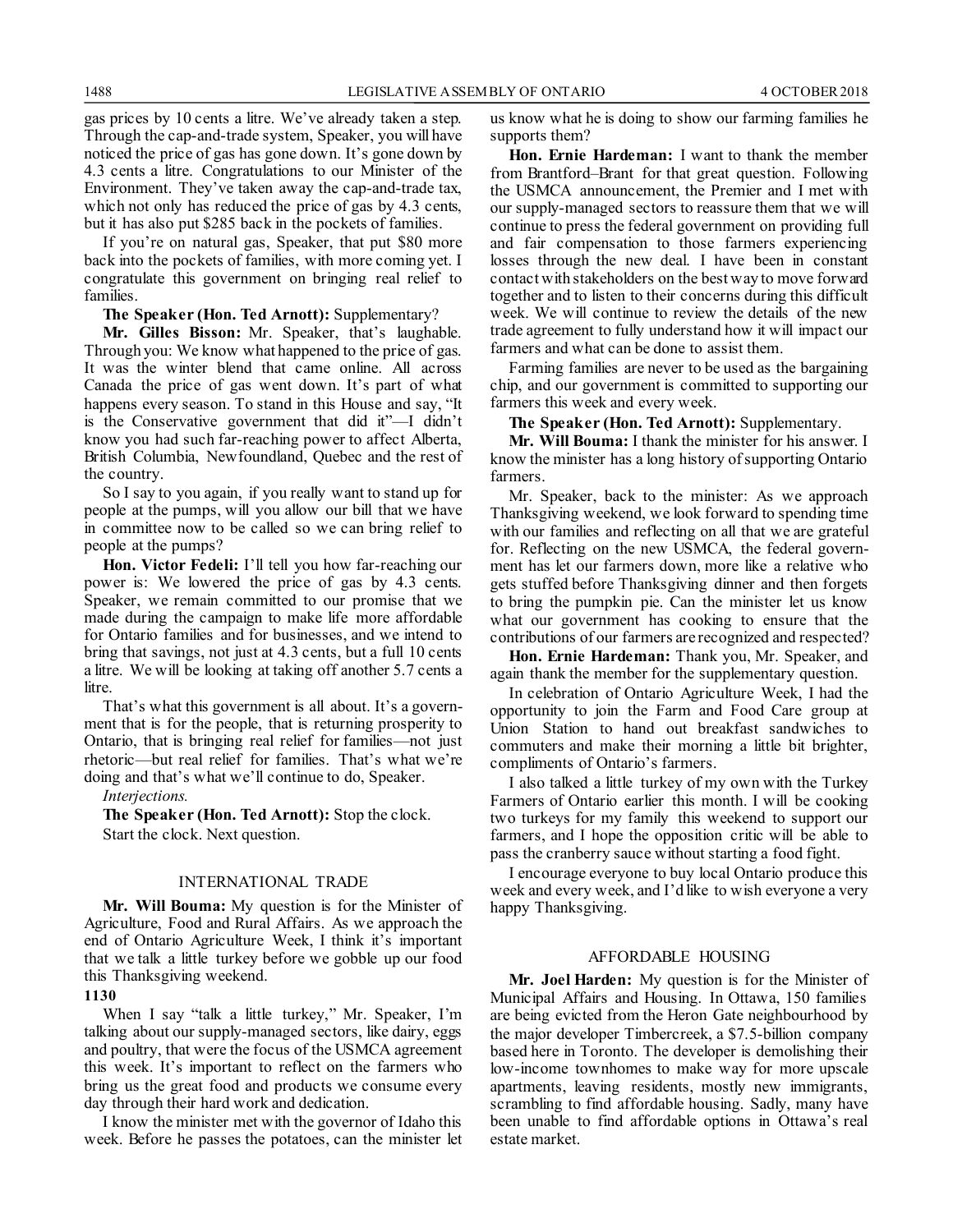gas prices by 10 cents a litre. We've already taken a step. Through the cap-and-trade system, Speaker, you will have noticed the price of gas has gone down. It's gone down by 4.3 cents a litre. Congratulations to our Minister of the Environment. They've taken away the cap-and-trade tax, which not only has reduced the price of gas by 4.3 cents, but it has also put \$285 back in the pockets of families.

If you're on natural gas, Speaker, that put \$80 more back into the pockets of families, with more coming yet. I congratulate this government on bringing real relief to families.

#### **The Speaker (Hon. Ted Arnott):** Supplementary?

**Mr. Gilles Bisson:** Mr. Speaker, that's laughable. Through you: We know what happened to the price of gas. It was the winter blend that came online. All across Canada the price of gas went down. It's part of what happens every season. To stand in this House and say, "It is the Conservative government that did it"—I didn't know you had such far-reaching power to affect Alberta, British Columbia, Newfoundland, Quebec and the rest of the country.

So I say to you again, if you really want to stand up for people at the pumps, will you allow our bill that we have in committee now to be called so we can bring relief to people at the pumps?

**Hon. Victor Fedeli:** I'll tell you how far-reaching our power is: We lowered the price of gas by 4.3 cents. Speaker, we remain committed to our promise that we made during the campaign to make life more affordable for Ontario families and for businesses, and we intend to bring that savings, not just at 4.3 cents, but a full 10 cents a litre. We will be looking at taking off another 5.7 cents a litre.

That's what this government is all about. It's a government that is for the people, that is returning prosperity to Ontario, that is bringing real relief for families—not just rhetoric—but real relief for families. That's what we're doing and that's what we'll continue to do, Speaker.

#### *Interjections.*

**The Speaker (Hon. Ted Arnott):** Stop the clock. Start the clock. Next question.

#### INTERNATIONAL TRADE

**Mr. Will Bouma:** My question is for the Minister of Agriculture, Food and Rural Affairs. As we approach the end of Ontario Agriculture Week, I think it's important that we talk a little turkey before we gobble up our food this Thanksgiving weekend.

#### **1130**

When I say "talk a little turkey," Mr. Speaker, I'm talking about our supply-managed sectors, like dairy, eggs and poultry, that were the focus of the USMCA agreement this week. It's important to reflect on the farmers who bring us the great food and products we consume every day through their hard work and dedication.

I know the minister met with the governor of Idaho this week. Before he passes the potatoes, can the minister let us know what he is doing to show our farming families he supports them?

**Hon. Ernie Hardeman:** I want to thank the member from Brantford–Brant for that great question. Following the USMCA announcement, the Premier and I met with our supply-managed sectors to reassure them that we will continue to press the federal government on providing full and fair compensation to those farmers experiencing losses through the new deal. I have been in constant contact with stakeholders on the best way to move forward together and to listen to their concerns during this difficult week. We will continue to review the details of the new trade agreement to fully understand how it will impact our farmers and what can be done to assist them.

Farming families are never to be used as the bargaining chip, and our government is committed to supporting our farmers this week and every week.

**The Speaker (Hon. Ted Arnott):** Supplementary.

**Mr. Will Bouma:** I thank the minister for his answer. I know the minister has a long history of supporting Ontario farmers.

Mr. Speaker, back to the minister: As we approach Thanksgiving weekend, we look forward to spending time with our families and reflecting on all that we are grateful for. Reflecting on the new USMCA, the federal government has let our farmers down, more like a relative who gets stuffed before Thanksgiving dinner and then forgets to bring the pumpkin pie. Can the minister let us know what our government has cooking to ensure that the contributions of our farmers are recognized and respected?

**Hon. Ernie Hardeman:** Thank you, Mr. Speaker, and again thank the member for the supplementary question.

In celebration of Ontario Agriculture Week, I had the opportunity to join the Farm and Food Care group at Union Station to hand out breakfast sandwiches to commuters and make their morning a little bit brighter, compliments of Ontario's farmers.

I also talked a little turkey of my own with the Turkey Farmers of Ontario earlier this month. I will be cooking two turkeys for my family this weekend to support our farmers, and I hope the opposition critic will be able to pass the cranberry sauce without starting a food fight.

I encourage everyone to buy local Ontario produce this week and every week, and I'd like to wish everyone a very happy Thanksgiving.

#### AFFORDABLE HOUSING

**Mr. Joel Harden:** My question is for the Minister of Municipal Affairs and Housing. In Ottawa, 150 families are being evicted from the Heron Gate neighbourhood by the major developer Timbercreek, a \$7.5-billion company based here in Toronto. The developer is demolishing their low-income townhomes to make way for more upscale apartments, leaving residents, mostly new immigrants, scrambling to find affordable housing. Sadly, many have been unable to find affordable options in Ottawa's real estate market.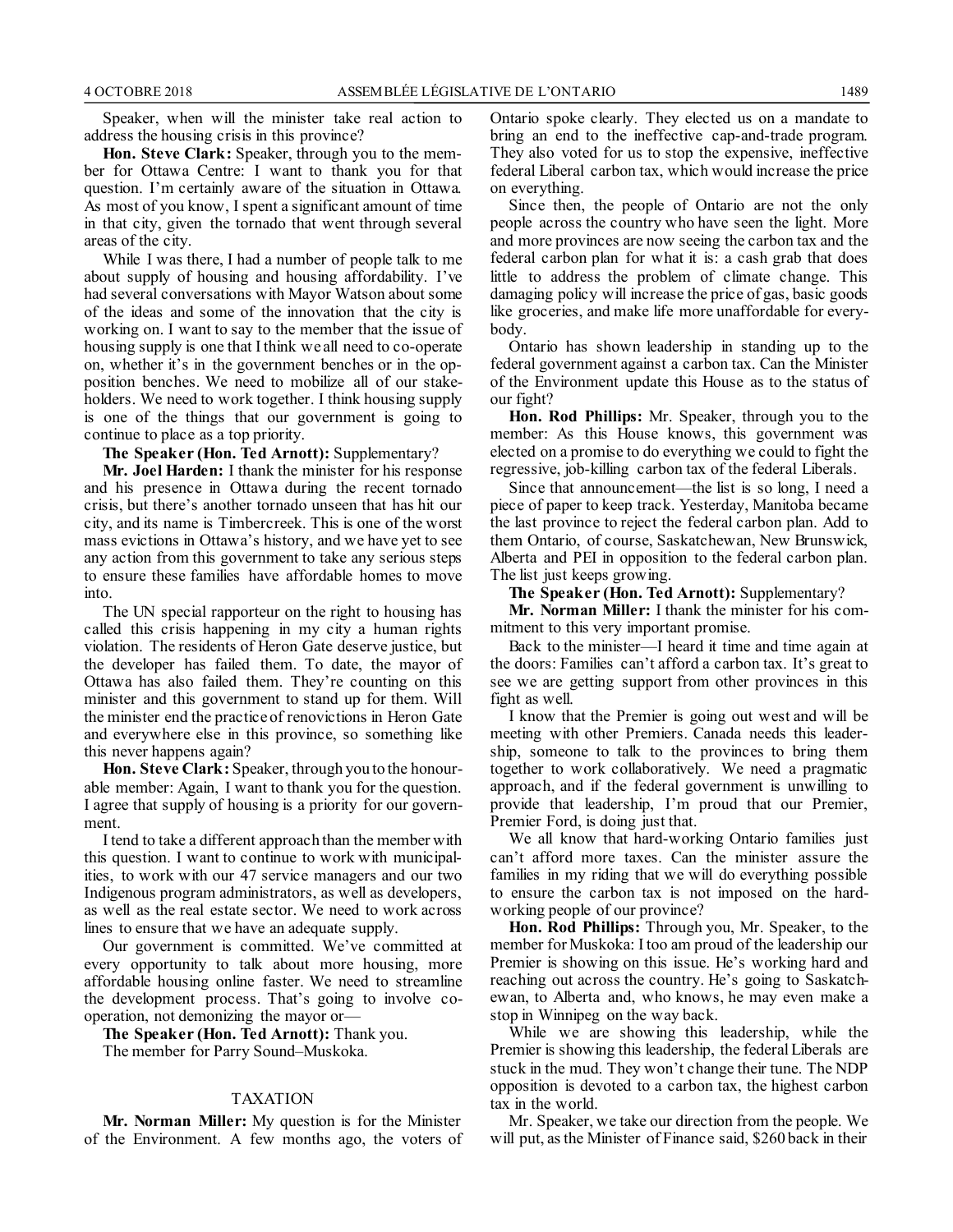Speaker, when will the minister take real action to address the housing crisis in this province?

**Hon. Steve Clark:** Speaker, through you to the member for Ottawa Centre: I want to thank you for that question. I'm certainly aware of the situation in Ottawa. As most of you know, I spent a significant amount of time in that city, given the tornado that went through several areas of the city.

While I was there, I had a number of people talk to me about supply of housing and housing affordability. I've had several conversations with Mayor Watson about some of the ideas and some of the innovation that the city is working on. I want to say to the member that the issue of housing supply is one that I think we all need to co-operate on, whether it's in the government benches or in the opposition benches. We need to mobilize all of our stakeholders. We need to work together. I think housing supply is one of the things that our government is going to continue to place as a top priority.

**The Speaker (Hon. Ted Arnott):** Supplementary?

**Mr. Joel Harden:** I thank the minister for his response and his presence in Ottawa during the recent tornado crisis, but there's another tornado unseen that has hit our city, and its name is Timbercreek. This is one of the worst mass evictions in Ottawa's history, and we have yet to see any action from this government to take any serious steps to ensure these families have affordable homes to move into.

The UN special rapporteur on the right to housing has called this crisis happening in my city a human rights violation. The residents of Heron Gate deserve justice, but the developer has failed them. To date, the mayor of Ottawa has also failed them. They're counting on this minister and this government to stand up for them. Will the minister end the practice of renovictions in Heron Gate and everywhere else in this province, so something like this never happens again?

**Hon. Steve Clark:** Speaker, through you to the honourable member: Again, I want to thank you for the question. I agree that supply of housing is a priority for our government.

I tend to take a different approach than the member with this question. I want to continue to work with municipalities, to work with our 47 service managers and our two Indigenous program administrators, as well as developers, as well as the real estate sector. We need to work across lines to ensure that we have an adequate supply.

Our government is committed. We've committed at every opportunity to talk about more housing, more affordable housing online faster. We need to streamline the development process. That's going to involve cooperation, not demonizing the mayor or—

**The Speaker (Hon. Ted Arnott):** Thank you.

The member for Parry Sound–Muskoka.

#### TAXATION

**Mr. Norman Miller:** My question is for the Minister of the Environment. A few months ago, the voters of Ontario spoke clearly. They elected us on a mandate to bring an end to the ineffective cap-and-trade program. They also voted for us to stop the expensive, ineffective federal Liberal carbon tax, which would increase the price on everything.

Since then, the people of Ontario are not the only people across the country who have seen the light. More and more provinces are now seeing the carbon tax and the federal carbon plan for what it is: a cash grab that does little to address the problem of climate change. This damaging policy will increase the price of gas, basic goods like groceries, and make life more unaffordable for everybody.

Ontario has shown leadership in standing up to the federal government against a carbon tax. Can the Minister of the Environment update this House as to the status of our fight?

**Hon. Rod Phillips:** Mr. Speaker, through you to the member: As this House knows, this government was elected on a promise to do everything we could to fight the regressive, job-killing carbon tax of the federal Liberals.

Since that announcement—the list is so long, I need a piece of paper to keep track. Yesterday, Manitoba became the last province to reject the federal carbon plan. Add to them Ontario, of course, Saskatchewan, New Brunswick, Alberta and PEI in opposition to the federal carbon plan. The list just keeps growing.

**The Speaker (Hon. Ted Arnott):** Supplementary?

**Mr. Norman Miller:** I thank the minister for his commitment to this very important promise.

Back to the minister—I heard it time and time again at the doors: Families can't afford a carbon tax. It's great to see we are getting support from other provinces in this fight as well.

I know that the Premier is going out west and will be meeting with other Premiers. Canada needs this leadership, someone to talk to the provinces to bring them together to work collaboratively. We need a pragmatic approach, and if the federal government is unwilling to provide that leadership, I'm proud that our Premier, Premier Ford, is doing just that.

We all know that hard-working Ontario families just can't afford more taxes. Can the minister assure the families in my riding that we will do everything possible to ensure the carbon tax is not imposed on the hardworking people of our province?

**Hon. Rod Phillips:** Through you, Mr. Speaker, to the member for Muskoka: I too am proud of the leadership our Premier is showing on this issue. He's working hard and reaching out across the country. He's going to Saskatchewan, to Alberta and, who knows, he may even make a stop in Winnipeg on the way back.

While we are showing this leadership, while the Premier is showing this leadership, the federal Liberals are stuck in the mud. They won't change their tune. The NDP opposition is devoted to a carbon tax, the highest carbon tax in the world.

Mr. Speaker, we take our direction from the people. We will put, as the Minister of Finance said, \$260 back in their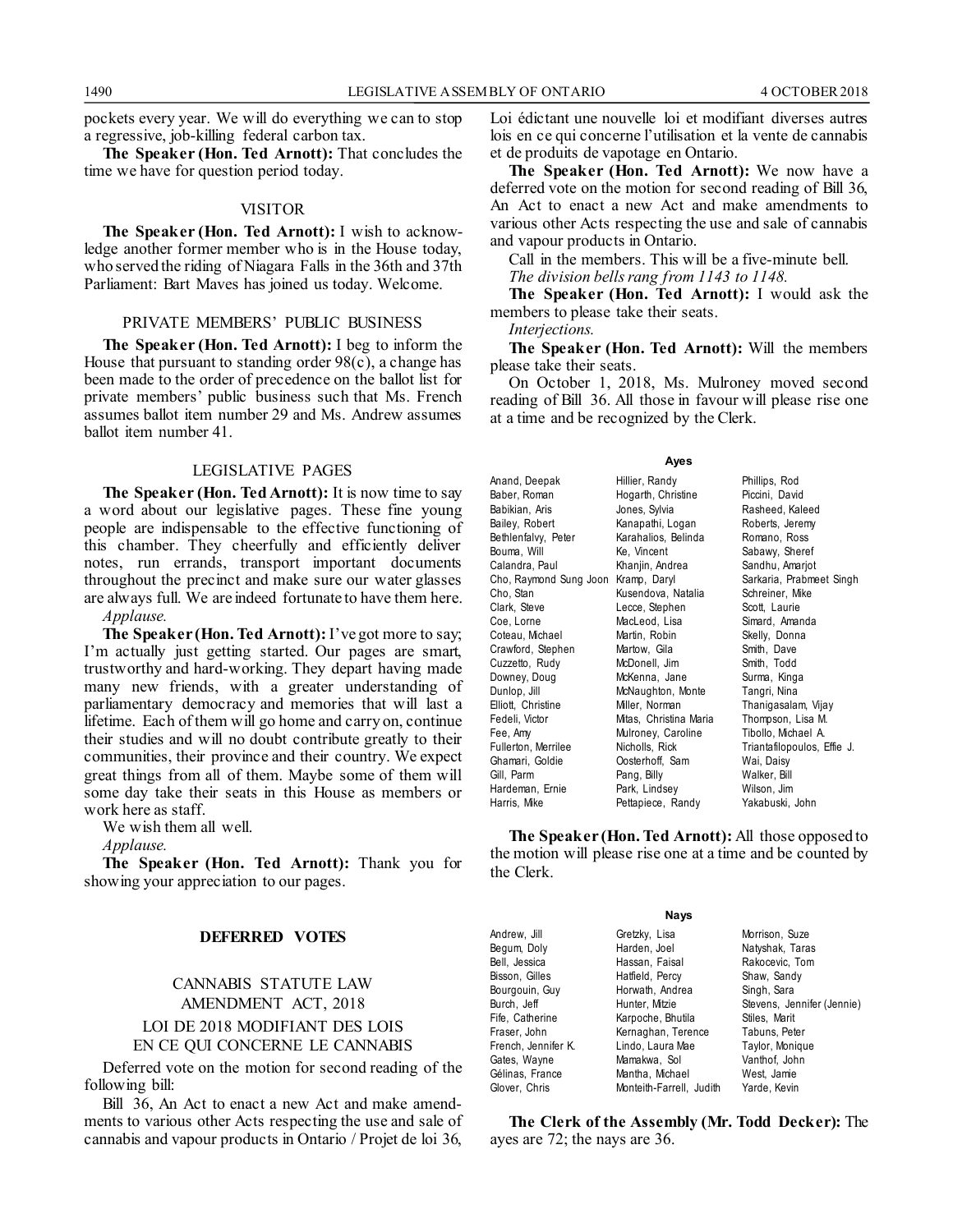pockets every year. We will do everything we can to stop a regressive, job-killing federal carbon tax.

**The Speaker (Hon. Ted Arnott):** That concludes the time we have for question period today.

#### VISITOR

**The Speaker (Hon. Ted Arnott):** I wish to acknowledge another former member who is in the House today, who served the riding of Niagara Falls in the 36th and 37th Parliament: Bart Maves has joined us today. Welcome.

#### PRIVATE MEMBERS' PUBLIC BUSINESS

**The Speaker (Hon. Ted Arnott):** I beg to inform the House that pursuant to standing order  $98(c)$ , a change has been made to the order of precedence on the ballot list for private members' public business such that Ms. French assumes ballot item number 29 and Ms. Andrew assumes ballot item number 41.

#### LEGISLATIVE PAGES

**The Speaker (Hon. Ted Arnott):** It is now time to say a word about our legislative pages. These fine young people are indispensable to the effective functioning of this chamber. They cheerfully and efficiently deliver notes, run errands, transport important documents throughout the precinct and make sure our water glasses are always full. We are indeed fortunate to have them here.

*Applause.*

**The Speaker (Hon. Ted Arnott):** I've got more to say; I'm actually just getting started. Our pages are smart, trustworthy and hard-working. They depart having made many new friends, with a greater understanding of parliamentary democracy and memories that will last a lifetime. Each of them will go home and carry on, continue their studies and will no doubt contribute greatly to their communities, their province and their country. We expect great things from all of them. Maybe some of them will some day take their seats in this House as members or work here as staff.

We wish them all well.

*Applause.*

**The Speaker (Hon. Ted Arnott):** Thank you for showing your appreciation to our pages.

#### **DEFERRED VOTES**

### CANNABIS STATUTE LAW AMENDMENT ACT, 2018 LOI DE 2018 MODIFIANT DES LOIS EN CE QUI CONCERNE LE CANNABIS

Deferred vote on the motion for second reading of the following bill:

Bill 36, An Act to enact a new Act and make amendments to various other Acts respecting the use and sale of cannabis and vapour products in Ontario / Projet de loi 36,

Loi édictant une nouvelle loi et modifiant diverses autres lois en ce qui concerne l'utilisation et la vente de cannabis et de produits de vapotage en Ontario.

**The Speaker (Hon. Ted Arnott):** We now have a deferred vote on the motion for second reading of Bill 36, An Act to enact a new Act and make amendments to various other Acts respecting the use and sale of cannabis and vapour products in Ontario.

Call in the members. This will be a five-minute bell. *The division bells rang from 1143 to 1148.*

**The Speaker (Hon. Ted Arnott):** I would ask the members to please take their seats.

*Interjections.*

**The Speaker (Hon. Ted Arnott):** Will the members please take their seats.

On October 1, 2018, Ms. Mulroney moved second reading of Bill 36. All those in favour will please rise one at a time and be recognized by the Clerk.

#### **Ayes**

| Anand, Deepak          | Hillier, Randy         | Phillips, Rod               |
|------------------------|------------------------|-----------------------------|
| Baber, Roman           | Hogarth, Christine     | Piccini, David              |
| Babikian, Aris         | Jones, Sylvia          | Rasheed, Kaleed             |
| Bailey, Robert         | Kanapathi, Logan       | Roberts, Jeremy             |
| Bethlenfalvy, Peter    | Karahalios, Belinda    | Romano, Ross                |
| Bouma, Will            | Ke, Vincent            | Sabawy, Sheref              |
| Calandra, Paul         | Khanjin, Andrea        | Sandhu, Amarjot             |
| Cho, Raymond Sung Joon | Kramp, Daryl           | Sarkaria, Prabmeet Singh    |
| Cho, Stan              | Kusendova, Natalia     | Schreiner, Mike             |
| Clark, Steve           | Lecce, Stephen         | Scott, Laurie               |
| Coe, Lorne             | MacLeod, Lisa          | Simard, Amanda              |
| Coteau, Michael        | Martin, Robin          | Skelly, Donna               |
| Crawford, Stephen      | Martow, Gila           | Smith, Dave                 |
| Cuzzetto, Rudy         | McDonell, Jim          | Smith, Todd                 |
| Downey, Doug           | McKenna, Jane          | Surma, Kinga                |
| Dunlop, Jill           | McNaughton, Monte      | Tangri, Nina                |
| Elliott, Christine     | Miller, Norman         | Thanigasalam, Vijay         |
| Fedeli, Victor         | Mitas, Christina Maria | Thompson, Lisa M.           |
| Fee, Amy               | Mulroney, Caroline     | Tibollo, Michael A.         |
| Fullerton, Merrilee    | Nicholls, Rick         | Triantafilopoulos, Effie J. |
| Ghamari, Goldie        | Oosterhoff, Sam        | Wai, Daisy                  |
| Gill, Parm             | Pang, Billy            | Walker, Bill                |
| Hardeman, Ernie        | Park, Lindsey          | Wilson, Jim                 |
| Harris, Mike           | Pettapiece, Randy      | Yakabuski, John             |
|                        |                        |                             |

**The Speaker (Hon. Ted Arnott):** All those opposed to the motion will please rise one at a time and be counted by the Clerk.

| <b>Nays</b>         |                          |                            |  |  |
|---------------------|--------------------------|----------------------------|--|--|
| Andrew, Jill        | Gretzky, Lisa            | Morrison, Suze             |  |  |
| Begum, Doly         | Harden, Joel             | Natyshak, Taras            |  |  |
| Bell, Jessica       | Hassan, Faisal           | Rakocevic, Tom             |  |  |
| Bisson, Gilles      | Hatfield, Percy          | Shaw, Sandy                |  |  |
| Bourgouin, Guy      | Horwath, Andrea          | Singh, Sara                |  |  |
| Burch, Jeff         | Hunter, Mitzie           | Stevens, Jennifer (Jennie) |  |  |
| Fife, Catherine     | Karpoche, Bhutila        | Stiles, Marit              |  |  |
| Fraser, John        | Kernaghan, Terence       | Tabuns, Peter              |  |  |
| French, Jennifer K. | Lindo, Laura Mae         | Taylor, Monique            |  |  |
| Gates, Wayne        | Mamakwa, Sol             | Vanthof, John              |  |  |
| Gélinas, France     | Mantha, Michael          | West, Jamie                |  |  |
| Glover, Chris       | Monteith-Farrell, Judith | Yarde, Kevin               |  |  |

**The Clerk of the Assembly (Mr. Todd Decker):** The ayes are 72; the nays are 36.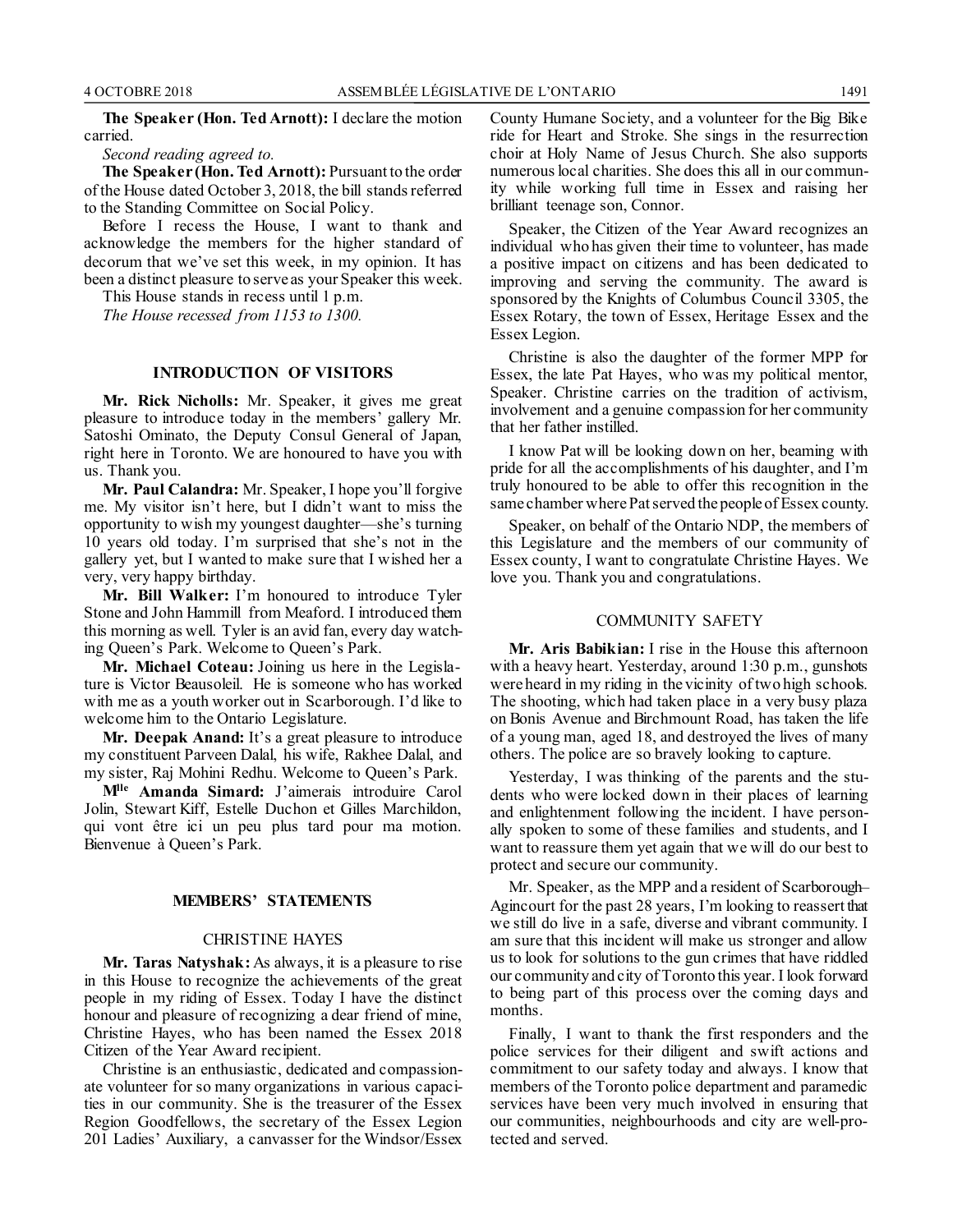**The Speaker (Hon. Ted Arnott):** I declare the motion carried.

#### *Second reading agreed to.*

**The Speaker (Hon. Ted Arnott):** Pursuant to the order of the House dated October 3, 2018, the bill stands referred to the Standing Committee on Social Policy.

Before I recess the House, I want to thank and acknowledge the members for the higher standard of decorum that we've set this week, in my opinion. It has been a distinct pleasure to serve as your Speaker this week.

This House stands in recess until 1 p.m.

*The House recessed from 1153 to 1300.*

#### **INTRODUCTION OF VISITORS**

**Mr. Rick Nicholls:** Mr. Speaker, it gives me great pleasure to introduce today in the members' gallery Mr. Satoshi Ominato, the Deputy Consul General of Japan, right here in Toronto. We are honoured to have you with us. Thank you.

**Mr. Paul Calandra:** Mr. Speaker, I hope you'll forgive me. My visitor isn't here, but I didn't want to miss the opportunity to wish my youngest daughter—she's turning 10 years old today. I'm surprised that she's not in the gallery yet, but I wanted to make sure that I wished her a very, very happy birthday.

**Mr. Bill Walker:** I'm honoured to introduce Tyler Stone and John Hammill from Meaford. I introduced them this morning as well. Tyler is an avid fan, every day watching Queen's Park. Welcome to Queen's Park.

**Mr. Michael Coteau:** Joining us here in the Legislature is Victor Beausoleil. He is someone who has worked with me as a youth worker out in Scarborough. I'd like to welcome him to the Ontario Legislature.

**Mr. Deepak Anand:** It's a great pleasure to introduce my constituent Parveen Dalal, his wife, Rakhee Dalal, and my sister, Raj Mohini Redhu. Welcome to Queen's Park.

**Mlle Amanda Simard:** J'aimerais introduire Carol Jolin, Stewart Kiff, Estelle Duchon et Gilles Marchildon, qui vont être ici un peu plus tard pour ma motion. Bienvenue à Queen's Park.

#### **MEMBERS' STATEMENTS**

#### CHRISTINE HAYES

**Mr. Taras Natyshak:** As always, it is a pleasure to rise in this House to recognize the achievements of the great people in my riding of Essex. Today I have the distinct honour and pleasure of recognizing a dear friend of mine, Christine Hayes, who has been named the Essex 2018 Citizen of the Year Award recipient.

Christine is an enthusiastic, dedicated and compassionate volunteer for so many organizations in various capacities in our community. She is the treasurer of the Essex Region Goodfellows, the secretary of the Essex Legion 201 Ladies' Auxiliary, a canvasser for the Windsor/Essex County Humane Society, and a volunteer for the Big Bike ride for Heart and Stroke. She sings in the resurrection choir at Holy Name of Jesus Church. She also supports numerous local charities. She does this all in our community while working full time in Essex and raising her brilliant teenage son, Connor.

Speaker, the Citizen of the Year Award recognizes an individual who has given their time to volunteer, has made a positive impact on citizens and has been dedicated to improving and serving the community. The award is sponsored by the Knights of Columbus Council 3305, the Essex Rotary, the town of Essex, Heritage Essex and the Essex Legion.

Christine is also the daughter of the former MPP for Essex, the late Pat Hayes, who was my political mentor, Speaker. Christine carries on the tradition of activism, involvement and a genuine compassion for her community that her father instilled.

I know Pat will be looking down on her, beaming with pride for all the accomplishments of his daughter, and I'm truly honoured to be able to offer this recognition in the same chamber where Pat served the people of Essex county.

Speaker, on behalf of the Ontario NDP, the members of this Legislature and the members of our community of Essex county, I want to congratulate Christine Hayes. We love you. Thank you and congratulations.

#### COMMUNITY SAFETY

**Mr. Aris Babikian:** I rise in the House this afternoon with a heavy heart. Yesterday, around 1:30 p.m., gunshots were heard in my riding in the vicinity of two high schools. The shooting, which had taken place in a very busy plaza on Bonis Avenue and Birchmount Road, has taken the life of a young man, aged 18, and destroyed the lives of many others. The police are so bravely looking to capture.

Yesterday, I was thinking of the parents and the students who were locked down in their places of learning and enlightenment following the incident. I have personally spoken to some of these families and students, and I want to reassure them yet again that we will do our best to protect and secure our community.

Mr. Speaker, as the MPP and a resident of Scarborough– Agincourt for the past 28 years, I'm looking to reassert that we still do live in a safe, diverse and vibrant community. I am sure that this incident will make us stronger and allow us to look for solutions to the gun crimes that have riddled our community and city of Toronto this year. I look forward to being part of this process over the coming days and months.

Finally, I want to thank the first responders and the police services for their diligent and swift actions and commitment to our safety today and always. I know that members of the Toronto police department and paramedic services have been very much involved in ensuring that our communities, neighbourhoods and city are well-protected and served.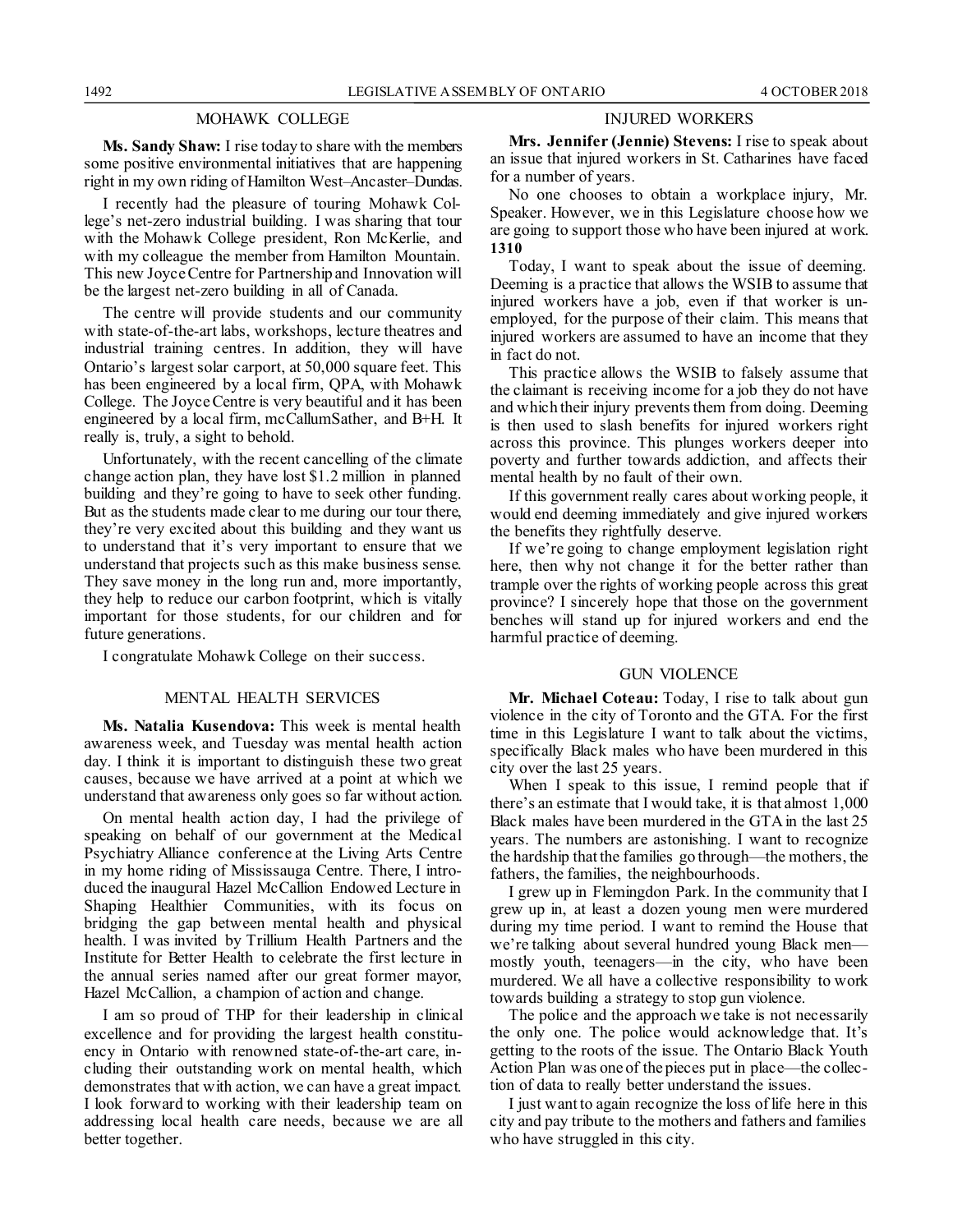#### MOHAWK COLLEGE

**Ms. Sandy Shaw:** I rise today to share with the members some positive environmental initiatives that are happening right in my own riding of Hamilton West–Ancaster–Dundas.

I recently had the pleasure of touring Mohawk College's net-zero industrial building. I was sharing that tour with the Mohawk College president, Ron McKerlie, and with my colleague the member from Hamilton Mountain. This new Joyce Centre for Partnership and Innovation will be the largest net-zero building in all of Canada.

The centre will provide students and our community with state-of-the-art labs, workshops, lecture theatres and industrial training centres. In addition, they will have Ontario's largest solar carport, at 50,000 square feet. This has been engineered by a local firm, QPA, with Mohawk College. The Joyce Centre is very beautiful and it has been engineered by a local firm, mcCallumSather, and B+H. It really is, truly, a sight to behold.

Unfortunately, with the recent cancelling of the climate change action plan, they have lost \$1.2 million in planned building and they're going to have to seek other funding. But as the students made clear to me during our tour there, they're very excited about this building and they want us to understand that it's very important to ensure that we understand that projects such as this make business sense. They save money in the long run and, more importantly, they help to reduce our carbon footprint, which is vitally important for those students, for our children and for future generations.

I congratulate Mohawk College on their success.

#### MENTAL HEALTH SERVICES

**Ms. Natalia Kusendova:** This week is mental health awareness week, and Tuesday was mental health action day. I think it is important to distinguish these two great causes, because we have arrived at a point at which we understand that awareness only goes so far without action.

On mental health action day, I had the privilege of speaking on behalf of our government at the Medical Psychiatry Alliance conference at the Living Arts Centre in my home riding of Mississauga Centre. There, I introduced the inaugural Hazel McCallion Endowed Lecture in Shaping Healthier Communities, with its focus on bridging the gap between mental health and physical health. I was invited by Trillium Health Partners and the Institute for Better Health to celebrate the first lecture in the annual series named after our great former mayor, Hazel McCallion, a champion of action and change.

I am so proud of THP for their leadership in clinical excellence and for providing the largest health constituency in Ontario with renowned state-of-the-art care, including their outstanding work on mental health, which demonstrates that with action, we can have a great impact. I look forward to working with their leadership team on addressing local health care needs, because we are all better together.

#### INJURED WORKERS

**Mrs. Jennifer (Jennie) Stevens:** I rise to speak about an issue that injured workers in St. Catharines have faced for a number of years.

No one chooses to obtain a workplace injury, Mr. Speaker. However, we in this Legislature choose how we are going to support those who have been injured at work. **1310**

Today, I want to speak about the issue of deeming. Deeming is a practice that allows the WSIB to assume that injured workers have a job, even if that worker is unemployed, for the purpose of their claim. This means that injured workers are assumed to have an income that they in fact do not.

This practice allows the WSIB to falsely assume that the claimant is receiving income for a job they do not have and which their injury prevents them from doing. Deeming is then used to slash benefits for injured workers right across this province. This plunges workers deeper into poverty and further towards addiction, and affects their mental health by no fault of their own.

If this government really cares about working people, it would end deeming immediately and give injured workers the benefits they rightfully deserve.

If we're going to change employment legislation right here, then why not change it for the better rather than trample over the rights of working people across this great province? I sincerely hope that those on the government benches will stand up for injured workers and end the harmful practice of deeming.

#### GUN VIOLENCE

**Mr. Michael Coteau:** Today, I rise to talk about gun violence in the city of Toronto and the GTA. For the first time in this Legislature I want to talk about the victims, specifically Black males who have been murdered in this city over the last 25 years.

When I speak to this issue, I remind people that if there's an estimate that I would take, it is that almost 1,000 Black males have been murdered in the GTA in the last 25 years. The numbers are astonishing. I want to recognize the hardship that the families go through—the mothers, the fathers, the families, the neighbourhoods.

I grew up in Flemingdon Park. In the community that I grew up in, at least a dozen young men were murdered during my time period. I want to remind the House that we're talking about several hundred young Black men mostly youth, teenagers—in the city, who have been murdered. We all have a collective responsibility to work towards building a strategy to stop gun violence.

The police and the approach we take is not necessarily the only one. The police would acknowledge that. It's getting to the roots of the issue. The Ontario Black Youth Action Plan was one of the pieces put in place—the collection of data to really better understand the issues.

I just want to again recognize the loss of life here in this city and pay tribute to the mothers and fathers and families who have struggled in this city.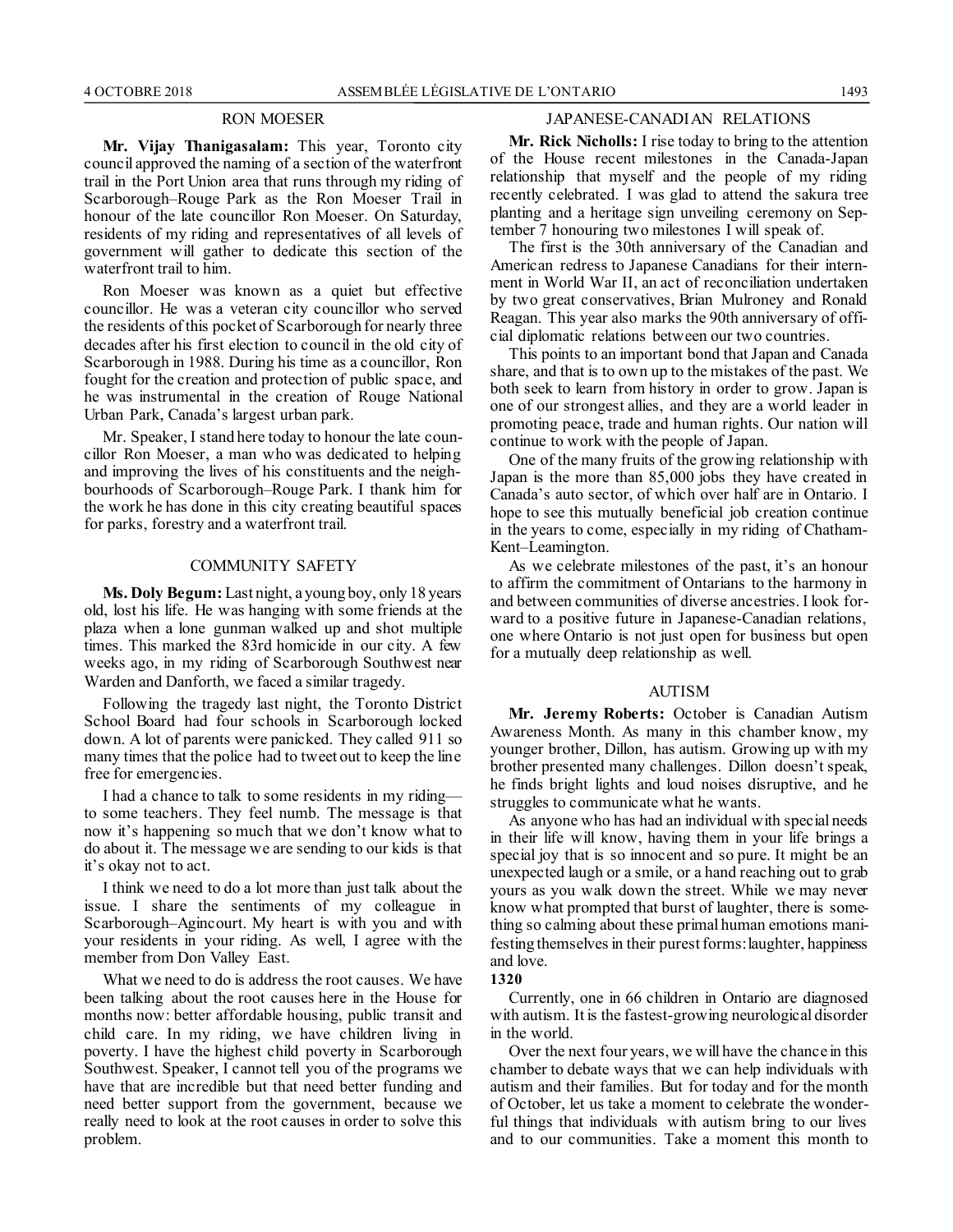#### RON MOESER

**Mr. Vijay Thanigasalam:** This year, Toronto city council approved the naming of a section of the waterfront trail in the Port Union area that runs through my riding of Scarborough–Rouge Park as the Ron Moeser Trail in honour of the late councillor Ron Moeser. On Saturday, residents of my riding and representatives of all levels of government will gather to dedicate this section of the waterfront trail to him.

Ron Moeser was known as a quiet but effective councillor. He was a veteran city councillor who served the residents of this pocket of Scarborough for nearly three decades after his first election to council in the old city of Scarborough in 1988. During his time as a councillor, Ron fought for the creation and protection of public space, and he was instrumental in the creation of Rouge National Urban Park, Canada's largest urban park.

Mr. Speaker, I stand here today to honour the late councillor Ron Moeser, a man who was dedicated to helping and improving the lives of his constituents and the neighbourhoods of Scarborough–Rouge Park. I thank him for the work he has done in this city creating beautiful spaces for parks, forestry and a waterfront trail.

#### COMMUNITY SAFETY

**Ms. Doly Begum:** Last night, a young boy, only 18 years old, lost his life. He was hanging with some friends at the plaza when a lone gunman walked up and shot multiple times. This marked the 83rd homicide in our city. A few weeks ago, in my riding of Scarborough Southwest near Warden and Danforth, we faced a similar tragedy.

Following the tragedy last night, the Toronto District School Board had four schools in Scarborough locked down. A lot of parents were panicked. They called 911 so many times that the police had to tweet out to keep the line free for emergencies.

I had a chance to talk to some residents in my riding to some teachers. They feel numb. The message is that now it's happening so much that we don't know what to do about it. The message we are sending to our kids is that it's okay not to act.

I think we need to do a lot more than just talk about the issue. I share the sentiments of my colleague in Scarborough–Agincourt. My heart is with you and with your residents in your riding. As well, I agree with the member from Don Valley East.

What we need to do is address the root causes. We have been talking about the root causes here in the House for months now: better affordable housing, public transit and child care. In my riding, we have children living in poverty. I have the highest child poverty in Scarborough Southwest. Speaker, I cannot tell you of the programs we have that are incredible but that need better funding and need better support from the government, because we really need to look at the root causes in order to solve this problem.

### JAPANESE-CANADIAN RELATIONS

**Mr. Rick Nicholls:** I rise today to bring to the attention of the House recent milestones in the Canada-Japan relationship that myself and the people of my riding recently celebrated. I was glad to attend the sakura tree planting and a heritage sign unveiling ceremony on September 7 honouring two milestones I will speak of.

The first is the 30th anniversary of the Canadian and American redress to Japanese Canadians for their internment in World War II, an act of reconciliation undertaken by two great conservatives, Brian Mulroney and Ronald Reagan. This year also marks the 90th anniversary of official diplomatic relations between our two countries.

This points to an important bond that Japan and Canada share, and that is to own up to the mistakes of the past. We both seek to learn from history in order to grow. Japan is one of our strongest allies, and they are a world leader in promoting peace, trade and human rights. Our nation will continue to work with the people of Japan.

One of the many fruits of the growing relationship with Japan is the more than 85,000 jobs they have created in Canada's auto sector, of which over half are in Ontario. I hope to see this mutually beneficial job creation continue in the years to come, especially in my riding of Chatham-Kent–Leamington.

As we celebrate milestones of the past, it's an honour to affirm the commitment of Ontarians to the harmony in and between communities of diverse ancestries. I look forward to a positive future in Japanese-Canadian relations, one where Ontario is not just open for business but open for a mutually deep relationship as well.

#### AUTISM

**Mr. Jeremy Roberts:** October is Canadian Autism Awareness Month. As many in this chamber know, my younger brother, Dillon, has autism. Growing up with my brother presented many challenges. Dillon doesn't speak, he finds bright lights and loud noises disruptive, and he struggles to communicate what he wants.

As anyone who has had an individual with special needs in their life will know, having them in your life brings a special joy that is so innocent and so pure. It might be an unexpected laugh or a smile, or a hand reaching out to grab yours as you walk down the street. While we may never know what prompted that burst of laughter, there is something so calming about these primal human emotions manifesting themselves in their purest forms: laughter, happiness and love.

**1320**

Currently, one in 66 children in Ontario are diagnosed with autism. It is the fastest-growing neurological disorder in the world.

Over the next four years, we will have the chance in this chamber to debate ways that we can help individuals with autism and their families. But for today and for the month of October, let us take a moment to celebrate the wonderful things that individuals with autism bring to our lives and to our communities. Take a moment this month to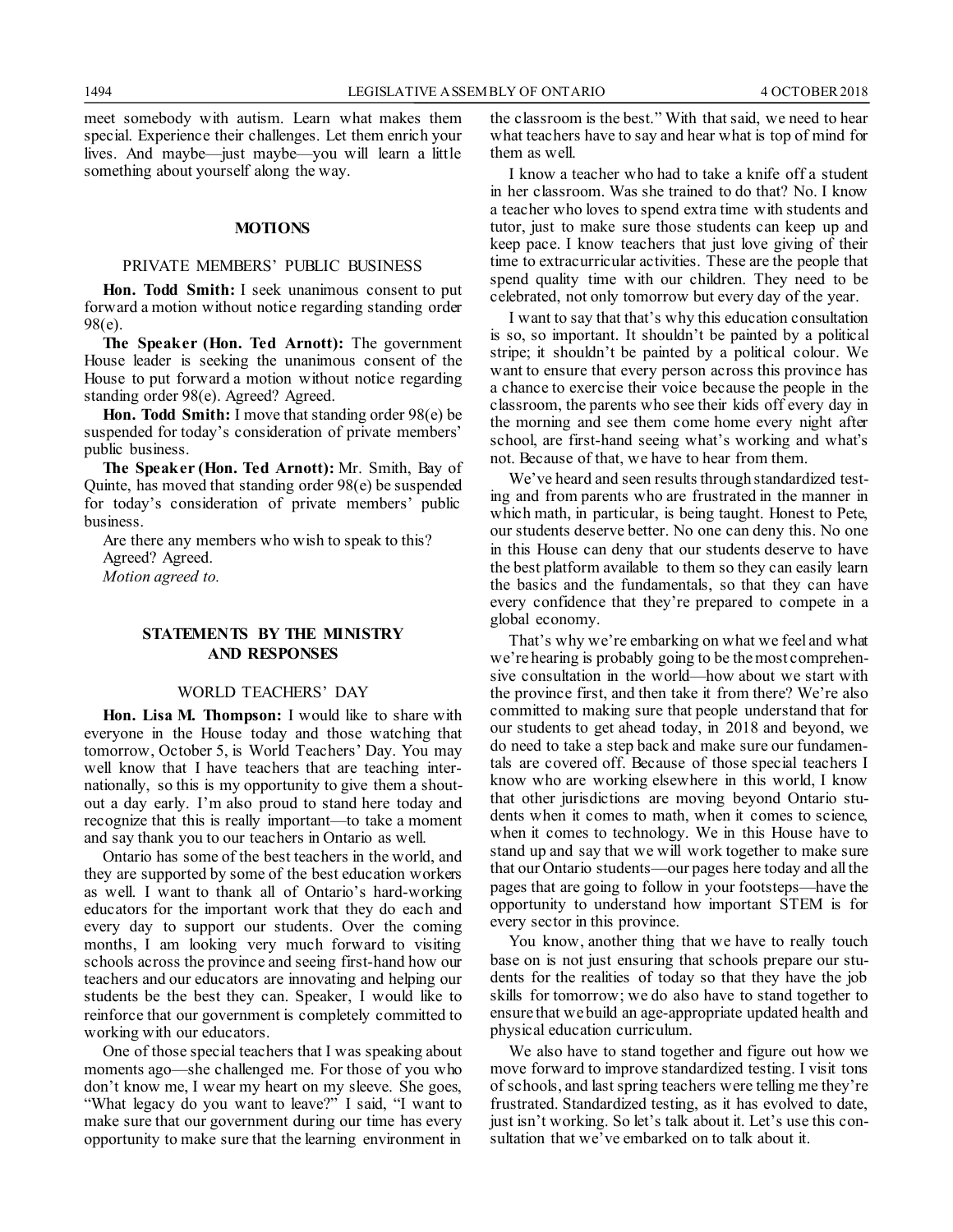meet somebody with autism. Learn what makes them special. Experience their challenges. Let them enrich your lives. And maybe—just maybe—you will learn a little something about yourself along the way.

#### **MOTIONS**

#### PRIVATE MEMBERS' PUBLIC BUSINESS

**Hon. Todd Smith:** I seek unanimous consent to put forward a motion without notice regarding standing order 98(e).

**The Speaker (Hon. Ted Arnott):** The government House leader is seeking the unanimous consent of the House to put forward a motion without notice regarding standing order 98(e). Agreed? Agreed.

**Hon. Todd Smith:** I move that standing order 98(e) be suspended for today's consideration of private members' public business.

**The Speaker (Hon. Ted Arnott):** Mr. Smith, Bay of Quinte, has moved that standing order 98(e) be suspended for today's consideration of private members' public business.

Are there any members who wish to speak to this? Agreed? Agreed. *Motion agreed to.*

### **STATEMENTS BY THE MINISTRY AND RESPONSES**

#### WORLD TEACHERS' DAY

**Hon. Lisa M. Thompson:** I would like to share with everyone in the House today and those watching that tomorrow, October 5, is World Teachers' Day. You may well know that I have teachers that are teaching internationally, so this is my opportunity to give them a shoutout a day early. I'm also proud to stand here today and recognize that this is really important—to take a moment and say thank you to our teachers in Ontario as well.

Ontario has some of the best teachers in the world, and they are supported by some of the best education workers as well. I want to thank all of Ontario's hard-working educators for the important work that they do each and every day to support our students. Over the coming months, I am looking very much forward to visiting schools across the province and seeing first-hand how our teachers and our educators are innovating and helping our students be the best they can. Speaker, I would like to reinforce that our government is completely committed to working with our educators.

One of those special teachers that I was speaking about moments ago—she challenged me. For those of you who don't know me, I wear my heart on my sleeve. She goes, "What legacy do you want to leave?" I said, "I want to make sure that our government during our time has every opportunity to make sure that the learning environment in the classroom is the best." With that said, we need to hear what teachers have to say and hear what is top of mind for them as well.

I know a teacher who had to take a knife off a student in her classroom. Was she trained to do that? No. I know a teacher who loves to spend extra time with students and tutor, just to make sure those students can keep up and keep pace. I know teachers that just love giving of their time to extracurricular activities. These are the people that spend quality time with our children. They need to be celebrated, not only tomorrow but every day of the year.

I want to say that that's why this education consultation is so, so important. It shouldn't be painted by a political stripe; it shouldn't be painted by a political colour. We want to ensure that every person across this province has a chance to exercise their voice because the people in the classroom, the parents who see their kids off every day in the morning and see them come home every night after school, are first-hand seeing what's working and what's not. Because of that, we have to hear from them.

We've heard and seen results through standardized testing and from parents who are frustrated in the manner in which math, in particular, is being taught. Honest to Pete, our students deserve better. No one can deny this. No one in this House can deny that our students deserve to have the best platform available to them so they can easily learn the basics and the fundamentals, so that they can have every confidence that they're prepared to compete in a global economy.

That's why we're embarking on what we feel and what we're hearing is probably going to be the most comprehensive consultation in the world—how about we start with the province first, and then take it from there? We're also committed to making sure that people understand that for our students to get ahead today, in 2018 and beyond, we do need to take a step back and make sure our fundamentals are covered off. Because of those special teachers I know who are working elsewhere in this world, I know that other jurisdictions are moving beyond Ontario students when it comes to math, when it comes to science, when it comes to technology. We in this House have to stand up and say that we will work together to make sure that our Ontario students—our pages here today and all the pages that are going to follow in your footsteps—have the opportunity to understand how important STEM is for every sector in this province.

You know, another thing that we have to really touch base on is not just ensuring that schools prepare our students for the realities of today so that they have the job skills for tomorrow; we do also have to stand together to ensure that we build an age-appropriate updated health and physical education curriculum.

We also have to stand together and figure out how we move forward to improve standardized testing. I visit tons of schools, and last spring teachers were telling me they're frustrated. Standardized testing, as it has evolved to date, just isn't working. So let's talk about it. Let's use this consultation that we've embarked on to talk about it.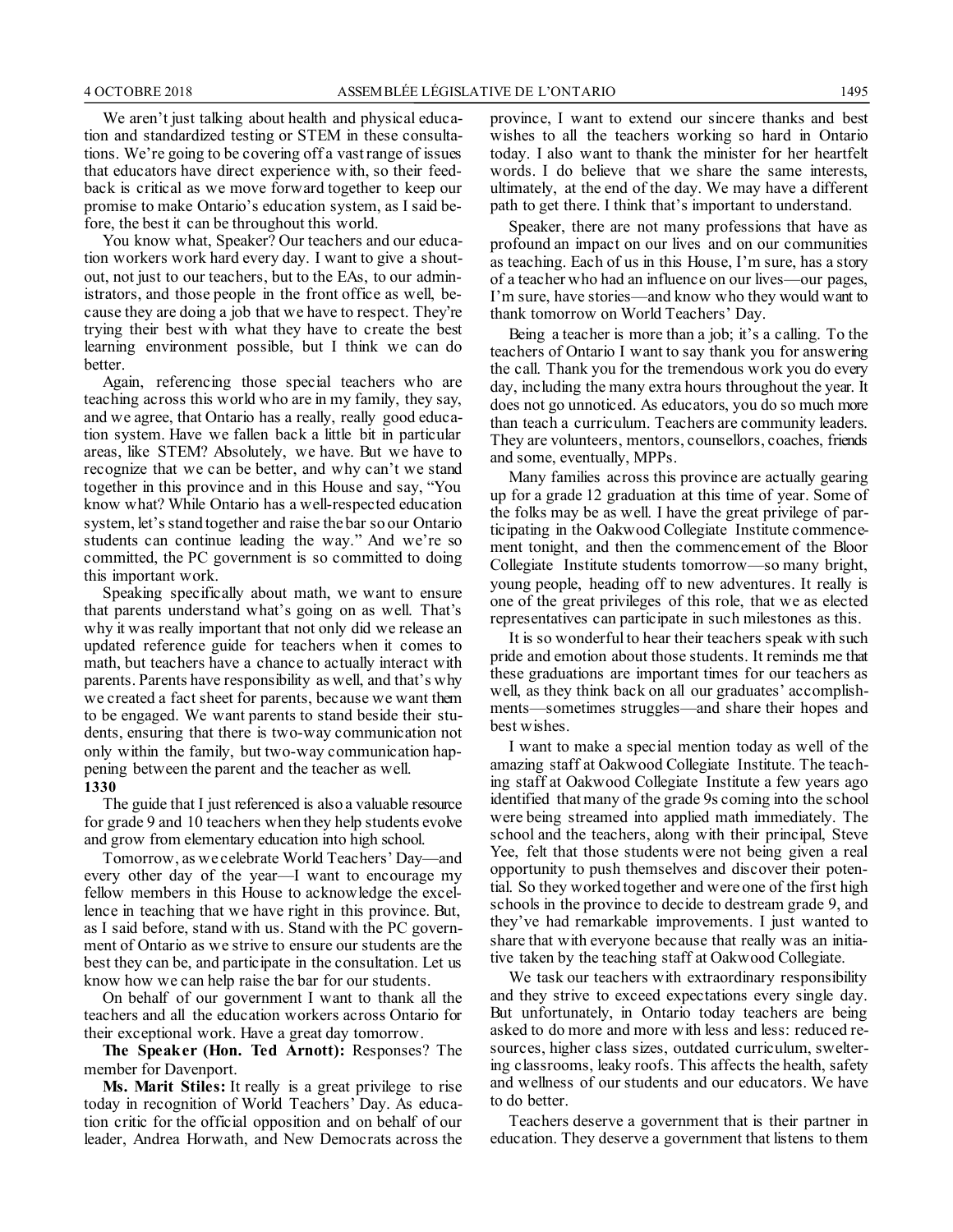We aren't just talking about health and physical education and standardized testing or STEM in these consultations. We're going to be covering off a vast range of issues that educators have direct experience with, so their feedback is critical as we move forward together to keep our promise to make Ontario's education system, as I said before, the best it can be throughout this world.

You know what, Speaker? Our teachers and our education workers work hard every day. I want to give a shoutout, not just to our teachers, but to the EAs, to our administrators, and those people in the front office as well, because they are doing a job that we have to respect. They're trying their best with what they have to create the best learning environment possible, but I think we can do better.

Again, referencing those special teachers who are teaching across this world who are in my family, they say, and we agree, that Ontario has a really, really good education system. Have we fallen back a little bit in particular areas, like STEM? Absolutely, we have. But we have to recognize that we can be better, and why can't we stand together in this province and in this House and say, "You know what? While Ontario has a well-respected education system, let's stand together and raise the bar so our Ontario students can continue leading the way." And we're so committed, the PC government is so committed to doing this important work.

Speaking specifically about math, we want to ensure that parents understand what's going on as well. That's why it was really important that not only did we release an updated reference guide for teachers when it comes to math, but teachers have a chance to actually interact with parents. Parents have responsibility as well, and that's why we created a fact sheet for parents, because we want them to be engaged. We want parents to stand beside their students, ensuring that there is two-way communication not only within the family, but two-way communication happening between the parent and the teacher as well. **1330**

The guide that I just referenced is also a valuable resource for grade 9 and 10 teachers when they help students evolve and grow from elementary education into high school.

Tomorrow, as we celebrate World Teachers' Day—and every other day of the year—I want to encourage my fellow members in this House to acknowledge the excellence in teaching that we have right in this province. But, as I said before, stand with us. Stand with the PC government of Ontario as we strive to ensure our students are the best they can be, and participate in the consultation. Let us know how we can help raise the bar for our students.

On behalf of our government I want to thank all the teachers and all the education workers across Ontario for their exceptional work. Have a great day tomorrow.

**The Speaker (Hon. Ted Arnott):** Responses? The member for Davenport.

**Ms. Marit Stiles:** It really is a great privilege to rise today in recognition of World Teachers' Day. As education critic for the official opposition and on behalf of our leader, Andrea Horwath, and New Democrats across the province, I want to extend our sincere thanks and best wishes to all the teachers working so hard in Ontario today. I also want to thank the minister for her heartfelt words. I do believe that we share the same interests, ultimately, at the end of the day. We may have a different path to get there. I think that's important to understand.

Speaker, there are not many professions that have as profound an impact on our lives and on our communities as teaching. Each of us in this House, I'm sure, has a story of a teacher who had an influence on our lives—our pages, I'm sure, have stories—and know who they would want to thank tomorrow on World Teachers' Day.

Being a teacher is more than a job; it's a calling. To the teachers of Ontario I want to say thank you for answering the call. Thank you for the tremendous work you do every day, including the many extra hours throughout the year. It does not go unnoticed. As educators, you do so much more than teach a curriculum. Teachers are community leaders. They are volunteers, mentors, counsellors, coaches, friends and some, eventually, MPPs.

Many families across this province are actually gearing up for a grade 12 graduation at this time of year. Some of the folks may be as well. I have the great privilege of participating in the Oakwood Collegiate Institute commencement tonight, and then the commencement of the Bloor Collegiate Institute students tomorrow—so many bright, young people, heading off to new adventures. It really is one of the great privileges of this role, that we as elected representatives can participate in such milestones as this.

It is so wonderful to hear their teachers speak with such pride and emotion about those students. It reminds me that these graduations are important times for our teachers as well, as they think back on all our graduates' accomplishments—sometimes struggles—and share their hopes and best wishes.

I want to make a special mention today as well of the amazing staff at Oakwood Collegiate Institute. The teaching staff at Oakwood Collegiate Institute a few years ago identified that many of the grade 9s coming into the school were being streamed into applied math immediately. The school and the teachers, along with their principal, Steve Yee, felt that those students were not being given a real opportunity to push themselves and discover their potential. So they worked together and were one of the first high schools in the province to decide to destream grade 9, and they've had remarkable improvements. I just wanted to share that with everyone because that really was an initiative taken by the teaching staff at Oakwood Collegiate.

We task our teachers with extraordinary responsibility and they strive to exceed expectations every single day. But unfortunately, in Ontario today teachers are being asked to do more and more with less and less: reduced resources, higher class sizes, outdated curriculum, sweltering classrooms, leaky roofs. This affects the health, safety and wellness of our students and our educators. We have to do better.

Teachers deserve a government that is their partner in education. They deserve a government that listens to them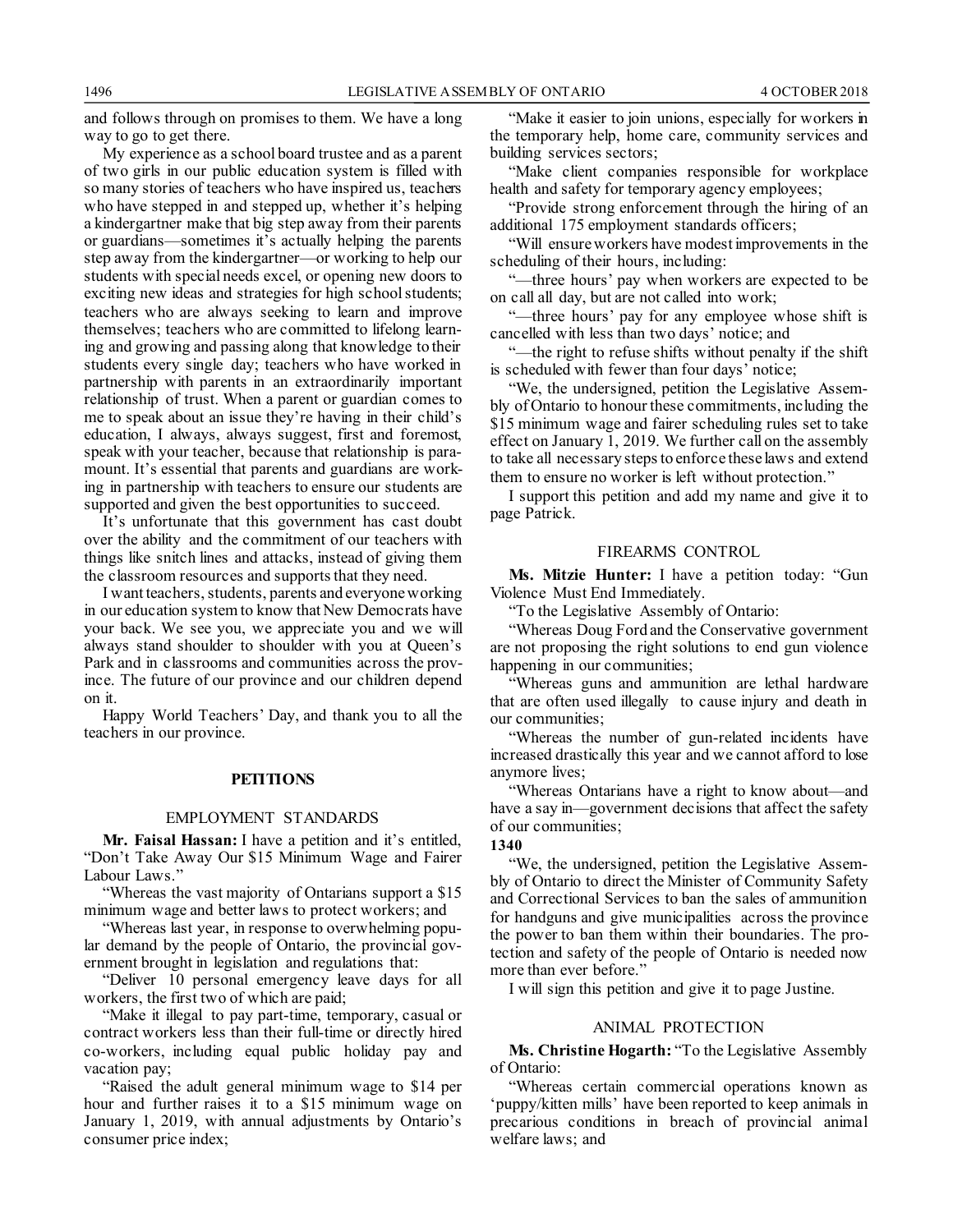and follows through on promises to them. We have a long way to go to get there.

My experience as a school board trustee and as a parent of two girls in our public education system is filled with so many stories of teachers who have inspired us, teachers who have stepped in and stepped up, whether it's helping a kindergartner make that big step away from their parents or guardians—sometimes it's actually helping the parents step away from the kindergartner—or working to help our students with special needs excel, or opening new doors to exciting new ideas and strategies for high school students; teachers who are always seeking to learn and improve themselves; teachers who are committed to lifelong learning and growing and passing along that knowledge to their students every single day; teachers who have worked in partnership with parents in an extraordinarily important relationship of trust. When a parent or guardian comes to me to speak about an issue they're having in their child's education, I always, always suggest, first and foremost, speak with your teacher, because that relationship is paramount. It's essential that parents and guardians are working in partnership with teachers to ensure our students are supported and given the best opportunities to succeed.

It's unfortunate that this government has cast doubt over the ability and the commitment of our teachers with things like snitch lines and attacks, instead of giving them the classroom resources and supports that they need.

I want teachers, students, parents and everyone working in our education system to know that New Democrats have your back. We see you, we appreciate you and we will always stand shoulder to shoulder with you at Queen's Park and in classrooms and communities across the province. The future of our province and our children depend on it.

Happy World Teachers' Day, and thank you to all the teachers in our province.

#### **PETITIONS**

#### EMPLOYMENT STANDARDS

**Mr. Faisal Hassan:** I have a petition and it's entitled, "Don't Take Away Our \$15 Minimum Wage and Fairer Labour Laws."

"Whereas the vast majority of Ontarians support a \$15 minimum wage and better laws to protect workers; and

"Whereas last year, in response to overwhelming popular demand by the people of Ontario, the provincial government brought in legislation and regulations that:

"Deliver 10 personal emergency leave days for all workers, the first two of which are paid;

"Make it illegal to pay part-time, temporary, casual or contract workers less than their full-time or directly hired co-workers, including equal public holiday pay and vacation pay;

"Raised the adult general minimum wage to \$14 per hour and further raises it to a \$15 minimum wage on January 1, 2019, with annual adjustments by Ontario's consumer price index;

"Make it easier to join unions, especially for workers in the temporary help, home care, community services and building services sectors;

"Make client companies responsible for workplace health and safety for temporary agency employees;

"Provide strong enforcement through the hiring of an additional 175 employment standards officers;

"Will ensure workers have modest improvements in the scheduling of their hours, including:

"—three hours' pay when workers are expected to be on call all day, but are not called into work;

"—three hours' pay for any employee whose shift is cancelled with less than two days' notice; and

"—the right to refuse shifts without penalty if the shift is scheduled with fewer than four days' notice;

"We, the undersigned, petition the Legislative Assembly of Ontario to honour these commitments, including the \$15 minimum wage and fairer scheduling rules set to take effect on January 1, 2019. We further call on the assembly to take all necessary steps to enforce these laws and extend them to ensure no worker is left without protection."

I support this petition and add my name and give it to page Patrick.

#### FIREARMS CONTROL

**Ms. Mitzie Hunter:** I have a petition today: "Gun Violence Must End Immediately.

"To the Legislative Assembly of Ontario:

"Whereas Doug Ford and the Conservative government are not proposing the right solutions to end gun violence happening in our communities;

"Whereas guns and ammunition are lethal hardware that are often used illegally to cause injury and death in our communities;

"Whereas the number of gun-related incidents have increased drastically this year and we cannot afford to lose anymore lives;

"Whereas Ontarians have a right to know about—and have a say in—government decisions that affect the safety of our communities;

### **1340**

'We, the undersigned, petition the Legislative Assembly of Ontario to direct the Minister of Community Safety and Correctional Services to ban the sales of ammunition for handguns and give municipalities across the province the power to ban them within their boundaries. The protection and safety of the people of Ontario is needed now more than ever before."

I will sign this petition and give it to page Justine.

#### ANIMAL PROTECTION

**Ms. Christine Hogarth:** "To the Legislative Assembly of Ontario:

"Whereas certain commercial operations known as 'puppy/kitten mills' have been reported to keep animals in precarious conditions in breach of provincial animal welfare laws; and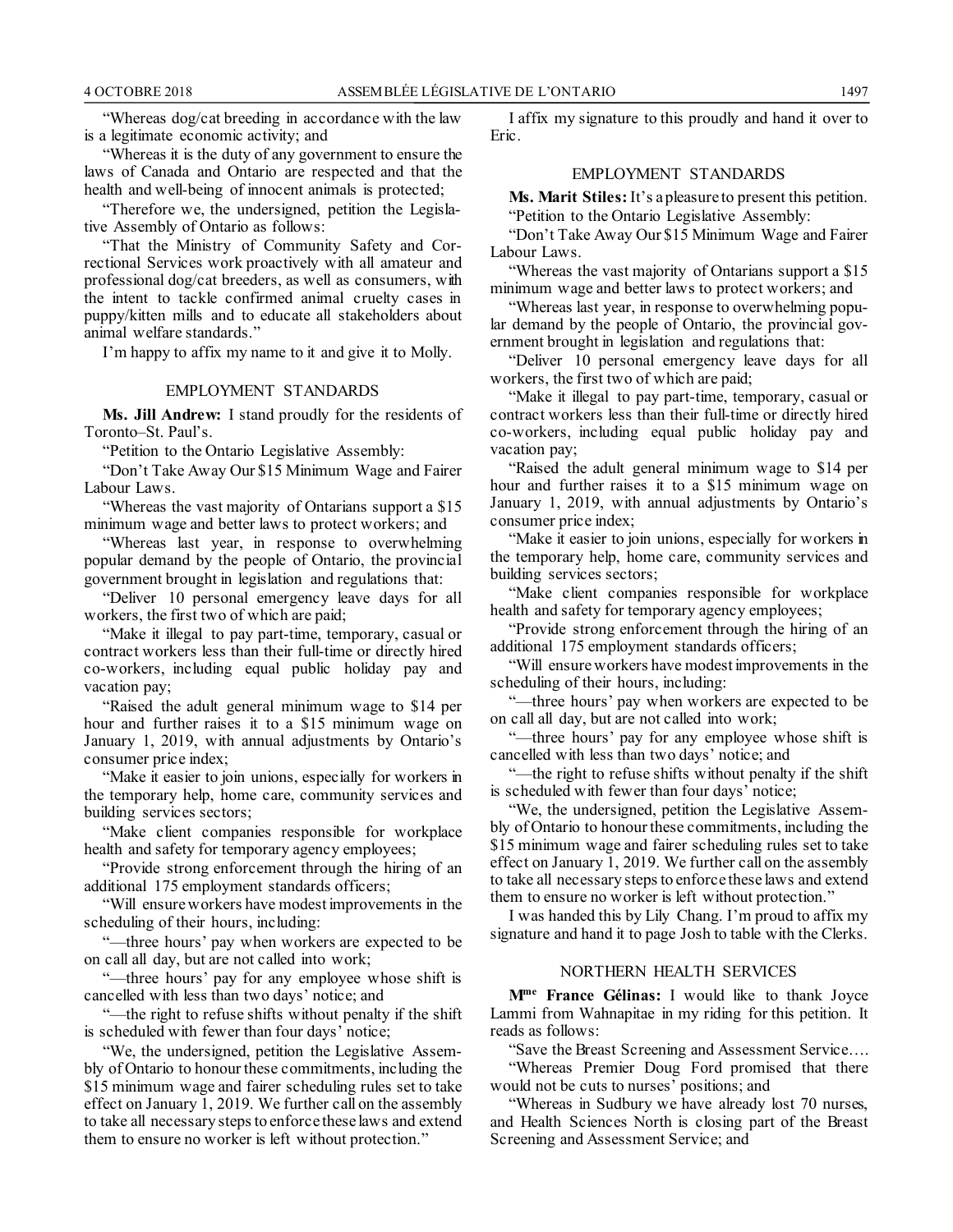"Whereas dog/cat breeding in accordance with the law is a legitimate economic activity; and

"Whereas it is the duty of any government to ensure the laws of Canada and Ontario are respected and that the health and well-being of innocent animals is protected;

"Therefore we, the undersigned, petition the Legislative Assembly of Ontario as follows:

"That the Ministry of Community Safety and Correctional Services work proactively with all amateur and professional dog/cat breeders, as well as consumers, with the intent to tackle confirmed animal cruelty cases in puppy/kitten mills and to educate all stakeholders about animal welfare standards."

I'm happy to affix my name to it and give it to Molly.

#### EMPLOYMENT STANDARDS

**Ms. Jill Andrew:** I stand proudly for the residents of Toronto–St. Paul's.

"Petition to the Ontario Legislative Assembly:

"Don't Take Away Our \$15 Minimum Wage and Fairer Labour Laws.

"Whereas the vast majority of Ontarians support a \$15 minimum wage and better laws to protect workers; and

"Whereas last year, in response to overwhelming popular demand by the people of Ontario, the provincial government brought in legislation and regulations that:

"Deliver 10 personal emergency leave days for all workers, the first two of which are paid;

"Make it illegal to pay part-time, temporary, casual or contract workers less than their full-time or directly hired co-workers, including equal public holiday pay and vacation pay;

"Raised the adult general minimum wage to \$14 per hour and further raises it to a \$15 minimum wage on January 1, 2019, with annual adjustments by Ontario's consumer price index;

"Make it easier to join unions, especially for workers in the temporary help, home care, community services and building services sectors;

"Make client companies responsible for workplace health and safety for temporary agency employees;

"Provide strong enforcement through the hiring of an additional 175 employment standards officers;

"Will ensure workers have modest improvements in the scheduling of their hours, including:

"—three hours' pay when workers are expected to be on call all day, but are not called into work;

"-three hours' pay for any employee whose shift is cancelled with less than two days' notice; and

"—the right to refuse shifts without penalty if the shift is scheduled with fewer than four days' notice;

"We, the undersigned, petition the Legislative Assembly of Ontario to honour these commitments, including the \$15 minimum wage and fairer scheduling rules set to take effect on January 1, 2019. We further call on the assembly to take all necessary steps to enforce these laws and extend them to ensure no worker is left without protection."

I affix my signature to this proudly and hand it over to Eric.

### EMPLOYMENT STANDARDS

**Ms. Marit Stiles:** It's a pleasure to present this petition. "Petition to the Ontario Legislative Assembly:

"Don't Take Away Our \$15 Minimum Wage and Fairer Labour Laws.

"Whereas the vast majority of Ontarians support a \$15 minimum wage and better laws to protect workers; and

"Whereas last year, in response to overwhelming popular demand by the people of Ontario, the provincial government brought in legislation and regulations that:

"Deliver 10 personal emergency leave days for all workers, the first two of which are paid;

"Make it illegal to pay part-time, temporary, casual or contract workers less than their full-time or directly hired co-workers, including equal public holiday pay and vacation pay;

"Raised the adult general minimum wage to \$14 per hour and further raises it to a \$15 minimum wage on January 1, 2019, with annual adjustments by Ontario's consumer price index;

"Make it easier to join unions, especially for workers in the temporary help, home care, community services and building services sectors;

"Make client companies responsible for workplace health and safety for temporary agency employees;

"Provide strong enforcement through the hiring of an additional 175 employment standards officers;

"Will ensure workers have modest improvements in the scheduling of their hours, including:

"—three hours' pay when workers are expected to be on call all day, but are not called into work;

"—three hours' pay for any employee whose shift is cancelled with less than two days' notice; and

"—the right to refuse shifts without penalty if the shift is scheduled with fewer than four days' notice;

"We, the undersigned, petition the Legislative Assembly of Ontario to honour these commitments, including the \$15 minimum wage and fairer scheduling rules set to take effect on January 1, 2019. We further call on the assembly to take all necessary steps to enforce these laws and extend them to ensure no worker is left without protection."

I was handed this by Lily Chang. I'm proud to affix my signature and hand it to page Josh to table with the Clerks.

#### NORTHERN HEALTH SERVICES

**Mme France Gélinas:** I would like to thank Joyce Lammi from Wahnapitae in my riding for this petition. It reads as follows:

"Save the Breast Screening and Assessment Service….

"Whereas Premier Doug Ford promised that there would not be cuts to nurses' positions; and

"Whereas in Sudbury we have already lost 70 nurses, and Health Sciences North is closing part of the Breast Screening and Assessment Service; and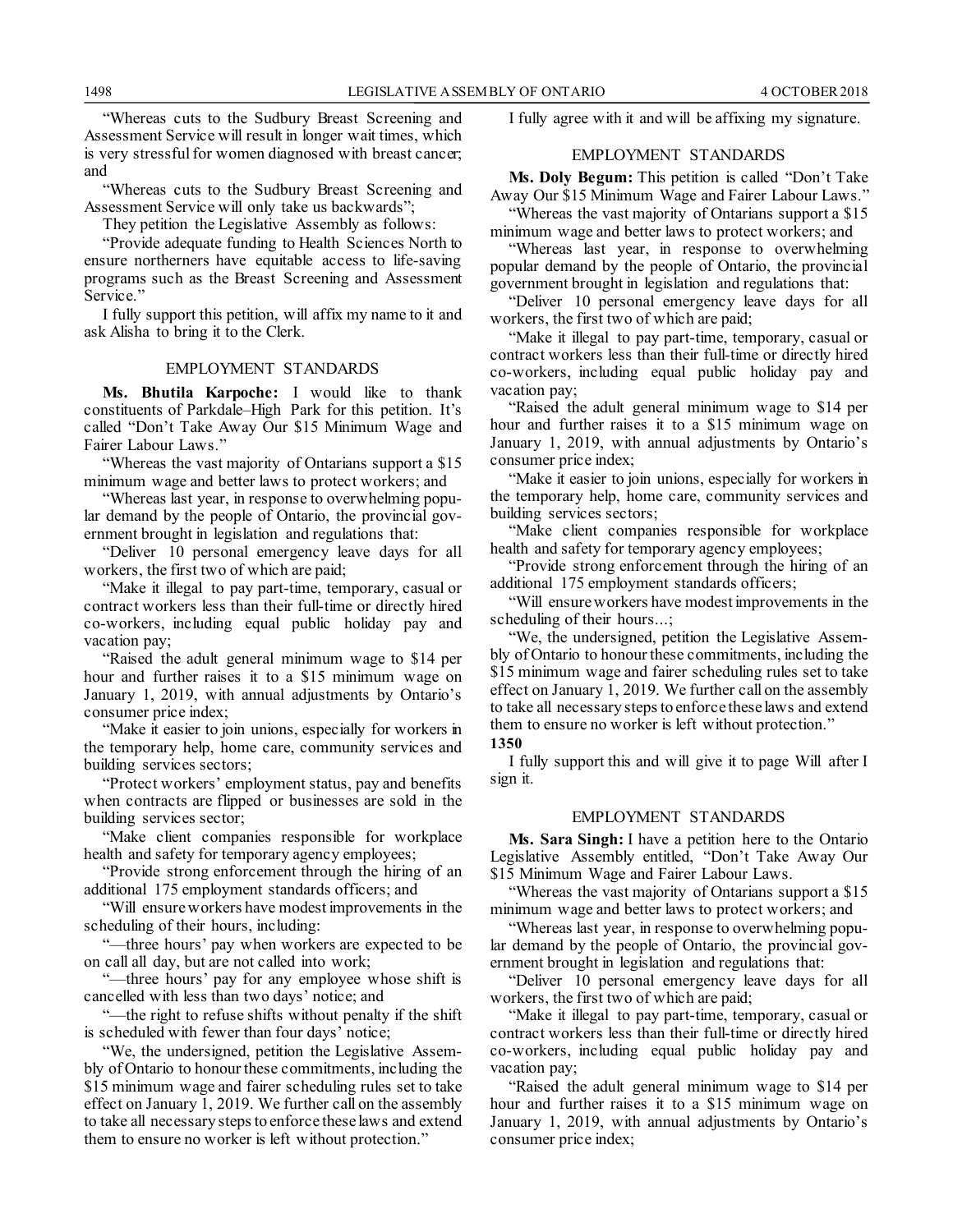"Whereas cuts to the Sudbury Breast Screening and Assessment Service will result in longer wait times, which is very stressful for women diagnosed with breast cancer; and

"Whereas cuts to the Sudbury Breast Screening and Assessment Service will only take us backwards";

They petition the Legislative Assembly as follows:

"Provide adequate funding to Health Sciences North to ensure northerners have equitable access to life-saving programs such as the Breast Screening and Assessment Service."

I fully support this petition, will affix my name to it and ask Alisha to bring it to the Clerk.

#### EMPLOYMENT STANDARDS

**Ms. Bhutila Karpoche:** I would like to thank constituents of Parkdale–High Park for this petition. It's called "Don't Take Away Our \$15 Minimum Wage and Fairer Labour Laws."

"Whereas the vast majority of Ontarians support a \$15 minimum wage and better laws to protect workers; and

"Whereas last year, in response to overwhelming popular demand by the people of Ontario, the provincial government brought in legislation and regulations that:

"Deliver 10 personal emergency leave days for all workers, the first two of which are paid;

"Make it illegal to pay part-time, temporary, casual or contract workers less than their full-time or directly hired co-workers, including equal public holiday pay and vacation pay;

"Raised the adult general minimum wage to \$14 per hour and further raises it to a \$15 minimum wage on January 1, 2019, with annual adjustments by Ontario's consumer price index;

"Make it easier to join unions, especially for workers in the temporary help, home care, community services and building services sectors;

"Protect workers' employment status, pay and benefits when contracts are flipped or businesses are sold in the building services sector;

"Make client companies responsible for workplace health and safety for temporary agency employees;

"Provide strong enforcement through the hiring of an additional 175 employment standards officers; and

"Will ensure workers have modest improvements in the scheduling of their hours, including:

"—three hours' pay when workers are expected to be on call all day, but are not called into work;

"—three hours' pay for any employee whose shift is cancelled with less than two days' notice; and

"—the right to refuse shifts without penalty if the shift is scheduled with fewer than four days' notice;

"We, the undersigned, petition the Legislative Assembly of Ontario to honour these commitments, including the \$15 minimum wage and fairer scheduling rules set to take effect on January 1, 2019. We further call on the assembly to take all necessary steps to enforce these laws and extend them to ensure no worker is left without protection."

I fully agree with it and will be affixing my signature.

### EMPLOYMENT STANDARDS

**Ms. Doly Begum:** This petition is called "Don't Take Away Our \$15 Minimum Wage and Fairer Labour Laws."

"Whereas the vast majority of Ontarians support a \$15 minimum wage and better laws to protect workers; and

"Whereas last year, in response to overwhelming popular demand by the people of Ontario, the provincial government brought in legislation and regulations that:

"Deliver 10 personal emergency leave days for all workers, the first two of which are paid;

"Make it illegal to pay part-time, temporary, casual or contract workers less than their full-time or directly hired co-workers, including equal public holiday pay and vacation pay;

"Raised the adult general minimum wage to \$14 per hour and further raises it to a \$15 minimum wage on January 1, 2019, with annual adjustments by Ontario's consumer price index;

"Make it easier to join unions, especially for workers in the temporary help, home care, community services and building services sectors;

"Make client companies responsible for workplace health and safety for temporary agency employees;

"Provide strong enforcement through the hiring of an additional 175 employment standards officers;

"Will ensure workers have modest improvements in the scheduling of their hours...;

"We, the undersigned, petition the Legislative Assembly of Ontario to honour these commitments, including the \$15 minimum wage and fairer scheduling rules set to take effect on January 1, 2019. We further call on the assembly to take all necessary steps to enforce these laws and extend them to ensure no worker is left without protection."

**1350**

I fully support this and will give it to page Will after I sign it.

#### EMPLOYMENT STANDARDS

**Ms. Sara Singh:** I have a petition here to the Ontario Legislative Assembly entitled, "Don't Take Away Our \$15 Minimum Wage and Fairer Labour Laws.

"Whereas the vast majority of Ontarians support a \$15 minimum wage and better laws to protect workers; and

"Whereas last year, in response to overwhelming popular demand by the people of Ontario, the provincial government brought in legislation and regulations that:

"Deliver 10 personal emergency leave days for all workers, the first two of which are paid;

"Make it illegal to pay part-time, temporary, casual or contract workers less than their full-time or directly hired co-workers, including equal public holiday pay and vacation pay;

"Raised the adult general minimum wage to \$14 per hour and further raises it to a \$15 minimum wage on January 1, 2019, with annual adjustments by Ontario's consumer price index;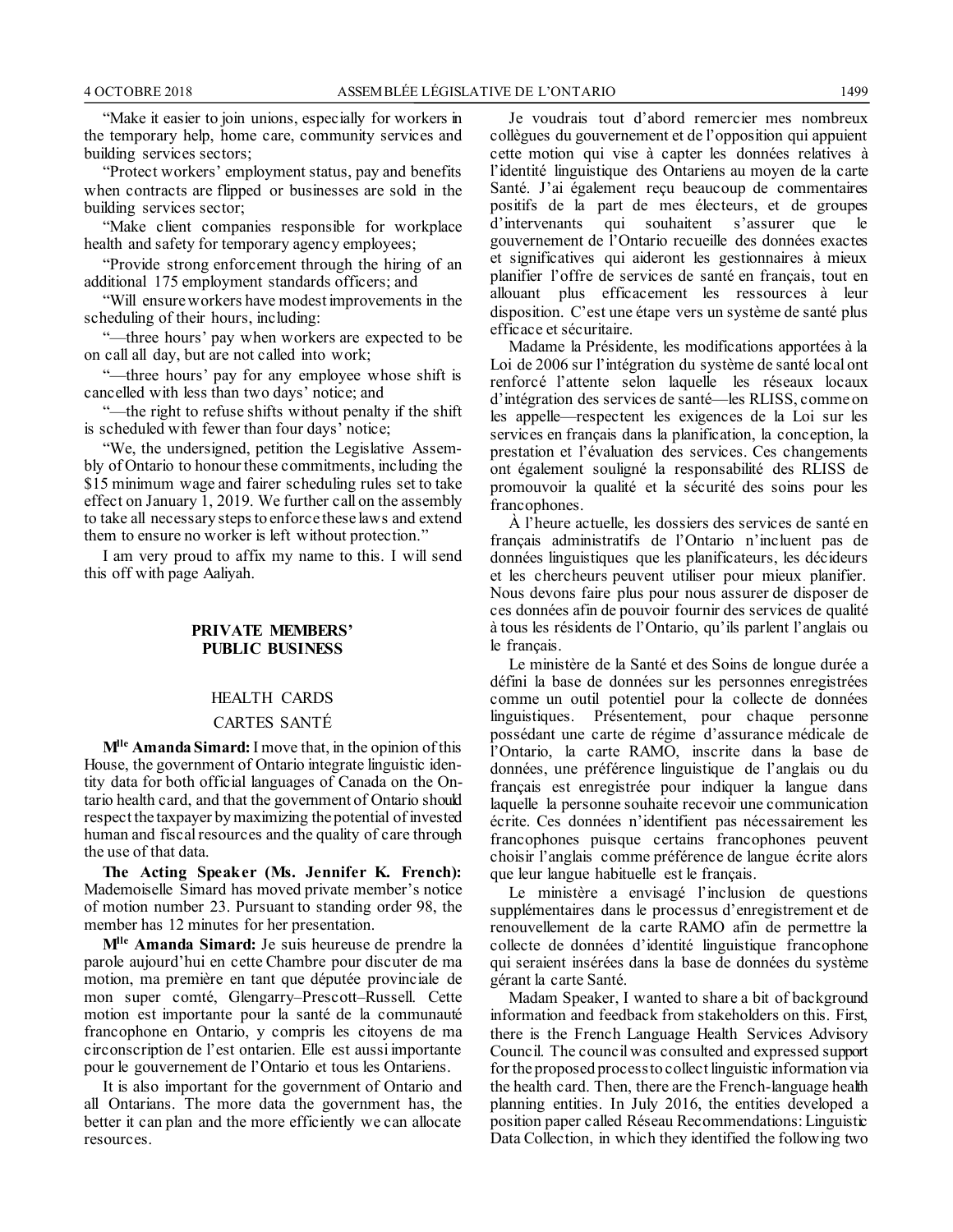"Make it easier to join unions, especially for workers in the temporary help, home care, community services and building services sectors;

"Protect workers' employment status, pay and benefits when contracts are flipped or businesses are sold in the building services sector;

"Make client companies responsible for workplace health and safety for temporary agency employees;

"Provide strong enforcement through the hiring of an additional 175 employment standards officers; and

"Will ensure workers have modest improvements in the scheduling of their hours, including:

"—three hours' pay when workers are expected to be on call all day, but are not called into work;

"—three hours' pay for any employee whose shift is cancelled with less than two days' notice; and

"—the right to refuse shifts without penalty if the shift is scheduled with fewer than four days' notice;

"We, the undersigned, petition the Legislative Assembly of Ontario to honour these commitments, including the \$15 minimum wage and fairer scheduling rules set to take effect on January 1, 2019. We further call on the assembly to take all necessary steps to enforce these laws and extend them to ensure no worker is left without protection."

I am very proud to affix my name to this. I will send this off with page Aaliyah.

### **PRIVATE MEMBERS' PUBLIC BUSINESS**

# HEALTH CARDS

### CARTES SANTÉ

**Mlle Amanda Simard:** I move that, in the opinion of this House, the government of Ontario integrate linguistic identity data for both official languages of Canada on the Ontario health card, and that the government of Ontario should respect the taxpayer by maximizing the potential of invested human and fiscal resources and the quality of care through the use of that data.

**The Acting Speaker (Ms. Jennifer K. French):** Mademoiselle Simard has moved private member's notice of motion number 23. Pursuant to standing order 98, the member has 12 minutes for her presentation.

**Mlle Amanda Simard:** Je suis heureuse de prendre la parole aujourd'hui en cette Chambre pour discuter de ma motion, ma première en tant que députée provinciale de mon super comté, Glengarry–Prescott–Russell. Cette motion est importante pour la santé de la communauté francophone en Ontario, y compris les citoyens de ma circonscription de l'est ontarien. Elle est aussi importante pour le gouvernement de l'Ontario et tous les Ontariens.

It is also important for the government of Ontario and all Ontarians. The more data the government has, the better it can plan and the more efficiently we can allocate resources.

Je voudrais tout d'abord remercier mes nombreux collègues du gouvernement et de l'opposition qui appuient cette motion qui vise à capter les données relatives à l'identité linguistique des Ontariens au moyen de la carte Santé. J'ai également reçu beaucoup de commentaires positifs de la part de mes électeurs, et de groupes d'intervenants qui souhaitent s'assurer que le gouvernement de l'Ontario recueille des données exactes et significatives qui aideront les gestionnaires à mieux planifier l'offre de services de santé en français, tout en allouant plus efficacement les ressources à leur disposition. C'est une étape vers un système de santé plus efficace et sécuritaire.

Madame la Présidente, les modifications apportées à la Loi de 2006 sur l'intégration du système de santé local ont renforcé l'attente selon laquelle les réseaux locaux d'intégration des services de santé—les RLISS, comme on les appelle—respectent les exigences de la Loi sur les services en français dans la planification, la conception, la prestation et l'évaluation des services. Ces changements ont également souligné la responsabilité des RLISS de promouvoir la qualité et la sécurité des soins pour les francophones.

À l'heure actuelle, les dossiers des services de santé en français administratifs de l'Ontario n'incluent pas de données linguistiques que les planificateurs, les décideurs et les chercheurs peuvent utiliser pour mieux planifier. Nous devons faire plus pour nous assurer de disposer de ces données afin de pouvoir fournir des services de qualité à tous les résidents de l'Ontario, qu'ils parlent l'anglais ou le français.

Le ministère de la Santé et des Soins de longue durée a défini la base de données sur les personnes enregistrées comme un outil potentiel pour la collecte de données linguistiques. Présentement, pour chaque personne possédant une carte de régime d'assurance médicale de l'Ontario, la carte RAMO, inscrite dans la base de données, une préférence linguistique de l'anglais ou du français est enregistrée pour indiquer la langue dans laquelle la personne souhaite recevoir une communication écrite. Ces données n'identifient pas nécessairement les francophones puisque certains francophones peuvent choisir l'anglais comme préférence de langue écrite alors que leur langue habituelle est le français.

Le ministère a envisagé l'inclusion de questions supplémentaires dans le processus d'enregistrement et de renouvellement de la carte RAMO afin de permettre la collecte de données d'identité linguistique francophone qui seraient insérées dans la base de données du système gérant la carte Santé.

Madam Speaker, I wanted to share a bit of background information and feedback from stakeholders on this. First, there is the French Language Health Services Advisory Council. The council was consulted and expressed support for the proposed process to collect linguistic information via the health card. Then, there are the French-language health planning entities. In July 2016, the entities developed a position paper called Réseau Recommendations: Linguistic Data Collection, in which they identified the following two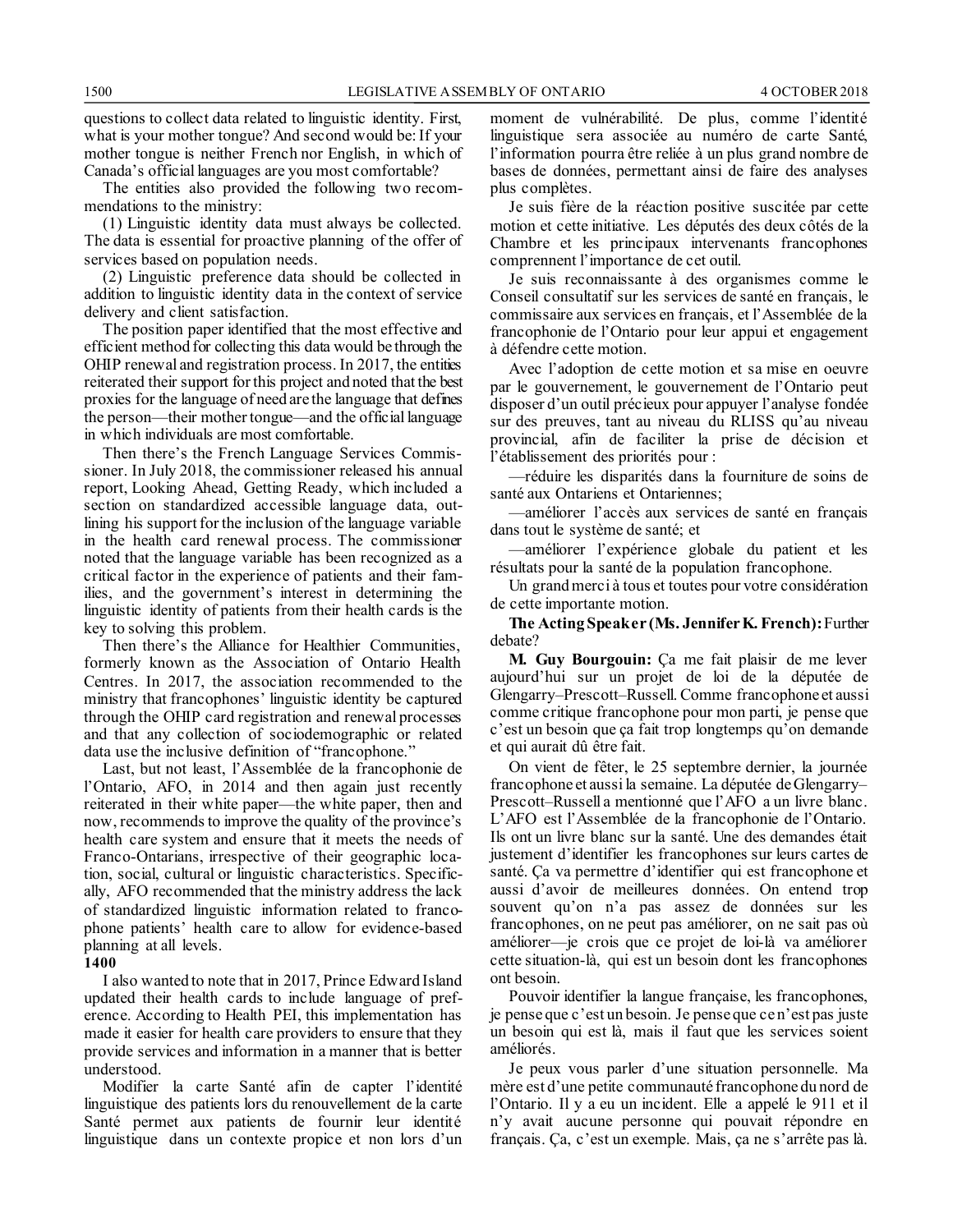questions to collect data related to linguistic identity. First, what is your mother tongue? And second would be: If your mother tongue is neither French nor English, in which of Canada's official languages are you most comfortable?

The entities also provided the following two recommendations to the ministry:

(1) Linguistic identity data must always be collected. The data is essential for proactive planning of the offer of services based on population needs.

(2) Linguistic preference data should be collected in addition to linguistic identity data in the context of service delivery and client satisfaction.

The position paper identified that the most effective and efficient method for collecting this data would be through the OHIP renewal and registration process. In 2017, the entities reiterated their support for this project and noted that the best proxies for the language of need are the language that defines the person—their mother tongue—and the official language in which individuals are most comfortable.

Then there's the French Language Services Commissioner. In July 2018, the commissioner released his annual report, Looking Ahead, Getting Ready, which included a section on standardized accessible language data, outlining his support for the inclusion of the language variable in the health card renewal process. The commissioner noted that the language variable has been recognized as a critical factor in the experience of patients and their families, and the government's interest in determining the linguistic identity of patients from their health cards is the key to solving this problem.

Then there's the Alliance for Healthier Communities, formerly known as the Association of Ontario Health Centres. In 2017, the association recommended to the ministry that francophones' linguistic identity be captured through the OHIP card registration and renewal processes and that any collection of sociodemographic or related data use the inclusive definition of "francophone."

Last, but not least, l'Assemblée de la francophonie de l'Ontario, AFO, in 2014 and then again just recently reiterated in their white paper—the white paper, then and now, recommends to improve the quality of the province's health care system and ensure that it meets the needs of Franco-Ontarians, irrespective of their geographic location, social, cultural or linguistic characteristics. Specifically, AFO recommended that the ministry address the lack of standardized linguistic information related to francophone patients' health care to allow for evidence-based planning at all levels.

#### **1400**

I also wanted to note that in 2017, Prince Edward Island updated their health cards to include language of preference. According to Health PEI, this implementation has made it easier for health care providers to ensure that they provide services and information in a manner that is better understood.

Modifier la carte Santé afin de capter l'identité linguistique des patients lors du renouvellement de la carte Santé permet aux patients de fournir leur identité linguistique dans un contexte propice et non lors d'un

moment de vulnérabilité. De plus, comme l'identité linguistique sera associée au numéro de carte Santé, l'information pourra être reliée à un plus grand nombre de bases de données, permettant ainsi de faire des analyses plus complètes.

Je suis fière de la réaction positive suscitée par cette motion et cette initiative. Les députés des deux côtés de la Chambre et les principaux intervenants francophones comprennent l'importance de cet outil.

Je suis reconnaissante à des organismes comme le Conseil consultatif sur les services de santé en français, le commissaire aux services en français, et l'Assemblée de la francophonie de l'Ontario pour leur appui et engagement à défendre cette motion.

Avec l'adoption de cette motion et sa mise en oeuvre par le gouvernement, le gouvernement de l'Ontario peut disposer d'un outil précieux pour appuyer l'analyse fondée sur des preuves, tant au niveau du RLISS qu'au niveau provincial, afin de faciliter la prise de décision et l'établissement des priorités pour :

—réduire les disparités dans la fourniture de soins de santé aux Ontariens et Ontariennes;

—améliorer l'accès aux services de santé en français dans tout le système de santé; et

—améliorer l'expérience globale du patient et les résultats pour la santé de la population francophone.

Un grand merci à tous et toutes pour votre considération de cette importante motion.

**The Acting Speaker (Ms. Jennifer K. French):**Further debate?

**M. Guy Bourgouin:** Ça me fait plaisir de me lever aujourd'hui sur un projet de loi de la députée de Glengarry–Prescott–Russell. Comme francophone et aussi comme critique francophone pour mon parti, je pense que c'est un besoin que ça fait trop longtemps qu'on demande et qui aurait dû être fait.

On vient de fêter, le 25 septembre dernier, la journée francophone et aussi la semaine. La députée de Glengarry– Prescott–Russell a mentionné que l'AFO a un livre blanc. L'AFO est l'Assemblée de la francophonie de l'Ontario. Ils ont un livre blanc sur la santé. Une des demandes était justement d'identifier les francophones sur leurs cartes de santé. Ça va permettre d'identifier qui est francophone et aussi d'avoir de meilleures données. On entend trop souvent qu'on n'a pas assez de données sur les francophones, on ne peut pas améliorer, on ne sait pas où améliorer—je crois que ce projet de loi-là va améliorer cette situation-là, qui est un besoin dont les francophones ont besoin.

Pouvoir identifier la langue française, les francophones, je pense que c'est un besoin. Je pense que ce n'est pas juste un besoin qui est là, mais il faut que les services soient améliorés.

Je peux vous parler d'une situation personnelle. Ma mère est d'une petite communauté francophone du nord de l'Ontario. Il y a eu un incident. Elle a appelé le 911 et il n'y avait aucune personne qui pouvait répondre en français. Ça, c'est un exemple. Mais, ça ne s'arrête pas là.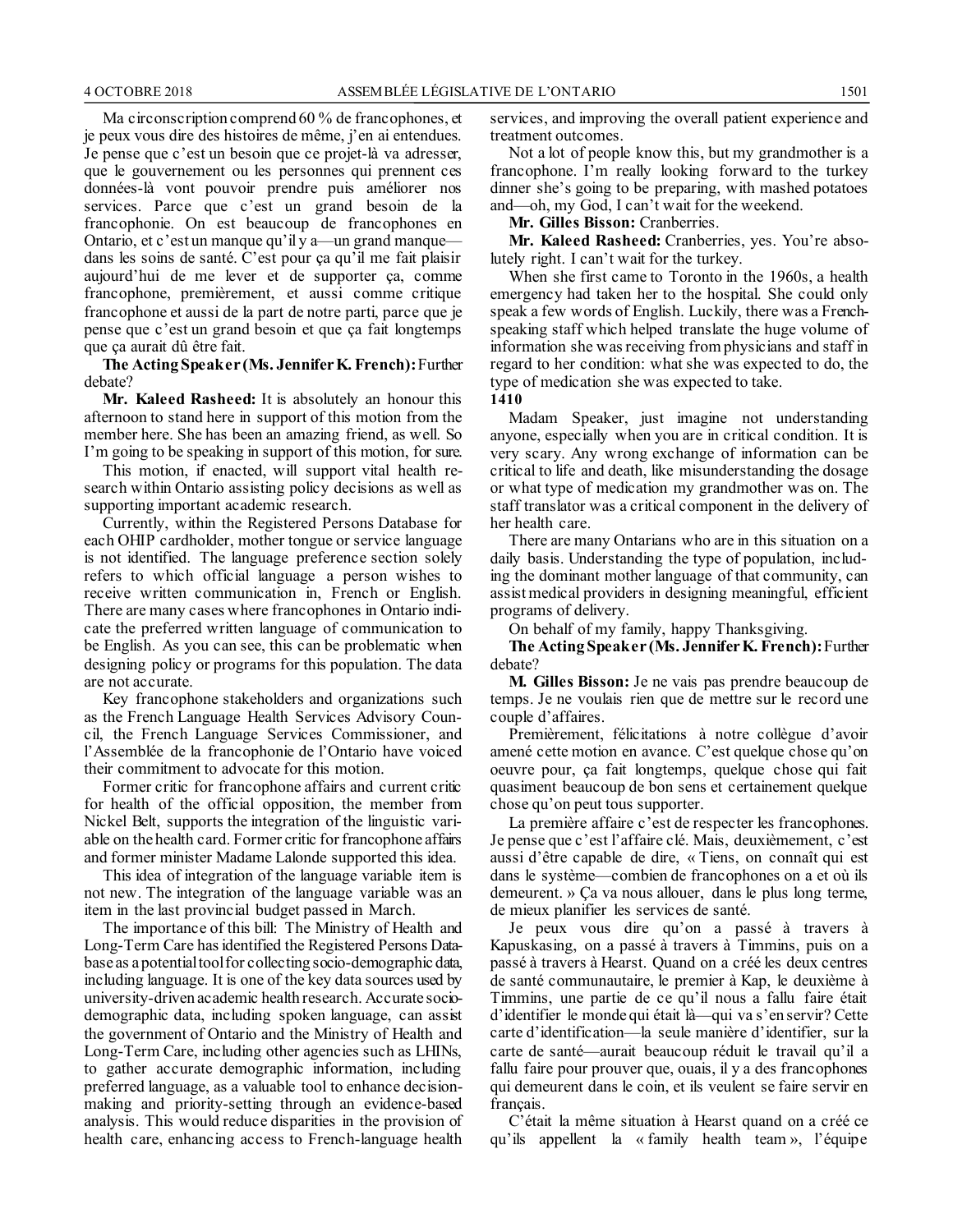Ma circonscription comprend 60 % de francophones, et je peux vous dire des histoires de même, j'en ai entendues. Je pense que c'est un besoin que ce projet-là va adresser, que le gouvernement ou les personnes qui prennent ces données-là vont pouvoir prendre puis améliorer nos services. Parce que c'est un grand besoin de la francophonie. On est beaucoup de francophones en Ontario, et c'est un manque qu'il y a—un grand manque dans les soins de santé. C'est pour ça qu'il me fait plaisir aujourd'hui de me lever et de supporter ça, comme francophone, premièrement, et aussi comme critique francophone et aussi de la part de notre parti, parce que je pense que c'est un grand besoin et que ça fait longtemps que ça aurait dû être fait.

**The Acting Speaker (Ms. Jennifer K. French):**Further debate?

**Mr. Kaleed Rasheed:** It is absolutely an honour this afternoon to stand here in support of this motion from the member here. She has been an amazing friend, as well. So I'm going to be speaking in support of this motion, for sure.

This motion, if enacted, will support vital health research within Ontario assisting policy decisions as well as supporting important academic research.

Currently, within the Registered Persons Database for each OHIP cardholder, mother tongue or service language is not identified. The language preference section solely refers to which official language a person wishes to receive written communication in, French or English. There are many cases where francophones in Ontario indicate the preferred written language of communication to be English. As you can see, this can be problematic when designing policy or programs for this population. The data are not accurate.

Key francophone stakeholders and organizations such as the French Language Health Services Advisory Council, the French Language Services Commissioner, and l'Assemblée de la francophonie de l'Ontario have voiced their commitment to advocate for this motion.

Former critic for francophone affairs and current critic for health of the official opposition, the member from Nickel Belt, supports the integration of the linguistic variable on the health card. Former critic for francophone affairs and former minister Madame Lalonde supported this idea.

This idea of integration of the language variable item is not new. The integration of the language variable was an item in the last provincial budget passed in March.

The importance of this bill: The Ministry of Health and Long-Term Care has identified the Registered Persons Database as a potential tool for collecting socio-demographic data, including language. It is one of the key data sources used by university-driven academic health research. Accurate sociodemographic data, including spoken language, can assist the government of Ontario and the Ministry of Health and Long-Term Care, including other agencies such as LHINs, to gather accurate demographic information, including preferred language, as a valuable tool to enhance decisionmaking and priority-setting through an evidence-based analysis. This would reduce disparities in the provision of health care, enhancing access to French-language health services, and improving the overall patient experience and treatment outcomes.

Not a lot of people know this, but my grandmother is a francophone. I'm really looking forward to the turkey dinner she's going to be preparing, with mashed potatoes and—oh, my God, I can't wait for the weekend.

**Mr. Gilles Bisson:** Cranberries.

**Mr. Kaleed Rasheed:** Cranberries, yes. You're absolutely right. I can't wait for the turkey.

When she first came to Toronto in the 1960s, a health emergency had taken her to the hospital. She could only speak a few words of English. Luckily, there was a Frenchspeaking staff which helped translate the huge volume of information she was receiving from physicians and staff in regard to her condition: what she was expected to do, the type of medication she was expected to take.

**1410**

Madam Speaker, just imagine not understanding anyone, especially when you are in critical condition. It is very scary. Any wrong exchange of information can be critical to life and death, like misunderstanding the dosage or what type of medication my grandmother was on. The staff translator was a critical component in the delivery of her health care.

There are many Ontarians who are in this situation on a daily basis. Understanding the type of population, including the dominant mother language of that community, can assist medical providers in designing meaningful, efficient programs of delivery.

On behalf of my family, happy Thanksgiving.

**The Acting Speaker (Ms. Jennifer K. French):**Further debate?

**M. Gilles Bisson:** Je ne vais pas prendre beaucoup de temps. Je ne voulais rien que de mettre sur le record une couple d'affaires.

Premièrement, félicitations à notre collègue d'avoir amené cette motion en avance. C'est quelque chose qu'on oeuvre pour, ça fait longtemps, quelque chose qui fait quasiment beaucoup de bon sens et certainement quelque chose qu'on peut tous supporter.

La première affaire c'est de respecter les francophones. Je pense que c'est l'affaire clé. Mais, deuxièmement, c'est aussi d'être capable de dire, « Tiens, on connaît qui est dans le système—combien de francophones on a et où ils demeurent. » Ça va nous allouer, dans le plus long terme, de mieux planifier les services de santé.

Je peux vous dire qu'on a passé à travers à Kapuskasing, on a passé à travers à Timmins, puis on a passé à travers à Hearst. Quand on a créé les deux centres de santé communautaire, le premier à Kap, le deuxième à Timmins, une partie de ce qu'il nous a fallu faire était d'identifier le monde qui était là—qui va s'en servir? Cette carte d'identification—la seule manière d'identifier, sur la carte de santé—aurait beaucoup réduit le travail qu'il a fallu faire pour prouver que, ouais, il y a des francophones qui demeurent dans le coin, et ils veulent se faire servir en français.

C'était la même situation à Hearst quand on a créé ce qu'ils appellent la « family health team », l'équipe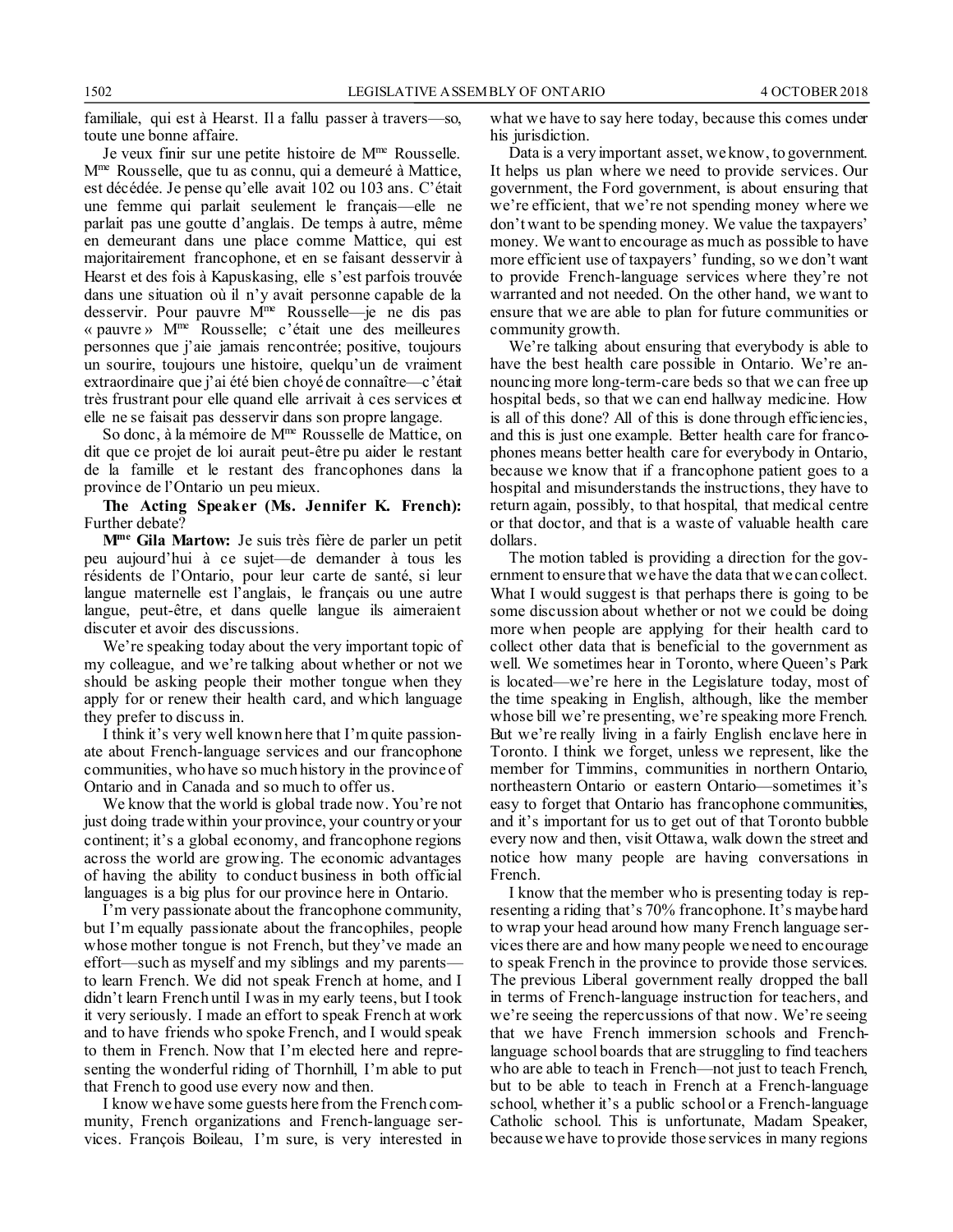familiale, qui est à Hearst. Il a fallu passer à travers—so,

toute une bonne affaire. Je veux finir sur une petite histoire de Mme Rousselle. M<sup>me</sup> Rousselle, que tu as connu, qui a demeuré à Mattice, est décédée. Je pense qu'elle avait 102 ou 103 ans. C'était une femme qui parlait seulement le français—elle ne parlait pas une goutte d'anglais. De temps à autre, même en demeurant dans une place comme Mattice, qui est majoritairement francophone, et en se faisant desservir à Hearst et des fois à Kapuskasing, elle s'est parfois trouvée dans une situation où il n'y avait personne capable de la desservir. Pour pauvre M<sup>me</sup> Rousselle—je ne dis pas « pauvre » Mme Rousselle; c'était une des meilleures personnes que j'aie jamais rencontrée; positive, toujours un sourire, toujours une histoire, quelqu'un de vraiment extraordinaire que j'ai été bien choyé de connaître—c'était très frustrant pour elle quand elle arrivait à ces services et elle ne se faisait pas desservir dans son propre langage.

So donc, à la mémoire de Mme Rousselle de Mattice, on dit que ce projet de loi aurait peut-être pu aider le restant de la famille et le restant des francophones dans la province de l'Ontario un peu mieux.

**The Acting Speaker (Ms. Jennifer K. French):** Further debate?

**Mme Gila Martow:** Je suis très fière de parler un petit peu aujourd'hui à ce sujet—de demander à tous les résidents de l'Ontario, pour leur carte de santé, si leur langue maternelle est l'anglais, le français ou une autre langue, peut-être, et dans quelle langue ils aimeraient discuter et avoir des discussions.

We're speaking today about the very important topic of my colleague, and we're talking about whether or not we should be asking people their mother tongue when they apply for or renew their health card, and which language they prefer to discuss in.

I think it's very well known here that I'm quite passionate about French-language services and our francophone communities, who have so much history in the province of Ontario and in Canada and so much to offer us.

We know that the world is global trade now. You're not just doing trade within your province, your country or your continent; it's a global economy, and francophone regions across the world are growing. The economic advantages of having the ability to conduct business in both official languages is a big plus for our province here in Ontario.

I'm very passionate about the francophone community, but I'm equally passionate about the francophiles, people whose mother tongue is not French, but they've made an effort—such as myself and my siblings and my parents to learn French. We did not speak French at home, and I didn't learn French until I was in my early teens, but I took it very seriously. I made an effort to speak French at work and to have friends who spoke French, and I would speak to them in French. Now that I'm elected here and representing the wonderful riding of Thornhill, I'm able to put that French to good use every now and then.

I know we have some guests here from the French community, French organizations and French-language services. François Boileau, I'm sure, is very interested in what we have to say here today, because this comes under his jurisdiction.

Data is a very important asset, we know, to government. It helps us plan where we need to provide services. Our government, the Ford government, is about ensuring that we're efficient, that we're not spending money where we don't want to be spending money. We value the taxpayers' money. We want to encourage as much as possible to have more efficient use of taxpayers' funding, so we don't want to provide French-language services where they're not warranted and not needed. On the other hand, we want to ensure that we are able to plan for future communities or community growth.

We're talking about ensuring that everybody is able to have the best health care possible in Ontario. We're announcing more long-term-care beds so that we can free up hospital beds, so that we can end hallway medicine. How is all of this done? All of this is done through efficiencies, and this is just one example. Better health care for francophones means better health care for everybody in Ontario, because we know that if a francophone patient goes to a hospital and misunderstands the instructions, they have to return again, possibly, to that hospital, that medical centre or that doctor, and that is a waste of valuable health care dollars.

The motion tabled is providing a direction for the government to ensure that we have the data that we can collect. What I would suggest is that perhaps there is going to be some discussion about whether or not we could be doing more when people are applying for their health card to collect other data that is beneficial to the government as well. We sometimes hear in Toronto, where Queen's Park is located—we're here in the Legislature today, most of the time speaking in English, although, like the member whose bill we're presenting, we're speaking more French. But we're really living in a fairly English enclave here in Toronto. I think we forget, unless we represent, like the member for Timmins, communities in northern Ontario, northeastern Ontario or eastern Ontario—sometimes it's easy to forget that Ontario has francophone communities, and it's important for us to get out of that Toronto bubble every now and then, visit Ottawa, walk down the street and notice how many people are having conversations in French.

I know that the member who is presenting today is representing a riding that's 70% francophone. It's maybe hard to wrap your head around how many French language services there are and how many people we need to encourage to speak French in the province to provide those services. The previous Liberal government really dropped the ball in terms of French-language instruction for teachers, and we're seeing the repercussions of that now. We're seeing that we have French immersion schools and Frenchlanguage school boards that are struggling to find teachers who are able to teach in French—not just to teach French, but to be able to teach in French at a French-language school, whether it's a public school or a French-language Catholic school. This is unfortunate, Madam Speaker, because we have to provide those services in many regions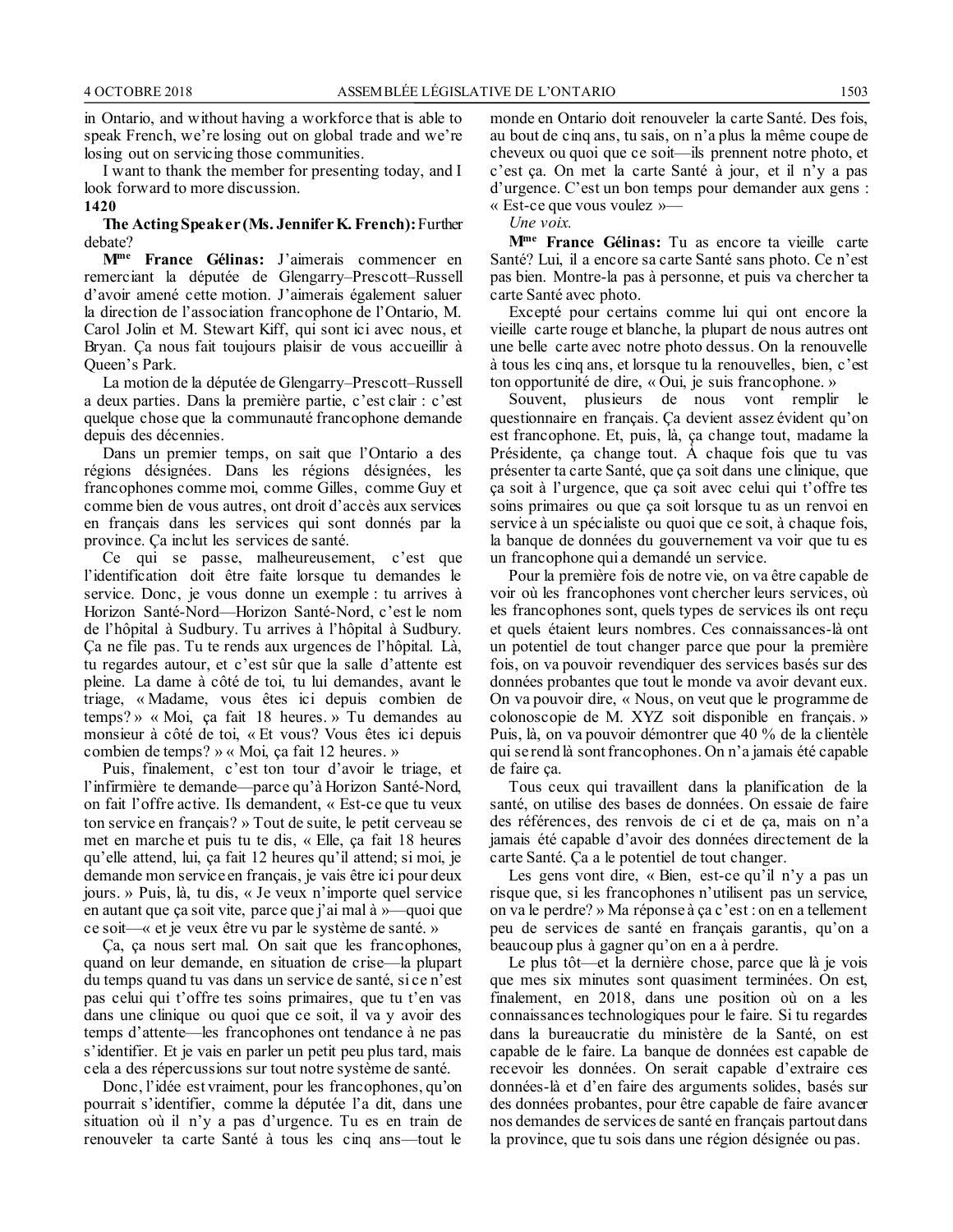in Ontario, and without having a workforce that is able to speak French, we're losing out on global trade and we're losing out on servicing those communities.

I want to thank the member for presenting today, and I look forward to more discussion.

### **1420**

#### **The Acting Speaker (Ms. Jennifer K. French):**Further debate?

**Mme France Gélinas:** J'aimerais commencer en remerciant la députée de Glengarry–Prescott–Russell d'avoir amené cette motion. J'aimerais également saluer la direction de l'association francophone de l'Ontario, M. Carol Jolin et M. Stewart Kiff, qui sont ici avec nous, et Bryan. Ça nous fait toujours plaisir de vous accueillir à Queen's Park.

La motion de la députée de Glengarry–Prescott–Russell a deux parties. Dans la première partie, c'est clair : c'est quelque chose que la communauté francophone demande depuis des décennies.

Dans un premier temps, on sait que l'Ontario a des régions désignées. Dans les régions désignées, les francophones comme moi, comme Gilles, comme Guy et comme bien de vous autres, ont droit d'accès aux services en français dans les services qui sont donnés par la province. Ça inclut les services de santé.

Ce qui se passe, malheureusement, c'est que l'identification doit être faite lorsque tu demandes le service. Donc, je vous donne un exemple : tu arrives à Horizon Santé-Nord—Horizon Santé-Nord, c'est le nom de l'hôpital à Sudbury. Tu arrives à l'hôpital à Sudbury. Ça ne file pas. Tu te rends aux urgences de l'hôpital. Là, tu regardes autour, et c'est sûr que la salle d'attente est pleine. La dame à côté de toi, tu lui demandes, avant le triage, « Madame, vous êtes ici depuis combien de temps? » « Moi, ça fait 18 heures. » Tu demandes au monsieur à côté de toi, « Et vous? Vous êtes ici depuis combien de temps? » « Moi, ça fait 12 heures. »

Puis, finalement, c'est ton tour d'avoir le triage, et l'infirmière te demande—parce qu'à Horizon Santé-Nord, on fait l'offre active. Ils demandent, « Est-ce que tu veux ton service en français? » Tout de suite, le petit cerveau se met en marche et puis tu te dis, « Elle, ça fait 18 heures qu'elle attend, lui, ça fait 12 heures qu'il attend; si moi, je demande mon service en français, je vais être ici pour deux jours. » Puis, là, tu dis, « Je veux n'importe quel service en autant que ça soit vite, parce que j'ai mal à »—quoi que ce soit—« et je veux être vu par le système de santé. »

Ça, ça nous sert mal. On sait que les francophones, quand on leur demande, en situation de crise—la plupart du temps quand tu vas dans un service de santé, si ce n'est pas celui qui t'offre tes soins primaires, que tu t'en vas dans une clinique ou quoi que ce soit, il va y avoir des temps d'attente—les francophones ont tendance à ne pas s'identifier. Et je vais en parler un petit peu plus tard, mais cela a des répercussions sur tout notre système de santé.

Donc, l'idée est vraiment, pour les francophones, qu'on pourrait s'identifier, comme la députée l'a dit, dans une situation où il n'y a pas d'urgence. Tu es en train de renouveler ta carte Santé à tous les cinq ans—tout le monde en Ontario doit renouveler la carte Santé. Des fois, au bout de cinq ans, tu sais, on n'a plus la même coupe de cheveux ou quoi que ce soit—ils prennent notre photo, et c'est ça. On met la carte Santé à jour, et il n'y a pas d'urgence. C'est un bon temps pour demander aux gens : « Est-ce que vous voulez »—

*Une voix.*

**Mme France Gélinas:** Tu as encore ta vieille carte Santé? Lui, il a encore sa carte Santé sans photo. Ce n'est pas bien. Montre-la pas à personne, et puis va chercher ta carte Santé avec photo.

Excepté pour certains comme lui qui ont encore la vieille carte rouge et blanche, la plupart de nous autres ont une belle carte avec notre photo dessus. On la renouvelle à tous les cinq ans, et lorsque tu la renouvelles, bien, c'est ton opportunité de dire, « Oui, je suis francophone. »

Souvent, plusieurs de nous vont remplir le questionnaire en français. Ça devient assez évident qu'on est francophone. Et, puis, là, ça change tout, madame la Présidente, ça change tout. À chaque fois que tu vas présenter ta carte Santé, que ça soit dans une clinique, que ça soit à l'urgence, que ça soit avec celui qui t'offre tes soins primaires ou que ça soit lorsque tu as un renvoi en service à un spécialiste ou quoi que ce soit, à chaque fois, la banque de données du gouvernement va voir que tu es un francophone qui a demandé un service.

Pour la première fois de notre vie, on va être capable de voir où les francophones vont chercher leurs services, où les francophones sont, quels types de services ils ont reçu et quels étaient leurs nombres. Ces connaissances-là ont un potentiel de tout changer parce que pour la première fois, on va pouvoir revendiquer des services basés sur des données probantes que tout le monde va avoir devant eux. On va pouvoir dire, « Nous, on veut que le programme de colonoscopie de M. XYZ soit disponible en français. » Puis, là, on va pouvoir démontrer que 40 % de la clientèle qui se rend là sont francophones. On n'a jamais été capable de faire ça.

Tous ceux qui travaillent dans la planification de la santé, on utilise des bases de données. On essaie de faire des références, des renvois de ci et de ça, mais on n'a jamais été capable d'avoir des données directement de la carte Santé. Ça a le potentiel de tout changer.

Les gens vont dire, « Bien, est-ce qu'il n'y a pas un risque que, si les francophones n'utilisent pas un service, on va le perdre? » Ma réponse à ça c'est : on en a tellement peu de services de santé en français garantis, qu'on a beaucoup plus à gagner qu'on en a à perdre.

Le plus tôt—et la dernière chose, parce que là je vois que mes six minutes sont quasiment terminées. On est, finalement, en 2018, dans une position où on a les connaissances technologiques pour le faire. Si tu regardes dans la bureaucratie du ministère de la Santé, on est capable de le faire. La banque de données est capable de recevoir les données. On serait capable d'extraire ces données-là et d'en faire des arguments solides, basés sur des données probantes, pour être capable de faire avancer nos demandes de services de santé en français partout dans la province, que tu sois dans une région désignée ou pas.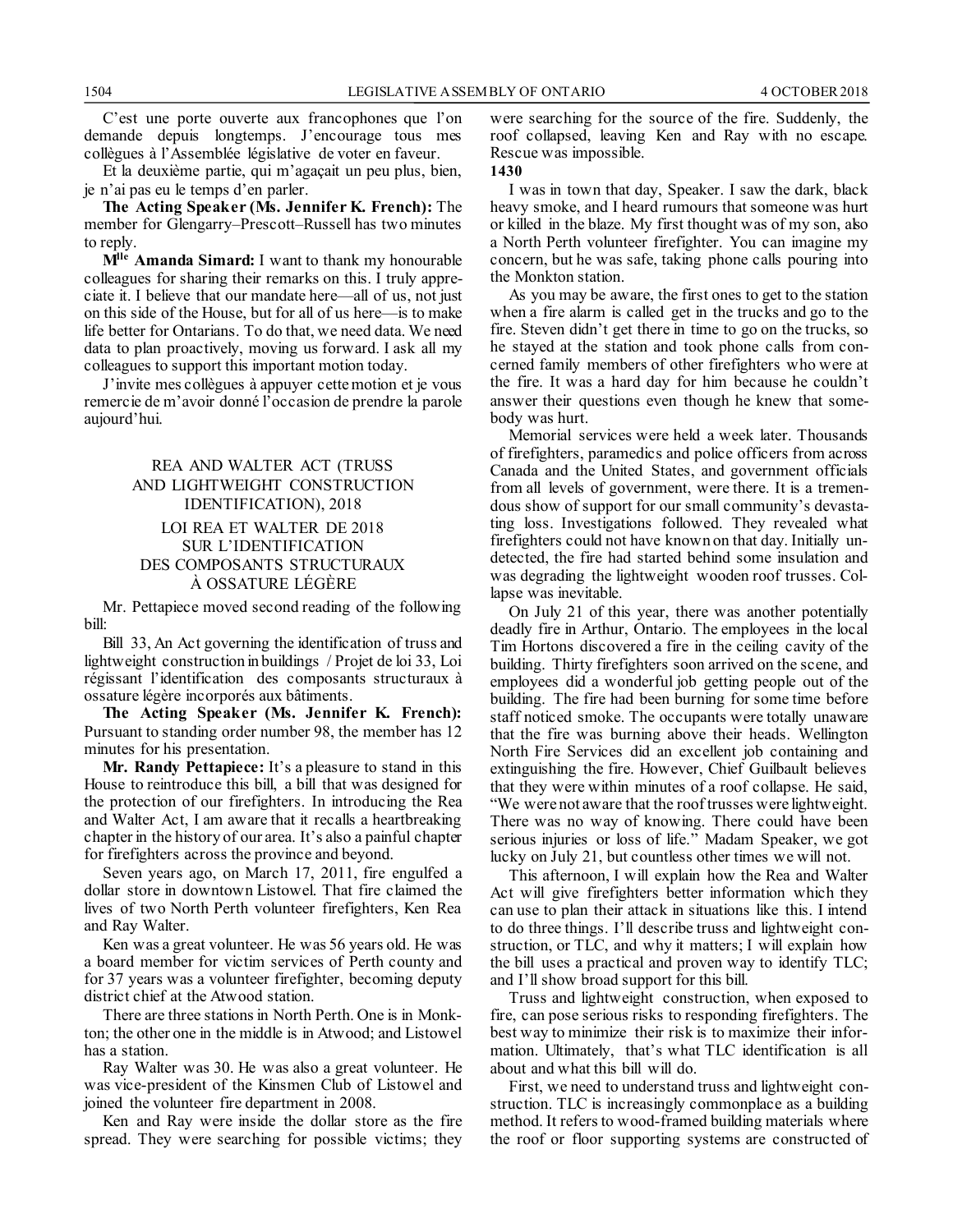C'est une porte ouverte aux francophones que l'on demande depuis longtemps. J'encourage tous mes collègues à l'Assemblée législative de voter en faveur.

Et la deuxième partie, qui m'agaçait un peu plus, bien, je n'ai pas eu le temps d'en parler.

**The Acting Speaker (Ms. Jennifer K. French):** The member for Glengarry–Prescott–Russell has two minutes to reply.

**Mlle Amanda Simard:** I want to thank my honourable colleagues for sharing their remarks on this. I truly appreciate it. I believe that our mandate here—all of us, not just on this side of the House, but for all of us here—is to make life better for Ontarians. To do that, we need data. We need data to plan proactively, moving us forward. I ask all my colleagues to support this important motion today.

J'invite mes collègues à appuyer cette motion et je vous remercie de m'avoir donné l'occasion de prendre la parole aujourd'hui.

### REA AND WALTER ACT (TRUSS AND LIGHTWEIGHT CONSTRUCTION IDENTIFICATION), 2018 LOI REA ET WALTER DE 2018 SUR L'IDENTIFICATION DES COMPOSANTS STRUCTURAUX À OSSATURE LÉGÈRE

Mr. Pettapiece moved second reading of the following bill:

Bill 33, An Act governing the identification of truss and lightweight construction in buildings / Projet de loi 33, Loi régissant l'identification des composants structuraux à ossature légère incorporés aux bâtiments.

**The Acting Speaker (Ms. Jennifer K. French):** Pursuant to standing order number 98, the member has 12 minutes for his presentation.

**Mr. Randy Pettapiece:** It's a pleasure to stand in this House to reintroduce this bill, a bill that was designed for the protection of our firefighters. In introducing the Rea and Walter Act, I am aware that it recalls a heartbreaking chapter in the history of our area. It's also a painful chapter for firefighters across the province and beyond.

Seven years ago, on March 17, 2011, fire engulfed a dollar store in downtown Listowel. That fire claimed the lives of two North Perth volunteer firefighters, Ken Rea and Ray Walter.

Ken was a great volunteer. He was 56 years old. He was a board member for victim services of Perth county and for 37 years was a volunteer firefighter, becoming deputy district chief at the Atwood station.

There are three stations in North Perth. One is in Monkton; the other one in the middle is in Atwood; and Listowel has a station.

Ray Walter was 30. He was also a great volunteer. He was vice-president of the Kinsmen Club of Listowel and joined the volunteer fire department in 2008.

Ken and Ray were inside the dollar store as the fire spread. They were searching for possible victims; they were searching for the source of the fire. Suddenly, the roof collapsed, leaving Ken and Ray with no escape. Rescue was impossible.

#### **1430**

I was in town that day, Speaker. I saw the dark, black heavy smoke, and I heard rumours that someone was hurt or killed in the blaze. My first thought was of my son, also a North Perth volunteer firefighter. You can imagine my concern, but he was safe, taking phone calls pouring into the Monkton station.

As you may be aware, the first ones to get to the station when a fire alarm is called get in the trucks and go to the fire. Steven didn't get there in time to go on the trucks, so he stayed at the station and took phone calls from concerned family members of other firefighters who were at the fire. It was a hard day for him because he couldn't answer their questions even though he knew that somebody was hurt.

Memorial services were held a week later. Thousands of firefighters, paramedics and police officers from across Canada and the United States, and government officials from all levels of government, were there. It is a tremendous show of support for our small community's devastating loss. Investigations followed. They revealed what firefighters could not have known on that day. Initially undetected, the fire had started behind some insulation and was degrading the lightweight wooden roof trusses. Collapse was inevitable.

On July 21 of this year, there was another potentially deadly fire in Arthur, Ontario. The employees in the local Tim Hortons discovered a fire in the ceiling cavity of the building. Thirty firefighters soon arrived on the scene, and employees did a wonderful job getting people out of the building. The fire had been burning for some time before staff noticed smoke. The occupants were totally unaware that the fire was burning above their heads. Wellington North Fire Services did an excellent job containing and extinguishing the fire. However, Chief Guilbault believes that they were within minutes of a roof collapse. He said, "We were not aware that the roof trusses were lightweight. There was no way of knowing. There could have been serious injuries or loss of life." Madam Speaker, we got lucky on July 21, but countless other times we will not.

This afternoon, I will explain how the Rea and Walter Act will give firefighters better information which they can use to plan their attack in situations like this. I intend to do three things. I'll describe truss and lightweight construction, or TLC, and why it matters; I will explain how the bill uses a practical and proven way to identify TLC; and I'll show broad support for this bill.

Truss and lightweight construction, when exposed to fire, can pose serious risks to responding firefighters. The best way to minimize their risk is to maximize their information. Ultimately, that's what TLC identification is all about and what this bill will do.

First, we need to understand truss and lightweight construction. TLC is increasingly commonplace as a building method. It refers to wood-framed building materials where the roof or floor supporting systems are constructed of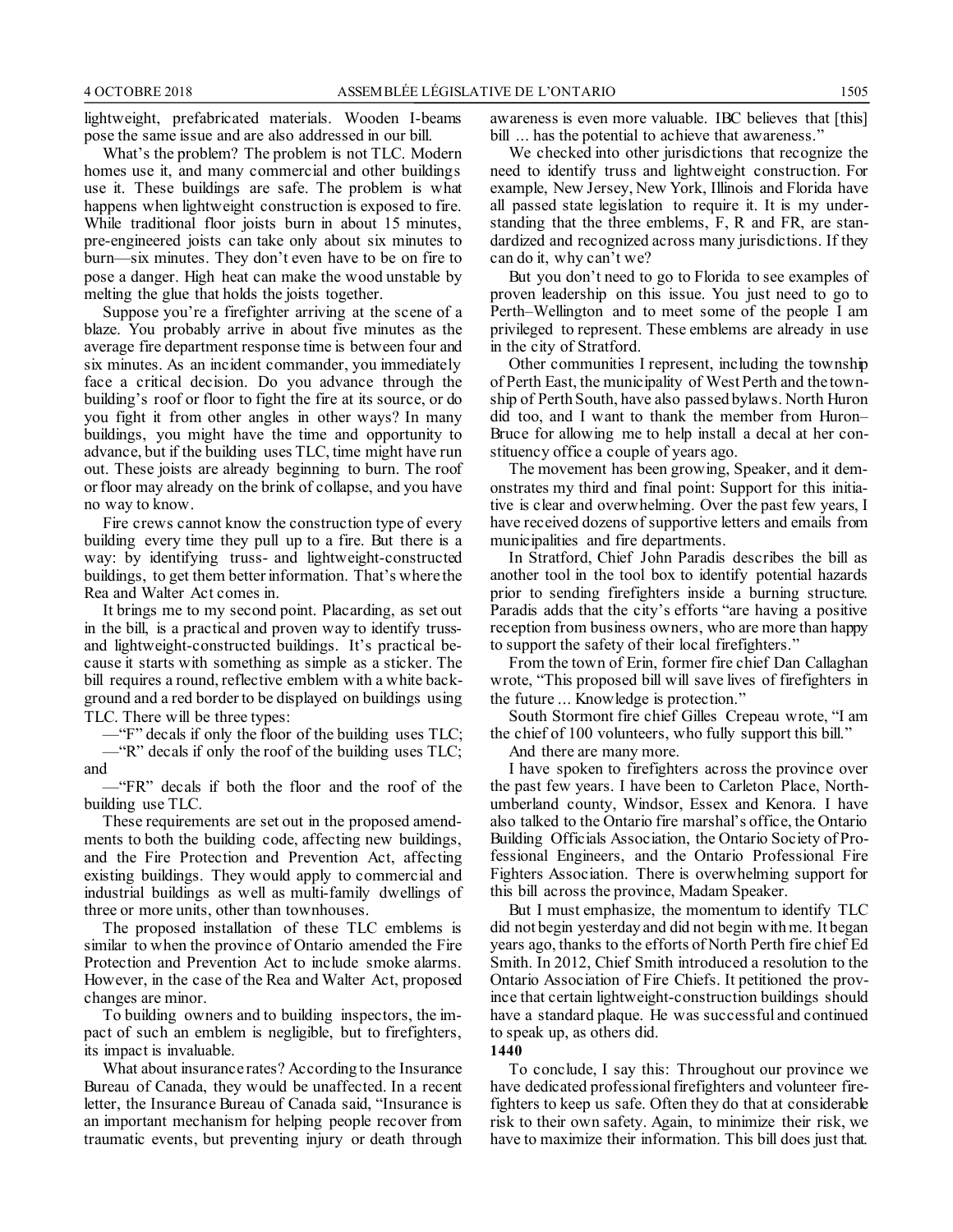lightweight, prefabricated materials. Wooden I-beams pose the same issue and are also addressed in our bill.

What's the problem? The problem is not TLC. Modern homes use it, and many commercial and other buildings use it. These buildings are safe. The problem is what happens when lightweight construction is exposed to fire. While traditional floor joists burn in about 15 minutes, pre-engineered joists can take only about six minutes to burn––six minutes. They don't even have to be on fire to pose a danger. High heat can make the wood unstable by melting the glue that holds the joists together.

Suppose you're a firefighter arriving at the scene of a blaze. You probably arrive in about five minutes as the average fire department response time is between four and six minutes. As an incident commander, you immediately face a critical decision. Do you advance through the building's roof or floor to fight the fire at its source, or do you fight it from other angles in other ways? In many buildings, you might have the time and opportunity to advance, but if the building uses TLC, time might have run out. These joists are already beginning to burn. The roof or floor may already on the brink of collapse, and you have no way to know.

Fire crews cannot know the construction type of every building every time they pull up to a fire. But there is a way: by identifying truss- and lightweight-constructed buildings, to get them better information. That's where the Rea and Walter Act comes in.

It brings me to my second point. Placarding, as set out in the bill, is a practical and proven way to identify trussand lightweight-constructed buildings. It's practical because it starts with something as simple as a sticker. The bill requires a round, reflective emblem with a white background and a red border to be displayed on buildings using TLC. There will be three types:

—"F" decals if only the floor of the building uses TLC; —"R" decals if only the roof of the building uses TLC;

and

—"FR" decals if both the floor and the roof of the building use TLC.

These requirements are set out in the proposed amendments to both the building code, affecting new buildings, and the Fire Protection and Prevention Act, affecting existing buildings. They would apply to commercial and industrial buildings as well as multi-family dwellings of three or more units, other than townhouses.

The proposed installation of these TLC emblems is similar to when the province of Ontario amended the Fire Protection and Prevention Act to include smoke alarms. However, in the case of the Rea and Walter Act, proposed changes are minor.

To building owners and to building inspectors, the impact of such an emblem is negligible, but to firefighters, its impact is invaluable.

What about insurance rates? According to the Insurance Bureau of Canada, they would be unaffected. In a recent letter, the Insurance Bureau of Canada said, "Insurance is an important mechanism for helping people recover from traumatic events, but preventing injury or death through awareness is even more valuable. IBC believes that [this] bill ... has the potential to achieve that awareness."

We checked into other jurisdictions that recognize the need to identify truss and lightweight construction. For example, New Jersey, New York, Illinois and Florida have all passed state legislation to require it. It is my understanding that the three emblems, F, R and FR, are standardized and recognized across many jurisdictions. If they can do it, why can't we?

But you don't need to go to Florida to see examples of proven leadership on this issue. You just need to go to Perth–Wellington and to meet some of the people I am privileged to represent. These emblems are already in use in the city of Stratford.

Other communities I represent, including the township of Perth East, the municipality of West Perth and the township of Perth South, have also passed bylaws. North Huron did too, and I want to thank the member from Huron– Bruce for allowing me to help install a decal at her constituency office a couple of years ago.

The movement has been growing, Speaker, and it demonstrates my third and final point: Support for this initiative is clear and overwhelming. Over the past few years, I have received dozens of supportive letters and emails from municipalities and fire departments.

In Stratford, Chief John Paradis describes the bill as another tool in the tool box to identify potential hazards prior to sending firefighters inside a burning structure. Paradis adds that the city's efforts "are having a positive reception from business owners, who are more than happy to support the safety of their local firefighters."

From the town of Erin, former fire chief Dan Callaghan wrote, "This proposed bill will save lives of firefighters in the future ... Knowledge is protection."

South Stormont fire chief Gilles Crepeau wrote, "I am the chief of 100 volunteers, who fully support this bill."

And there are many more.

I have spoken to firefighters across the province over the past few years. I have been to Carleton Place, Northumberland county, Windsor, Essex and Kenora. I have also talked to the Ontario fire marshal's office, the Ontario Building Officials Association, the Ontario Society of Professional Engineers, and the Ontario Professional Fire Fighters Association. There is overwhelming support for this bill across the province, Madam Speaker.

But I must emphasize, the momentum to identify TLC did not begin yesterday and did not begin with me. It began years ago, thanks to the efforts of North Perth fire chief Ed Smith. In 2012, Chief Smith introduced a resolution to the Ontario Association of Fire Chiefs. It petitioned the province that certain lightweight-construction buildings should have a standard plaque. He was successful and continued to speak up, as others did.

**1440**

To conclude, I say this: Throughout our province we have dedicated professional firefighters and volunteer firefighters to keep us safe. Often they do that at considerable risk to their own safety. Again, to minimize their risk, we have to maximize their information. This bill does just that.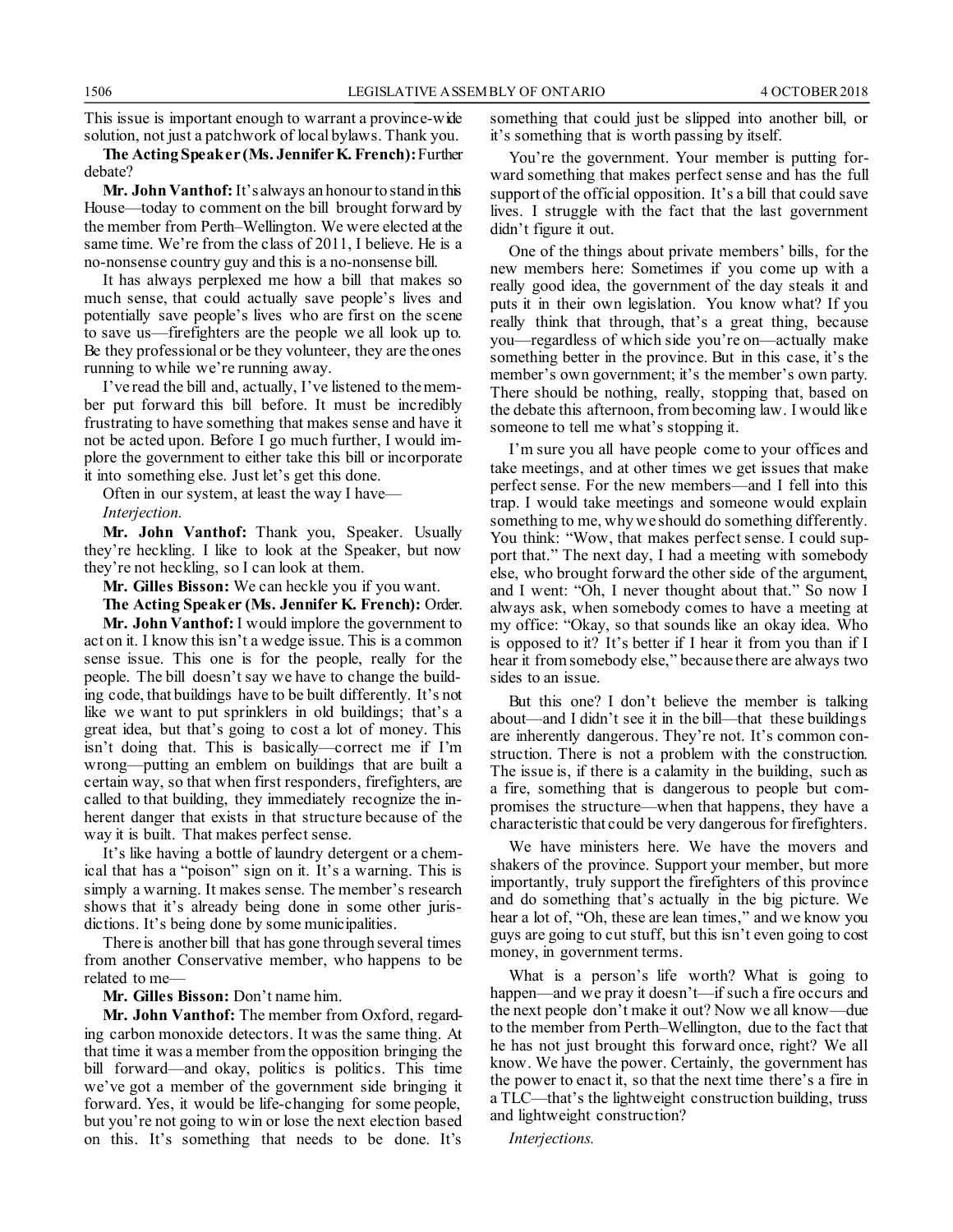This issue is important enough to warrant a province-wide solution, not just a patchwork of local bylaws. Thank you.

**The Acting Speaker (Ms. Jennifer K. French):**Further debate?

**Mr. John Vanthof:** It's always an honour to stand in this House—today to comment on the bill brought forward by the member from Perth–Wellington. We were elected at the same time. We're from the class of 2011, I believe. He is a no-nonsense country guy and this is a no-nonsense bill.

It has always perplexed me how a bill that makes so much sense, that could actually save people's lives and potentially save people's lives who are first on the scene to save us—firefighters are the people we all look up to. Be they professional or be they volunteer, they are the ones running to while we're running away.

I've read the bill and, actually, I've listened to the member put forward this bill before. It must be incredibly frustrating to have something that makes sense and have it not be acted upon. Before I go much further, I would implore the government to either take this bill or incorporate it into something else. Just let's get this done.

Often in our system, at least the way I have— *Interjection.*

**Mr. John Vanthof:** Thank you, Speaker. Usually they're heckling. I like to look at the Speaker, but now they're not heckling, so I can look at them.

**Mr. Gilles Bisson:** We can heckle you if you want.

**The Acting Speaker (Ms. Jennifer K. French):** Order.

**Mr. John Vanthof:**I would implore the government to act on it. I know this isn't a wedge issue. This is a common sense issue. This one is for the people, really for the people. The bill doesn't say we have to change the building code, that buildings have to be built differently. It's not like we want to put sprinklers in old buildings; that's a great idea, but that's going to cost a lot of money. This isn't doing that. This is basically—correct me if I'm wrong—putting an emblem on buildings that are built a certain way, so that when first responders, firefighters, are called to that building, they immediately recognize the inherent danger that exists in that structure because of the way it is built. That makes perfect sense.

It's like having a bottle of laundry detergent or a chemical that has a "poison" sign on it. It's a warning. This is simply a warning. It makes sense. The member's research shows that it's already being done in some other jurisdictions. It's being done by some municipalities.

There is another bill that has gone through several times from another Conservative member, who happens to be related to me—

**Mr. Gilles Bisson:** Don't name him.

**Mr. John Vanthof:** The member from Oxford, regarding carbon monoxide detectors. It was the same thing. At that time it was a member from the opposition bringing the bill forward—and okay, politics is politics. This time we've got a member of the government side bringing it forward. Yes, it would be life-changing for some people, but you're not going to win or lose the next election based on this. It's something that needs to be done. It's something that could just be slipped into another bill, or it's something that is worth passing by itself.

You're the government. Your member is putting forward something that makes perfect sense and has the full support of the official opposition. It's a bill that could save lives. I struggle with the fact that the last government didn't figure it out.

One of the things about private members' bills, for the new members here: Sometimes if you come up with a really good idea, the government of the day steals it and puts it in their own legislation. You know what? If you really think that through, that's a great thing, because you—regardless of which side you're on—actually make something better in the province. But in this case, it's the member's own government; it's the member's own party. There should be nothing, really, stopping that, based on the debate this afternoon, from becoming law. I would like someone to tell me what's stopping it.

I'm sure you all have people come to your offices and take meetings, and at other times we get issues that make perfect sense. For the new members—and I fell into this trap. I would take meetings and someone would explain something to me, why we should do something differently. You think: "Wow, that makes perfect sense. I could support that." The next day, I had a meeting with somebody else, who brought forward the other side of the argument, and I went: "Oh, I never thought about that." So now I always ask, when somebody comes to have a meeting at my office: "Okay, so that sounds like an okay idea. Who is opposed to it? It's better if I hear it from you than if I hear it from somebody else," because there are always two sides to an issue.

But this one? I don't believe the member is talking about—and I didn't see it in the bill—that these buildings are inherently dangerous. They're not. It's common construction. There is not a problem with the construction. The issue is, if there is a calamity in the building, such as a fire, something that is dangerous to people but compromises the structure—when that happens, they have a characteristic that could be very dangerous for firefighters.

We have ministers here. We have the movers and shakers of the province. Support your member, but more importantly, truly support the firefighters of this province and do something that's actually in the big picture. We hear a lot of, "Oh, these are lean times," and we know you guys are going to cut stuff, but this isn't even going to cost money, in government terms.

What is a person's life worth? What is going to happen—and we pray it doesn't—if such a fire occurs and the next people don't make it out? Now we all know—due to the member from Perth–Wellington, due to the fact that he has not just brought this forward once, right? We all know. We have the power. Certainly, the government has the power to enact it, so that the next time there's a fire in a TLC—that's the lightweight construction building, truss and lightweight construction?

*Interjections.*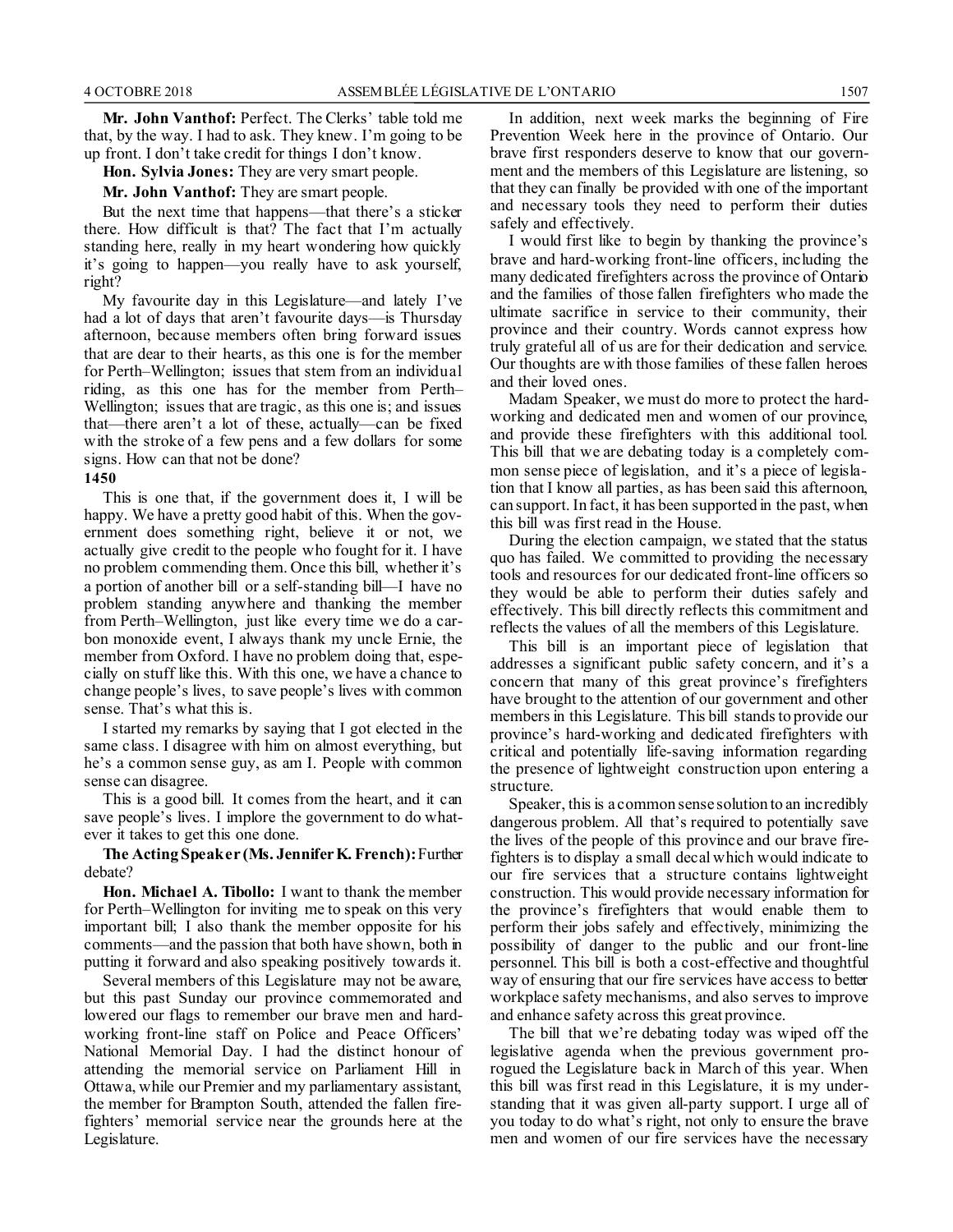**Mr. John Vanthof:** Perfect. The Clerks' table told me that, by the way. I had to ask. They knew. I'm going to be up front. I don't take credit for things I don't know.

**Hon. Sylvia Jones:** They are very smart people.

**Mr. John Vanthof:** They are smart people.

But the next time that happens—that there's a sticker there. How difficult is that? The fact that I'm actually standing here, really in my heart wondering how quickly it's going to happen—you really have to ask yourself, right?

My favourite day in this Legislature—and lately I've had a lot of days that aren't favourite days—is Thursday afternoon, because members often bring forward issues that are dear to their hearts, as this one is for the member for Perth–Wellington; issues that stem from an individual riding, as this one has for the member from Perth– Wellington; issues that are tragic, as this one is; and issues that—there aren't a lot of these, actually—can be fixed with the stroke of a few pens and a few dollars for some signs. How can that not be done?

### **1450**

This is one that, if the government does it, I will be happy. We have a pretty good habit of this. When the government does something right, believe it or not, we actually give credit to the people who fought for it. I have no problem commending them. Once this bill, whether it's a portion of another bill or a self-standing bill—I have no problem standing anywhere and thanking the member from Perth–Wellington, just like every time we do a carbon monoxide event, I always thank my uncle Ernie, the member from Oxford. I have no problem doing that, especially on stuff like this. With this one, we have a chance to change people's lives, to save people's lives with common sense. That's what this is.

I started my remarks by saying that I got elected in the same class. I disagree with him on almost everything, but he's a common sense guy, as am I. People with common sense can disagree.

This is a good bill. It comes from the heart, and it can save people's lives. I implore the government to do whatever it takes to get this one done.

**The Acting Speaker (Ms. Jennifer K. French):**Further debate?

**Hon. Michael A. Tibollo:** I want to thank the member for Perth–Wellington for inviting me to speak on this very important bill; I also thank the member opposite for his comments—and the passion that both have shown, both in putting it forward and also speaking positively towards it.

Several members of this Legislature may not be aware, but this past Sunday our province commemorated and lowered our flags to remember our brave men and hardworking front-line staff on Police and Peace Officers' National Memorial Day. I had the distinct honour of attending the memorial service on Parliament Hill in Ottawa, while our Premier and my parliamentary assistant, the member for Brampton South, attended the fallen firefighters' memorial service near the grounds here at the Legislature.

In addition, next week marks the beginning of Fire Prevention Week here in the province of Ontario. Our brave first responders deserve to know that our government and the members of this Legislature are listening, so that they can finally be provided with one of the important and necessary tools they need to perform their duties safely and effectively.

I would first like to begin by thanking the province's brave and hard-working front-line officers, including the many dedicated firefighters across the province of Ontario and the families of those fallen firefighters who made the ultimate sacrifice in service to their community, their province and their country. Words cannot express how truly grateful all of us are for their dedication and service. Our thoughts are with those families of these fallen heroes and their loved ones.

Madam Speaker, we must do more to protect the hardworking and dedicated men and women of our province, and provide these firefighters with this additional tool. This bill that we are debating today is a completely common sense piece of legislation, and it's a piece of legislation that I know all parties, as has been said this afternoon, can support. In fact, it has been supported in the past, when this bill was first read in the House.

During the election campaign, we stated that the status quo has failed. We committed to providing the necessary tools and resources for our dedicated front-line officers so they would be able to perform their duties safely and effectively. This bill directly reflects this commitment and reflects the values of all the members of this Legislature.

This bill is an important piece of legislation that addresses a significant public safety concern, and it's a concern that many of this great province's firefighters have brought to the attention of our government and other members in this Legislature. This bill stands to provide our province's hard-working and dedicated firefighters with critical and potentially life-saving information regarding the presence of lightweight construction upon entering a structure.

Speaker, this is a common sense solution to an incredibly dangerous problem. All that's required to potentially save the lives of the people of this province and our brave firefighters is to display a small decal which would indicate to our fire services that a structure contains lightweight construction. This would provide necessary information for the province's firefighters that would enable them to perform their jobs safely and effectively, minimizing the possibility of danger to the public and our front-line personnel. This bill is both a cost-effective and thoughtful way of ensuring that our fire services have access to better workplace safety mechanisms, and also serves to improve and enhance safety across this great province.

The bill that we're debating today was wiped off the legislative agenda when the previous government prorogued the Legislature back in March of this year. When this bill was first read in this Legislature, it is my understanding that it was given all-party support. I urge all of you today to do what's right, not only to ensure the brave men and women of our fire services have the necessary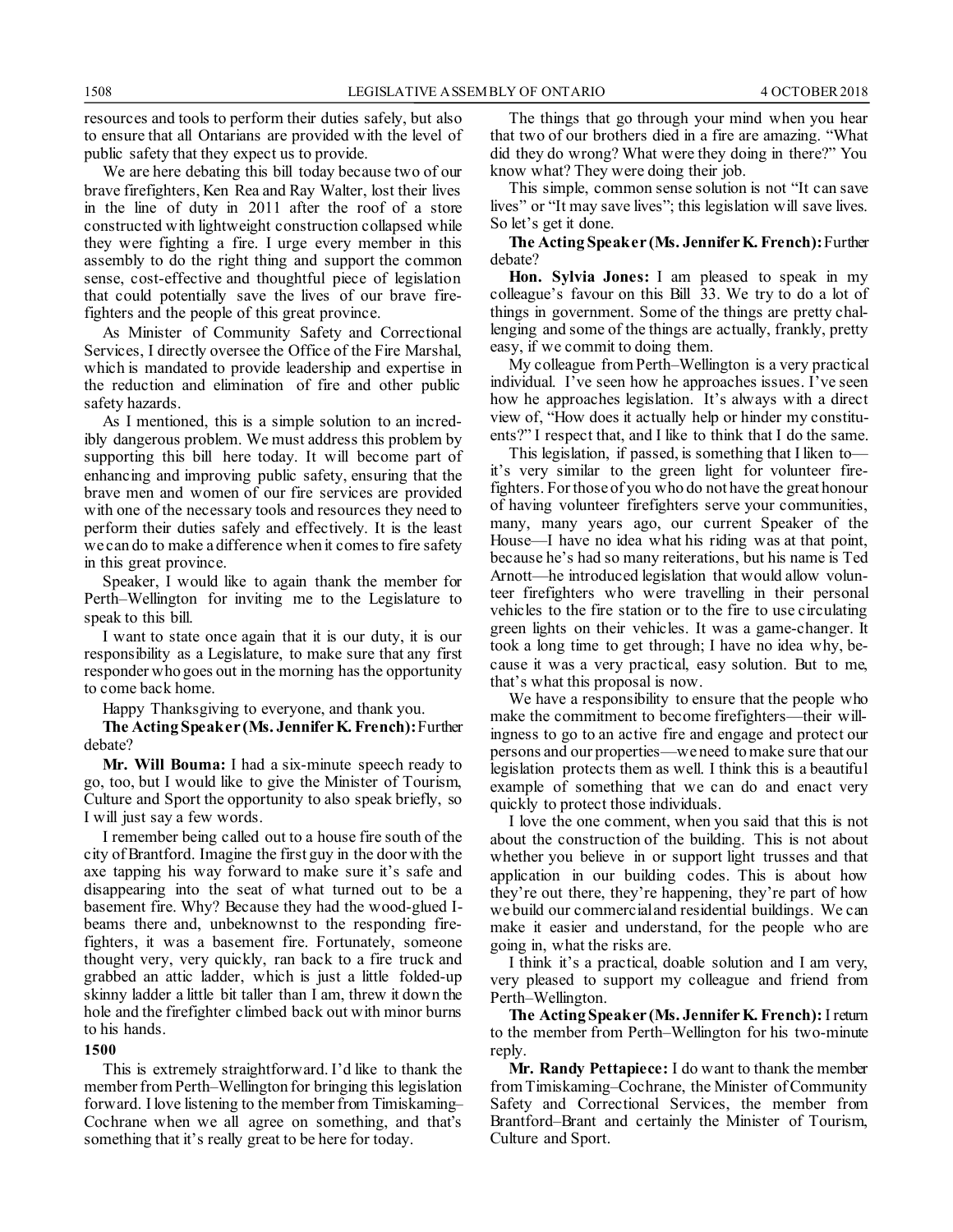resources and tools to perform their duties safely, but also to ensure that all Ontarians are provided with the level of public safety that they expect us to provide.

We are here debating this bill today because two of our brave firefighters, Ken Rea and Ray Walter, lost their lives in the line of duty in 2011 after the roof of a store constructed with lightweight construction collapsed while they were fighting a fire. I urge every member in this assembly to do the right thing and support the common sense, cost-effective and thoughtful piece of legislation that could potentially save the lives of our brave firefighters and the people of this great province.

As Minister of Community Safety and Correctional Services, I directly oversee the Office of the Fire Marshal, which is mandated to provide leadership and expertise in the reduction and elimination of fire and other public safety hazards.

As I mentioned, this is a simple solution to an incredibly dangerous problem. We must address this problem by supporting this bill here today. It will become part of enhancing and improving public safety, ensuring that the brave men and women of our fire services are provided with one of the necessary tools and resources they need to perform their duties safely and effectively. It is the least we can do to make a difference when it comes to fire safety in this great province.

Speaker, I would like to again thank the member for Perth–Wellington for inviting me to the Legislature to speak to this bill.

I want to state once again that it is our duty, it is our responsibility as a Legislature, to make sure that any first responder who goes out in the morning has the opportunity to come back home.

Happy Thanksgiving to everyone, and thank you.

**The Acting Speaker (Ms. Jennifer K. French):**Further debate?

**Mr. Will Bouma:** I had a six-minute speech ready to go, too, but I would like to give the Minister of Tourism, Culture and Sport the opportunity to also speak briefly, so I will just say a few words.

I remember being called out to a house fire south of the city of Brantford. Imagine the first guy in the door with the axe tapping his way forward to make sure it's safe and disappearing into the seat of what turned out to be a basement fire. Why? Because they had the wood-glued Ibeams there and, unbeknownst to the responding firefighters, it was a basement fire. Fortunately, someone thought very, very quickly, ran back to a fire truck and grabbed an attic ladder, which is just a little folded-up skinny ladder a little bit taller than I am, threw it down the hole and the firefighter climbed back out with minor burns to his hands.

**1500**

This is extremely straightforward. I'd like to thank the member from Perth–Wellington for bringing this legislation forward. I love listening to the member from Timiskaming– Cochrane when we all agree on something, and that's something that it's really great to be here for today.

The things that go through your mind when you hear that two of our brothers died in a fire are amazing. "What did they do wrong? What were they doing in there?" You know what? They were doing their job.

This simple, common sense solution is not "It can save lives" or "It may save lives"; this legislation will save lives. So let's get it done.

#### **The Acting Speaker (Ms. Jennifer K. French):**Further debate?

**Hon. Sylvia Jones:** I am pleased to speak in my colleague's favour on this Bill 33. We try to do a lot of things in government. Some of the things are pretty challenging and some of the things are actually, frankly, pretty easy, if we commit to doing them.

My colleague from Perth–Wellington is a very practical individual. I've seen how he approaches issues. I've seen how he approaches legislation. It's always with a direct view of, "How does it actually help or hinder my constituents?" I respect that, and I like to think that I do the same.

This legislation, if passed, is something that I liken to it's very similar to the green light for volunteer firefighters. For those of you who do not have the great honour of having volunteer firefighters serve your communities, many, many years ago, our current Speaker of the House—I have no idea what his riding was at that point, because he's had so many reiterations, but his name is Ted Arnott—he introduced legislation that would allow volunteer firefighters who were travelling in their personal vehicles to the fire station or to the fire to use circulating green lights on their vehicles. It was a game-changer. It took a long time to get through; I have no idea why, because it was a very practical, easy solution. But to me, that's what this proposal is now.

We have a responsibility to ensure that the people who make the commitment to become firefighters—their willingness to go to an active fire and engage and protect our persons and our properties—we need to make sure that our legislation protects them as well. I think this is a beautiful example of something that we can do and enact very quickly to protect those individuals.

I love the one comment, when you said that this is not about the construction of the building. This is not about whether you believe in or support light trusses and that application in our building codes. This is about how they're out there, they're happening, they're part of how we build our commercial and residential buildings. We can make it easier and understand, for the people who are going in, what the risks are.

I think it's a practical, doable solution and I am very, very pleased to support my colleague and friend from Perth–Wellington.

**The Acting Speaker (Ms. Jennifer K. French):**I return to the member from Perth–Wellington for his two-minute reply.

**Mr. Randy Pettapiece:** I do want to thank the member from Timiskaming–Cochrane, the Minister of Community Safety and Correctional Services, the member from Brantford–Brant and certainly the Minister of Tourism, Culture and Sport.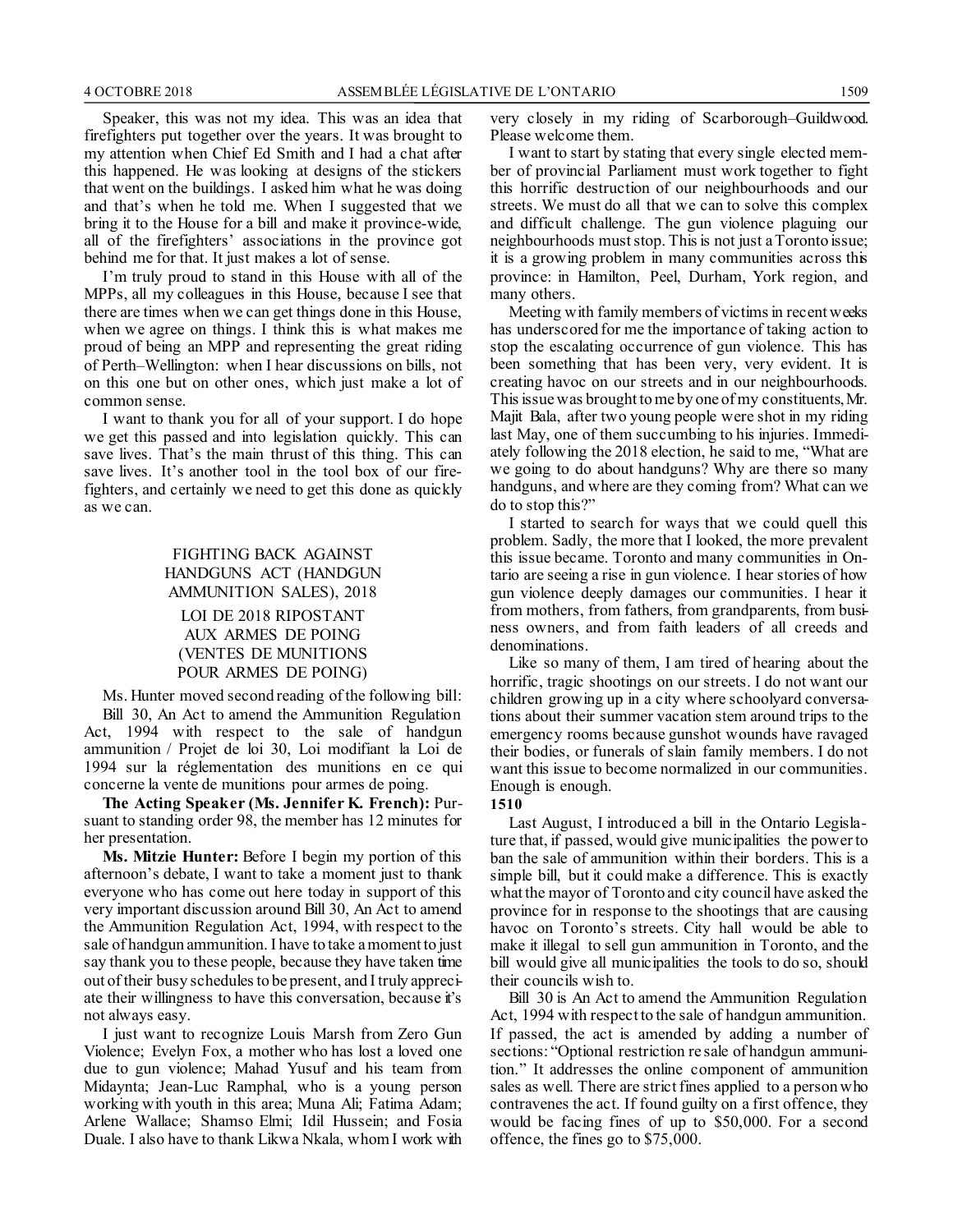Speaker, this was not my idea. This was an idea that firefighters put together over the years. It was brought to my attention when Chief Ed Smith and I had a chat after this happened. He was looking at designs of the stickers that went on the buildings. I asked him what he was doing and that's when he told me. When I suggested that we bring it to the House for a bill and make it province-wide, all of the firefighters' associations in the province got behind me for that. It just makes a lot of sense.

I'm truly proud to stand in this House with all of the MPPs, all my colleagues in this House, because I see that there are times when we can get things done in this House, when we agree on things. I think this is what makes me proud of being an MPP and representing the great riding of Perth–Wellington: when I hear discussions on bills, not on this one but on other ones, which just make a lot of common sense.

I want to thank you for all of your support. I do hope we get this passed and into legislation quickly. This can save lives. That's the main thrust of this thing. This can save lives. It's another tool in the tool box of our firefighters, and certainly we need to get this done as quickly as we can.

### FIGHTING BACK AGAINST HANDGUNS ACT (HANDGUN AMMUNITION SALES), 2018

LOI DE 2018 RIPOSTANT AUX ARMES DE POING (VENTES DE MUNITIONS POUR ARMES DE POING)

Ms. Hunter moved second reading of the following bill: Bill 30, An Act to amend the Ammunition Regulation Act, 1994 with respect to the sale of handgun ammunition / Projet de loi 30, Loi modifiant la Loi de 1994 sur la réglementation des munitions en ce qui concerne la vente de munitions pour armes de poing.

**The Acting Speaker (Ms. Jennifer K. French):** Pursuant to standing order 98, the member has 12 minutes for her presentation.

**Ms. Mitzie Hunter:** Before I begin my portion of this afternoon's debate, I want to take a moment just to thank everyone who has come out here today in support of this very important discussion around Bill 30, An Act to amend the Ammunition Regulation Act, 1994, with respect to the sale of handgun ammunition. I have to take a moment to just say thank you to these people, because they have taken time out of their busy schedules to be present, and I truly appreciate their willingness to have this conversation, because it's not always easy.

I just want to recognize Louis Marsh from Zero Gun Violence; Evelyn Fox, a mother who has lost a loved one due to gun violence; Mahad Yusuf and his team from Midaynta; Jean-Luc Ramphal, who is a young person working with youth in this area; Muna Ali; Fatima Adam; Arlene Wallace; Shamso Elmi; Idil Hussein; and Fosia Duale. I also have to thank Likwa Nkala, whom I work with very closely in my riding of Scarborough–Guildwood. Please welcome them.

I want to start by stating that every single elected member of provincial Parliament must work together to fight this horrific destruction of our neighbourhoods and our streets. We must do all that we can to solve this complex and difficult challenge. The gun violence plaguing our neighbourhoods must stop. This is not just a Toronto issue; it is a growing problem in many communities across this province: in Hamilton, Peel, Durham, York region, and many others.

Meeting with family members of victims in recent weeks has underscored for me the importance of taking action to stop the escalating occurrence of gun violence. This has been something that has been very, very evident. It is creating havoc on our streets and in our neighbourhoods. This issue was brought to me by one of my constituents, Mr. Majit Bala, after two young people were shot in my riding last May, one of them succumbing to his injuries. Immediately following the 2018 election, he said to me, "What are we going to do about handguns? Why are there so many handguns, and where are they coming from? What can we do to stop this?"

I started to search for ways that we could quell this problem. Sadly, the more that I looked, the more prevalent this issue became. Toronto and many communities in Ontario are seeing a rise in gun violence. I hear stories of how gun violence deeply damages our communities. I hear it from mothers, from fathers, from grandparents, from business owners, and from faith leaders of all creeds and denominations.

Like so many of them, I am tired of hearing about the horrific, tragic shootings on our streets. I do not want our children growing up in a city where schoolyard conversations about their summer vacation stem around trips to the emergency rooms because gunshot wounds have ravaged their bodies, or funerals of slain family members. I do not want this issue to become normalized in our communities. Enough is enough.

#### **1510**

Last August, I introduced a bill in the Ontario Legislature that, if passed, would give municipalities the power to ban the sale of ammunition within their borders. This is a simple bill, but it could make a difference. This is exactly what the mayor of Toronto and city council have asked the province for in response to the shootings that are causing havoc on Toronto's streets. City hall would be able to make it illegal to sell gun ammunition in Toronto, and the bill would give all municipalities the tools to do so, should their councils wish to.

Bill 30 is An Act to amend the Ammunition Regulation Act, 1994 with respect to the sale of handgun ammunition. If passed, the act is amended by adding a number of sections: "Optional restriction re sale of handgun ammunition." It addresses the online component of ammunition sales as well. There are strict fines applied to a person who contravenes the act. If found guilty on a first offence, they would be facing fines of up to \$50,000. For a second offence, the fines go to \$75,000.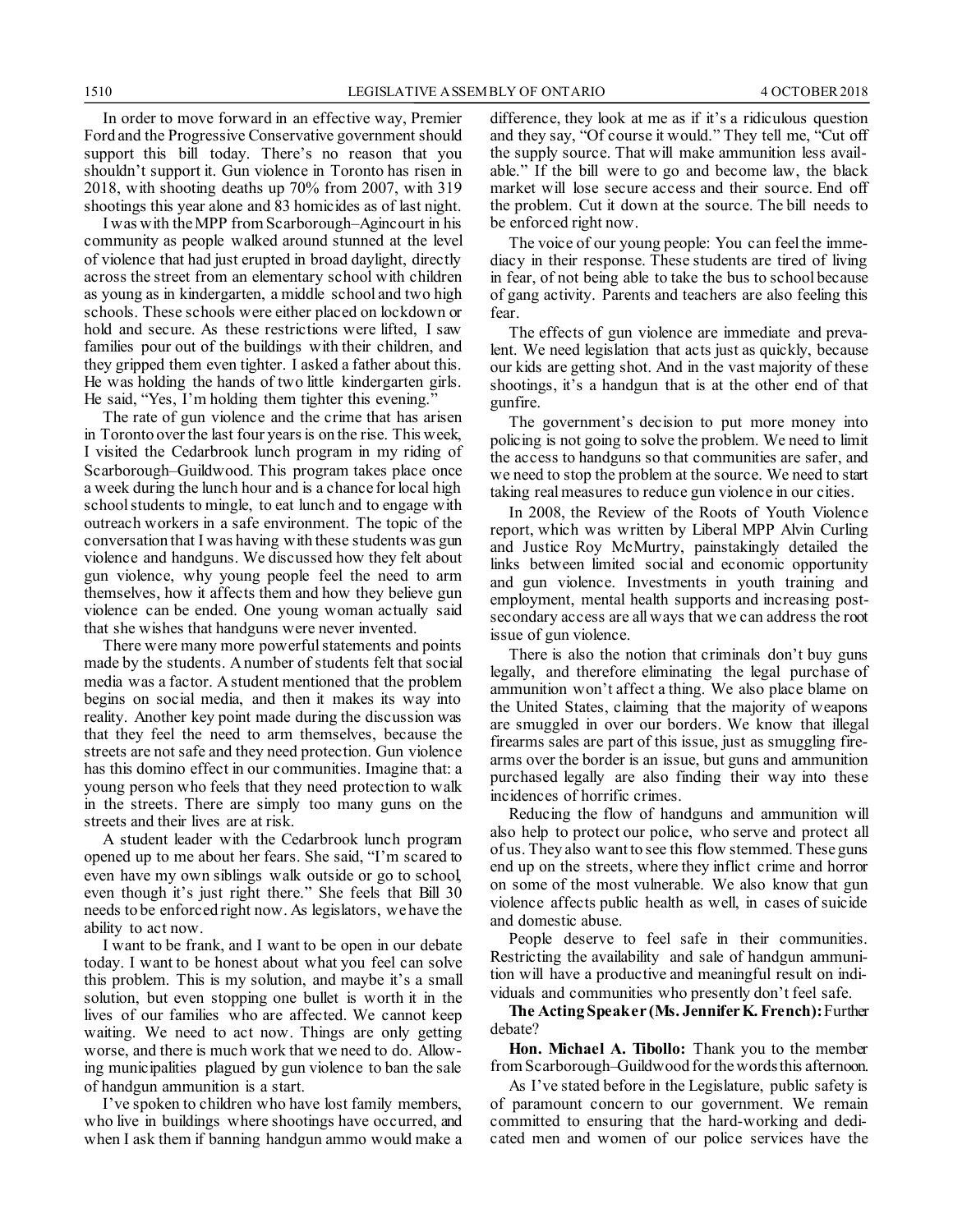In order to move forward in an effective way, Premier Ford and the Progressive Conservative government should support this bill today. There's no reason that you shouldn't support it. Gun violence in Toronto has risen in 2018, with shooting deaths up 70% from 2007, with 319 shootings this year alone and 83 homicides as of last night.

I was with the MPP from Scarborough–Agincourt in his community as people walked around stunned at the level of violence that had just erupted in broad daylight, directly across the street from an elementary school with children as young as in kindergarten, a middle school and two high schools. These schools were either placed on lockdown or hold and secure. As these restrictions were lifted, I saw families pour out of the buildings with their children, and they gripped them even tighter. I asked a father about this. He was holding the hands of two little kindergarten girls. He said, "Yes, I'm holding them tighter this evening."

The rate of gun violence and the crime that has arisen in Toronto over the last four years is on the rise. This week, I visited the Cedarbrook lunch program in my riding of Scarborough–Guildwood. This program takes place once a week during the lunch hour and is a chance for local high school students to mingle, to eat lunch and to engage with outreach workers in a safe environment. The topic of the conversation that I was having with these students was gun violence and handguns. We discussed how they felt about gun violence, why young people feel the need to arm themselves, how it affects them and how they believe gun violence can be ended. One young woman actually said that she wishes that handguns were never invented.

There were many more powerful statements and points made by the students. A number of students felt that social media was a factor. A student mentioned that the problem begins on social media, and then it makes its way into reality. Another key point made during the discussion was that they feel the need to arm themselves, because the streets are not safe and they need protection. Gun violence has this domino effect in our communities. Imagine that: a young person who feels that they need protection to walk in the streets. There are simply too many guns on the streets and their lives are at risk.

A student leader with the Cedarbrook lunch program opened up to me about her fears. She said, "I'm scared to even have my own siblings walk outside or go to school, even though it's just right there." She feels that Bill 30 needs to be enforced right now. As legislators, we have the ability to act now.

I want to be frank, and I want to be open in our debate today. I want to be honest about what you feel can solve this problem. This is my solution, and maybe it's a small solution, but even stopping one bullet is worth it in the lives of our families who are affected. We cannot keep waiting. We need to act now. Things are only getting worse, and there is much work that we need to do. Allowing municipalities plagued by gun violence to ban the sale of handgun ammunition is a start.

I've spoken to children who have lost family members, who live in buildings where shootings have occurred, and when I ask them if banning handgun ammo would make a difference, they look at me as if it's a ridiculous question and they say, "Of course it would." They tell me, "Cut off the supply source. That will make ammunition less available." If the bill were to go and become law, the black market will lose secure access and their source. End off the problem. Cut it down at the source. The bill needs to be enforced right now.

The voice of our young people: You can feel the immediacy in their response. These students are tired of living in fear, of not being able to take the bus to school because of gang activity. Parents and teachers are also feeling this fear.

The effects of gun violence are immediate and prevalent. We need legislation that acts just as quickly, because our kids are getting shot. And in the vast majority of these shootings, it's a handgun that is at the other end of that gunfire.

The government's decision to put more money into policing is not going to solve the problem. We need to limit the access to handguns so that communities are safer, and we need to stop the problem at the source. We need to start taking real measures to reduce gun violence in our cities.

In 2008, the Review of the Roots of Youth Violence report, which was written by Liberal MPP Alvin Curling and Justice Roy McMurtry, painstakingly detailed the links between limited social and economic opportunity and gun violence. Investments in youth training and employment, mental health supports and increasing postsecondary access are all ways that we can address the root issue of gun violence.

There is also the notion that criminals don't buy guns legally, and therefore eliminating the legal purchase of ammunition won't affect a thing. We also place blame on the United States, claiming that the majority of weapons are smuggled in over our borders. We know that illegal firearms sales are part of this issue, just as smuggling firearms over the border is an issue, but guns and ammunition purchased legally are also finding their way into these incidences of horrific crimes.

Reducing the flow of handguns and ammunition will also help to protect our police, who serve and protect all of us. They also want to see this flow stemmed. These guns end up on the streets, where they inflict crime and horror on some of the most vulnerable. We also know that gun violence affects public health as well, in cases of suicide and domestic abuse.

People deserve to feel safe in their communities. Restricting the availability and sale of handgun ammunition will have a productive and meaningful result on individuals and communities who presently don't feel safe.

**The Acting Speaker (Ms. Jennifer K. French):**Further debate?

**Hon. Michael A. Tibollo:** Thank you to the member from Scarborough–Guildwood for the words this afternoon.

As I've stated before in the Legislature, public safety is of paramount concern to our government. We remain committed to ensuring that the hard-working and dedicated men and women of our police services have the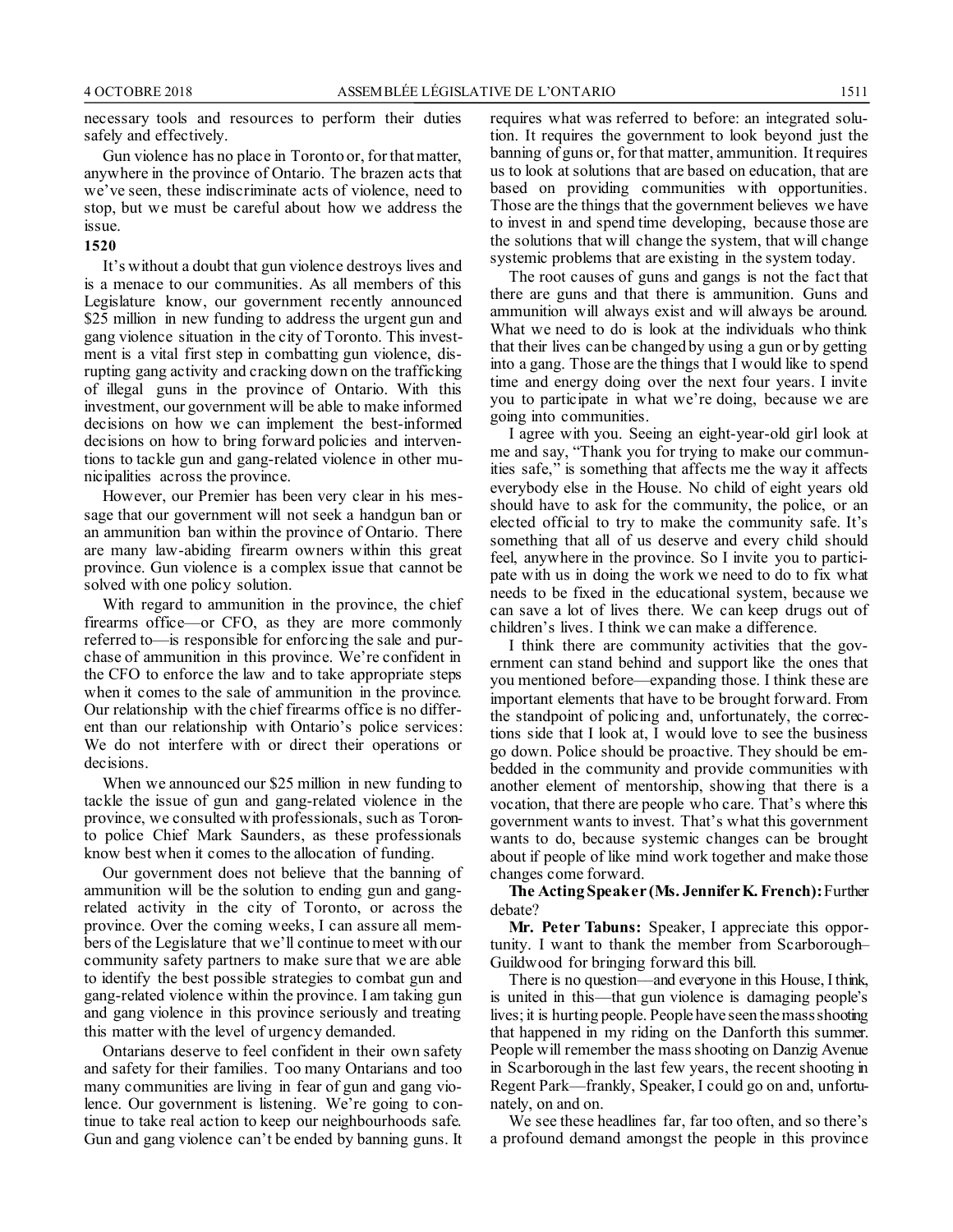necessary tools and resources to perform their duties safely and effectively.

Gun violence has no place in Toronto or, for that matter, anywhere in the province of Ontario. The brazen acts that we've seen, these indiscriminate acts of violence, need to stop, but we must be careful about how we address the issue.

#### **1520**

It's without a doubt that gun violence destroys lives and is a menace to our communities. As all members of this Legislature know, our government recently announced \$25 million in new funding to address the urgent gun and gang violence situation in the city of Toronto. This investment is a vital first step in combatting gun violence, disrupting gang activity and cracking down on the trafficking of illegal guns in the province of Ontario. With this investment, our government will be able to make informed decisions on how we can implement the best-informed decisions on how to bring forward policies and interventions to tackle gun and gang-related violence in other municipalities across the province.

However, our Premier has been very clear in his message that our government will not seek a handgun ban or an ammunition ban within the province of Ontario. There are many law-abiding firearm owners within this great province. Gun violence is a complex issue that cannot be solved with one policy solution.

With regard to ammunition in the province, the chief firearms office—or CFO, as they are more commonly referred to—is responsible for enforcing the sale and purchase of ammunition in this province. We're confident in the CFO to enforce the law and to take appropriate steps when it comes to the sale of ammunition in the province. Our relationship with the chief firearms office is no different than our relationship with Ontario's police services: We do not interfere with or direct their operations or decisions.

When we announced our \$25 million in new funding to tackle the issue of gun and gang-related violence in the province, we consulted with professionals, such as Toronto police Chief Mark Saunders, as these professionals know best when it comes to the allocation of funding.

Our government does not believe that the banning of ammunition will be the solution to ending gun and gangrelated activity in the city of Toronto, or across the province. Over the coming weeks, I can assure all members of the Legislature that we'll continue to meet with our community safety partners to make sure that we are able to identify the best possible strategies to combat gun and gang-related violence within the province. I am taking gun and gang violence in this province seriously and treating this matter with the level of urgency demanded.

Ontarians deserve to feel confident in their own safety and safety for their families. Too many Ontarians and too many communities are living in fear of gun and gang violence. Our government is listening. We're going to continue to take real action to keep our neighbourhoods safe. Gun and gang violence can't be ended by banning guns. It requires what was referred to before: an integrated solution. It requires the government to look beyond just the banning of guns or, for that matter, ammunition. It requires us to look at solutions that are based on education, that are based on providing communities with opportunities. Those are the things that the government believes we have to invest in and spend time developing, because those are the solutions that will change the system, that will change systemic problems that are existing in the system today.

The root causes of guns and gangs is not the fact that there are guns and that there is ammunition. Guns and ammunition will always exist and will always be around. What we need to do is look at the individuals who think that their lives can be changed by using a gun or by getting into a gang. Those are the things that I would like to spend time and energy doing over the next four years. I invite you to participate in what we're doing, because we are going into communities.

I agree with you. Seeing an eight-year-old girl look at me and say, "Thank you for trying to make our communities safe," is something that affects me the way it affects everybody else in the House. No child of eight years old should have to ask for the community, the police, or an elected official to try to make the community safe. It's something that all of us deserve and every child should feel, anywhere in the province. So I invite you to participate with us in doing the work we need to do to fix what needs to be fixed in the educational system, because we can save a lot of lives there. We can keep drugs out of children's lives. I think we can make a difference.

I think there are community activities that the government can stand behind and support like the ones that you mentioned before—expanding those. I think these are important elements that have to be brought forward. From the standpoint of policing and, unfortunately, the corrections side that I look at, I would love to see the business go down. Police should be proactive. They should be embedded in the community and provide communities with another element of mentorship, showing that there is a vocation, that there are people who care. That's where this government wants to invest. That's what this government wants to do, because systemic changes can be brought about if people of like mind work together and make those changes come forward.

**The Acting Speaker (Ms. Jennifer K. French):**Further debate?

**Mr. Peter Tabuns:** Speaker, I appreciate this opportunity. I want to thank the member from Scarborough– Guildwood for bringing forward this bill.

There is no question––and everyone in this House, I think, is united in this––that gun violence is damaging people's lives; it is hurting people. People have seen the mass shooting that happened in my riding on the Danforth this summer. People will remember the mass shooting on Danzig Avenue in Scarborough in the last few years, the recent shooting in Regent Park––frankly, Speaker, I could go on and, unfortunately, on and on.

We see these headlines far, far too often, and so there's a profound demand amongst the people in this province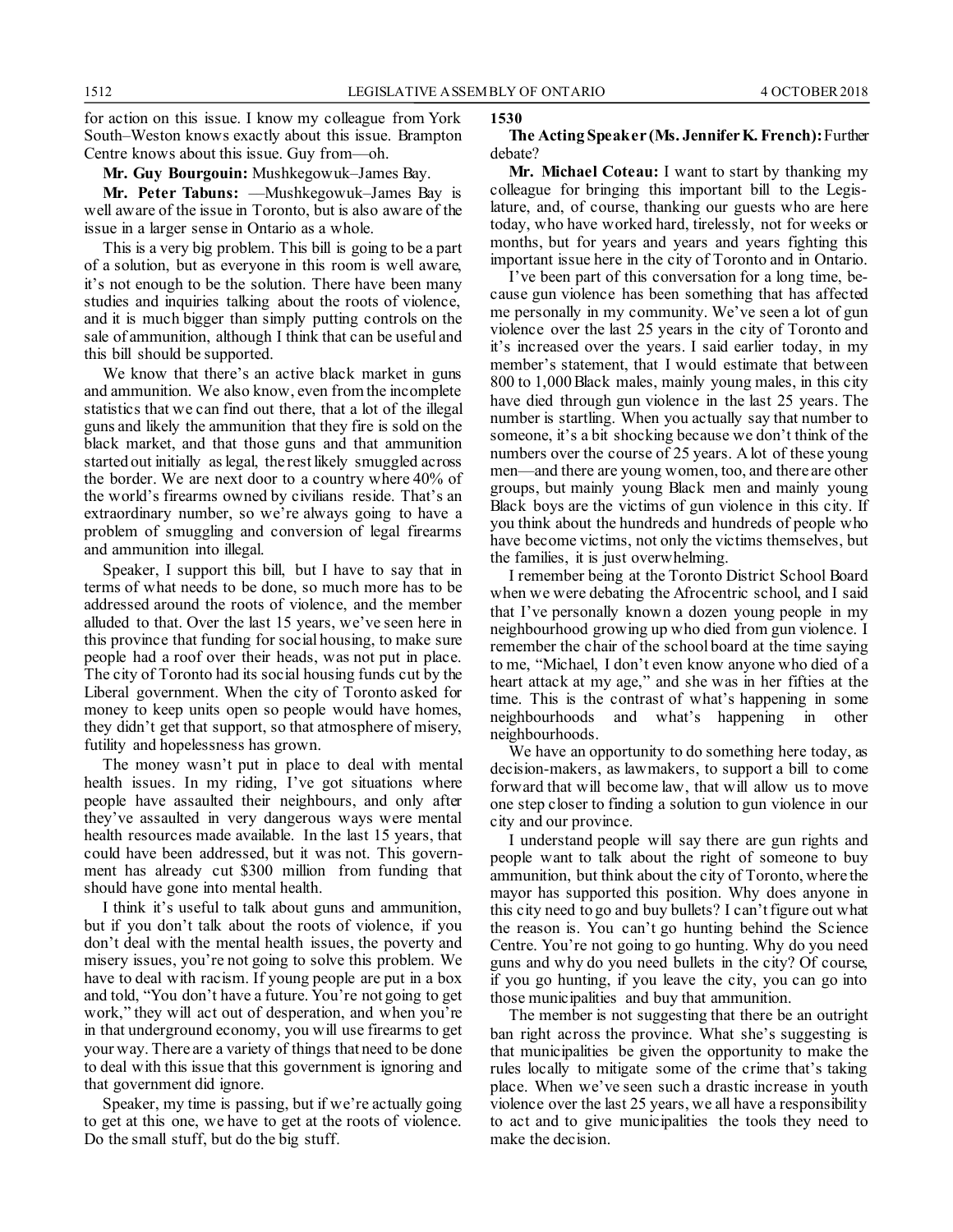for action on this issue. I know my colleague from York South–Weston knows exactly about this issue. Brampton Centre knows about this issue. Guy from––oh.

**Mr. Guy Bourgouin:** Mushkegowuk–James Bay.

**Mr. Peter Tabuns:** ––Mushkegowuk–James Bay is well aware of the issue in Toronto, but is also aware of the issue in a larger sense in Ontario as a whole.

This is a very big problem. This bill is going to be a part of a solution, but as everyone in this room is well aware, it's not enough to be the solution. There have been many studies and inquiries talking about the roots of violence, and it is much bigger than simply putting controls on the sale of ammunition, although I think that can be useful and this bill should be supported.

We know that there's an active black market in guns and ammunition. We also know, even from the incomplete statistics that we can find out there, that a lot of the illegal guns and likely the ammunition that they fire is sold on the black market, and that those guns and that ammunition started out initially as legal, the rest likely smuggled across the border. We are next door to a country where 40% of the world's firearms owned by civilians reside. That's an extraordinary number, so we're always going to have a problem of smuggling and conversion of legal firearms and ammunition into illegal.

Speaker, I support this bill, but I have to say that in terms of what needs to be done, so much more has to be addressed around the roots of violence, and the member alluded to that. Over the last 15 years, we've seen here in this province that funding for social housing, to make sure people had a roof over their heads, was not put in place. The city of Toronto had its social housing funds cut by the Liberal government. When the city of Toronto asked for money to keep units open so people would have homes, they didn't get that support, so that atmosphere of misery, futility and hopelessness has grown.

The money wasn't put in place to deal with mental health issues. In my riding, I've got situations where people have assaulted their neighbours, and only after they've assaulted in very dangerous ways were mental health resources made available. In the last 15 years, that could have been addressed, but it was not. This government has already cut \$300 million from funding that should have gone into mental health.

I think it's useful to talk about guns and ammunition, but if you don't talk about the roots of violence, if you don't deal with the mental health issues, the poverty and misery issues, you're not going to solve this problem. We have to deal with racism. If young people are put in a box and told, "You don't have a future. You're not going to get work," they will act out of desperation, and when you're in that underground economy, you will use firearms to get your way. There are a variety of things that need to be done to deal with this issue that this government is ignoring and that government did ignore.

Speaker, my time is passing, but if we're actually going to get at this one, we have to get at the roots of violence. Do the small stuff, but do the big stuff.

#### **1530**

#### **The Acting Speaker (Ms. Jennifer K. French):**Further debate?

**Mr. Michael Coteau:** I want to start by thanking my colleague for bringing this important bill to the Legislature, and, of course, thanking our guests who are here today, who have worked hard, tirelessly, not for weeks or months, but for years and years and years fighting this important issue here in the city of Toronto and in Ontario.

I've been part of this conversation for a long time, because gun violence has been something that has affected me personally in my community. We've seen a lot of gun violence over the last 25 years in the city of Toronto and it's increased over the years. I said earlier today, in my member's statement, that I would estimate that between 800 to 1,000 Black males, mainly young males, in this city have died through gun violence in the last 25 years. The number is startling. When you actually say that number to someone, it's a bit shocking because we don't think of the numbers over the course of 25 years. A lot of these young men—and there are young women, too, and there are other groups, but mainly young Black men and mainly young Black boys are the victims of gun violence in this city. If you think about the hundreds and hundreds of people who have become victims, not only the victims themselves, but the families, it is just overwhelming.

I remember being at the Toronto District School Board when we were debating the Afrocentric school, and I said that I've personally known a dozen young people in my neighbourhood growing up who died from gun violence. I remember the chair of the school board at the time saying to me, "Michael, I don't even know anyone who died of a heart attack at my age," and she was in her fifties at the time. This is the contrast of what's happening in some neighbourhoods and what's happening in other neighbourhoods.

We have an opportunity to do something here today, as decision-makers, as lawmakers, to support a bill to come forward that will become law, that will allow us to move one step closer to finding a solution to gun violence in our city and our province.

I understand people will say there are gun rights and people want to talk about the right of someone to buy ammunition, but think about the city of Toronto, where the mayor has supported this position. Why does anyone in this city need to go and buy bullets? I can't figure out what the reason is. You can't go hunting behind the Science Centre. You're not going to go hunting. Why do you need guns and why do you need bullets in the city? Of course, if you go hunting, if you leave the city, you can go into those municipalities and buy that ammunition.

The member is not suggesting that there be an outright ban right across the province. What she's suggesting is that municipalities be given the opportunity to make the rules locally to mitigate some of the crime that's taking place. When we've seen such a drastic increase in youth violence over the last 25 years, we all have a responsibility to act and to give municipalities the tools they need to make the decision.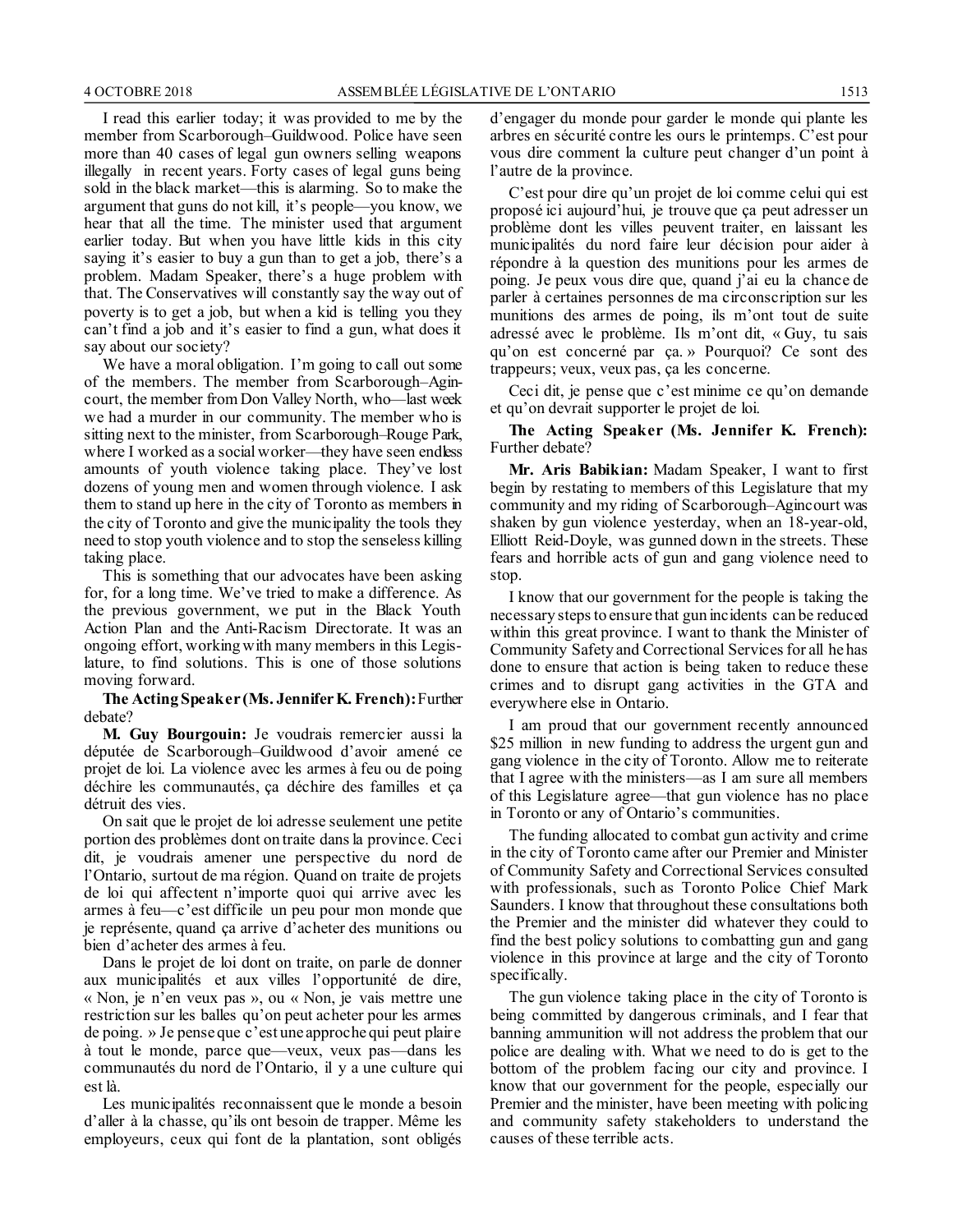I read this earlier today; it was provided to me by the member from Scarborough–Guildwood. Police have seen more than 40 cases of legal gun owners selling weapons illegally in recent years. Forty cases of legal guns being sold in the black market—this is alarming. So to make the argument that guns do not kill, it's people—you know, we hear that all the time. The minister used that argument earlier today. But when you have little kids in this city saying it's easier to buy a gun than to get a job, there's a problem. Madam Speaker, there's a huge problem with that. The Conservatives will constantly say the way out of poverty is to get a job, but when a kid is telling you they can't find a job and it's easier to find a gun, what does it say about our society?

We have a moral obligation. I'm going to call out some of the members. The member from Scarborough–Agincourt, the member from Don Valley North, who—last week we had a murder in our community. The member who is sitting next to the minister, from Scarborough–Rouge Park, where I worked as a social worker—they have seen endless amounts of youth violence taking place. They've lost dozens of young men and women through violence. I ask them to stand up here in the city of Toronto as members in the city of Toronto and give the municipality the tools they need to stop youth violence and to stop the senseless killing taking place.

This is something that our advocates have been asking for, for a long time. We've tried to make a difference. As the previous government, we put in the Black Youth Action Plan and the Anti-Racism Directorate. It was an ongoing effort, working with many members in this Legislature, to find solutions. This is one of those solutions moving forward.

#### **The Acting Speaker (Ms. Jennifer K. French):**Further debate?

**M. Guy Bourgouin:** Je voudrais remercier aussi la députée de Scarborough–Guildwood d'avoir amené ce projet de loi. La violence avec les armes à feu ou de poing déchire les communautés, ça déchire des familles et ça détruit des vies.

On sait que le projet de loi adresse seulement une petite portion des problèmes dont on traite dans la province. Ceci dit, je voudrais amener une perspective du nord de l'Ontario, surtout de ma région. Quand on traite de projets de loi qui affectent n'importe quoi qui arrive avec les armes à feu—c'est difficile un peu pour mon monde que je représente, quand ça arrive d'acheter des munitions ou bien d'acheter des armes à feu.

Dans le projet de loi dont on traite, on parle de donner aux municipalités et aux villes l'opportunité de dire, « Non, je n'en veux pas », ou « Non, je vais mettre une restriction sur les balles qu'on peut acheter pour les armes de poing. » Je pense que c'est une approche qui peut plaire à tout le monde, parce que—veux, veux pas—dans les communautés du nord de l'Ontario, il y a une culture qui est là.

Les municipalités reconnaissent que le monde a besoin d'aller à la chasse, qu'ils ont besoin de trapper. Même les employeurs, ceux qui font de la plantation, sont obligés d'engager du monde pour garder le monde qui plante les arbres en sécurité contre les ours le printemps. C'est pour vous dire comment la culture peut changer d'un point à l'autre de la province.

C'est pour dire qu'un projet de loi comme celui qui est proposé ici aujourd'hui, je trouve que ça peut adresser un problème dont les villes peuvent traiter, en laissant les municipalités du nord faire leur décision pour aider à répondre à la question des munitions pour les armes de poing. Je peux vous dire que, quand j'ai eu la chance de parler à certaines personnes de ma circonscription sur les munitions des armes de poing, ils m'ont tout de suite adressé avec le problème. Ils m'ont dit, « Guy, tu sais qu'on est concerné par ça. » Pourquoi? Ce sont des trappeurs; veux, veux pas, ça les concerne.

Ceci dit, je pense que c'est minime ce qu'on demande et qu'on devrait supporter le projet de loi.

**The Acting Speaker (Ms. Jennifer K. French):** Further debate?

**Mr. Aris Babikian:** Madam Speaker, I want to first begin by restating to members of this Legislature that my community and my riding of Scarborough–Agincourt was shaken by gun violence yesterday, when an 18-year-old, Elliott Reid-Doyle, was gunned down in the streets. These fears and horrible acts of gun and gang violence need to stop.

I know that our government for the people is taking the necessary steps to ensure that gun incidents can be reduced within this great province. I want to thank the Minister of Community Safety and Correctional Services for all he has done to ensure that action is being taken to reduce these crimes and to disrupt gang activities in the GTA and everywhere else in Ontario.

I am proud that our government recently announced \$25 million in new funding to address the urgent gun and gang violence in the city of Toronto. Allow me to reiterate that I agree with the ministers—as I am sure all members of this Legislature agree—that gun violence has no place in Toronto or any of Ontario's communities.

The funding allocated to combat gun activity and crime in the city of Toronto came after our Premier and Minister of Community Safety and Correctional Services consulted with professionals, such as Toronto Police Chief Mark Saunders. I know that throughout these consultations both the Premier and the minister did whatever they could to find the best policy solutions to combatting gun and gang violence in this province at large and the city of Toronto specifically.

The gun violence taking place in the city of Toronto is being committed by dangerous criminals, and I fear that banning ammunition will not address the problem that our police are dealing with. What we need to do is get to the bottom of the problem facing our city and province. I know that our government for the people, especially our Premier and the minister, have been meeting with policing and community safety stakeholders to understand the causes of these terrible acts.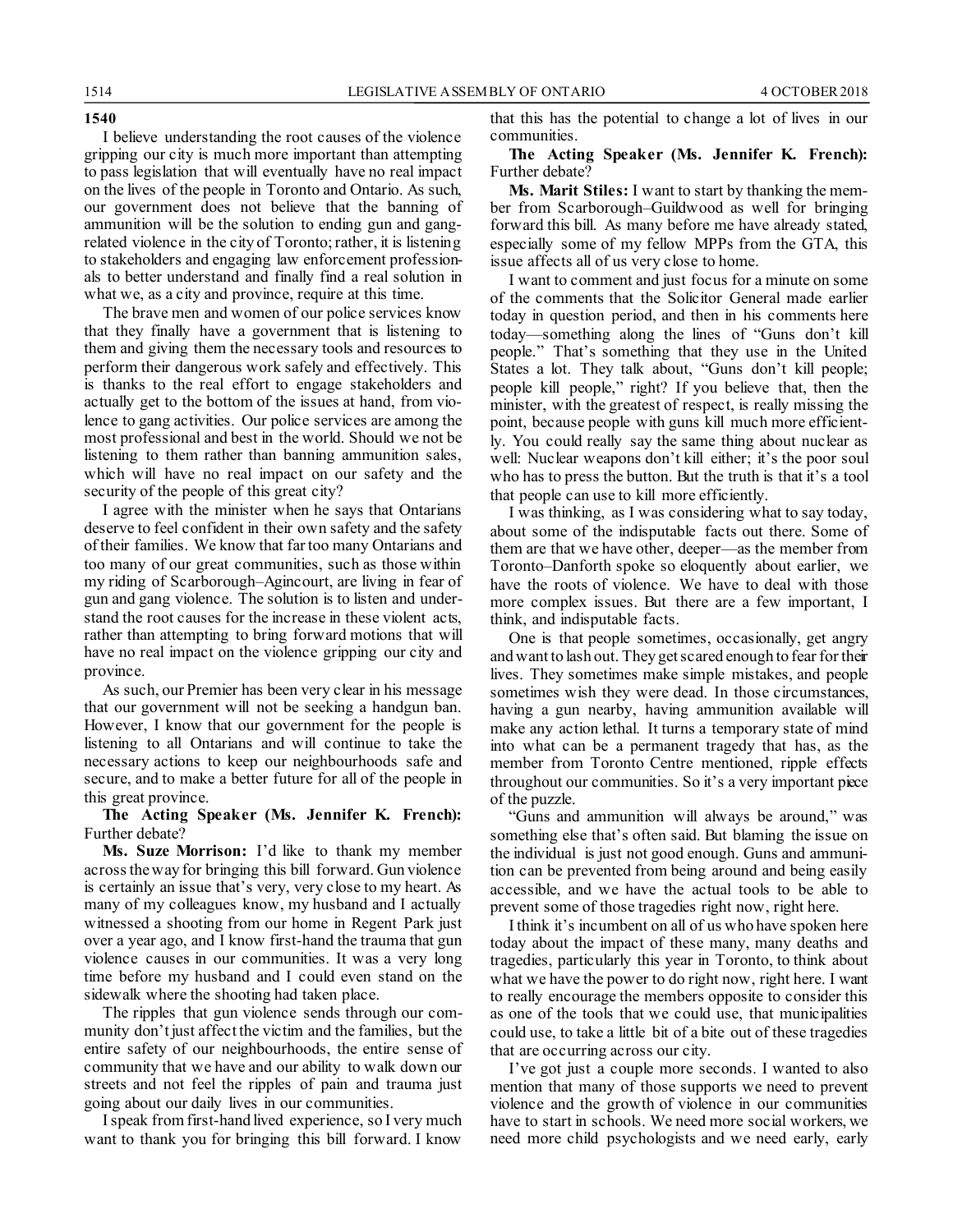#### **1540**

I believe understanding the root causes of the violence gripping our city is much more important than attempting to pass legislation that will eventually have no real impact on the lives of the people in Toronto and Ontario. As such, our government does not believe that the banning of ammunition will be the solution to ending gun and gangrelated violence in the city of Toronto; rather, it is listening to stakeholders and engaging law enforcement professionals to better understand and finally find a real solution in what we, as a city and province, require at this time.

The brave men and women of our police services know that they finally have a government that is listening to them and giving them the necessary tools and resources to perform their dangerous work safely and effectively. This is thanks to the real effort to engage stakeholders and actually get to the bottom of the issues at hand, from violence to gang activities. Our police services are among the most professional and best in the world. Should we not be listening to them rather than banning ammunition sales, which will have no real impact on our safety and the security of the people of this great city?

I agree with the minister when he says that Ontarians deserve to feel confident in their own safety and the safety of their families. We know that far too many Ontarians and too many of our great communities, such as those within my riding of Scarborough–Agincourt, are living in fear of gun and gang violence. The solution is to listen and understand the root causes for the increase in these violent acts, rather than attempting to bring forward motions that will have no real impact on the violence gripping our city and province.

As such, our Premier has been very clear in his message that our government will not be seeking a handgun ban. However, I know that our government for the people is listening to all Ontarians and will continue to take the necessary actions to keep our neighbourhoods safe and secure, and to make a better future for all of the people in this great province.

**The Acting Speaker (Ms. Jennifer K. French):** Further debate?

**Ms. Suze Morrison:** I'd like to thank my member across the way for bringing this bill forward. Gun violence is certainly an issue that's very, very close to my heart. As many of my colleagues know, my husband and I actually witnessed a shooting from our home in Regent Park just over a year ago, and I know first-hand the trauma that gun violence causes in our communities. It was a very long time before my husband and I could even stand on the sidewalk where the shooting had taken place.

The ripples that gun violence sends through our community don't just affect the victim and the families, but the entire safety of our neighbourhoods, the entire sense of community that we have and our ability to walk down our streets and not feel the ripples of pain and trauma just going about our daily lives in our communities.

I speak fromfirst-hand lived experience, so I very much want to thank you for bringing this bill forward. I know that this has the potential to change a lot of lives in our communities.

#### **The Acting Speaker (Ms. Jennifer K. French):** Further debate?

**Ms. Marit Stiles:** I want to start by thanking the member from Scarborough–Guildwood as well for bringing forward this bill. As many before me have already stated, especially some of my fellow MPPs from the GTA, this issue affects all of us very close to home.

I want to comment and just focus for a minute on some of the comments that the Solicitor General made earlier today in question period, and then in his comments here today—something along the lines of "Guns don't kill people." That's something that they use in the United States a lot. They talk about, "Guns don't kill people; people kill people," right? If you believe that, then the minister, with the greatest of respect, is really missing the point, because people with guns kill much more efficiently. You could really say the same thing about nuclear as well: Nuclear weapons don't kill either; it's the poor soul who has to press the button. But the truth is that it's a tool that people can use to kill more efficiently.

I was thinking, as I was considering what to say today, about some of the indisputable facts out there. Some of them are that we have other, deeper—as the member from Toronto–Danforth spoke so eloquently about earlier, we have the roots of violence. We have to deal with those more complex issues. But there are a few important, I think, and indisputable facts.

One is that people sometimes, occasionally, get angry and want to lash out. They get scared enough to fear for their lives. They sometimes make simple mistakes, and people sometimes wish they were dead. In those circumstances, having a gun nearby, having ammunition available will make any action lethal. It turns a temporary state of mind into what can be a permanent tragedy that has, as the member from Toronto Centre mentioned, ripple effects throughout our communities. So it's a very important piece of the puzzle.

"Guns and ammunition will always be around," was something else that's often said. But blaming the issue on the individual is just not good enough. Guns and ammunition can be prevented from being around and being easily accessible, and we have the actual tools to be able to prevent some of those tragedies right now, right here.

I think it's incumbent on all of us who have spoken here today about the impact of these many, many deaths and tragedies, particularly this year in Toronto, to think about what we have the power to do right now, right here. I want to really encourage the members opposite to consider this as one of the tools that we could use, that municipalities could use, to take a little bit of a bite out of these tragedies that are occurring across our city.

I've got just a couple more seconds. I wanted to also mention that many of those supports we need to prevent violence and the growth of violence in our communities have to start in schools. We need more social workers, we need more child psychologists and we need early, early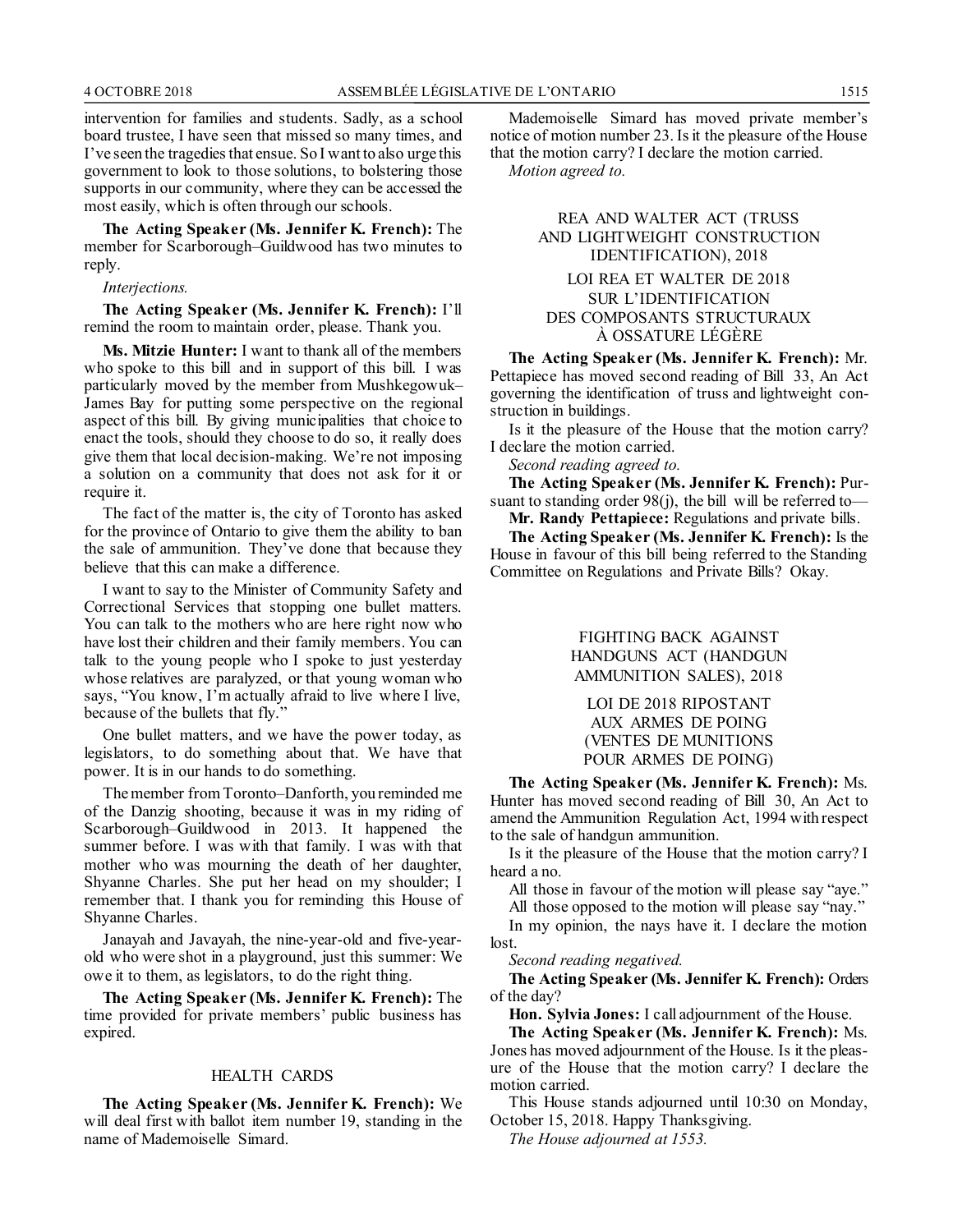intervention for families and students. Sadly, as a school board trustee, I have seen that missed so many times, and I've seen the tragedies that ensue. So I want to also urge this government to look to those solutions, to bolstering those supports in our community, where they can be accessed the most easily, which is often through our schools.

**The Acting Speaker (Ms. Jennifer K. French):** The member for Scarborough–Guildwood has two minutes to reply.

*Interjections.*

**The Acting Speaker (Ms. Jennifer K. French):** I'll remind the room to maintain order, please. Thank you.

**Ms. Mitzie Hunter:** I want to thank all of the members who spoke to this bill and in support of this bill. I was particularly moved by the member from Mushkegowuk– James Bay for putting some perspective on the regional aspect of this bill. By giving municipalities that choice to enact the tools, should they choose to do so, it really does give them that local decision-making. We're not imposing a solution on a community that does not ask for it or require it.

The fact of the matter is, the city of Toronto has asked for the province of Ontario to give them the ability to ban the sale of ammunition. They've done that because they believe that this can make a difference.

I want to say to the Minister of Community Safety and Correctional Services that stopping one bullet matters. You can talk to the mothers who are here right now who have lost their children and their family members. You can talk to the young people who I spoke to just yesterday whose relatives are paralyzed, or that young woman who says, "You know, I'm actually afraid to live where I live, because of the bullets that fly."

One bullet matters, and we have the power today, as legislators, to do something about that. We have that power. It is in our hands to do something.

The member from Toronto–Danforth, you reminded me of the Danzig shooting, because it was in my riding of Scarborough–Guildwood in 2013. It happened the summer before. I was with that family. I was with that mother who was mourning the death of her daughter, Shyanne Charles. She put her head on my shoulder; I remember that. I thank you for reminding this House of Shyanne Charles.

Janayah and Javayah, the nine-year-old and five-yearold who were shot in a playground, just this summer: We owe it to them, as legislators, to do the right thing.

**The Acting Speaker (Ms. Jennifer K. French):** The time provided for private members' public business has expired.

#### HEALTH CARDS

**The Acting Speaker (Ms. Jennifer K. French):** We will deal first with ballot item number 19, standing in the name of Mademoiselle Simard.

Mademoiselle Simard has moved private member's notice of motion number 23. Is it the pleasure of the House that the motion carry? I declare the motion carried.

*Motion agreed to.*

### REA AND WALTER ACT (TRUSS AND LIGHTWEIGHT CONSTRUCTION IDENTIFICATION), 2018

### LOI REA ET WALTER DE 2018 SUR L'IDENTIFICATION DES COMPOSANTS STRUCTURAUX À OSSATURE LÉGÈRE

**The Acting Speaker (Ms. Jennifer K. French):** Mr. Pettapiece has moved second reading of Bill 33, An Act governing the identification of truss and lightweight construction in buildings.

Is it the pleasure of the House that the motion carry? I declare the motion carried.

*Second reading agreed to.*

**The Acting Speaker (Ms. Jennifer K. French):** Pursuant to standing order 98(j), the bill will be referred to—

**Mr. Randy Pettapiece:** Regulations and private bills. **The Acting Speaker (Ms. Jennifer K. French):** Is the

House in favour of this bill being referred to the Standing Committee on Regulations and Private Bills? Okay.

> FIGHTING BACK AGAINST HANDGUNS ACT (HANDGUN AMMUNITION SALES), 2018

LOI DE 2018 RIPOSTANT AUX ARMES DE POING (VENTES DE MUNITIONS POUR ARMES DE POING)

**The Acting Speaker (Ms. Jennifer K. French):** Ms. Hunter has moved second reading of Bill 30, An Act to amend the Ammunition Regulation Act, 1994 with respect to the sale of handgun ammunition.

Is it the pleasure of the House that the motion carry? I heard a no.

All those in favour of the motion will please say "aye."

All those opposed to the motion will please say "nay."

In my opinion, the nays have it. I declare the motion lost.

*Second reading negatived.*

**The Acting Speaker (Ms. Jennifer K. French):** Orders of the day?

**Hon. Sylvia Jones:** I call adjournment of the House.

**The Acting Speaker (Ms. Jennifer K. French):** Ms. Jones has moved adjournment of the House. Is it the pleasure of the House that the motion carry? I declare the motion carried.

This House stands adjourned until 10:30 on Monday, October 15, 2018. Happy Thanksgiving.

*The House adjourned at 1553.*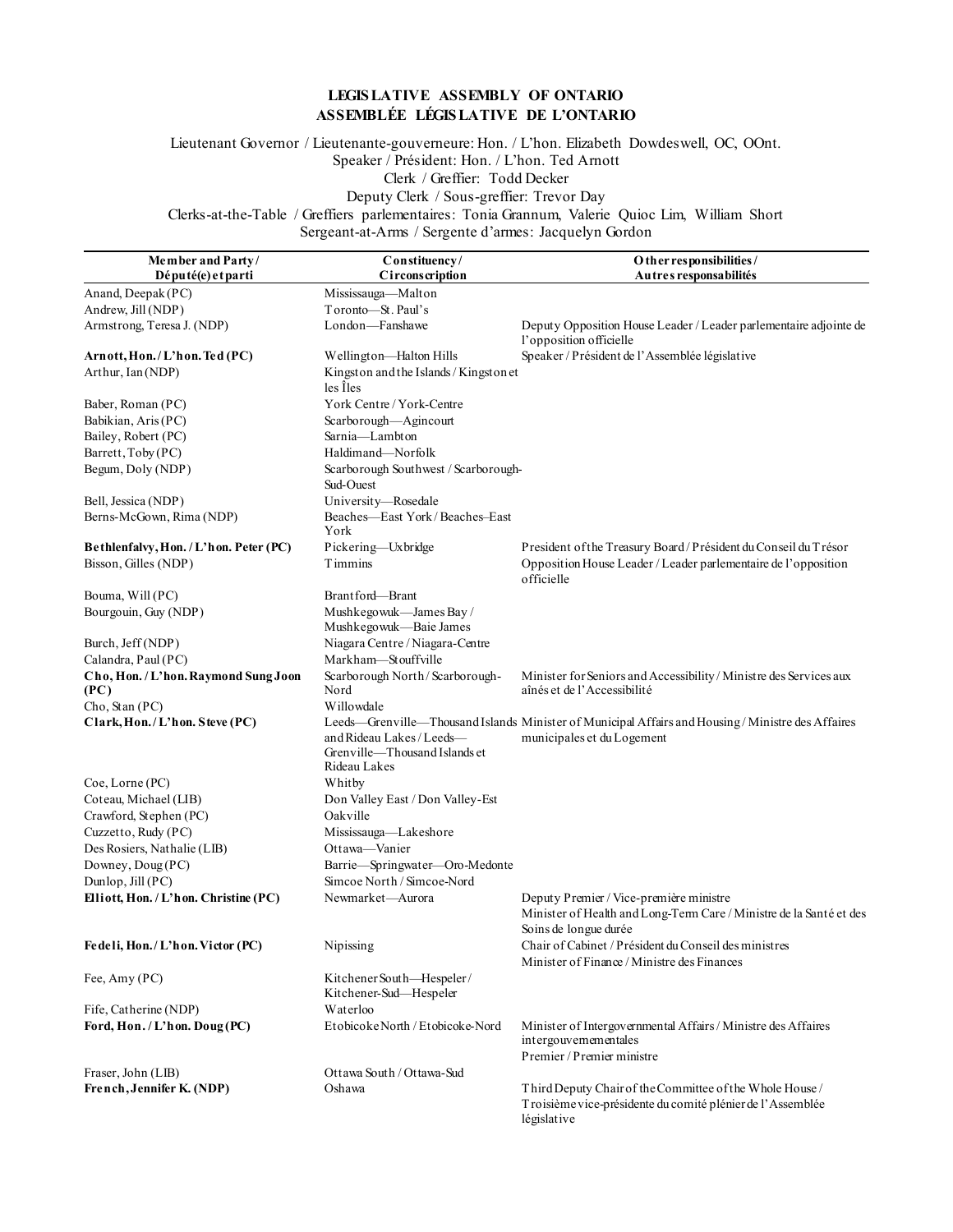### **LEGIS LATIVE ASSEMBLY OF ONTARIO ASSEMBLÉE LÉGIS LATIVE DE L'ONTARIO**

Lieutenant Governor / Lieutenante-gouverneure: Hon. / L'hon. Elizabeth Dowdeswell, OC, OOnt. Speaker / Président: Hon. / L'hon. Ted Arnott Clerk / Greffier: Todd Decker Deputy Clerk / Sous-greffier: Trevor Day

Clerks-at-the-Table / Greffiers parlementaires: Tonia Grannum, Valerie Quioc Lim, William Short

Sergeant-at-Arms / Sergente d'armes: Jacquelyn Gordon

| Member and Party/                            | Constituency/                                                              | O ther responsibilities /                                                                                                               |
|----------------------------------------------|----------------------------------------------------------------------------|-----------------------------------------------------------------------------------------------------------------------------------------|
| Député(e) et parti                           | Circonscription                                                            | Autres responsabilités                                                                                                                  |
| Anand, Deepak (PC)                           | Mississauga-Malton                                                         |                                                                                                                                         |
| Andrew, Jill (NDP)                           | Toronto-St. Paul's                                                         |                                                                                                                                         |
| Armstrong, Teresa J. (NDP)                   | London-Fanshawe                                                            | Deputy Opposition House Leader / Leader parlementaire adjointe de<br>l'opposition officielle                                            |
| Arnott, Hon./L'hon. Ted (PC)                 | Wellington-Halton Hills                                                    | Speaker / Président de l'Assemblée législative                                                                                          |
| Arthur, Ian (NDP)                            | Kingston and the Islands / Kingston et<br>les Îles                         |                                                                                                                                         |
| Baber, Roman (PC)                            | York Centre / York-Centre                                                  |                                                                                                                                         |
| Babikian, Aris (PC)                          | Scarborough-Agincourt                                                      |                                                                                                                                         |
| Bailey, Robert (PC)                          | Sarnia-Lambton                                                             |                                                                                                                                         |
| Barrett, Toby (PC)                           | Haldimand-Norfolk                                                          |                                                                                                                                         |
| Begum, Doly (NDP)                            | Scarborough Southwest / Scarborough-<br>Sud-Ouest                          |                                                                                                                                         |
| Bell, Jessica (NDP)                          | University-Rosedale                                                        |                                                                                                                                         |
| Berns-McGown, Rima (NDP)                     | Beaches-East York/Beaches-East<br>York                                     |                                                                                                                                         |
| Bethlenfalvy, Hon. / L'hon. Peter (PC)       | Pickering-Uxbridge                                                         | President of the Treasury Board / Président du Conseil du Trésor                                                                        |
| Bisson, Gilles (NDP)                         | <b>T</b> immins                                                            | Opposition House Leader / Leader parlementaire de l'opposition<br>officielle                                                            |
| Bouma, Will (PC)                             | Brantford-Brant                                                            |                                                                                                                                         |
| Bourgouin, Guy (NDP)                         | Mushkegowuk-James Bay /<br>Mushkegowuk-Baie James                          |                                                                                                                                         |
| Burch, Jeff (NDP)                            | Niagara Centre / Niagara-Centre                                            |                                                                                                                                         |
| Calandra, Paul (PC)                          | Markham-Stouffville                                                        |                                                                                                                                         |
| Cho, Hon. / L'hon. Raymond Sung Joon<br>(PC) | Scarborough North/Scarborough-<br>Nord                                     | Minister for Seniors and Accessibility / Ministre des Services aux<br>aînés et de l'Accessibilité                                       |
| Cho, Stan (PC)                               | Willowdale                                                                 |                                                                                                                                         |
| Clark, Hon./L'hon. Steve (PC)                |                                                                            | Leeds—Grenville—Thousand Islands Minister of Municipal Affairs and Housing / Ministre des Affaires                                      |
|                                              | and Rideau Lakes / Leeds-<br>Grenville-Thousand Islands et<br>Rideau Lakes | municipales et du Logement                                                                                                              |
| Coe, Lorne (PC)                              | Whitby                                                                     |                                                                                                                                         |
| Coteau, Michael (LIB)                        | Don Valley East / Don Valley-Est                                           |                                                                                                                                         |
| Crawford, Stephen (PC)                       | Oakville                                                                   |                                                                                                                                         |
| Cuzzetto, Rudy (PC)                          | Mississauga—Lakeshore                                                      |                                                                                                                                         |
| Des Rosiers, Nathalie (LIB)                  | Ottawa-Vanier                                                              |                                                                                                                                         |
| Downey, Doug (PC)                            | Barrie-Springwater-Oro-Medonte                                             |                                                                                                                                         |
| Dunlop, Jill (PC)                            | Simcoe North / Simcoe-Nord                                                 |                                                                                                                                         |
| Elliott, Hon. / L'hon. Christine (PC)        | Newmarket-Aurora                                                           | Deputy Premier / Vice-première ministre<br>Minister of Health and Long-Term Care / Ministre de la Santé et des<br>Soins de longue durée |
| Fedeli, Hon./L'hon. Victor (PC)              | Nipissing                                                                  | Chair of Cabinet / Président du Conseil des ministres<br>Minister of Finance / Ministre des Finances                                    |
| Fee, Amy $(PC)$                              | Kitchener South-Hespeler/<br>Kitchener-Sud-Hespeler                        |                                                                                                                                         |
| Fife, Catherine (NDP)                        | Waterloo                                                                   |                                                                                                                                         |
| Ford, Hon. / L'hon. Doug (PC)                | Etobicoke North / Etobicoke-Nord                                           | Minister of Intergovernmental Affairs / Ministre des Affaires<br>intergouvernementales<br>Premier / Premier ministre                    |
| Fraser, John (LIB)                           | Ottawa South / Ottawa-Sud                                                  |                                                                                                                                         |
| French, Jennifer K. (NDP)                    | Oshawa                                                                     | Third Deputy Chair of the Committee of the Whole House /                                                                                |
|                                              |                                                                            | Troisième vice-présidente du comité plénier de l'Assemblée<br>législative                                                               |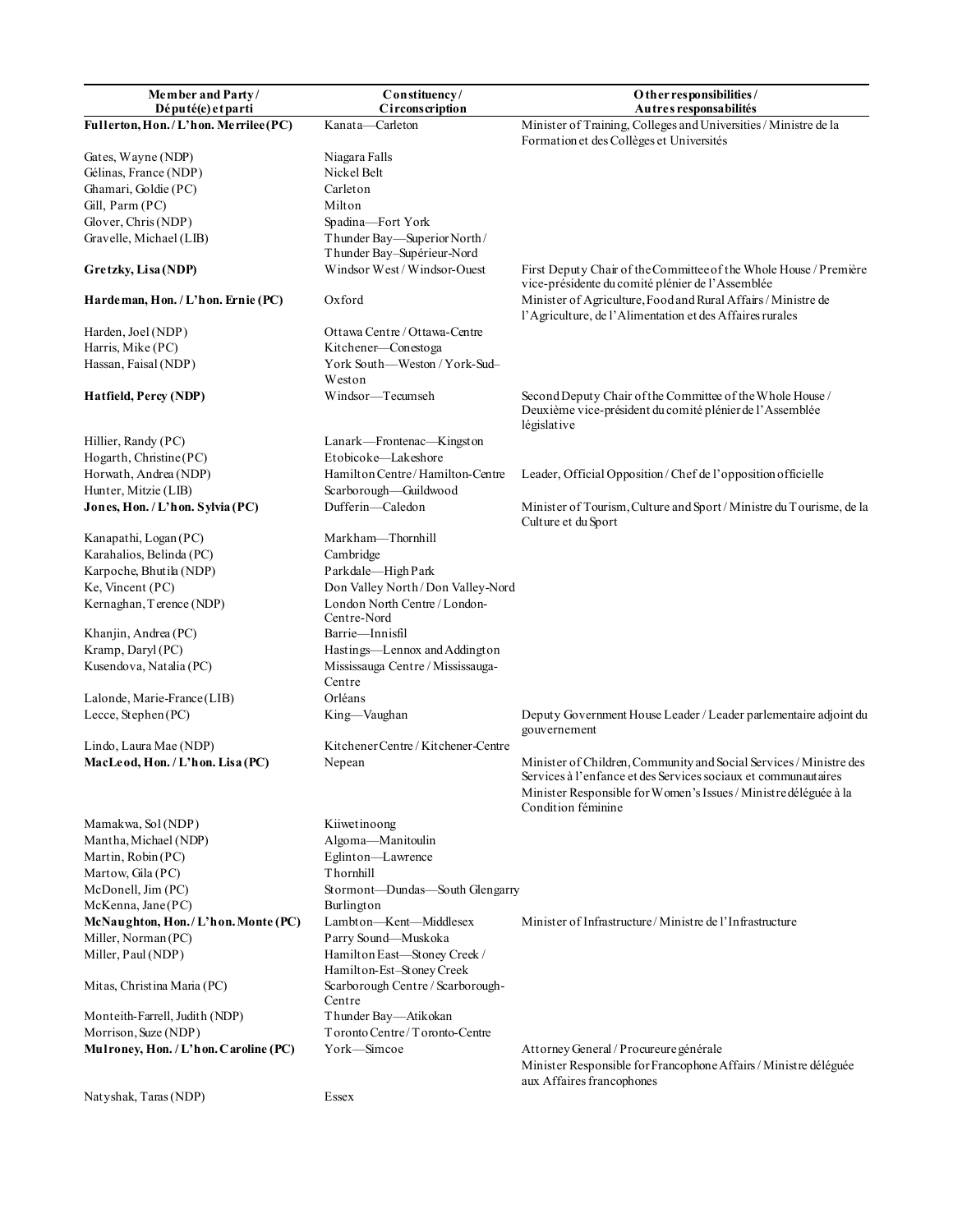| Member and Party/<br>Député(e) et parti | Constituency/<br>Circonscription                          | O ther responsibilities /<br>Autres responsabilités                                                                                                                                                                            |
|-----------------------------------------|-----------------------------------------------------------|--------------------------------------------------------------------------------------------------------------------------------------------------------------------------------------------------------------------------------|
| Fullerton, Hon./L'hon. Merrilee (PC)    | Kanata-Carleton                                           | Minister of Training, Colleges and Universities / Ministre de la                                                                                                                                                               |
|                                         |                                                           | Formation et des Collèges et Universités                                                                                                                                                                                       |
| Gates, Wayne (NDP)                      | Niagara Falls                                             |                                                                                                                                                                                                                                |
| Gélinas, France (NDP)                   | Nickel Belt                                               |                                                                                                                                                                                                                                |
| Ghamari, Goldie (PC)                    | Carleton                                                  |                                                                                                                                                                                                                                |
| Gill, Parm (PC)                         | Milton                                                    |                                                                                                                                                                                                                                |
| Glover, Chris (NDP)                     | Spadina-Fort York                                         |                                                                                                                                                                                                                                |
| Gravelle, Michael (LIB)                 | Thunder Bay-Superior North/                               |                                                                                                                                                                                                                                |
|                                         | Thunder Bay-Supérieur-Nord                                |                                                                                                                                                                                                                                |
| Gretzky, Lisa (NDP)                     | Windsor West / Windsor-Ouest                              | First Deputy Chair of the Committee of the Whole House / Première<br>vice-présidente du comité plénier de l'Assemblée                                                                                                          |
| Hardeman, Hon. / L'hon. Ernie (PC)      | Oxford                                                    | Minister of Agriculture, Food and Rural Affairs / Ministre de<br>l'Agriculture, de l'Alimentation et des Affaires rurales                                                                                                      |
| Harden, Joel (NDP)                      | Ottawa Centre / Ottawa-Centre                             |                                                                                                                                                                                                                                |
| Harris, Mike (PC)                       | Kitchener—Conestoga                                       |                                                                                                                                                                                                                                |
| Hassan, Faisal (NDP)                    | York South-Weston / York-Sud-                             |                                                                                                                                                                                                                                |
|                                         | Weston                                                    |                                                                                                                                                                                                                                |
| Hatfield, Percy (NDP)                   | Windsor-Tecumseh                                          | Second Deputy Chair of the Committee of the Whole House /<br>Deuxième vice-président du comité plénier de l'Assemblée<br>législative                                                                                           |
| Hillier, Randy (PC)                     | Lanark—Frontenac—Kingston                                 |                                                                                                                                                                                                                                |
| Hogarth, Christine (PC)                 | Etobicoke-Lakeshore                                       |                                                                                                                                                                                                                                |
| Horwath, Andrea (NDP)                   | Hamilton Centre/Hamilton-Centre                           | Leader, Official Opposition/Chef de l'opposition officielle                                                                                                                                                                    |
| Hunter, Mitzie (LIB)                    | Scarborough-Guildwood                                     |                                                                                                                                                                                                                                |
| Jones, Hon. / L'hon. Sylvia (PC)        | Dufferin-Caledon                                          | Minister of Tourism, Culture and Sport / Ministre du Tourisme, de la<br>Culture et du Sport                                                                                                                                    |
| Kanapathi, Logan (PC)                   | Markham-Thornhill                                         |                                                                                                                                                                                                                                |
| Karahalios, Belinda (PC)                | Cambridge                                                 |                                                                                                                                                                                                                                |
| Karpoche, Bhutila (NDP)                 | Parkdale-High Park                                        |                                                                                                                                                                                                                                |
| Ke, Vincent (PC)                        | Don Valley North/Don Valley-Nord                          |                                                                                                                                                                                                                                |
| Kernaghan, Terence (NDP)                | London North Centre / London-<br>Centre-Nord              |                                                                                                                                                                                                                                |
| Khanjin, Andrea (PC)                    | Barrie-Innisfil                                           |                                                                                                                                                                                                                                |
| Kramp, Daryl (PC)                       | Hastings-Lennox and Addington                             |                                                                                                                                                                                                                                |
| Kusendova, Natalia (PC)                 | Mississauga Centre / Mississauga-                         |                                                                                                                                                                                                                                |
|                                         | Centre                                                    |                                                                                                                                                                                                                                |
| Lalonde, Marie-France (LIB)             | Orléans                                                   |                                                                                                                                                                                                                                |
| Lecce, Stephen (PC)                     | King-Vaughan                                              | Deputy Government House Leader / Leader parlementaire adjoint du<br>gouvernement                                                                                                                                               |
| Lindo, Laura Mae (NDP)                  | Kitchener Centre / Kitchener-Centre                       |                                                                                                                                                                                                                                |
| MacLeod, Hon. / L'hon. Lisa (PC)        | Nepean                                                    | Minister of Children, Community and Social Services / Ministre des<br>Services à l'enfance et des Services sociaux et communautaires<br>Minister Responsible for Women's Issues / Ministre déléguée à la<br>Condition féminine |
| Mamakwa, Sol (NDP)                      | Kiiwetinoong                                              |                                                                                                                                                                                                                                |
| Mantha, Michael (NDP)                   | Algoma-Manitoulin                                         |                                                                                                                                                                                                                                |
| Martin, Robin (PC)                      | Eglinton-Lawrence                                         |                                                                                                                                                                                                                                |
| Martow, Gila (PC)                       | Thornhill                                                 |                                                                                                                                                                                                                                |
| McDonell, Jim (PC)                      | Stormont-Dundas-South Glengarry                           |                                                                                                                                                                                                                                |
| McKenna, Jane(PC)                       | Burlington                                                |                                                                                                                                                                                                                                |
| McNaughton, Hon./L'hon. Monte (PC)      | Lambton-Kent-Middlesex                                    | Minister of Infrastructure/Ministre de l'Infrastructure                                                                                                                                                                        |
| Miller, Norman (PC)                     | Parry Sound-Muskoka                                       |                                                                                                                                                                                                                                |
| Miller, Paul (NDP)                      | Hamilton East-Stoney Creek /<br>Hamilton-Est-Stoney Creek |                                                                                                                                                                                                                                |
| Mitas, Christina Maria (PC)             | Scarborough Centre / Scarborough-<br>Centre               |                                                                                                                                                                                                                                |
| Monteith-Farrell, Judith (NDP)          | Thunder Bay-Atikokan                                      |                                                                                                                                                                                                                                |
| Morrison, Suze (NDP)                    | Toronto Centre/Toronto-Centre                             |                                                                                                                                                                                                                                |
| Mulroney, Hon. / L'hon. Caroline (PC)   | York-Simcoe                                               | Attorney General / Procureure générale<br>Minister Responsible for Francophone Affairs / Ministre déléguée<br>aux Affaires francophones                                                                                        |
| Natyshak, Taras (NDP)                   | Essex                                                     |                                                                                                                                                                                                                                |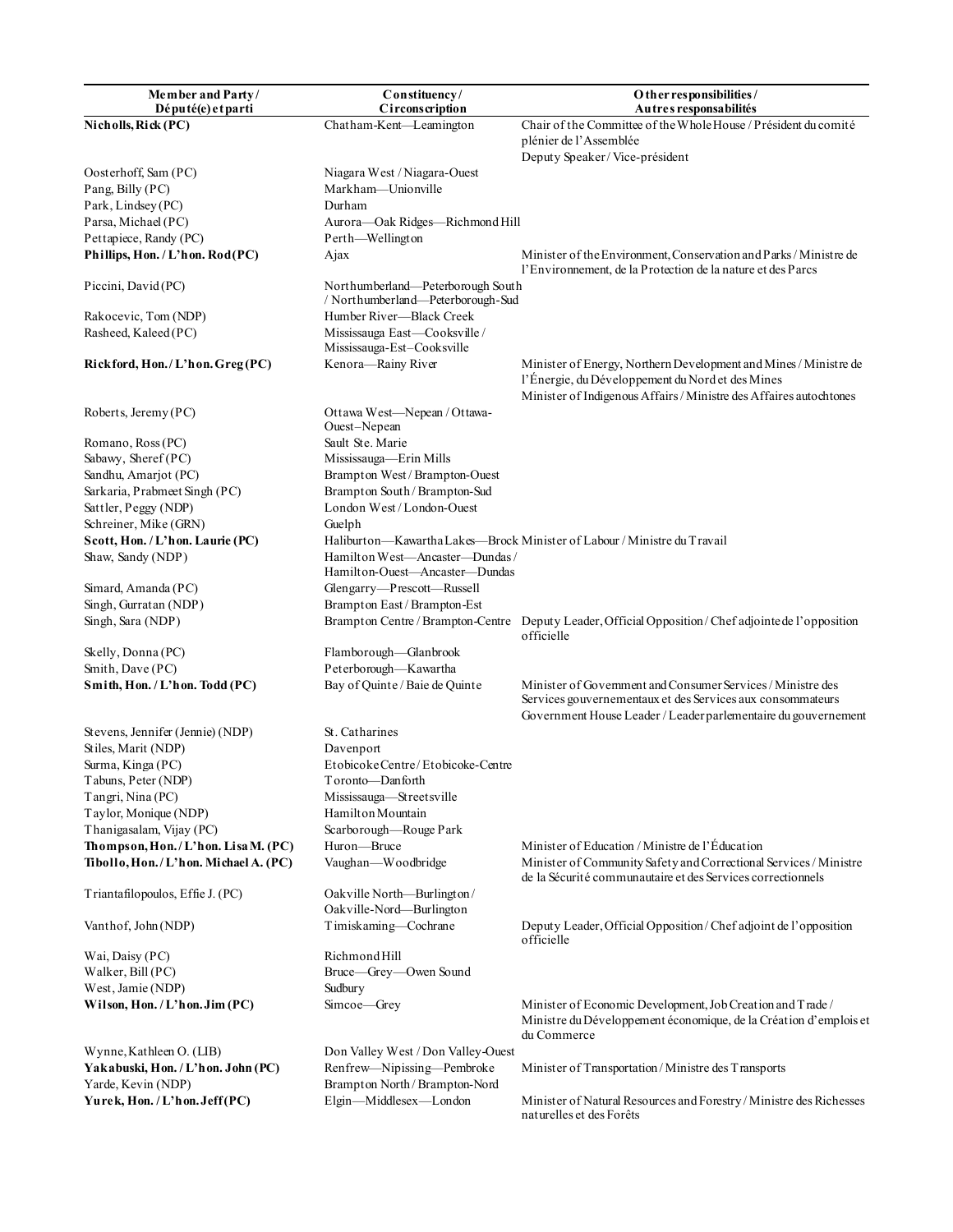| Member and Party/                    | Constituency/                                                          | O ther responsibilities /                                                                                                                                                                   |
|--------------------------------------|------------------------------------------------------------------------|---------------------------------------------------------------------------------------------------------------------------------------------------------------------------------------------|
| Député(e) et parti                   | Circonscription                                                        | Autres responsabilités                                                                                                                                                                      |
| Nicholls, Rick (PC)                  | Chatham-Kent-Leamington                                                | Chair of the Committee of the Whole House / Président du comité<br>plénier de l'Assemblée                                                                                                   |
|                                      |                                                                        | Deputy Speaker/Vice-président                                                                                                                                                               |
| Oosterhoff, Sam (PC)                 | Niagara West / Niagara-Ouest                                           |                                                                                                                                                                                             |
| Pang, Billy (PC)                     | Markham-Unionville                                                     |                                                                                                                                                                                             |
| Park, Lindsey (PC)                   | Durham                                                                 |                                                                                                                                                                                             |
| Parsa, Michael (PC)                  | Aurora-Oak Ridges-Richmond Hill                                        |                                                                                                                                                                                             |
| Pettapiece, Randy (PC)               | Perth-Wellington                                                       |                                                                                                                                                                                             |
| Phillips, Hon. / L'hon. Rod(PC)      | Ajax                                                                   | Minister of the Environment, Conservation and Parks / Ministre de<br>l'Environnement, de la Protection de la nature et des Parcs                                                            |
| Piccini, David (PC)                  | Northumberland—Peterborough South<br>/ Northumberland-Peterborough-Sud |                                                                                                                                                                                             |
| Rakocevic, Tom (NDP)                 | Humber River-Black Creek                                               |                                                                                                                                                                                             |
| Rasheed, Kaleed (PC)                 | Mississauga East-Cooksville/<br>Mississauga-Est-Cooksville             |                                                                                                                                                                                             |
| Rickford, Hon./L'hon.Greg(PC)        | Kenora-Rainy River                                                     | Minister of Energy, Northern Development and Mines / Ministre de<br>l'Énergie, du Développement du Nord et des Mines<br>Minister of Indigenous Affairs / Ministre des Affaires autochtones  |
| Roberts, Jeremy (PC)                 | Ottawa West-Nepean / Ottawa-<br>Ouest-Nepean                           |                                                                                                                                                                                             |
| Romano, Ross (PC)                    | Sault Ste. Marie                                                       |                                                                                                                                                                                             |
| Sabawy, Sheref (PC)                  | Mississauga-Erin Mills                                                 |                                                                                                                                                                                             |
| Sandhu, Amarjot (PC)                 | Brampton West / Brampton-Ouest                                         |                                                                                                                                                                                             |
| Sarkaria, Prabmeet Singh (PC)        | Brampton South/Brampton-Sud                                            |                                                                                                                                                                                             |
| Sattler, Peggy (NDP)                 | London West / London-Ouest                                             |                                                                                                                                                                                             |
| Schreiner, Mike (GRN)                | Guelph                                                                 |                                                                                                                                                                                             |
| Scott, Hon. / L'hon. Laurie (PC)     |                                                                        | Haliburton—Kawartha Lakes—Brock Minister of Labour / Ministre du Travail                                                                                                                    |
| Shaw, Sandy (NDP)                    | Hamilton West-Ancaster-Dundas/                                         |                                                                                                                                                                                             |
|                                      | Hamilton-Ouest-Ancaster-Dundas                                         |                                                                                                                                                                                             |
| Simard, Amanda (PC)                  | Glengarry-Prescott-Russell                                             |                                                                                                                                                                                             |
| Singh, Gurratan (NDP)                | Brampton East / Brampton-Est                                           |                                                                                                                                                                                             |
| Singh, Sara (NDP)                    | Brampton Centre / Brampton-Centre                                      | Deputy Leader, Official Opposition / Chef adjointe de l'opposition<br>officielle                                                                                                            |
| Skelly, Donna (PC)                   | Flamborough-Glanbrook                                                  |                                                                                                                                                                                             |
| Smith, Dave (PC)                     | Peterborough-Kawartha                                                  |                                                                                                                                                                                             |
| Smith, Hon. / L'hon. Todd (PC)       | Bay of Quinte / Baie de Quinte                                         | Minister of Government and Consumer Services / Ministre des<br>Services gouvernementaux et des Services aux consommateurs<br>Government House Leader / Leader parlementaire du gouvernement |
| Stevens, Jennifer (Jennie) (NDP)     | St. Catharines                                                         |                                                                                                                                                                                             |
| Stiles, Marit (NDP)                  | Davenport                                                              |                                                                                                                                                                                             |
| Surma, Kinga (PC)                    | Etobicoke Centre/Etobicoke-Centre                                      |                                                                                                                                                                                             |
| Tabuns, Peter (NDP)                  | Toronto—Dan forth                                                      |                                                                                                                                                                                             |
| Tangri, Nina (PC)                    | Mississauga-Streetsville                                               |                                                                                                                                                                                             |
| Taylor, Monique (NDP)                | Hamilton Mountain                                                      |                                                                                                                                                                                             |
| Thanigasalam, Vijay (PC)             | Scarborough-Rouge Park                                                 |                                                                                                                                                                                             |
| Thompson, Hon./L'hon. Lisa M. (PC)   | Huron-Bruce                                                            | Minister of Education / Ministre de l'Éducation                                                                                                                                             |
| Tibollo, Hon./L'hon. Michael A. (PC) | Vaughan-Woodbridge                                                     | Minister of Community Safety and Correctional Services / Ministre<br>de la Sécurité communautaire et des Services correctionnels                                                            |
| Triantafilopoulos, Effie J. (PC)     | Oakville North-Burlington/<br>Oakville-Nord-Burlington                 |                                                                                                                                                                                             |
| Vanthof, John (NDP)                  | Timiskaming-Cochrane                                                   | Deputy Leader, Official Opposition/Chef adjoint de l'opposition<br>officielle                                                                                                               |
| Wai, Daisy (PC)                      | Richmond Hill                                                          |                                                                                                                                                                                             |
| Walker, Bill (PC)                    | Bruce-Grey-Owen Sound                                                  |                                                                                                                                                                                             |
| West, Jamie (NDP)                    | Sudbury                                                                |                                                                                                                                                                                             |
| Wilson, Hon. / L'hon. Jim (PC)       | Simcoe-Grey                                                            | Minister of Economic Development, Job Creation and Trade /                                                                                                                                  |
|                                      |                                                                        | Ministre du Développement économique, de la Création d'emplois et<br>du Commerce                                                                                                            |
| Wynne, Kathleen O. (LIB)             | Don Valley West / Don Valley-Ouest                                     |                                                                                                                                                                                             |
| Yakabuski, Hon. / L'hon. John (PC)   | Renfrew-Nipissing-Pembroke                                             | Minister of Transportation/Ministre des Transports                                                                                                                                          |
| Yarde, Kevin (NDP)                   | Brampton North / Brampton-Nord                                         |                                                                                                                                                                                             |
| Yurek, Hon. / L'hon. Jeff(PC)        | Elgin-Middlesex-London                                                 | Minister of Natural Resources and Forestry / Ministre des Richesses<br>naturelles et des Forêts                                                                                             |